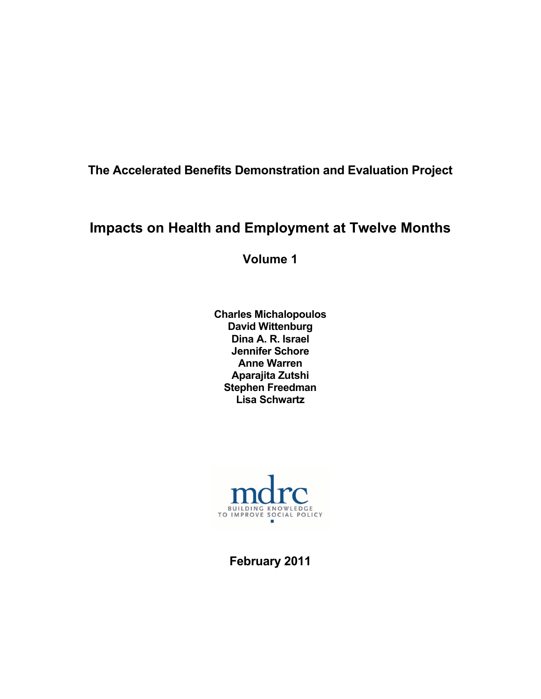**The Accelerated Benefits Demonstration and Evaluation Project** 

# **Impacts on Health and Employment at Twelve Months**

**Volume 1** 

**Charles Michalopoulos David Wittenburg Dina A. R. Israel Jennifer Schore Anne Warren Aparajita Zutshi Stephen Freedman Lisa Schwartz** 



**February 2011**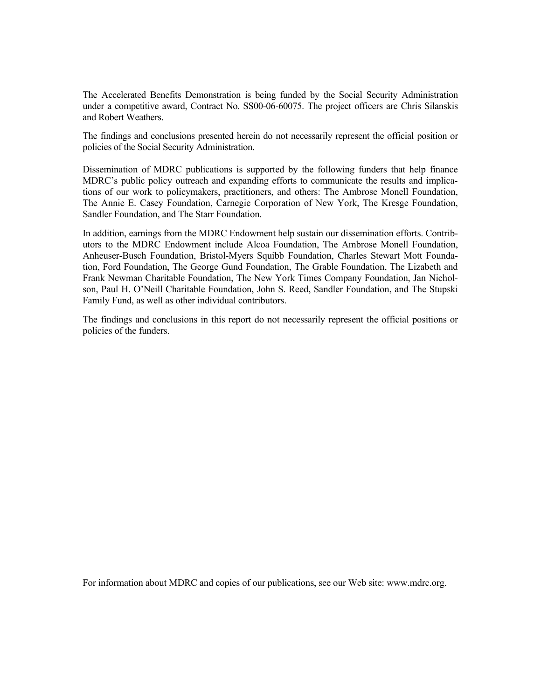The Accelerated Benefits Demonstration is being funded by the Social Security Administration under a competitive award, Contract No. SS00-06-60075. The project officers are Chris Silanskis and Robert Weathers.

The findings and conclusions presented herein do not necessarily represent the official position or policies of the Social Security Administration.

Dissemination of MDRC publications is supported by the following funders that help finance MDRC's public policy outreach and expanding efforts to communicate the results and implications of our work to policymakers, practitioners, and others: The Ambrose Monell Foundation, The Annie E. Casey Foundation, Carnegie Corporation of New York, The Kresge Foundation, Sandler Foundation, and The Starr Foundation.

In addition, earnings from the MDRC Endowment help sustain our dissemination efforts. Contributors to the MDRC Endowment include Alcoa Foundation, The Ambrose Monell Foundation, Anheuser-Busch Foundation, Bristol-Myers Squibb Foundation, Charles Stewart Mott Foundation, Ford Foundation, The George Gund Foundation, The Grable Foundation, The Lizabeth and Frank Newman Charitable Foundation, The New York Times Company Foundation, Jan Nicholson, Paul H. O'Neill Charitable Foundation, John S. Reed, Sandler Foundation, and The Stupski Family Fund, as well as other individual contributors.

The findings and conclusions in this report do not necessarily represent the official positions or policies of the funders.

For information about MDRC and copies of our publications, see our Web site: www.mdrc.org.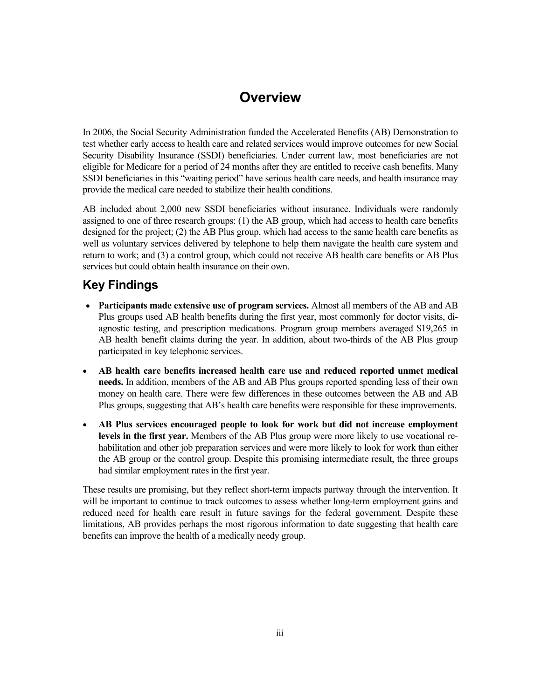# **Overview**

In 2006, the Social Security Administration funded the Accelerated Benefits (AB) Demonstration to test whether early access to health care and related services would improve outcomes for new Social Security Disability Insurance (SSDI) beneficiaries. Under current law, most beneficiaries are not eligible for Medicare for a period of 24 months after they are entitled to receive cash benefits. Many SSDI beneficiaries in this "waiting period" have serious health care needs, and health insurance may provide the medical care needed to stabilize their health conditions.

AB included about 2,000 new SSDI beneficiaries without insurance. Individuals were randomly assigned to one of three research groups: (1) the AB group, which had access to health care benefits designed for the project; (2) the AB Plus group, which had access to the same health care benefits as well as voluntary services delivered by telephone to help them navigate the health care system and return to work; and (3) a control group, which could not receive AB health care benefits or AB Plus services but could obtain health insurance on their own.

# **Key Findings**

- **Participants made extensive use of program services.** Almost all members of the AB and AB Plus groups used AB health benefits during the first year, most commonly for doctor visits, diagnostic testing, and prescription medications. Program group members averaged \$19,265 in AB health benefit claims during the year. In addition, about two-thirds of the AB Plus group participated in key telephonic services.
- **AB health care benefits increased health care use and reduced reported unmet medical needs.** In addition, members of the AB and AB Plus groups reported spending less of their own money on health care. There were few differences in these outcomes between the AB and AB Plus groups, suggesting that AB's health care benefits were responsible for these improvements.
- **AB Plus services encouraged people to look for work but did not increase employment levels in the first year.** Members of the AB Plus group were more likely to use vocational rehabilitation and other job preparation services and were more likely to look for work than either the AB group or the control group. Despite this promising intermediate result, the three groups had similar employment rates in the first year.

These results are promising, but they reflect short-term impacts partway through the intervention. It will be important to continue to track outcomes to assess whether long-term employment gains and reduced need for health care result in future savings for the federal government. Despite these limitations, AB provides perhaps the most rigorous information to date suggesting that health care benefits can improve the health of a medically needy group.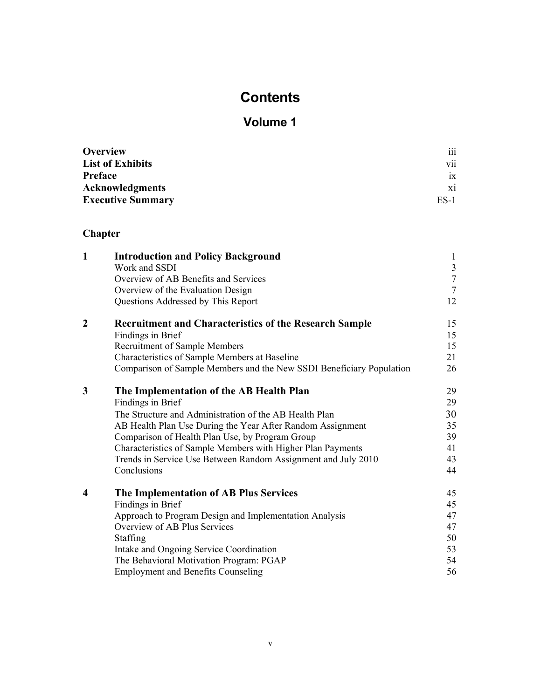# **Contents**

# **Volume 1**

| <b>Overview</b>          | $\cdots$<br>111  |
|--------------------------|------------------|
| <b>List of Exhibits</b>  | $\ddotsc$<br>V11 |
| Preface                  | ix               |
| <b>Acknowledgments</b>   | X1               |
| <b>Executive Summary</b> | ES-1             |

# **Chapter**

| $\mathbf{1}$            | <b>Introduction and Policy Background</b><br>Work and SSDI<br>Overview of AB Benefits and Services<br>Overview of the Evaluation Design<br>Questions Addressed by This Report | $\mathbf{1}$<br>$\overline{3}$<br>$\overline{7}$<br>$\overline{7}$<br>12 |
|-------------------------|-------------------------------------------------------------------------------------------------------------------------------------------------------------------------------|--------------------------------------------------------------------------|
| $\boldsymbol{2}$        | <b>Recruitment and Characteristics of the Research Sample</b>                                                                                                                 | 15                                                                       |
|                         | Findings in Brief                                                                                                                                                             | 15                                                                       |
|                         | Recruitment of Sample Members                                                                                                                                                 | 15                                                                       |
|                         | Characteristics of Sample Members at Baseline                                                                                                                                 | 21                                                                       |
|                         | Comparison of Sample Members and the New SSDI Beneficiary Population                                                                                                          | 26                                                                       |
| 3                       | The Implementation of the AB Health Plan                                                                                                                                      | 29                                                                       |
|                         | Findings in Brief                                                                                                                                                             | 29                                                                       |
|                         | The Structure and Administration of the AB Health Plan                                                                                                                        | 30                                                                       |
|                         | AB Health Plan Use During the Year After Random Assignment                                                                                                                    | 35                                                                       |
|                         | Comparison of Health Plan Use, by Program Group                                                                                                                               | 39                                                                       |
|                         | Characteristics of Sample Members with Higher Plan Payments                                                                                                                   | 41                                                                       |
|                         | Trends in Service Use Between Random Assignment and July 2010                                                                                                                 | 43                                                                       |
|                         | Conclusions                                                                                                                                                                   | 44                                                                       |
| $\overline{\mathbf{4}}$ | The Implementation of AB Plus Services                                                                                                                                        | 45                                                                       |
|                         | Findings in Brief                                                                                                                                                             | 45                                                                       |
|                         | Approach to Program Design and Implementation Analysis                                                                                                                        | 47                                                                       |
|                         | Overview of AB Plus Services                                                                                                                                                  | 47                                                                       |
|                         | Staffing                                                                                                                                                                      | 50                                                                       |
|                         | Intake and Ongoing Service Coordination                                                                                                                                       | 53                                                                       |
|                         | The Behavioral Motivation Program: PGAP                                                                                                                                       | 54                                                                       |
|                         | <b>Employment and Benefits Counseling</b>                                                                                                                                     | 56                                                                       |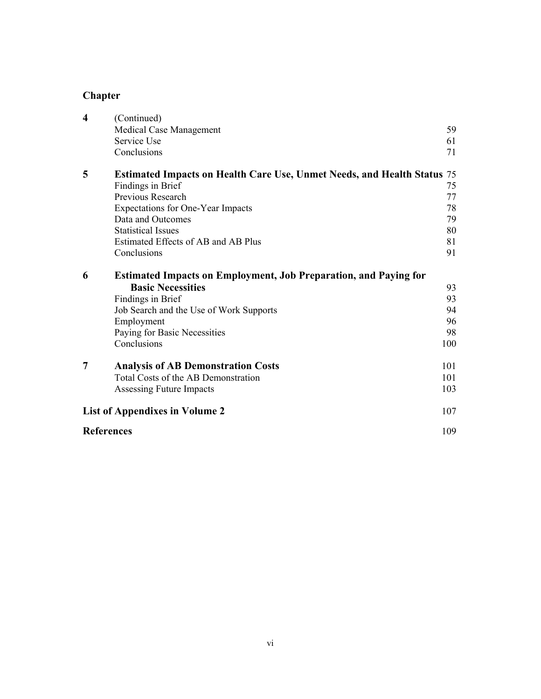# **Chapter**

| $\boldsymbol{4}$  | (Continued)<br>Medical Case Management<br>Service Use<br>Conclusions                                                                                                                                                                                                  | 59<br>61<br>71                         |
|-------------------|-----------------------------------------------------------------------------------------------------------------------------------------------------------------------------------------------------------------------------------------------------------------------|----------------------------------------|
| 5                 | <b>Estimated Impacts on Health Care Use, Unmet Needs, and Health Status</b> 75<br>Findings in Brief<br>Previous Research<br>Expectations for One-Year Impacts<br>Data and Outcomes<br><b>Statistical Issues</b><br>Estimated Effects of AB and AB Plus<br>Conclusions | 75<br>77<br>78<br>79<br>80<br>81<br>91 |
| 6                 | <b>Estimated Impacts on Employment, Job Preparation, and Paying for</b><br><b>Basic Necessities</b><br>Findings in Brief<br>Job Search and the Use of Work Supports<br>Employment<br>Paying for Basic Necessities<br>Conclusions                                      | 93<br>93<br>94<br>96<br>98<br>100      |
| $\overline{7}$    | <b>Analysis of AB Demonstration Costs</b><br>Total Costs of the AB Demonstration<br>Assessing Future Impacts                                                                                                                                                          | 101<br>101<br>103                      |
|                   | <b>List of Appendixes in Volume 2</b>                                                                                                                                                                                                                                 | 107                                    |
| <b>References</b> |                                                                                                                                                                                                                                                                       | 109                                    |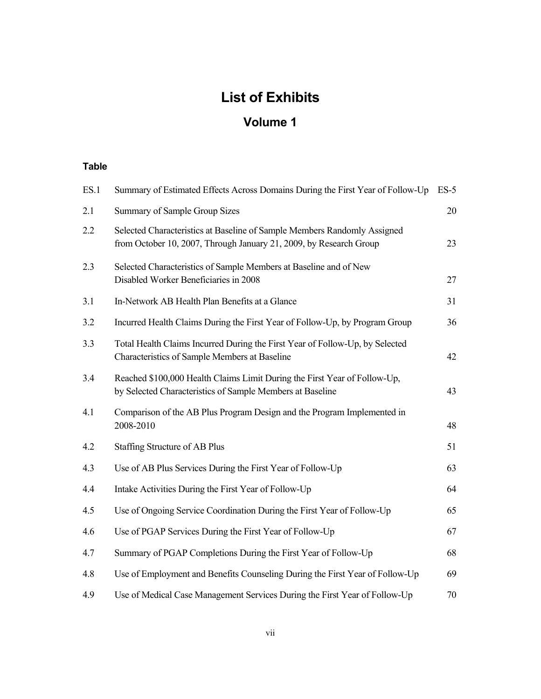# **List of Exhibits**

# **Volume 1**

#### **Table**

| ES.1 | Summary of Estimated Effects Across Domains During the First Year of Follow-Up                                                                 | $ES-5$ |
|------|------------------------------------------------------------------------------------------------------------------------------------------------|--------|
| 2.1  | <b>Summary of Sample Group Sizes</b>                                                                                                           | 20     |
| 2.2  | Selected Characteristics at Baseline of Sample Members Randomly Assigned<br>from October 10, 2007, Through January 21, 2009, by Research Group | 23     |
| 2.3  | Selected Characteristics of Sample Members at Baseline and of New<br>Disabled Worker Beneficiaries in 2008                                     | 27     |
| 3.1  | In-Network AB Health Plan Benefits at a Glance                                                                                                 | 31     |
| 3.2  | Incurred Health Claims During the First Year of Follow-Up, by Program Group                                                                    | 36     |
| 3.3  | Total Health Claims Incurred During the First Year of Follow-Up, by Selected<br>Characteristics of Sample Members at Baseline                  | 42     |
| 3.4  | Reached \$100,000 Health Claims Limit During the First Year of Follow-Up,<br>by Selected Characteristics of Sample Members at Baseline         | 43     |
| 4.1  | Comparison of the AB Plus Program Design and the Program Implemented in<br>2008-2010                                                           | 48     |
| 4.2  | <b>Staffing Structure of AB Plus</b>                                                                                                           | 51     |
| 4.3  | Use of AB Plus Services During the First Year of Follow-Up                                                                                     | 63     |
| 4.4  | Intake Activities During the First Year of Follow-Up                                                                                           | 64     |
| 4.5  | Use of Ongoing Service Coordination During the First Year of Follow-Up                                                                         | 65     |
| 4.6  | Use of PGAP Services During the First Year of Follow-Up                                                                                        | 67     |
| 4.7  | Summary of PGAP Completions During the First Year of Follow-Up                                                                                 | 68     |
| 4.8  | Use of Employment and Benefits Counseling During the First Year of Follow-Up                                                                   | 69     |
| 4.9  | Use of Medical Case Management Services During the First Year of Follow-Up                                                                     | 70     |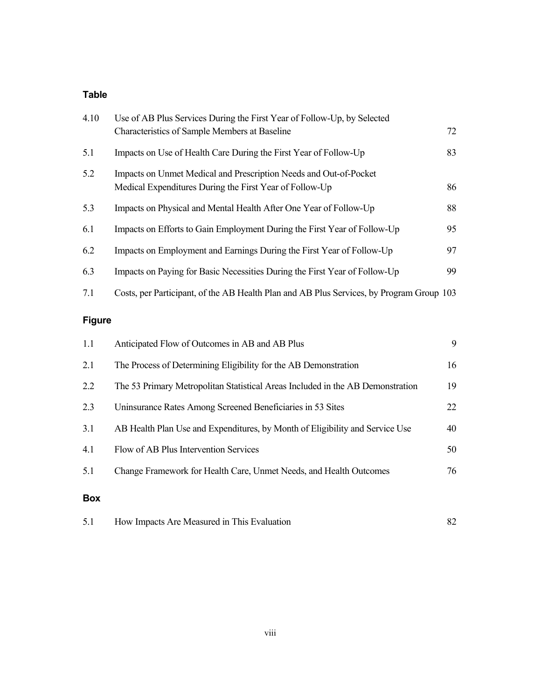#### **Table**

| 4.10 | Use of AB Plus Services During the First Year of Follow-Up, by Selected<br><b>Characteristics of Sample Members at Baseline</b> | 72 |
|------|---------------------------------------------------------------------------------------------------------------------------------|----|
| 5.1  | Impacts on Use of Health Care During the First Year of Follow-Up                                                                | 83 |
| 5.2  | Impacts on Unmet Medical and Prescription Needs and Out-of-Pocket<br>Medical Expenditures During the First Year of Follow-Up    | 86 |
| 5.3  | Impacts on Physical and Mental Health After One Year of Follow-Up                                                               | 88 |
| 6.1  | Impacts on Efforts to Gain Employment During the First Year of Follow-Up                                                        | 95 |
| 6.2  | Impacts on Employment and Earnings During the First Year of Follow-Up                                                           | 97 |
| 6.3  | Impacts on Paying for Basic Necessities During the First Year of Follow-Up                                                      | 99 |
| 7.1  | Costs, per Participant, of the AB Health Plan and AB Plus Services, by Program Group 103                                        |    |
|      |                                                                                                                                 |    |

# **Figure**

| 2.1        | The Process of Determining Eligibility for the AB Demonstration                | 16 |
|------------|--------------------------------------------------------------------------------|----|
| 2.2        | The 53 Primary Metropolitan Statistical Areas Included in the AB Demonstration | 19 |
| 2.3        | Uninsurance Rates Among Screened Beneficiaries in 53 Sites                     | 22 |
| 3.1        | AB Health Plan Use and Expenditures, by Month of Eligibility and Service Use   | 40 |
| 4.1        | Flow of AB Plus Intervention Services                                          | 50 |
| 5.1        | Change Framework for Health Care, Unmet Needs, and Health Outcomes             | 76 |
| <b>Box</b> |                                                                                |    |

| How Impacts Are Measured in This Evaluation<br>5.1 |  |
|----------------------------------------------------|--|
|----------------------------------------------------|--|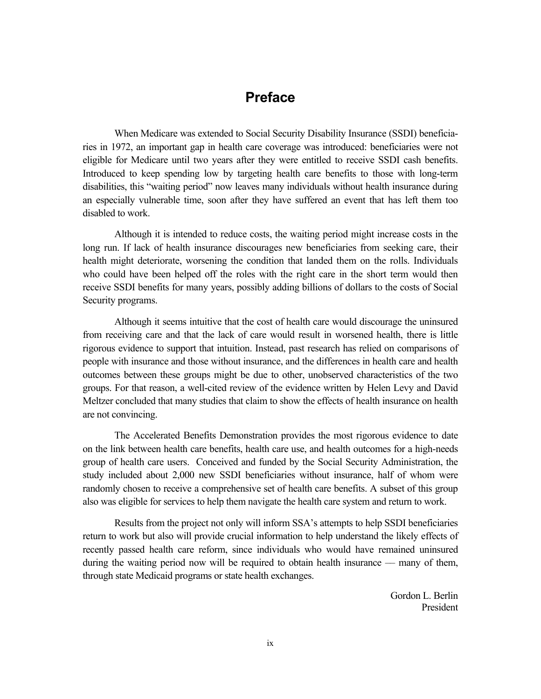## **Preface**

When Medicare was extended to Social Security Disability Insurance (SSDI) beneficiaries in 1972, an important gap in health care coverage was introduced: beneficiaries were not eligible for Medicare until two years after they were entitled to receive SSDI cash benefits. Introduced to keep spending low by targeting health care benefits to those with long-term disabilities, this "waiting period" now leaves many individuals without health insurance during an especially vulnerable time, soon after they have suffered an event that has left them too disabled to work.

Although it is intended to reduce costs, the waiting period might increase costs in the long run. If lack of health insurance discourages new beneficiaries from seeking care, their health might deteriorate, worsening the condition that landed them on the rolls. Individuals who could have been helped off the roles with the right care in the short term would then receive SSDI benefits for many years, possibly adding billions of dollars to the costs of Social Security programs.

Although it seems intuitive that the cost of health care would discourage the uninsured from receiving care and that the lack of care would result in worsened health, there is little rigorous evidence to support that intuition. Instead, past research has relied on comparisons of people with insurance and those without insurance, and the differences in health care and health outcomes between these groups might be due to other, unobserved characteristics of the two groups. For that reason, a well-cited review of the evidence written by Helen Levy and David Meltzer concluded that many studies that claim to show the effects of health insurance on health are not convincing.

The Accelerated Benefits Demonstration provides the most rigorous evidence to date on the link between health care benefits, health care use, and health outcomes for a high-needs group of health care users. Conceived and funded by the Social Security Administration, the study included about 2,000 new SSDI beneficiaries without insurance, half of whom were randomly chosen to receive a comprehensive set of health care benefits. A subset of this group also was eligible for services to help them navigate the health care system and return to work.

Results from the project not only will inform SSA's attempts to help SSDI beneficiaries return to work but also will provide crucial information to help understand the likely effects of recently passed health care reform, since individuals who would have remained uninsured during the waiting period now will be required to obtain health insurance — many of them, through state Medicaid programs or state health exchanges.

> Gordon L. Berlin President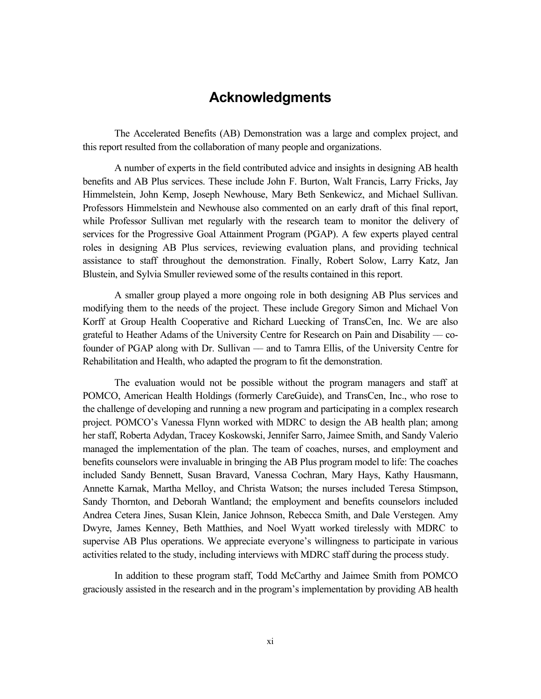# **Acknowledgments**

The Accelerated Benefits (AB) Demonstration was a large and complex project, and this report resulted from the collaboration of many people and organizations.

A number of experts in the field contributed advice and insights in designing AB health benefits and AB Plus services. These include John F. Burton, Walt Francis, Larry Fricks, Jay Himmelstein, John Kemp, Joseph Newhouse, Mary Beth Senkewicz, and Michael Sullivan. Professors Himmelstein and Newhouse also commented on an early draft of this final report, while Professor Sullivan met regularly with the research team to monitor the delivery of services for the Progressive Goal Attainment Program (PGAP). A few experts played central roles in designing AB Plus services, reviewing evaluation plans, and providing technical assistance to staff throughout the demonstration. Finally, Robert Solow, Larry Katz, Jan Blustein, and Sylvia Smuller reviewed some of the results contained in this report.

A smaller group played a more ongoing role in both designing AB Plus services and modifying them to the needs of the project. These include Gregory Simon and Michael Von Korff at Group Health Cooperative and Richard Luecking of TransCen, Inc. We are also grateful to Heather Adams of the University Centre for Research on Pain and Disability –– cofounder of PGAP along with Dr. Sullivan –– and to Tamra Ellis, of the University Centre for Rehabilitation and Health, who adapted the program to fit the demonstration.

The evaluation would not be possible without the program managers and staff at POMCO, American Health Holdings (formerly CareGuide), and TransCen, Inc., who rose to the challenge of developing and running a new program and participating in a complex research project. POMCO's Vanessa Flynn worked with MDRC to design the AB health plan; among her staff, Roberta Adydan, Tracey Koskowski, Jennifer Sarro, Jaimee Smith, and Sandy Valerio managed the implementation of the plan. The team of coaches, nurses, and employment and benefits counselors were invaluable in bringing the AB Plus program model to life: The coaches included Sandy Bennett, Susan Bravard, Vanessa Cochran, Mary Hays, Kathy Hausmann, Annette Karnak, Martha Melloy, and Christa Watson; the nurses included Teresa Stimpson, Sandy Thornton, and Deborah Wantland; the employment and benefits counselors included Andrea Cetera Jines, Susan Klein, Janice Johnson, Rebecca Smith, and Dale Verstegen. Amy Dwyre, James Kenney, Beth Matthies, and Noel Wyatt worked tirelessly with MDRC to supervise AB Plus operations. We appreciate everyone's willingness to participate in various activities related to the study, including interviews with MDRC staff during the process study.

In addition to these program staff, Todd McCarthy and Jaimee Smith from POMCO graciously assisted in the research and in the program's implementation by providing AB health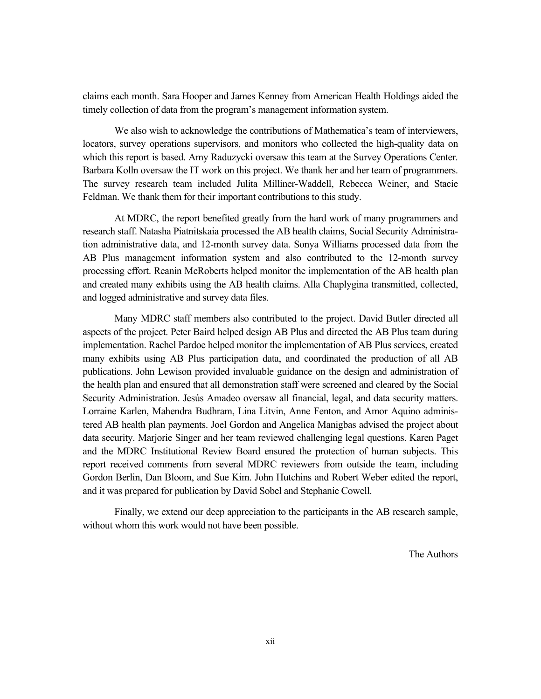claims each month. Sara Hooper and James Kenney from American Health Holdings aided the timely collection of data from the program's management information system.

We also wish to acknowledge the contributions of Mathematica's team of interviewers, locators, survey operations supervisors, and monitors who collected the high-quality data on which this report is based. Amy Raduzycki oversaw this team at the Survey Operations Center. Barbara Kolln oversaw the IT work on this project. We thank her and her team of programmers. The survey research team included Julita Milliner-Waddell, Rebecca Weiner, and Stacie Feldman. We thank them for their important contributions to this study.

At MDRC, the report benefited greatly from the hard work of many programmers and research staff. Natasha Piatnitskaia processed the AB health claims, Social Security Administration administrative data, and 12-month survey data. Sonya Williams processed data from the AB Plus management information system and also contributed to the 12-month survey processing effort. Reanin McRoberts helped monitor the implementation of the AB health plan and created many exhibits using the AB health claims. Alla Chaplygina transmitted, collected, and logged administrative and survey data files.

Many MDRC staff members also contributed to the project. David Butler directed all aspects of the project. Peter Baird helped design AB Plus and directed the AB Plus team during implementation. Rachel Pardoe helped monitor the implementation of AB Plus services, created many exhibits using AB Plus participation data, and coordinated the production of all AB publications. John Lewison provided invaluable guidance on the design and administration of the health plan and ensured that all demonstration staff were screened and cleared by the Social Security Administration. Jesús Amadeo oversaw all financial, legal, and data security matters. Lorraine Karlen, Mahendra Budhram, Lina Litvin, Anne Fenton, and Amor Aquino administered AB health plan payments. Joel Gordon and Angelica Manigbas advised the project about data security. Marjorie Singer and her team reviewed challenging legal questions. Karen Paget and the MDRC Institutional Review Board ensured the protection of human subjects. This report received comments from several MDRC reviewers from outside the team, including Gordon Berlin, Dan Bloom, and Sue Kim. John Hutchins and Robert Weber edited the report, and it was prepared for publication by David Sobel and Stephanie Cowell.

Finally, we extend our deep appreciation to the participants in the AB research sample, without whom this work would not have been possible.

The Authors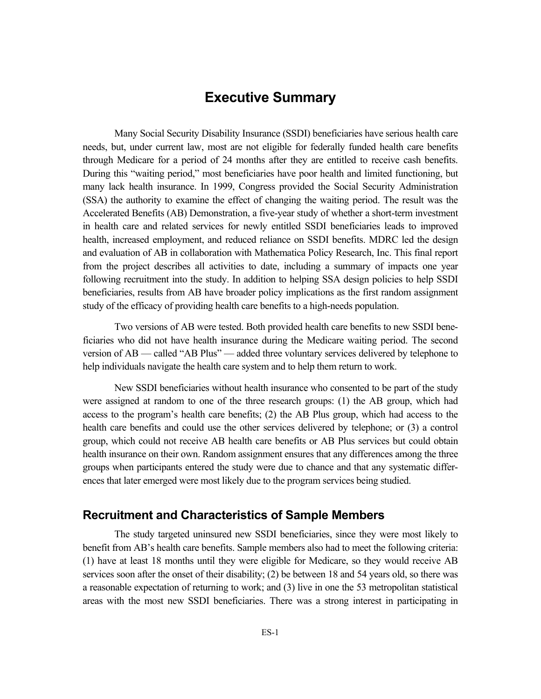# **Executive Summary**

Many Social Security Disability Insurance (SSDI) beneficiaries have serious health care needs, but, under current law, most are not eligible for federally funded health care benefits through Medicare for a period of 24 months after they are entitled to receive cash benefits. During this "waiting period," most beneficiaries have poor health and limited functioning, but many lack health insurance. In 1999, Congress provided the Social Security Administration (SSA) the authority to examine the effect of changing the waiting period. The result was the Accelerated Benefits (AB) Demonstration, a five-year study of whether a short-term investment in health care and related services for newly entitled SSDI beneficiaries leads to improved health, increased employment, and reduced reliance on SSDI benefits. MDRC led the design and evaluation of AB in collaboration with Mathematica Policy Research, Inc. This final report from the project describes all activities to date, including a summary of impacts one year following recruitment into the study. In addition to helping SSA design policies to help SSDI beneficiaries, results from AB have broader policy implications as the first random assignment study of the efficacy of providing health care benefits to a high-needs population.

Two versions of AB were tested. Both provided health care benefits to new SSDI beneficiaries who did not have health insurance during the Medicare waiting period. The second version of AB — called "AB Plus" — added three voluntary services delivered by telephone to help individuals navigate the health care system and to help them return to work.

New SSDI beneficiaries without health insurance who consented to be part of the study were assigned at random to one of the three research groups: (1) the AB group, which had access to the program's health care benefits; (2) the AB Plus group, which had access to the health care benefits and could use the other services delivered by telephone; or (3) a control group, which could not receive AB health care benefits or AB Plus services but could obtain health insurance on their own. Random assignment ensures that any differences among the three groups when participants entered the study were due to chance and that any systematic differences that later emerged were most likely due to the program services being studied.

#### **Recruitment and Characteristics of Sample Members**

The study targeted uninsured new SSDI beneficiaries, since they were most likely to benefit from AB's health care benefits. Sample members also had to meet the following criteria: (1) have at least 18 months until they were eligible for Medicare, so they would receive AB services soon after the onset of their disability; (2) be between 18 and 54 years old, so there was a reasonable expectation of returning to work; and (3) live in one the 53 metropolitan statistical areas with the most new SSDI beneficiaries. There was a strong interest in participating in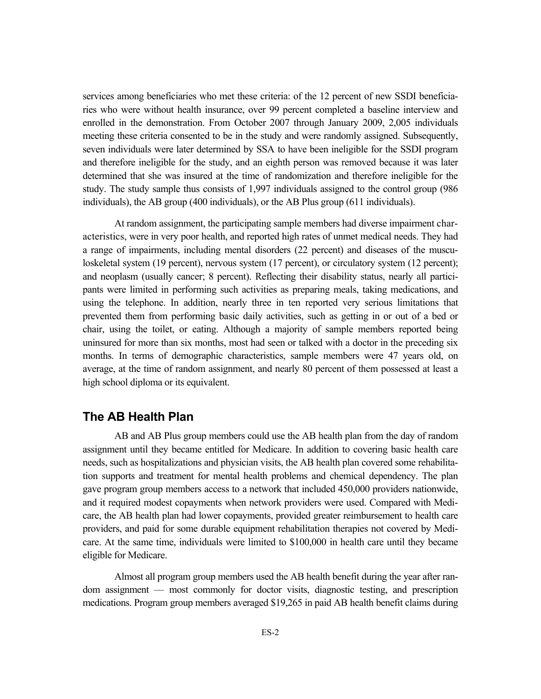services among beneficiaries who met these criteria: of the 12 percent of new SSDI beneficiaries who were without health insurance, over 99 percent completed a baseline interview and enrolled in the demonstration. From October 2007 through January 2009, 2,005 individuals meeting these criteria consented to be in the study and were randomly assigned. Subsequently, seven individuals were later determined by SSA to have been ineligible for the SSDI program and therefore ineligible for the study, and an eighth person was removed because it was later determined that she was insured at the time of randomization and therefore ineligible for the study. The study sample thus consists of 1,997 individuals assigned to the control group (986 individuals), the AB group (400 individuals), or the AB Plus group (611 individuals).

At random assignment, the participating sample members had diverse impairment characteristics, were in very poor health, and reported high rates of unmet medical needs. They had a range of impairments, including mental disorders (22 percent) and diseases of the musculoskeletal system (19 percent), nervous system (17 percent), or circulatory system (12 percent); and neoplasm (usually cancer; 8 percent). Reflecting their disability status, nearly all participants were limited in performing such activities as preparing meals, taking medications, and using the telephone. In addition, nearly three in ten reported very serious limitations that prevented them from performing basic daily activities, such as getting in or out of a bed or chair, using the toilet, or eating. Although a majority of sample members reported being uninsured for more than six months, most had seen or talked with a doctor in the preceding six months. In terms of demographic characteristics, sample members were 47 years old, on average, at the time of random assignment, and nearly 80 percent of them possessed at least a high school diploma or its equivalent.

#### **The AB Health Plan**

AB and AB Plus group members could use the AB health plan from the day of random assignment until they became entitled for Medicare. In addition to covering basic health care needs, such as hospitalizations and physician visits, the AB health plan covered some rehabilitation supports and treatment for mental health problems and chemical dependency. The plan gave program group members access to a network that included 450,000 providers nationwide, and it required modest copayments when network providers were used. Compared with Medicare, the AB health plan had lower copayments, provided greater reimbursement to health care providers, and paid for some durable equipment rehabilitation therapies not covered by Medicare. At the same time, individuals were limited to \$100,000 in health care until they became eligible for Medicare.

Almost all program group members used the AB health benefit during the year after random assignment –– most commonly for doctor visits, diagnostic testing, and prescription medications. Program group members averaged \$19,265 in paid AB health benefit claims during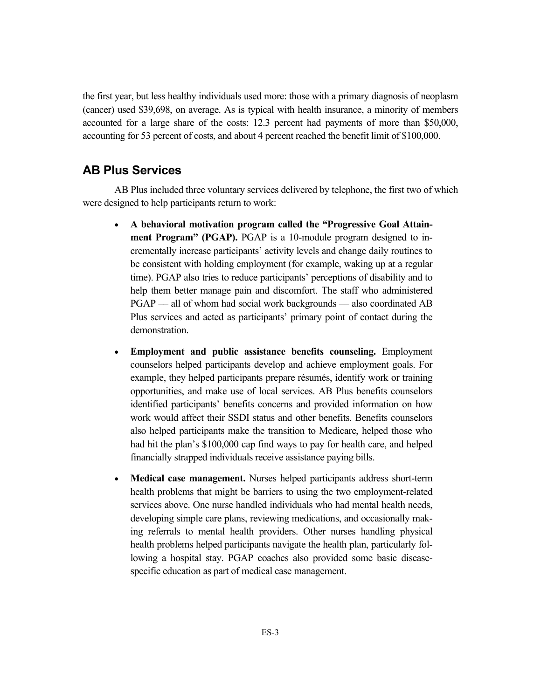the first year, but less healthy individuals used more: those with a primary diagnosis of neoplasm (cancer) used \$39,698, on average. As is typical with health insurance, a minority of members accounted for a large share of the costs: 12.3 percent had payments of more than \$50,000, accounting for 53 percent of costs, and about 4 percent reached the benefit limit of \$100,000.

### **AB Plus Services**

AB Plus included three voluntary services delivered by telephone, the first two of which were designed to help participants return to work:

- **A behavioral motivation program called the "Progressive Goal Attainment Program" (PGAP).** PGAP is a 10-module program designed to incrementally increase participants' activity levels and change daily routines to be consistent with holding employment (for example, waking up at a regular time). PGAP also tries to reduce participants' perceptions of disability and to help them better manage pain and discomfort. The staff who administered PGAP — all of whom had social work backgrounds — also coordinated AB Plus services and acted as participants' primary point of contact during the demonstration.
- **Employment and public assistance benefits counseling.** Employment counselors helped participants develop and achieve employment goals. For example, they helped participants prepare résumés, identify work or training opportunities, and make use of local services. AB Plus benefits counselors identified participants' benefits concerns and provided information on how work would affect their SSDI status and other benefits. Benefits counselors also helped participants make the transition to Medicare, helped those who had hit the plan's \$100,000 cap find ways to pay for health care, and helped financially strapped individuals receive assistance paying bills.
- **Medical case management.** Nurses helped participants address short-term health problems that might be barriers to using the two employment-related services above. One nurse handled individuals who had mental health needs, developing simple care plans, reviewing medications, and occasionally making referrals to mental health providers. Other nurses handling physical health problems helped participants navigate the health plan, particularly following a hospital stay. PGAP coaches also provided some basic diseasespecific education as part of medical case management.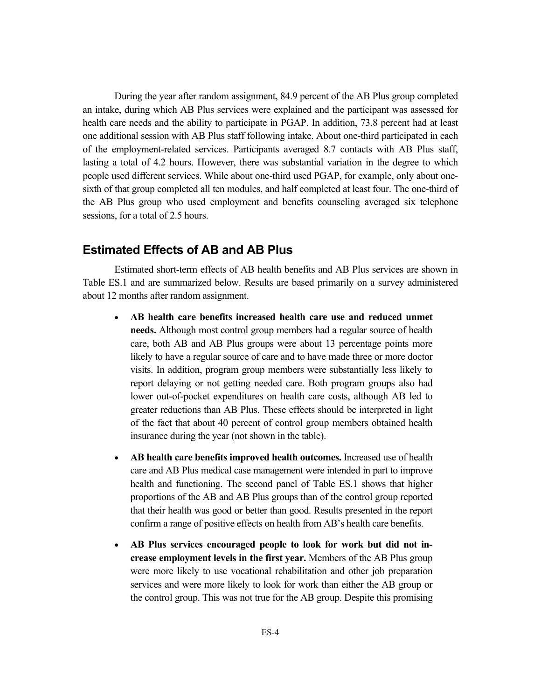During the year after random assignment, 84.9 percent of the AB Plus group completed an intake, during which AB Plus services were explained and the participant was assessed for health care needs and the ability to participate in PGAP. In addition, 73.8 percent had at least one additional session with AB Plus staff following intake. About one-third participated in each of the employment-related services. Participants averaged 8.7 contacts with AB Plus staff, lasting a total of 4.2 hours. However, there was substantial variation in the degree to which people used different services. While about one-third used PGAP, for example, only about onesixth of that group completed all ten modules, and half completed at least four. The one-third of the AB Plus group who used employment and benefits counseling averaged six telephone sessions, for a total of 2.5 hours.

#### **Estimated Effects of AB and AB Plus**

Estimated short-term effects of AB health benefits and AB Plus services are shown in Table ES.1 and are summarized below. Results are based primarily on a survey administered about 12 months after random assignment.

- **AB health care benefits increased health care use and reduced unmet needs.** Although most control group members had a regular source of health care, both AB and AB Plus groups were about 13 percentage points more likely to have a regular source of care and to have made three or more doctor visits. In addition, program group members were substantially less likely to report delaying or not getting needed care. Both program groups also had lower out-of-pocket expenditures on health care costs, although AB led to greater reductions than AB Plus. These effects should be interpreted in light of the fact that about 40 percent of control group members obtained health insurance during the year (not shown in the table).
- **AB health care benefits improved health outcomes.** Increased use of health care and AB Plus medical case management were intended in part to improve health and functioning. The second panel of Table ES.1 shows that higher proportions of the AB and AB Plus groups than of the control group reported that their health was good or better than good. Results presented in the report confirm a range of positive effects on health from AB's health care benefits.
- **AB Plus services encouraged people to look for work but did not increase employment levels in the first year.** Members of the AB Plus group were more likely to use vocational rehabilitation and other job preparation services and were more likely to look for work than either the AB group or the control group. This was not true for the AB group. Despite this promising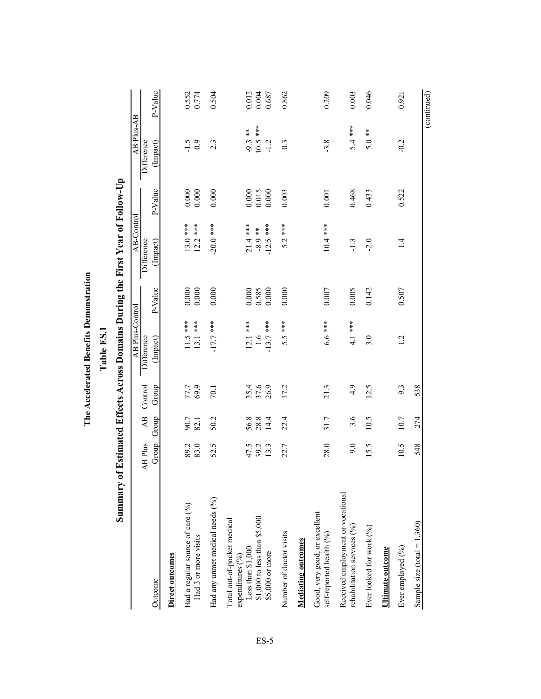| Summary                                                                                                                  |                      |                          |                  | Ladie LS.I                      |                             | of Estimated Effects Across Domains During the First Year of Follow-Up |                         |                                  |                                                        |
|--------------------------------------------------------------------------------------------------------------------------|----------------------|--------------------------|------------------|---------------------------------|-----------------------------|------------------------------------------------------------------------|-------------------------|----------------------------------|--------------------------------------------------------|
|                                                                                                                          |                      |                          |                  | <b>AB Plus-Control</b>          |                             | AB-Control                                                             |                         | AB Plus-AB                       |                                                        |
| Outcome                                                                                                                  | AB Plus<br>Group     | $\overline{AB}$<br>Group | Control<br>Group | Difference<br>(Impact)          | P-Value                     | <b>Difference</b><br>(Impact)                                          | P-Value                 | Difference<br>(Impact)           | P-Value                                                |
| Direct outcomes                                                                                                          |                      |                          |                  |                                 |                             |                                                                        |                         |                                  |                                                        |
| Had a regular source of care (%)<br>Had 3 or more visits                                                                 | 89.2<br>83.0         | 90.7<br>82.1             | 77.7<br>69.9     | $11.5***$<br>13.1 ***           | $0.000$<br>$0.000$          | $13.0***$<br>$12.2***$                                                 | $0.000\,$<br>0.000      | 0.9<br>$-1.5$                    | 0.552<br>0.774                                         |
| Had any unmet medical needs (%)                                                                                          | 52.5                 | 50.2                     | 70.1             | $-17.7$ ***                     | 0.000                       | $-20.0$ ***                                                            | 0.000                   | 2.3                              | 0.504                                                  |
| \$1,000 to less than \$5,000<br>Total out-of-pocket medical<br>Less than $$1,000$<br>\$5,000 or more<br>expenditures (%) | 47.5<br>39.2<br>13.3 | 56.8<br>14.4             | 35.4<br>37.6     | $12.1***$<br>$-13.7$ ***<br>1.6 | 0.000<br>$0.585$<br>$0.000$ | $-12.5$ ***<br>$21.4***$<br>$-8.9$ **                                  | 0.000<br>0.015<br>0.000 | $10.5***$<br>$-9.3$ **<br>$-1.2$ | $\begin{array}{c} 0.012 \\ 0.004 \\ 0.687 \end{array}$ |
| Number of doctor visits                                                                                                  | 22.7                 | 22.4                     | 17.2             | 5.5 ***                         | 0.000                       | $5.2***$                                                               | 0.003                   | 0.3                              | 0.862                                                  |
| <b>Mediating outcomes</b>                                                                                                |                      |                          |                  |                                 |                             |                                                                        |                         |                                  |                                                        |
| Good, very good, or excellent<br>self-reported health (%)                                                                | 28.0                 | 31.7                     | 21.3             | $6.6$ ***                       | 0.007                       | $10.4***$                                                              | 0.001                   | $-3.8$                           | 0.209                                                  |
| Received employment or vocational<br>rehabilitation services (%)                                                         | 9.0                  | 3.6                      | 4.9              | 4.1 ***                         | 0.005                       | $-1.3$                                                                 | 0.468                   | $5.4***$                         | 0.003                                                  |
| Ever looked for work (%)                                                                                                 | 15.5                 | 10.5                     | 12.5             | 3.0                             | 0.142                       | $-2.0$                                                                 | 0.433                   | $5.0**$                          | 0.046                                                  |
| <b>Ultimate outcome</b>                                                                                                  |                      |                          |                  |                                 |                             |                                                                        |                         |                                  |                                                        |
| Ever employed (%)                                                                                                        | 10.5                 | 10.7                     | 9.3              | $\overline{12}$                 | 0.507                       | $\frac{4}{1}$                                                          | 0.522                   | $-0.2$                           | 0.921                                                  |
| Sample size (total = $1,360$ )                                                                                           | 548                  | 274                      | 538              |                                 |                             |                                                                        |                         |                                  | (continued)                                            |
|                                                                                                                          |                      |                          |                  |                                 |                             |                                                                        |                         |                                  |                                                        |

The Accelerated Benefits Demonstration **The Accelerated Benefits Demonstration** Table ES<sub>1</sub>

**Table ES.1**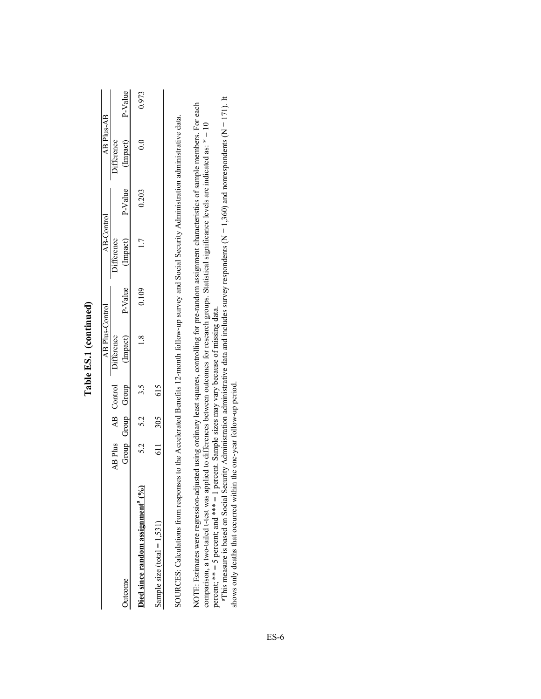|                              |         |                    | AB Plus-Control  |       | AB-Control        |       | AB Plus-AB                        |       |
|------------------------------|---------|--------------------|------------------|-------|-------------------|-------|-----------------------------------|-------|
|                              |         | AB Plus AB Control | Difference       |       | <b>Difference</b> |       | Difference                        |       |
| utcome                       |         | Group Group Group  | (Impact) P-Value |       |                   |       | (Impact) P-Value (Impact) P-Value |       |
| lied since random assignment | 5.2 5.2 | 3.5<br>2           |                  | 0.109 | $\overline{1}$    | 0.203 | $\frac{1}{2}$                     | 0.973 |
| Sample size (total $= 1,531$ |         | 611 305 615        |                  |       |                   |       |                                   |       |
|                              |         |                    |                  |       |                   |       |                                   |       |

Table ES.1 (continued) **Table ES.1 (continued)** SOURCES: Calculations from responses to the Accelerated Benefits 12-month follow-up survey and Social Security Administration administrative data. SOURCES: Calculations from responses to the Accelerated Benefits 12-month follow-up survey and Social Security Administration administrative data.

NOTE: Estimates were regression-adjusted using ordinary least squares, controlling for pre-random assignment characteristics of sample members. For each<br>comparison, a two-tailed t-test was applied to differences between ou NOTE: Estimates were regression-adjusted using ordinary least squares, controlling for pre-random assignment characteristics of sample members. For each comparison, a two-tailed t-test was applied to differences between outcomes for research groups. Statistical significance levels are indicated as: \* = 10 percent; \*\* = 5 percent; and \*\*\* = 1 percent. Sample sizes may vary because of missing data.

percent;  $**$  = 5 percent; and  $***$  = 1 percent. Sample sizes may vary because of missing data.<br>"This measure is based on Social Security Administration administrative data and includes survey respondents (N = 1,360) and no aThis measure is based on Social Security Administration administrative data and includes survey respondents (N = 1,360) and nonrespondents (N = 171). It shows only deaths that occurred within the one-year follow-up period.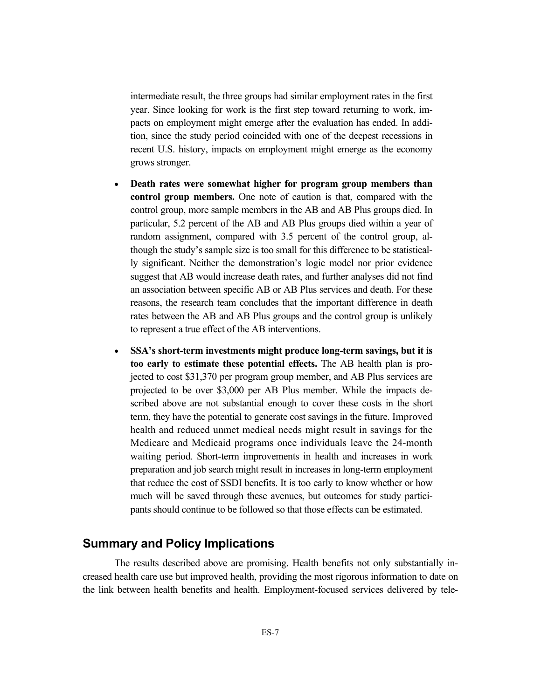intermediate result, the three groups had similar employment rates in the first year. Since looking for work is the first step toward returning to work, impacts on employment might emerge after the evaluation has ended. In addition, since the study period coincided with one of the deepest recessions in recent U.S. history, impacts on employment might emerge as the economy grows stronger.

- **Death rates were somewhat higher for program group members than control group members.** One note of caution is that, compared with the control group, more sample members in the AB and AB Plus groups died. In particular, 5.2 percent of the AB and AB Plus groups died within a year of random assignment, compared with 3.5 percent of the control group, although the study's sample size is too small for this difference to be statistically significant. Neither the demonstration's logic model nor prior evidence suggest that AB would increase death rates, and further analyses did not find an association between specific AB or AB Plus services and death. For these reasons, the research team concludes that the important difference in death rates between the AB and AB Plus groups and the control group is unlikely to represent a true effect of the AB interventions.
- **SSA's short-term investments might produce long-term savings, but it is too early to estimate these potential effects.** The AB health plan is projected to cost \$31,370 per program group member, and AB Plus services are projected to be over \$3,000 per AB Plus member. While the impacts described above are not substantial enough to cover these costs in the short term, they have the potential to generate cost savings in the future. Improved health and reduced unmet medical needs might result in savings for the Medicare and Medicaid programs once individuals leave the 24-month waiting period. Short-term improvements in health and increases in work preparation and job search might result in increases in long-term employment that reduce the cost of SSDI benefits. It is too early to know whether or how much will be saved through these avenues, but outcomes for study participants should continue to be followed so that those effects can be estimated.

#### **Summary and Policy Implications**

The results described above are promising. Health benefits not only substantially increased health care use but improved health, providing the most rigorous information to date on the link between health benefits and health. Employment-focused services delivered by tele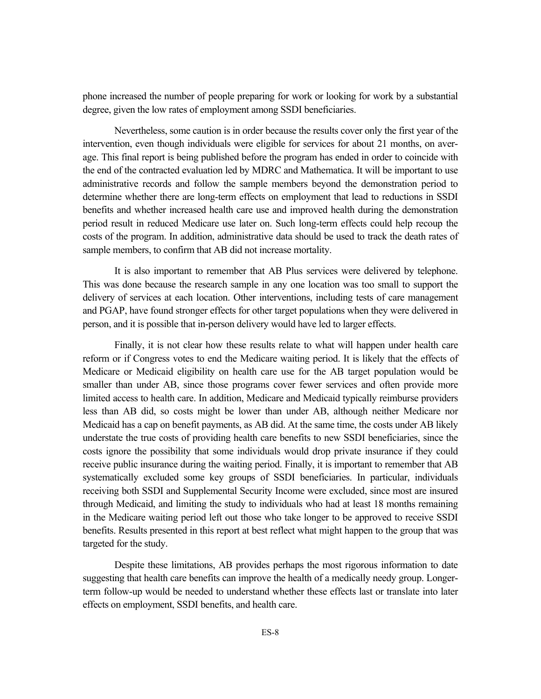phone increased the number of people preparing for work or looking for work by a substantial degree, given the low rates of employment among SSDI beneficiaries.

Nevertheless, some caution is in order because the results cover only the first year of the intervention, even though individuals were eligible for services for about 21 months, on average. This final report is being published before the program has ended in order to coincide with the end of the contracted evaluation led by MDRC and Mathematica. It will be important to use administrative records and follow the sample members beyond the demonstration period to determine whether there are long-term effects on employment that lead to reductions in SSDI benefits and whether increased health care use and improved health during the demonstration period result in reduced Medicare use later on. Such long-term effects could help recoup the costs of the program. In addition, administrative data should be used to track the death rates of sample members, to confirm that AB did not increase mortality.

It is also important to remember that AB Plus services were delivered by telephone. This was done because the research sample in any one location was too small to support the delivery of services at each location. Other interventions, including tests of care management and PGAP, have found stronger effects for other target populations when they were delivered in person, and it is possible that in-person delivery would have led to larger effects.

Finally, it is not clear how these results relate to what will happen under health care reform or if Congress votes to end the Medicare waiting period. It is likely that the effects of Medicare or Medicaid eligibility on health care use for the AB target population would be smaller than under AB, since those programs cover fewer services and often provide more limited access to health care. In addition, Medicare and Medicaid typically reimburse providers less than AB did, so costs might be lower than under AB, although neither Medicare nor Medicaid has a cap on benefit payments, as AB did. At the same time, the costs under AB likely understate the true costs of providing health care benefits to new SSDI beneficiaries, since the costs ignore the possibility that some individuals would drop private insurance if they could receive public insurance during the waiting period. Finally, it is important to remember that AB systematically excluded some key groups of SSDI beneficiaries. In particular, individuals receiving both SSDI and Supplemental Security Income were excluded, since most are insured through Medicaid, and limiting the study to individuals who had at least 18 months remaining in the Medicare waiting period left out those who take longer to be approved to receive SSDI benefits. Results presented in this report at best reflect what might happen to the group that was targeted for the study.

Despite these limitations, AB provides perhaps the most rigorous information to date suggesting that health care benefits can improve the health of a medically needy group. Longerterm follow-up would be needed to understand whether these effects last or translate into later effects on employment, SSDI benefits, and health care.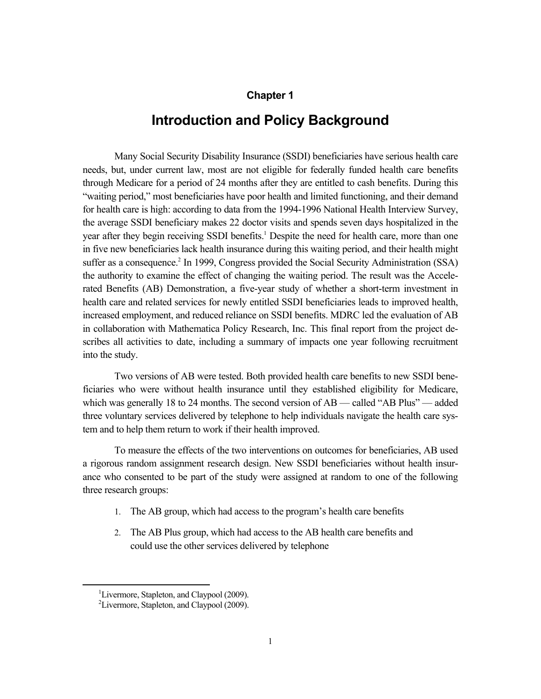#### **Chapter 1**

## **Introduction and Policy Background**

Many Social Security Disability Insurance (SSDI) beneficiaries have serious health care needs, but, under current law, most are not eligible for federally funded health care benefits through Medicare for a period of 24 months after they are entitled to cash benefits. During this "waiting period," most beneficiaries have poor health and limited functioning, and their demand for health care is high: according to data from the 1994-1996 National Health Interview Survey, the average SSDI beneficiary makes 22 doctor visits and spends seven days hospitalized in the year after they begin receiving SSDI benefits.<sup>1</sup> Despite the need for health care, more than one in five new beneficiaries lack health insurance during this waiting period, and their health might suffer as a consequence.<sup>2</sup> In 1999, Congress provided the Social Security Administration (SSA) the authority to examine the effect of changing the waiting period. The result was the Accelerated Benefits (AB) Demonstration, a five-year study of whether a short-term investment in health care and related services for newly entitled SSDI beneficiaries leads to improved health, increased employment, and reduced reliance on SSDI benefits. MDRC led the evaluation of AB in collaboration with Mathematica Policy Research, Inc. This final report from the project describes all activities to date, including a summary of impacts one year following recruitment into the study.

Two versions of AB were tested. Both provided health care benefits to new SSDI beneficiaries who were without health insurance until they established eligibility for Medicare, which was generally 18 to 24 months. The second version of AB — called "AB Plus" — added three voluntary services delivered by telephone to help individuals navigate the health care system and to help them return to work if their health improved.

To measure the effects of the two interventions on outcomes for beneficiaries, AB used a rigorous random assignment research design. New SSDI beneficiaries without health insurance who consented to be part of the study were assigned at random to one of the following three research groups:

- 1. The AB group, which had access to the program's health care benefits
- 2. The AB Plus group, which had access to the AB health care benefits and could use the other services delivered by telephone

 $\overline{\phantom{0}1}$ <sup>1</sup>Livermore, Stapleton, and Claypool (2009).

<sup>&</sup>lt;sup>2</sup>Livermore, Stapleton, and Claypool (2009).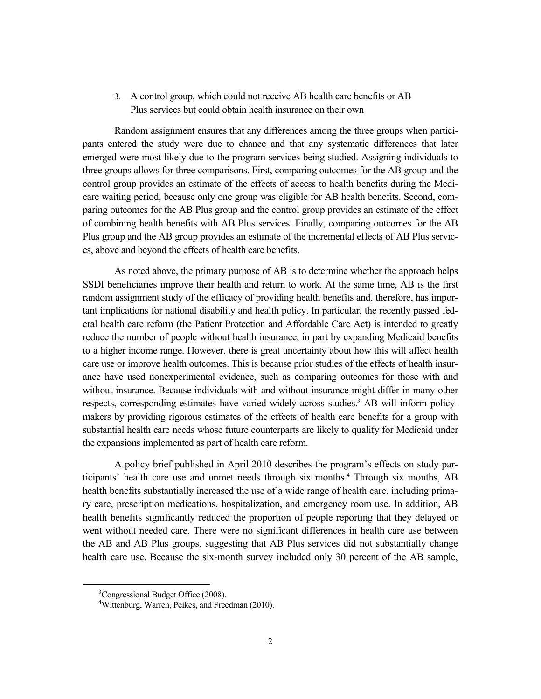#### 3. A control group, which could not receive AB health care benefits or AB Plus services but could obtain health insurance on their own

Random assignment ensures that any differences among the three groups when participants entered the study were due to chance and that any systematic differences that later emerged were most likely due to the program services being studied. Assigning individuals to three groups allows for three comparisons. First, comparing outcomes for the AB group and the control group provides an estimate of the effects of access to health benefits during the Medicare waiting period, because only one group was eligible for AB health benefits. Second, comparing outcomes for the AB Plus group and the control group provides an estimate of the effect of combining health benefits with AB Plus services. Finally, comparing outcomes for the AB Plus group and the AB group provides an estimate of the incremental effects of AB Plus services, above and beyond the effects of health care benefits.

As noted above, the primary purpose of AB is to determine whether the approach helps SSDI beneficiaries improve their health and return to work. At the same time, AB is the first random assignment study of the efficacy of providing health benefits and, therefore, has important implications for national disability and health policy. In particular, the recently passed federal health care reform (the Patient Protection and Affordable Care Act) is intended to greatly reduce the number of people without health insurance, in part by expanding Medicaid benefits to a higher income range. However, there is great uncertainty about how this will affect health care use or improve health outcomes. This is because prior studies of the effects of health insurance have used nonexperimental evidence, such as comparing outcomes for those with and without insurance. Because individuals with and without insurance might differ in many other respects, corresponding estimates have varied widely across studies.<sup>3</sup> AB will inform policymakers by providing rigorous estimates of the effects of health care benefits for a group with substantial health care needs whose future counterparts are likely to qualify for Medicaid under the expansions implemented as part of health care reform.

A policy brief published in April 2010 describes the program's effects on study participants' health care use and unmet needs through six months.<sup>4</sup> Through six months, AB health benefits substantially increased the use of a wide range of health care, including primary care, prescription medications, hospitalization, and emergency room use. In addition, AB health benefits significantly reduced the proportion of people reporting that they delayed or went without needed care. There were no significant differences in health care use between the AB and AB Plus groups, suggesting that AB Plus services did not substantially change health care use. Because the six-month survey included only 30 percent of the AB sample,

 <sup>3</sup> <sup>3</sup>Congressional Budget Office (2008).

<sup>4</sup> Wittenburg, Warren, Peikes, and Freedman (2010).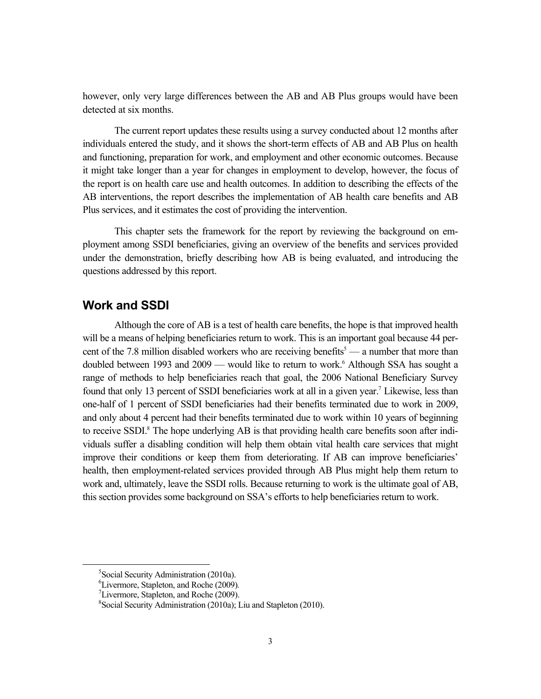however, only very large differences between the AB and AB Plus groups would have been detected at six months.

The current report updates these results using a survey conducted about 12 months after individuals entered the study, and it shows the short-term effects of AB and AB Plus on health and functioning, preparation for work, and employment and other economic outcomes. Because it might take longer than a year for changes in employment to develop, however, the focus of the report is on health care use and health outcomes. In addition to describing the effects of the AB interventions, the report describes the implementation of AB health care benefits and AB Plus services, and it estimates the cost of providing the intervention.

This chapter sets the framework for the report by reviewing the background on employment among SSDI beneficiaries, giving an overview of the benefits and services provided under the demonstration, briefly describing how AB is being evaluated, and introducing the questions addressed by this report.

#### **Work and SSDI**

Although the core of AB is a test of health care benefits, the hope is that improved health will be a means of helping beneficiaries return to work. This is an important goal because 44 percent of the 7.8 million disabled workers who are receiving benefits<sup>5</sup> — a number that more than doubled between 1993 and 2009 — would like to return to work.<sup>6</sup> Although SSA has sought a range of methods to help beneficiaries reach that goal, the 2006 National Beneficiary Survey found that only 13 percent of SSDI beneficiaries work at all in a given year.<sup>7</sup> Likewise, less than one-half of 1 percent of SSDI beneficiaries had their benefits terminated due to work in 2009, and only about 4 percent had their benefits terminated due to work within 10 years of beginning to receive SSDI.<sup>8</sup> The hope underlying AB is that providing health care benefits soon after individuals suffer a disabling condition will help them obtain vital health care services that might improve their conditions or keep them from deteriorating. If AB can improve beneficiaries' health, then employment-related services provided through AB Plus might help them return to work and, ultimately, leave the SSDI rolls. Because returning to work is the ultimate goal of AB, this section provides some background on SSA's efforts to help beneficiaries return to work.

 $rac{1}{5}$  $5$ Social Security Administration (2010a).

<sup>&</sup>lt;sup>6</sup>Livermore, Stapleton, and Roche (2009).<br> $^{7}I$  ivermore, Stapleton, and Roche (2000).

 $\mu$ <sup>7</sup>Livermore, Stapleton, and Roche (2009).

<sup>8</sup> Social Security Administration (2010a); Liu and Stapleton (2010).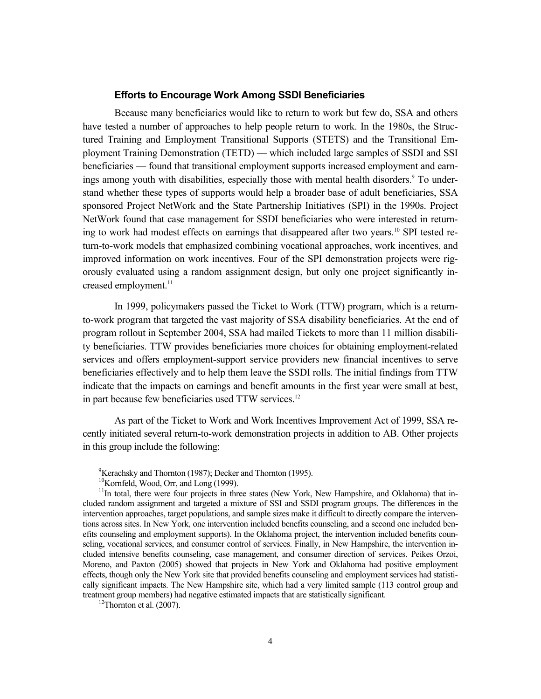#### **Efforts to Encourage Work Among SSDI Beneficiaries**

Because many beneficiaries would like to return to work but few do, SSA and others have tested a number of approaches to help people return to work. In the 1980s, the Structured Training and Employment Transitional Supports (STETS) and the Transitional Employment Training Demonstration (TETD) –– which included large samples of SSDI and SSI beneficiaries –– found that transitional employment supports increased employment and earnings among youth with disabilities, especially those with mental health disorders.<sup>9</sup> To understand whether these types of supports would help a broader base of adult beneficiaries, SSA sponsored Project NetWork and the State Partnership Initiatives (SPI) in the 1990s. Project NetWork found that case management for SSDI beneficiaries who were interested in returning to work had modest effects on earnings that disappeared after two years.<sup>10</sup> SPI tested return-to-work models that emphasized combining vocational approaches, work incentives, and improved information on work incentives. Four of the SPI demonstration projects were rigorously evaluated using a random assignment design, but only one project significantly increased employment.<sup>11</sup>

In 1999, policymakers passed the Ticket to Work (TTW) program, which is a returnto-work program that targeted the vast majority of SSA disability beneficiaries. At the end of program rollout in September 2004, SSA had mailed Tickets to more than 11 million disability beneficiaries. TTW provides beneficiaries more choices for obtaining employment-related services and offers employment-support service providers new financial incentives to serve beneficiaries effectively and to help them leave the SSDI rolls. The initial findings from TTW indicate that the impacts on earnings and benefit amounts in the first year were small at best, in part because few beneficiaries used TTW services.<sup>12</sup>

As part of the Ticket to Work and Work Incentives Improvement Act of 1999, SSA recently initiated several return-to-work demonstration projects in addition to AB. Other projects in this group include the following:

 <sup>9</sup>  ${}^{9}$ Kerachsky and Thornton (1987); Decker and Thornton (1995).

 $10$ Kornfeld, Wood, Orr, and Long (1999).

<sup>&</sup>lt;sup>11</sup>In total, there were four projects in three states (New York, New Hampshire, and Oklahoma) that included random assignment and targeted a mixture of SSI and SSDI program groups. The differences in the intervention approaches, target populations, and sample sizes make it difficult to directly compare the interventions across sites. In New York, one intervention included benefits counseling, and a second one included benefits counseling and employment supports). In the Oklahoma project, the intervention included benefits counseling, vocational services, and consumer control of services. Finally, in New Hampshire, the intervention included intensive benefits counseling, case management, and consumer direction of services. Peikes Orzoi, Moreno, and Paxton (2005) showed that projects in New York and Oklahoma had positive employment effects, though only the New York site that provided benefits counseling and employment services had statistically significant impacts. The New Hampshire site, which had a very limited sample (113 control group and treatment group members) had negative estimated impacts that are statistically significant.<br><sup>12</sup>Thornton et al. (2007).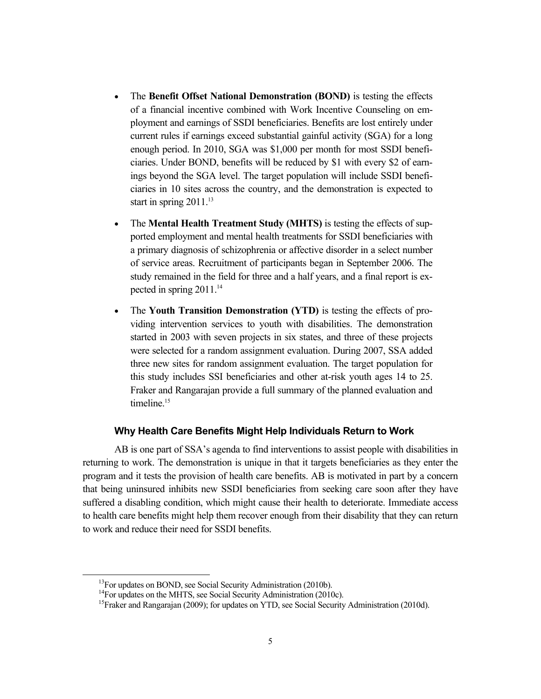- The **Benefit Offset National Demonstration (BOND)** is testing the effects of a financial incentive combined with Work Incentive Counseling on employment and earnings of SSDI beneficiaries. Benefits are lost entirely under current rules if earnings exceed substantial gainful activity (SGA) for a long enough period. In 2010, SGA was \$1,000 per month for most SSDI beneficiaries. Under BOND, benefits will be reduced by \$1 with every \$2 of earnings beyond the SGA level. The target population will include SSDI beneficiaries in 10 sites across the country, and the demonstration is expected to start in spring  $2011$ <sup>13</sup>
- The **Mental Health Treatment Study (MHTS)** is testing the effects of supported employment and mental health treatments for SSDI beneficiaries with a primary diagnosis of schizophrenia or affective disorder in a select number of service areas. Recruitment of participants began in September 2006. The study remained in the field for three and a half years, and a final report is expected in spring  $2011$ .<sup>14</sup>
- The **Youth Transition Demonstration (YTD)** is testing the effects of providing intervention services to youth with disabilities. The demonstration started in 2003 with seven projects in six states, and three of these projects were selected for a random assignment evaluation. During 2007, SSA added three new sites for random assignment evaluation. The target population for this study includes SSI beneficiaries and other at-risk youth ages 14 to 25. Fraker and Rangarajan provide a full summary of the planned evaluation and timeline.<sup>15</sup>

#### **Why Health Care Benefits Might Help Individuals Return to Work**

AB is one part of SSA's agenda to find interventions to assist people with disabilities in returning to work. The demonstration is unique in that it targets beneficiaries as they enter the program and it tests the provision of health care benefits. AB is motivated in part by a concern that being uninsured inhibits new SSDI beneficiaries from seeking care soon after they have suffered a disabling condition, which might cause their health to deteriorate. Immediate access to health care benefits might help them recover enough from their disability that they can return to work and reduce their need for SSDI benefits.

 $13$ For updates on BOND, see Social Security Administration (2010b).

<sup>&</sup>lt;sup>14</sup>For updates on the MHTS, see Social Security Administration (2010c).

<sup>&</sup>lt;sup>15</sup>Fraker and Rangarajan (2009); for updates on YTD, see Social Security Administration (2010d).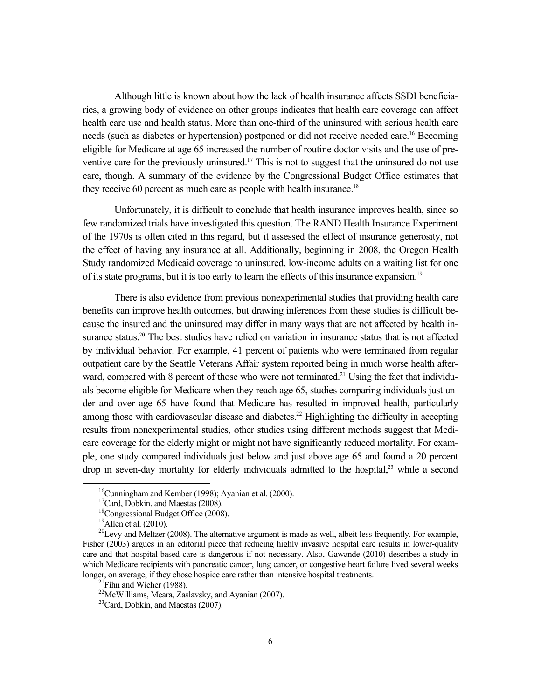Although little is known about how the lack of health insurance affects SSDI beneficiaries, a growing body of evidence on other groups indicates that health care coverage can affect health care use and health status. More than one-third of the uninsured with serious health care needs (such as diabetes or hypertension) postponed or did not receive needed care.<sup>16</sup> Becoming eligible for Medicare at age 65 increased the number of routine doctor visits and the use of preventive care for the previously uninsured.<sup>17</sup> This is not to suggest that the uninsured do not use care, though. A summary of the evidence by the Congressional Budget Office estimates that they receive 60 percent as much care as people with health insurance.<sup>18</sup>

Unfortunately, it is difficult to conclude that health insurance improves health, since so few randomized trials have investigated this question. The RAND Health Insurance Experiment of the 1970s is often cited in this regard, but it assessed the effect of insurance generosity, not the effect of having any insurance at all. Additionally, beginning in 2008, the Oregon Health Study randomized Medicaid coverage to uninsured, low-income adults on a waiting list for one of its state programs, but it is too early to learn the effects of this insurance expansion.<sup>19</sup>

There is also evidence from previous nonexperimental studies that providing health care benefits can improve health outcomes, but drawing inferences from these studies is difficult because the insured and the uninsured may differ in many ways that are not affected by health insurance status.<sup>20</sup> The best studies have relied on variation in insurance status that is not affected by individual behavior. For example, 41 percent of patients who were terminated from regular outpatient care by the Seattle Veterans Affair system reported being in much worse health afterward, compared with 8 percent of those who were not terminated.<sup>21</sup> Using the fact that individuals become eligible for Medicare when they reach age 65, studies comparing individuals just under and over age 65 have found that Medicare has resulted in improved health, particularly among those with cardiovascular disease and diabetes.<sup>22</sup> Highlighting the difficulty in accepting results from nonexperimental studies, other studies using different methods suggest that Medicare coverage for the elderly might or might not have significantly reduced mortality. For example, one study compared individuals just below and just above age 65 and found a 20 percent drop in seven-day mortality for elderly individuals admitted to the hospital,<sup>23</sup> while a second

 <sup>16</sup>Cunningham and Kember (1998); Ayanian et al. (2000).

<sup>&</sup>lt;sup>17</sup>Card, Dobkin, and Maestas (2008).

 $18$ Congressional Budget Office (2008).

 $19$ Allen et al. (2010).

 $^{20}$ Levy and Meltzer (2008). The alternative argument is made as well, albeit less frequently. For example, Fisher (2003) argues in an editorial piece that reducing highly invasive hospital care results in lower-quality care and that hospital-based care is dangerous if not necessary. Also, Gawande (2010) describes a study in which Medicare recipients with pancreatic cancer, lung cancer, or congestive heart failure lived several weeks longer, on average, if they chose hospice care rather than intensive hospital treatments.<br><sup>21</sup>Fihn and Wicher (1988).

 $22$ McWilliams, Meara, Zaslavsky, and Ayanian (2007).

<sup>&</sup>lt;sup>23</sup>Card, Dobkin, and Maestas (2007).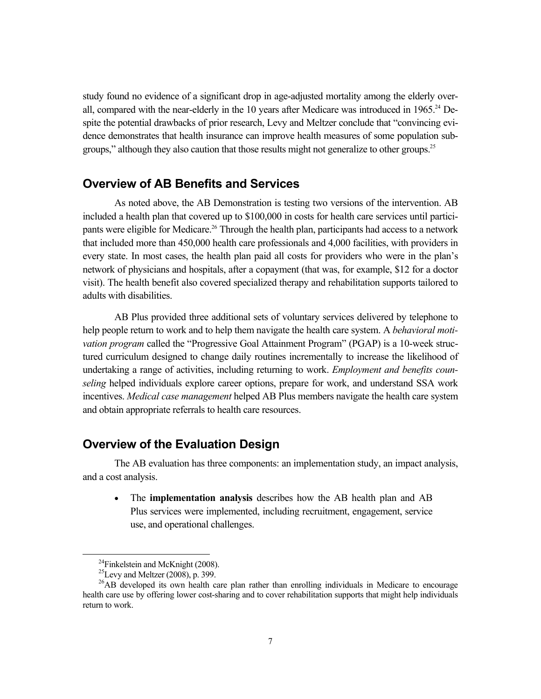study found no evidence of a significant drop in age-adjusted mortality among the elderly overall, compared with the near-elderly in the 10 years after Medicare was introduced in  $1965.^{24}$  Despite the potential drawbacks of prior research, Levy and Meltzer conclude that "convincing evidence demonstrates that health insurance can improve health measures of some population subgroups," although they also caution that those results might not generalize to other groups.<sup>25</sup>

#### **Overview of AB Benefits and Services**

As noted above, the AB Demonstration is testing two versions of the intervention. AB included a health plan that covered up to \$100,000 in costs for health care services until participants were eligible for Medicare.<sup>26</sup> Through the health plan, participants had access to a network that included more than 450,000 health care professionals and 4,000 facilities, with providers in every state. In most cases, the health plan paid all costs for providers who were in the plan's network of physicians and hospitals, after a copayment (that was, for example, \$12 for a doctor visit). The health benefit also covered specialized therapy and rehabilitation supports tailored to adults with disabilities.

AB Plus provided three additional sets of voluntary services delivered by telephone to help people return to work and to help them navigate the health care system. A *behavioral motivation program* called the "Progressive Goal Attainment Program" (PGAP) is a 10-week structured curriculum designed to change daily routines incrementally to increase the likelihood of undertaking a range of activities, including returning to work. *Employment and benefits counseling* helped individuals explore career options, prepare for work, and understand SSA work incentives. *Medical case management* helped AB Plus members navigate the health care system and obtain appropriate referrals to health care resources.

#### **Overview of the Evaluation Design**

The AB evaluation has three components: an implementation study, an impact analysis, and a cost analysis.

 The **implementation analysis** describes how the AB health plan and AB Plus services were implemented, including recruitment, engagement, service use, and operational challenges.

 $^{24}$ Finkelstein and McKnight (2008).

<sup>&</sup>lt;sup>25</sup>Levy and Meltzer (2008), p. 399.

<sup>&</sup>lt;sup>26</sup>AB developed its own health care plan rather than enrolling individuals in Medicare to encourage health care use by offering lower cost-sharing and to cover rehabilitation supports that might help individuals return to work.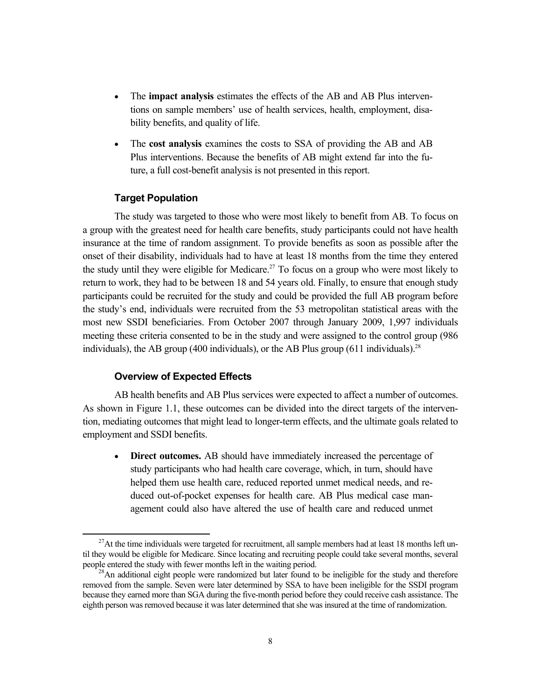- The **impact analysis** estimates the effects of the AB and AB Plus interventions on sample members' use of health services, health, employment, disability benefits, and quality of life.
- The **cost analysis** examines the costs to SSA of providing the AB and AB Plus interventions. Because the benefits of AB might extend far into the future, a full cost-benefit analysis is not presented in this report.

#### **Target Population**

The study was targeted to those who were most likely to benefit from AB. To focus on a group with the greatest need for health care benefits, study participants could not have health insurance at the time of random assignment. To provide benefits as soon as possible after the onset of their disability, individuals had to have at least 18 months from the time they entered the study until they were eligible for Medicare.<sup>27</sup> To focus on a group who were most likely to return to work, they had to be between 18 and 54 years old. Finally, to ensure that enough study participants could be recruited for the study and could be provided the full AB program before the study's end, individuals were recruited from the 53 metropolitan statistical areas with the most new SSDI beneficiaries. From October 2007 through January 2009, 1,997 individuals meeting these criteria consented to be in the study and were assigned to the control group (986 individuals), the AB group (400 individuals), or the AB Plus group (611 individuals).<sup>28</sup>

#### **Overview of Expected Effects**

AB health benefits and AB Plus services were expected to affect a number of outcomes. As shown in Figure 1.1, these outcomes can be divided into the direct targets of the intervention, mediating outcomes that might lead to longer-term effects, and the ultimate goals related to employment and SSDI benefits.

 **Direct outcomes.** AB should have immediately increased the percentage of study participants who had health care coverage, which, in turn, should have helped them use health care, reduced reported unmet medical needs, and reduced out-of-pocket expenses for health care. AB Plus medical case management could also have altered the use of health care and reduced unmet

 $^{27}$ At the time individuals were targeted for recruitment, all sample members had at least 18 months left until they would be eligible for Medicare. Since locating and recruiting people could take several months, several

 $^{28}$ An additional eight people were randomized but later found to be ineligible for the study and therefore removed from the sample. Seven were later determined by SSA to have been ineligible for the SSDI program because they earned more than SGA during the five-month period before they could receive cash assistance. The eighth person was removed because it was later determined that she was insured at the time of randomization.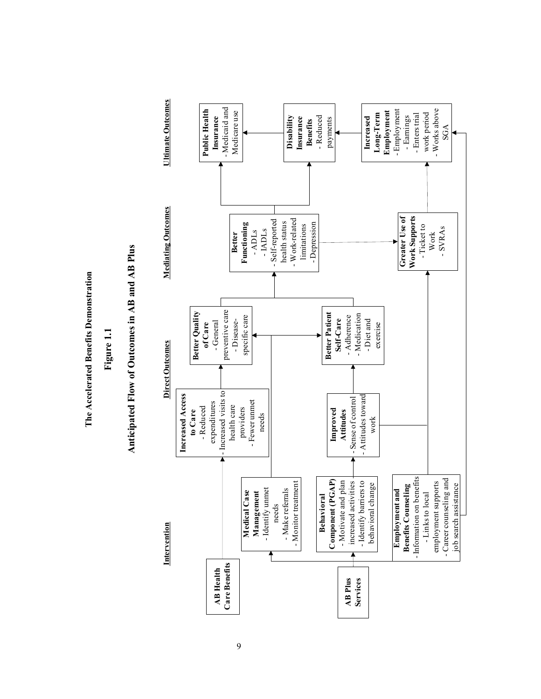The Accelerated Benefits Demonstration **The Accelerated Benefits Demonstration**

**Figure 1.1**

# Anticipated Flow of Outcomes in AB and AB Plus **Anticipated Flow of Outcomes in AB and AB Plus**

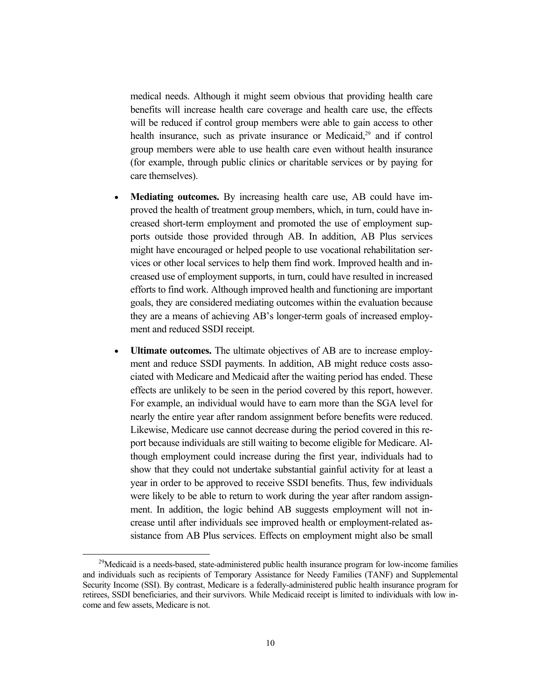medical needs. Although it might seem obvious that providing health care benefits will increase health care coverage and health care use, the effects will be reduced if control group members were able to gain access to other health insurance, such as private insurance or Medicaid, $2<sup>9</sup>$  and if control group members were able to use health care even without health insurance (for example, through public clinics or charitable services or by paying for care themselves).

- **Mediating outcomes.** By increasing health care use, AB could have improved the health of treatment group members, which, in turn, could have increased short-term employment and promoted the use of employment supports outside those provided through AB. In addition, AB Plus services might have encouraged or helped people to use vocational rehabilitation services or other local services to help them find work. Improved health and increased use of employment supports, in turn, could have resulted in increased efforts to find work. Although improved health and functioning are important goals, they are considered mediating outcomes within the evaluation because they are a means of achieving AB's longer-term goals of increased employment and reduced SSDI receipt.
- **Ultimate outcomes.** The ultimate objectives of AB are to increase employment and reduce SSDI payments. In addition, AB might reduce costs associated with Medicare and Medicaid after the waiting period has ended. These effects are unlikely to be seen in the period covered by this report, however. For example, an individual would have to earn more than the SGA level for nearly the entire year after random assignment before benefits were reduced. Likewise, Medicare use cannot decrease during the period covered in this report because individuals are still waiting to become eligible for Medicare. Although employment could increase during the first year, individuals had to show that they could not undertake substantial gainful activity for at least a year in order to be approved to receive SSDI benefits. Thus, few individuals were likely to be able to return to work during the year after random assignment. In addition, the logic behind AB suggests employment will not increase until after individuals see improved health or employment-related assistance from AB Plus services. Effects on employment might also be small

<sup>&</sup>lt;sup>29</sup>Medicaid is a needs-based, state-administered public health insurance program for low-income families and individuals such as recipients of Temporary Assistance for Needy Families (TANF) and Supplemental Security Income (SSI). By contrast, Medicare is a federally-administered public health insurance program for retirees, SSDI beneficiaries, and their survivors. While Medicaid receipt is limited to individuals with low income and few assets, Medicare is not.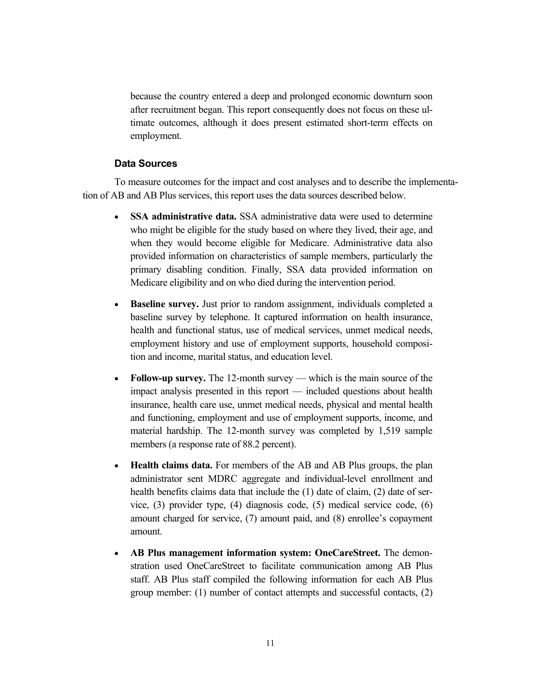because the country entered a deep and prolonged economic downturn soon after recruitment began. This report consequently does not focus on these ultimate outcomes, although it does present estimated short-term effects on employment.

#### **Data Sources**

To measure outcomes for the impact and cost analyses and to describe the implementation of AB and AB Plus services, this report uses the data sources described below.

- **SSA administrative data.** SSA administrative data were used to determine who might be eligible for the study based on where they lived, their age, and when they would become eligible for Medicare. Administrative data also provided information on characteristics of sample members, particularly the primary disabling condition. Finally, SSA data provided information on Medicare eligibility and on who died during the intervention period.
- **Baseline survey.** Just prior to random assignment, individuals completed a baseline survey by telephone. It captured information on health insurance, health and functional status, use of medical services, unmet medical needs, employment history and use of employment supports, household composition and income, marital status, and education level.
- Follow-up survey. The 12-month survey which is the main source of the impact analysis presented in this report –– included questions about health insurance, health care use, unmet medical needs, physical and mental health and functioning, employment and use of employment supports, income, and material hardship. The 12-month survey was completed by 1,519 sample members (a response rate of 88.2 percent).
- **Health claims data.** For members of the AB and AB Plus groups, the plan administrator sent MDRC aggregate and individual-level enrollment and health benefits claims data that include the (1) date of claim, (2) date of service, (3) provider type, (4) diagnosis code, (5) medical service code, (6) amount charged for service, (7) amount paid, and (8) enrollee's copayment amount.
- **AB Plus management information system: OneCareStreet.** The demonstration used OneCareStreet to facilitate communication among AB Plus staff. AB Plus staff compiled the following information for each AB Plus group member: (1) number of contact attempts and successful contacts, (2)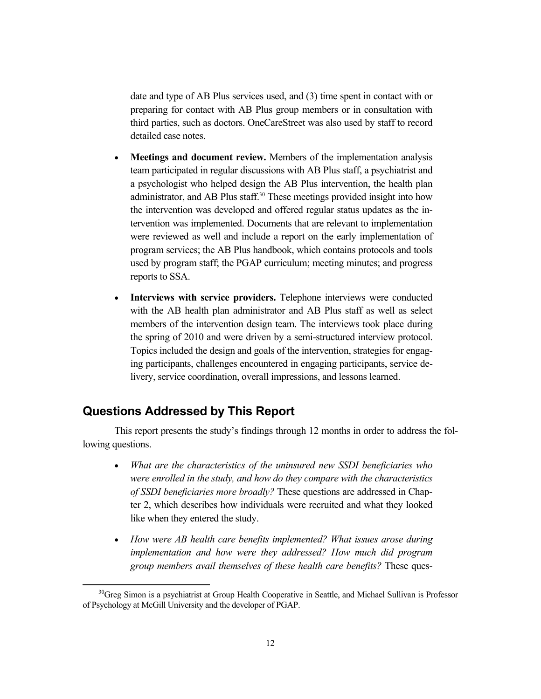date and type of AB Plus services used, and (3) time spent in contact with or preparing for contact with AB Plus group members or in consultation with third parties, such as doctors. OneCareStreet was also used by staff to record detailed case notes.

- **Meetings and document review.** Members of the implementation analysis team participated in regular discussions with AB Plus staff, a psychiatrist and a psychologist who helped design the AB Plus intervention, the health plan administrator, and AB Plus staff.<sup>30</sup> These meetings provided insight into how the intervention was developed and offered regular status updates as the intervention was implemented. Documents that are relevant to implementation were reviewed as well and include a report on the early implementation of program services; the AB Plus handbook, which contains protocols and tools used by program staff; the PGAP curriculum; meeting minutes; and progress reports to SSA.
- **Interviews with service providers.** Telephone interviews were conducted with the AB health plan administrator and AB Plus staff as well as select members of the intervention design team. The interviews took place during the spring of 2010 and were driven by a semi-structured interview protocol. Topics included the design and goals of the intervention, strategies for engaging participants, challenges encountered in engaging participants, service delivery, service coordination, overall impressions, and lessons learned.

#### **Questions Addressed by This Report**

This report presents the study's findings through 12 months in order to address the following questions.

- *What are the characteristics of the uninsured new SSDI beneficiaries who were enrolled in the study, and how do they compare with the characteristics of SSDI beneficiaries more broadly?* These questions are addressed in Chapter 2, which describes how individuals were recruited and what they looked like when they entered the study.
- *How were AB health care benefits implemented? What issues arose during implementation and how were they addressed? How much did program group members avail themselves of these health care benefits?* These ques-

 $30G$ reg Simon is a psychiatrist at Group Health Cooperative in Seattle, and Michael Sullivan is Professor of Psychology at McGill University and the developer of PGAP.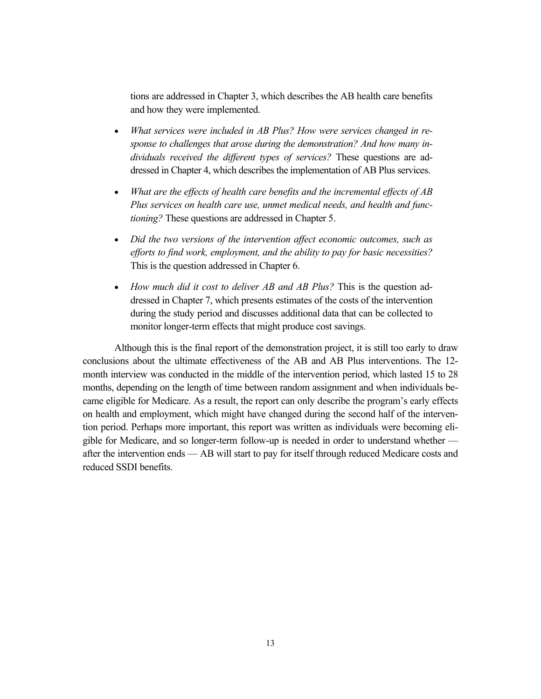tions are addressed in Chapter 3, which describes the AB health care benefits and how they were implemented.

- *What services were included in AB Plus? How were services changed in response to challenges that arose during the demonstration? And how many individuals received the different types of services?* These questions are addressed in Chapter 4, which describes the implementation of AB Plus services.
- *What are the effects of health care benefits and the incremental effects of AB Plus services on health care use, unmet medical needs, and health and functioning?* These questions are addressed in Chapter 5.
- *Did the two versions of the intervention affect economic outcomes, such as efforts to find work, employment, and the ability to pay for basic necessities?* This is the question addressed in Chapter 6.
- *How much did it cost to deliver AB and AB Plus?* This is the question addressed in Chapter 7, which presents estimates of the costs of the intervention during the study period and discusses additional data that can be collected to monitor longer-term effects that might produce cost savings.

Although this is the final report of the demonstration project, it is still too early to draw conclusions about the ultimate effectiveness of the AB and AB Plus interventions. The 12 month interview was conducted in the middle of the intervention period, which lasted 15 to 28 months, depending on the length of time between random assignment and when individuals became eligible for Medicare. As a result, the report can only describe the program's early effects on health and employment, which might have changed during the second half of the intervention period. Perhaps more important, this report was written as individuals were becoming eligible for Medicare, and so longer-term follow-up is needed in order to understand whether –– after the intervention ends –– AB will start to pay for itself through reduced Medicare costs and reduced SSDI benefits.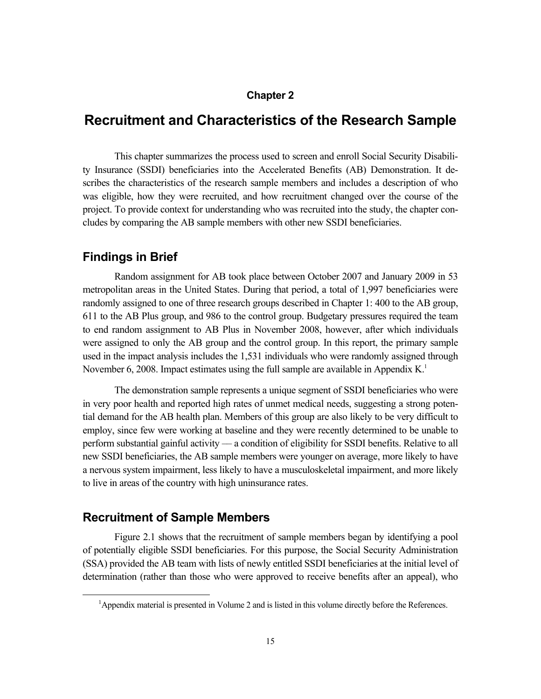#### **Chapter 2**

## **Recruitment and Characteristics of the Research Sample**

This chapter summarizes the process used to screen and enroll Social Security Disability Insurance (SSDI) beneficiaries into the Accelerated Benefits (AB) Demonstration. It describes the characteristics of the research sample members and includes a description of who was eligible, how they were recruited, and how recruitment changed over the course of the project. To provide context for understanding who was recruited into the study, the chapter concludes by comparing the AB sample members with other new SSDI beneficiaries.

#### **Findings in Brief**

Random assignment for AB took place between October 2007 and January 2009 in 53 metropolitan areas in the United States. During that period, a total of 1,997 beneficiaries were randomly assigned to one of three research groups described in Chapter 1: 400 to the AB group, 611 to the AB Plus group, and 986 to the control group. Budgetary pressures required the team to end random assignment to AB Plus in November 2008, however, after which individuals were assigned to only the AB group and the control group. In this report, the primary sample used in the impact analysis includes the 1,531 individuals who were randomly assigned through November 6, 2008. Impact estimates using the full sample are available in Appendix  $K<sup>1</sup>$ 

The demonstration sample represents a unique segment of SSDI beneficiaries who were in very poor health and reported high rates of unmet medical needs, suggesting a strong potential demand for the AB health plan. Members of this group are also likely to be very difficult to employ, since few were working at baseline and they were recently determined to be unable to perform substantial gainful activity –– a condition of eligibility for SSDI benefits. Relative to all new SSDI beneficiaries, the AB sample members were younger on average, more likely to have a nervous system impairment, less likely to have a musculoskeletal impairment, and more likely to live in areas of the country with high uninsurance rates.

#### **Recruitment of Sample Members**

Figure 2.1 shows that the recruitment of sample members began by identifying a pool of potentially eligible SSDI beneficiaries. For this purpose, the Social Security Administration (SSA) provided the AB team with lists of newly entitled SSDI beneficiaries at the initial level of determination (rather than those who were approved to receive benefits after an appeal), who

 $\overline{\phantom{0}1}$ <sup>1</sup>Appendix material is presented in Volume 2 and is listed in this volume directly before the References.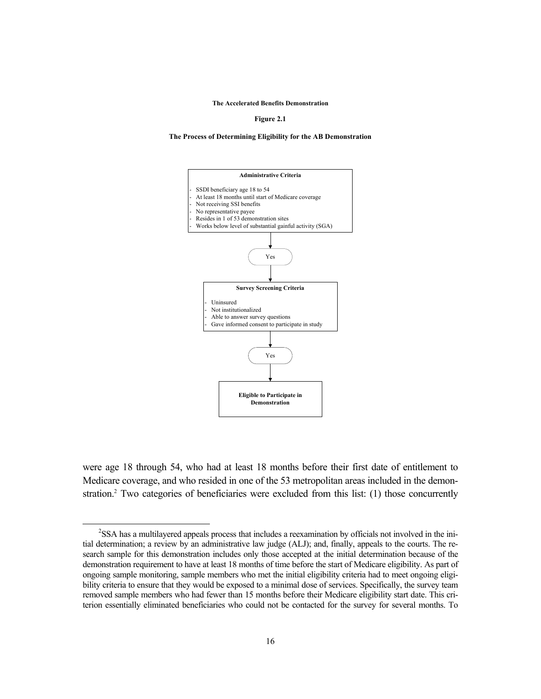**The Accelerated Benefits Demonstration**

**Figure 2.1**

#### **The Process of Determining Eligibility for the AB Demonstration**



were age 18 through 54, who had at least 18 months before their first date of entitlement to Medicare coverage, and who resided in one of the 53 metropolitan areas included in the demonstration.<sup>2</sup> Two categories of beneficiaries were excluded from this list: (1) those concurrently

 $\frac{1}{2}$ <sup>2</sup>SSA has a multilayered appeals process that includes a reexamination by officials not involved in the initial determination; a review by an administrative law judge (ALJ); and, finally, appeals to the courts. The research sample for this demonstration includes only those accepted at the initial determination because of the demonstration requirement to have at least 18 months of time before the start of Medicare eligibility. As part of ongoing sample monitoring, sample members who met the initial eligibility criteria had to meet ongoing eligibility criteria to ensure that they would be exposed to a minimal dose of services. Specifically, the survey team removed sample members who had fewer than 15 months before their Medicare eligibility start date. This criterion essentially eliminated beneficiaries who could not be contacted for the survey for several months. To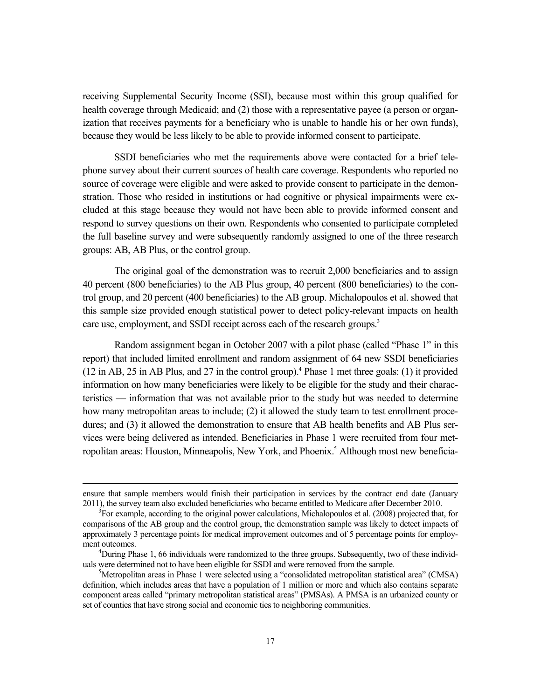receiving Supplemental Security Income (SSI), because most within this group qualified for health coverage through Medicaid; and (2) those with a representative payee (a person or organization that receives payments for a beneficiary who is unable to handle his or her own funds), because they would be less likely to be able to provide informed consent to participate.

SSDI beneficiaries who met the requirements above were contacted for a brief telephone survey about their current sources of health care coverage. Respondents who reported no source of coverage were eligible and were asked to provide consent to participate in the demonstration. Those who resided in institutions or had cognitive or physical impairments were excluded at this stage because they would not have been able to provide informed consent and respond to survey questions on their own. Respondents who consented to participate completed the full baseline survey and were subsequently randomly assigned to one of the three research groups: AB, AB Plus, or the control group.

The original goal of the demonstration was to recruit 2,000 beneficiaries and to assign 40 percent (800 beneficiaries) to the AB Plus group, 40 percent (800 beneficiaries) to the control group, and 20 percent (400 beneficiaries) to the AB group. Michalopoulos et al. showed that this sample size provided enough statistical power to detect policy-relevant impacts on health care use, employment, and SSDI receipt across each of the research groups.<sup>3</sup>

Random assignment began in October 2007 with a pilot phase (called "Phase 1" in this report) that included limited enrollment and random assignment of 64 new SSDI beneficiaries (12 in AB, 25 in AB Plus, and 27 in the control group).4 Phase 1 met three goals: (1) it provided information on how many beneficiaries were likely to be eligible for the study and their characteristics –– information that was not available prior to the study but was needed to determine how many metropolitan areas to include; (2) it allowed the study team to test enrollment procedures; and (3) it allowed the demonstration to ensure that AB health benefits and AB Plus services were being delivered as intended. Beneficiaries in Phase 1 were recruited from four metropolitan areas: Houston, Minneapolis, New York, and Phoenix.<sup>5</sup> Although most new beneficia-

ensure that sample members would finish their participation in services by the contract end date (January 2011), the survey team also excluded beneficiaries who became entitled to Medicare after December 2010.

 ${}^{3}$ For example, according to the original power calculations, Michalopoulos et al. (2008) projected that, for comparisons of the AB group and the control group, the demonstration sample was likely to detect impacts of approximately 3 percentage points for medical improvement outcomes and of 5 percentage points for employment outcomes. 4

 ${}^{4}$ During Phase 1, 66 individuals were randomized to the three groups. Subsequently, two of these individuals were determined not to have been eligible for SSDI and were removed from the sample. 5

<sup>&</sup>lt;sup>5</sup>Metropolitan areas in Phase 1 were selected using a "consolidated metropolitan statistical area" (CMSA) definition, which includes areas that have a population of 1 million or more and which also contains separate component areas called "primary metropolitan statistical areas" (PMSAs). A PMSA is an urbanized county or set of counties that have strong social and economic ties to neighboring communities.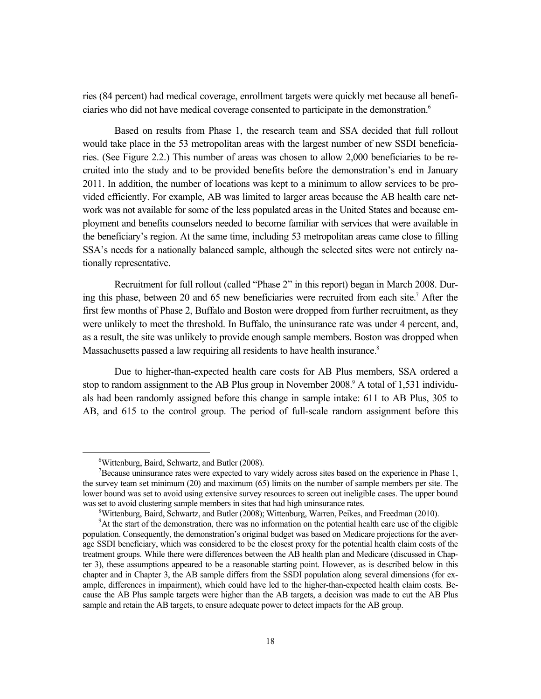ries (84 percent) had medical coverage, enrollment targets were quickly met because all beneficiaries who did not have medical coverage consented to participate in the demonstration.<sup>6</sup>

Based on results from Phase 1, the research team and SSA decided that full rollout would take place in the 53 metropolitan areas with the largest number of new SSDI beneficiaries. (See Figure 2.2.) This number of areas was chosen to allow 2,000 beneficiaries to be recruited into the study and to be provided benefits before the demonstration's end in January 2011. In addition, the number of locations was kept to a minimum to allow services to be provided efficiently. For example, AB was limited to larger areas because the AB health care network was not available for some of the less populated areas in the United States and because employment and benefits counselors needed to become familiar with services that were available in the beneficiary's region. At the same time, including 53 metropolitan areas came close to filling SSA's needs for a nationally balanced sample, although the selected sites were not entirely nationally representative.

Recruitment for full rollout (called "Phase 2" in this report) began in March 2008. During this phase, between 20 and 65 new beneficiaries were recruited from each site.<sup>7</sup> After the first few months of Phase 2, Buffalo and Boston were dropped from further recruitment, as they were unlikely to meet the threshold. In Buffalo, the uninsurance rate was under 4 percent, and, as a result, the site was unlikely to provide enough sample members. Boston was dropped when Massachusetts passed a law requiring all residents to have health insurance.<sup>8</sup>

Due to higher-than-expected health care costs for AB Plus members, SSA ordered a stop to random assignment to the AB Plus group in November 2008.<sup>9</sup> A total of 1,531 individuals had been randomly assigned before this change in sample intake: 611 to AB Plus, 305 to AB, and 615 to the control group. The period of full-scale random assignment before this

 <sup>6</sup> <sup>6</sup>Wittenburg, Baird, Schwartz, and Butler (2008).

 $B^7$ Because uninsurance rates were expected to vary widely across sites based on the experience in Phase 1, the survey team set minimum (20) and maximum (65) limits on the number of sample members per site. The lower bound was set to avoid using extensive survey resources to screen out ineligible cases. The upper bound was set to avoid clustering sample members in sites that had high uninsurance rates.

 $W$ ittenburg, Baird, Schwartz, and Butler (2008); Wittenburg, Warren, Peikes, and Freedman (2010).

<sup>&</sup>lt;sup>9</sup>At the start of the demonstration, there was no information on the potential health care use of the eligible population. Consequently, the demonstration's original budget was based on Medicare projections for the average SSDI beneficiary, which was considered to be the closest proxy for the potential health claim costs of the treatment groups. While there were differences between the AB health plan and Medicare (discussed in Chapter 3), these assumptions appeared to be a reasonable starting point. However, as is described below in this chapter and in Chapter 3, the AB sample differs from the SSDI population along several dimensions (for example, differences in impairment), which could have led to the higher-than-expected health claim costs. Because the AB Plus sample targets were higher than the AB targets, a decision was made to cut the AB Plus sample and retain the AB targets, to ensure adequate power to detect impacts for the AB group.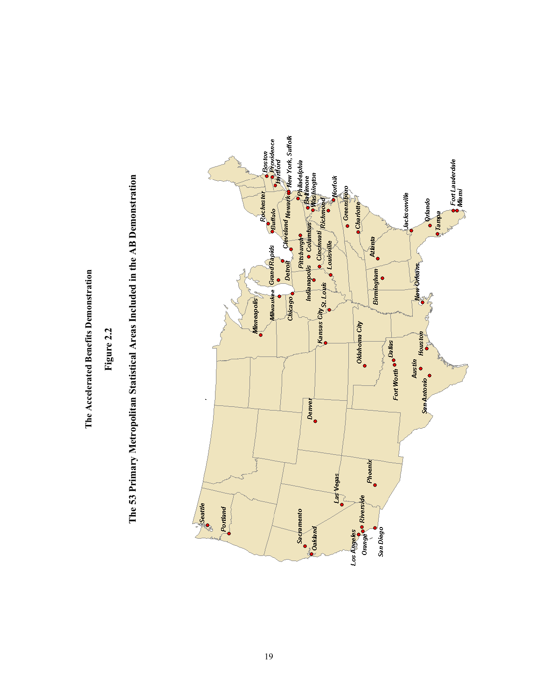The Accelerated Benefits Demonstration **The Accelerated Benefits Demonstration**

**Figure 2.2**

The 53 Primary Metropolitan Statistical Areas Included in the AB Demonstration **The 53 Primary Metropolitan Statistical Areas Included in the AB Demonstration**

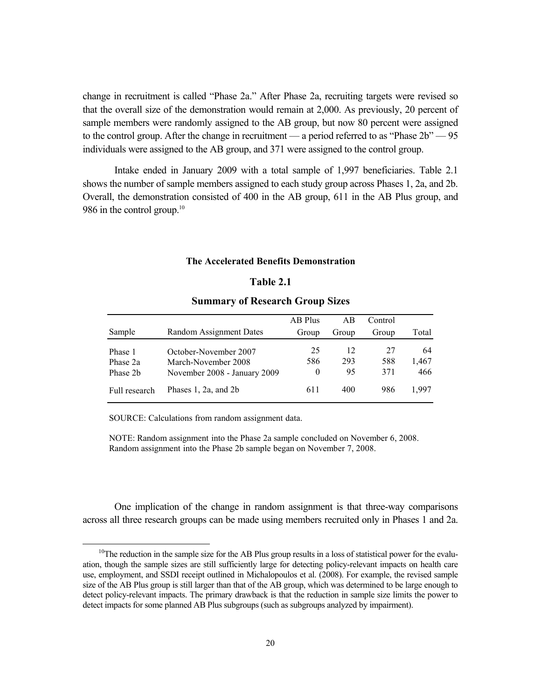change in recruitment is called "Phase 2a." After Phase 2a, recruiting targets were revised so that the overall size of the demonstration would remain at 2,000. As previously, 20 percent of sample members were randomly assigned to the AB group, but now 80 percent were assigned to the control group. After the change in recruitment — a period referred to as "Phase 2b" — 95 individuals were assigned to the AB group, and 371 were assigned to the control group.

Intake ended in January 2009 with a total sample of 1,997 beneficiaries. Table 2.1 shows the number of sample members assigned to each study group across Phases 1, 2a, and 2b. Overall, the demonstration consisted of 400 in the AB group, 611 in the AB Plus group, and 986 in the control group.<sup>10</sup>

#### **The Accelerated Benefits Demonstration**

### **Table 2.1**

### **Summary of Research Group Sizes**

|                                 |                                                                              | AB Plus               | AB              | Control          |                    |
|---------------------------------|------------------------------------------------------------------------------|-----------------------|-----------------|------------------|--------------------|
| Sample                          | Random Assignment Dates                                                      | Group                 | Group           | Group            | Total              |
| Phase 1<br>Phase 2a<br>Phase 2b | October-November 2007<br>March-November 2008<br>November 2008 - January 2009 | 25<br>586<br>$\theta$ | 12<br>293<br>95 | 27<br>588<br>371 | 64<br>1,467<br>466 |
| Full research                   | Phases $1, 2a,$ and $2b$                                                     | 611                   | 400             | 986              | 1.997              |

SOURCE: Calculations from random assignment data.

NOTE: Random assignment into the Phase 2a sample concluded on November 6, 2008. Random assignment into the Phase 2b sample began on November 7, 2008.

One implication of the change in random assignment is that three-way comparisons across all three research groups can be made using members recruited only in Phases 1 and 2a.

 $10$ The reduction in the sample size for the AB Plus group results in a loss of statistical power for the evaluation, though the sample sizes are still sufficiently large for detecting policy-relevant impacts on health care use, employment, and SSDI receipt outlined in Michalopoulos et al. (2008). For example, the revised sample size of the AB Plus group is still larger than that of the AB group, which was determined to be large enough to detect policy-relevant impacts. The primary drawback is that the reduction in sample size limits the power to detect impacts for some planned AB Plus subgroups (such as subgroups analyzed by impairment).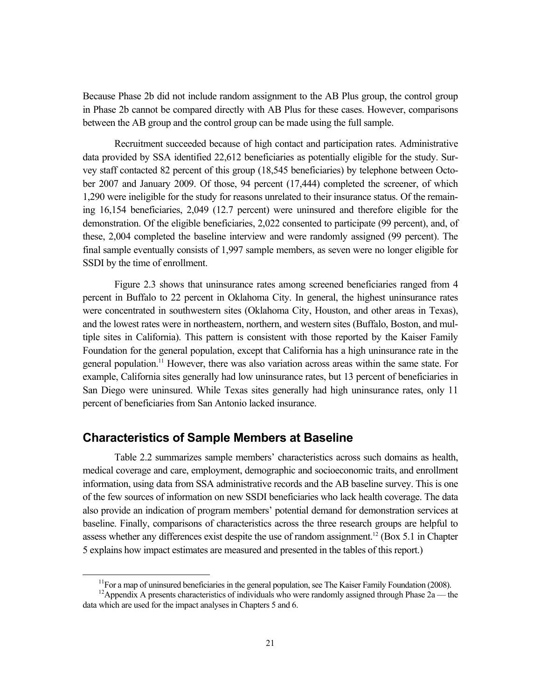Because Phase 2b did not include random assignment to the AB Plus group, the control group in Phase 2b cannot be compared directly with AB Plus for these cases. However, comparisons between the AB group and the control group can be made using the full sample.

Recruitment succeeded because of high contact and participation rates. Administrative data provided by SSA identified 22,612 beneficiaries as potentially eligible for the study. Survey staff contacted 82 percent of this group (18,545 beneficiaries) by telephone between October 2007 and January 2009. Of those, 94 percent (17,444) completed the screener, of which 1,290 were ineligible for the study for reasons unrelated to their insurance status. Of the remaining 16,154 beneficiaries, 2,049 (12.7 percent) were uninsured and therefore eligible for the demonstration. Of the eligible beneficiaries, 2,022 consented to participate (99 percent), and, of these, 2,004 completed the baseline interview and were randomly assigned (99 percent). The final sample eventually consists of 1,997 sample members, as seven were no longer eligible for SSDI by the time of enrollment.

Figure 2.3 shows that uninsurance rates among screened beneficiaries ranged from 4 percent in Buffalo to 22 percent in Oklahoma City. In general, the highest uninsurance rates were concentrated in southwestern sites (Oklahoma City, Houston, and other areas in Texas), and the lowest rates were in northeastern, northern, and western sites (Buffalo, Boston, and multiple sites in California). This pattern is consistent with those reported by the Kaiser Family Foundation for the general population, except that California has a high uninsurance rate in the general population.<sup>11</sup> However, there was also variation across areas within the same state. For example, California sites generally had low uninsurance rates, but 13 percent of beneficiaries in San Diego were uninsured. While Texas sites generally had high uninsurance rates, only 11 percent of beneficiaries from San Antonio lacked insurance.

# **Characteristics of Sample Members at Baseline**

Table 2.2 summarizes sample members' characteristics across such domains as health, medical coverage and care, employment, demographic and socioeconomic traits, and enrollment information, using data from SSA administrative records and the AB baseline survey. This is one of the few sources of information on new SSDI beneficiaries who lack health coverage. The data also provide an indication of program members' potential demand for demonstration services at baseline. Finally, comparisons of characteristics across the three research groups are helpful to assess whether any differences exist despite the use of random assignment.<sup>12</sup> (Box 5.1 in Chapter 5 explains how impact estimates are measured and presented in the tables of this report.)

 $11$  For a map of uninsured beneficiaries in the general population, see The Kaiser Family Foundation (2008).

<sup>&</sup>lt;sup>12</sup>Appendix A presents characteristics of individuals who were randomly assigned through Phase  $2a$  — the data which are used for the impact analyses in Chapters 5 and 6.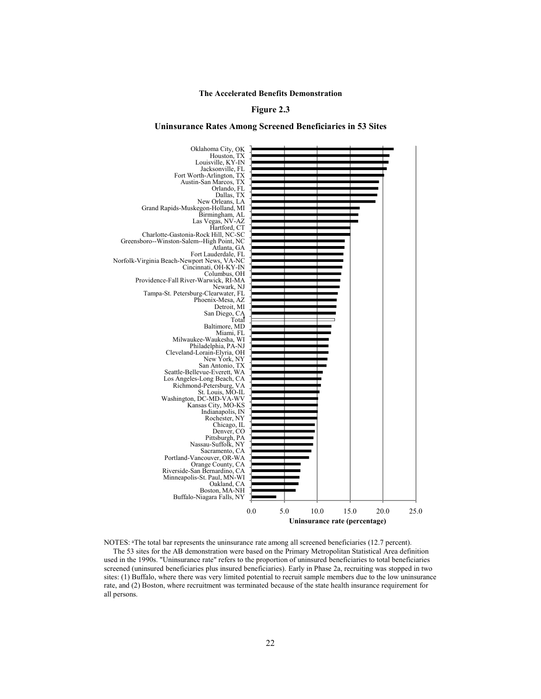#### **Figure 2.3**

#### **Uninsurance Rates Among Screened Beneficiaries in 53 Sites**



NOTES: <sup>a</sup> The total bar represents the uninsurance rate among all screened beneficiaries (12.7 percent).

The 53 sites for the AB demonstration were based on the Primary Metropolitan Statistical Area definition used in the 1990s. "Uninsurance rate" refers to the proportion of uninsured beneficiaries to total beneficiaries screened (uninsured beneficiaries plus insured beneficiaries). Early in Phase 2a, recruiting was stopped in two sites: (1) Buffalo, where there was very limited potential to recruit sample members due to the low uninsurance rate, and (2) Boston, where recruitment was terminated because of the state health insurance requirement for all persons.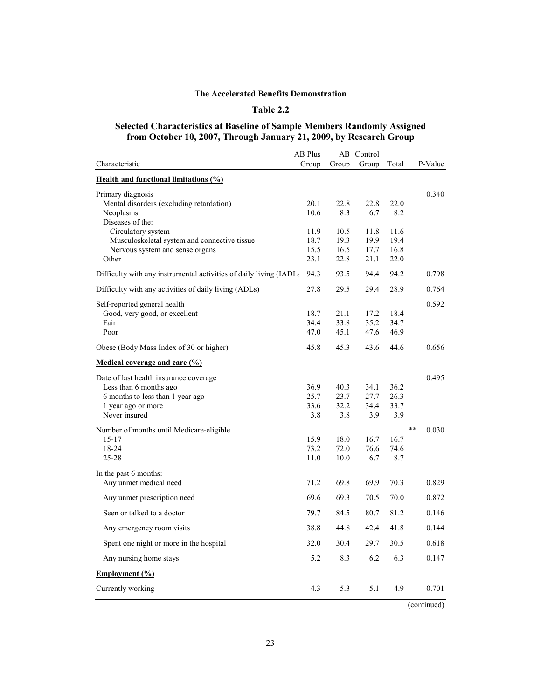### **Table 2.2**

#### **Selected Characteristics at Baseline of Sample Members Randomly Assigned from October 10, 2007, Through January 21, 2009, by Research Group**

|                                                                    | AB Plus      |              | AB Control   |              |                |
|--------------------------------------------------------------------|--------------|--------------|--------------|--------------|----------------|
| Characteristic                                                     | Group        | Group        | Group        | Total        | P-Value        |
| <b>Health and functional limitations (%)</b>                       |              |              |              |              |                |
| Primary diagnosis                                                  |              |              |              |              | 0.340          |
| Mental disorders (excluding retardation)                           | 20.1         | 22.8         | 22.8         | 22.0         |                |
| Neoplasms                                                          | 10.6         | 8.3          | 6.7          | 8.2          |                |
| Diseases of the:                                                   |              |              |              |              |                |
| Circulatory system                                                 | 11.9         | 10.5         | 11.8         | 11.6         |                |
| Musculoskeletal system and connective tissue                       | 18.7         | 19.3         | 19.9         | 19.4         |                |
| Nervous system and sense organs<br>Other                           | 15.5<br>23.1 | 16.5<br>22.8 | 17.7<br>21.1 | 16.8<br>22.0 |                |
|                                                                    |              |              |              |              |                |
| Difficulty with any instrumental activities of daily living (IADLs | 94.3         | 93.5         | 94.4         | 94.2         | 0.798          |
| Difficulty with any activities of daily living (ADLs)              | 27.8         | 29.5         | 29.4         | 28.9         | 0.764          |
| Self-reported general health                                       |              |              |              |              | 0.592          |
| Good, very good, or excellent                                      | 18.7         | 21.1         | 17.2         | 18.4         |                |
| Fair                                                               | 34.4         | 33.8         | 35.2         | 34.7         |                |
| Poor                                                               | 47.0         | 45.1         | 47.6         | 46.9         |                |
| Obese (Body Mass Index of 30 or higher)                            | 45.8         | 45.3         | 43.6         | 44.6         | 0.656          |
| Medical coverage and care (%)                                      |              |              |              |              |                |
| Date of last health insurance coverage                             |              |              |              |              | 0.495          |
| Less than 6 months ago                                             | 36.9         | 40.3         | 34.1         | 36.2         |                |
| 6 months to less than 1 year ago                                   | 25.7         | 23.7         | 27.7         | 26.3         |                |
| 1 year ago or more                                                 | 33.6         | 32.2         | 34.4         | 33.7         |                |
| Never insured                                                      | 3.8          | 3.8          | 3.9          | 3.9          |                |
| Number of months until Medicare-eligible                           |              |              |              |              | $***$<br>0.030 |
| $15 - 17$                                                          | 15.9         | 18.0         | 16.7         | 16.7         |                |
| 18-24                                                              | 73.2         | 72.0         | 76.6         | 74.6         |                |
| $25 - 28$                                                          | 11.0         | 10.0         | 6.7          | 8.7          |                |
| In the past 6 months:                                              |              |              |              |              |                |
| Any unmet medical need                                             | 71.2         | 69.8         | 69.9         | 70.3         | 0.829          |
| Any unmet prescription need                                        | 69.6         | 69.3         | 70.5         | 70.0         | 0.872          |
| Seen or talked to a doctor                                         | 79.7         | 84.5         | 80.7         | 81.2         | 0.146          |
| Any emergency room visits                                          | 38.8         | 44.8         | 42.4         | 41.8         | 0.144          |
| Spent one night or more in the hospital                            | 32.0         | 30.4         | 29.7         | 30.5         | 0.618          |
| Any nursing home stays                                             | 5.2          | 8.3          | 6.2          | 6.3          | 0.147          |
| Employment (%)                                                     |              |              |              |              |                |
| Currently working                                                  | 4.3          | 5.3          | 5.1          | 4.9          | 0.701          |
|                                                                    |              |              |              |              | (continued)    |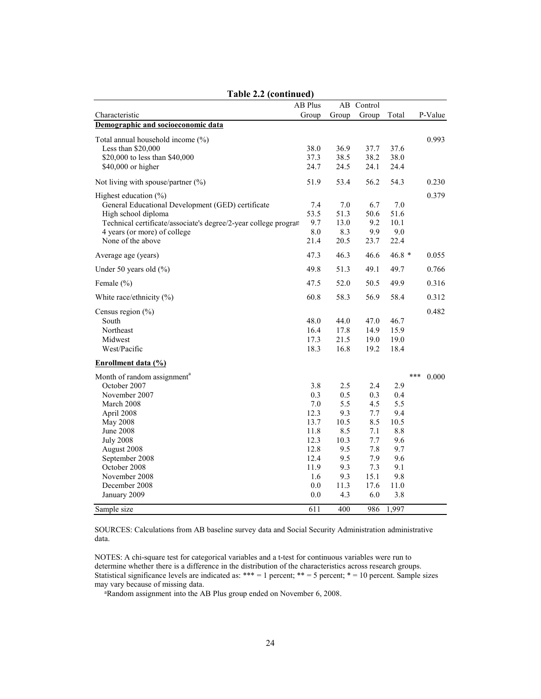|                                                                                                                                                                                                                                                             | AB Plus                                                                                        | AB                                                                                         | Control                                                                                   |                                                                                           |              |
|-------------------------------------------------------------------------------------------------------------------------------------------------------------------------------------------------------------------------------------------------------------|------------------------------------------------------------------------------------------------|--------------------------------------------------------------------------------------------|-------------------------------------------------------------------------------------------|-------------------------------------------------------------------------------------------|--------------|
| Characteristic                                                                                                                                                                                                                                              | Group                                                                                          | Group                                                                                      | Group                                                                                     | Total                                                                                     | P-Value      |
| Demographic and socioeconomic data                                                                                                                                                                                                                          |                                                                                                |                                                                                            |                                                                                           |                                                                                           |              |
| Total annual household income (%)<br>Less than $$20,000$<br>\$20,000 to less than \$40,000<br>\$40,000 or higher                                                                                                                                            | 38.0<br>37.3<br>24.7                                                                           | 36.9<br>38.5<br>24.5                                                                       | 37.7<br>38.2<br>24.1                                                                      | 37.6<br>38.0<br>24.4                                                                      | 0.993        |
| Not living with spouse/partner $(\%)$                                                                                                                                                                                                                       | 51.9                                                                                           | 53.4                                                                                       | 56.2                                                                                      | 54.3                                                                                      | 0.230        |
| Highest education $(\%)$<br>General Educational Development (GED) certificate<br>High school diploma<br>Technical certificate/associate's degree/2-year college program<br>4 years (or more) of college<br>None of the above                                | 7.4<br>53.5<br>9.7<br>8.0<br>21.4                                                              | 7.0<br>51.3<br>13.0<br>8.3<br>20.5                                                         | 6.7<br>50.6<br>9.2<br>9.9<br>23.7                                                         | 7.0<br>51.6<br>10.1<br>9.0<br>22.4                                                        | 0.379        |
| Average age (years)                                                                                                                                                                                                                                         | 47.3                                                                                           | 46.3                                                                                       | 46.6                                                                                      | $46.8*$                                                                                   | 0.055        |
| Under 50 years old (%)                                                                                                                                                                                                                                      | 49.8                                                                                           | 51.3                                                                                       | 49.1                                                                                      | 49.7                                                                                      | 0.766        |
| Female (%)                                                                                                                                                                                                                                                  | 47.5                                                                                           | 52.0                                                                                       | 50.5                                                                                      | 49.9                                                                                      | 0.316        |
| White race/ethnicity (%)                                                                                                                                                                                                                                    | 60.8                                                                                           | 58.3                                                                                       | 56.9                                                                                      | 58.4                                                                                      | 0.312        |
| Census region $(\% )$<br>South<br>Northeast<br>Midwest<br>West/Pacific                                                                                                                                                                                      | 48.0<br>16.4<br>17.3<br>18.3                                                                   | 44.0<br>17.8<br>21.5<br>16.8                                                               | 47.0<br>14.9<br>19.0<br>19.2                                                              | 46.7<br>15.9<br>19.0<br>18.4                                                              | 0.482        |
| Enrollment data (%)                                                                                                                                                                                                                                         |                                                                                                |                                                                                            |                                                                                           |                                                                                           |              |
| Month of random assignment <sup>a</sup><br>October 2007<br>November 2007<br>March 2008<br>April 2008<br>May 2008<br><b>June 2008</b><br><b>July 2008</b><br>August 2008<br>September 2008<br>October 2008<br>November 2008<br>December 2008<br>January 2009 | 3.8<br>0.3<br>7.0<br>12.3<br>13.7<br>11.8<br>12.3<br>12.8<br>12.4<br>11.9<br>1.6<br>0.0<br>0.0 | 2.5<br>0.5<br>5.5<br>9.3<br>10.5<br>8.5<br>10.3<br>9.5<br>9.5<br>9.3<br>9.3<br>11.3<br>4.3 | 2.4<br>0.3<br>4.5<br>7.7<br>8.5<br>7.1<br>7.7<br>7.8<br>7.9<br>7.3<br>15.1<br>17.6<br>6.0 | 2.9<br>0.4<br>5.5<br>9.4<br>10.5<br>8.8<br>9.6<br>9.7<br>9.6<br>9.1<br>9.8<br>11.0<br>3.8 | ***<br>0.000 |
| Sample size                                                                                                                                                                                                                                                 | 611                                                                                            | 400                                                                                        | 986                                                                                       | 1,997                                                                                     |              |

### **Table 2.2 (continued)**

SOURCES: Calculations from AB baseline survey data and Social Security Administration administrative data.

NOTES: A chi-square test for categorical variables and a t-test for continuous variables were run to determine whether there is a difference in the distribution of the characteristics across research groups. Statistical significance levels are indicated as: \*\*\* = 1 percent; \*\* = 5 percent; \* = 10 percent. Sample sizes may vary because of missing data.

aRandom assignment into the AB Plus group ended on November 6, 2008.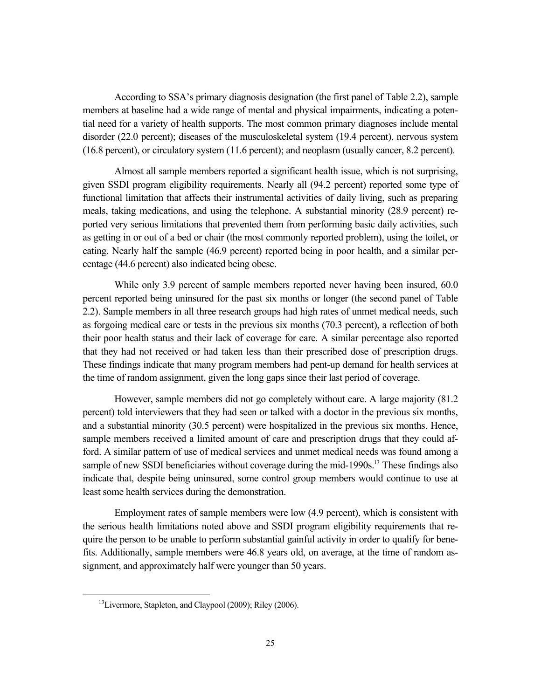According to SSA's primary diagnosis designation (the first panel of Table 2.2), sample members at baseline had a wide range of mental and physical impairments, indicating a potential need for a variety of health supports. The most common primary diagnoses include mental disorder (22.0 percent); diseases of the musculoskeletal system (19.4 percent), nervous system (16.8 percent), or circulatory system (11.6 percent); and neoplasm (usually cancer, 8.2 percent).

Almost all sample members reported a significant health issue, which is not surprising, given SSDI program eligibility requirements. Nearly all (94.2 percent) reported some type of functional limitation that affects their instrumental activities of daily living, such as preparing meals, taking medications, and using the telephone. A substantial minority (28.9 percent) reported very serious limitations that prevented them from performing basic daily activities, such as getting in or out of a bed or chair (the most commonly reported problem), using the toilet, or eating. Nearly half the sample (46.9 percent) reported being in poor health, and a similar percentage (44.6 percent) also indicated being obese.

While only 3.9 percent of sample members reported never having been insured, 60.0 percent reported being uninsured for the past six months or longer (the second panel of Table 2.2). Sample members in all three research groups had high rates of unmet medical needs, such as forgoing medical care or tests in the previous six months (70.3 percent), a reflection of both their poor health status and their lack of coverage for care. A similar percentage also reported that they had not received or had taken less than their prescribed dose of prescription drugs. These findings indicate that many program members had pent-up demand for health services at the time of random assignment, given the long gaps since their last period of coverage.

However, sample members did not go completely without care. A large majority (81.2 percent) told interviewers that they had seen or talked with a doctor in the previous six months, and a substantial minority (30.5 percent) were hospitalized in the previous six months. Hence, sample members received a limited amount of care and prescription drugs that they could afford. A similar pattern of use of medical services and unmet medical needs was found among a sample of new SSDI beneficiaries without coverage during the mid-1990s.<sup>13</sup> These findings also indicate that, despite being uninsured, some control group members would continue to use at least some health services during the demonstration.

Employment rates of sample members were low (4.9 percent), which is consistent with the serious health limitations noted above and SSDI program eligibility requirements that require the person to be unable to perform substantial gainful activity in order to qualify for benefits. Additionally, sample members were 46.8 years old, on average, at the time of random assignment, and approximately half were younger than 50 years.

<sup>&</sup>lt;sup>13</sup>Livermore, Stapleton, and Claypool (2009); Riley (2006).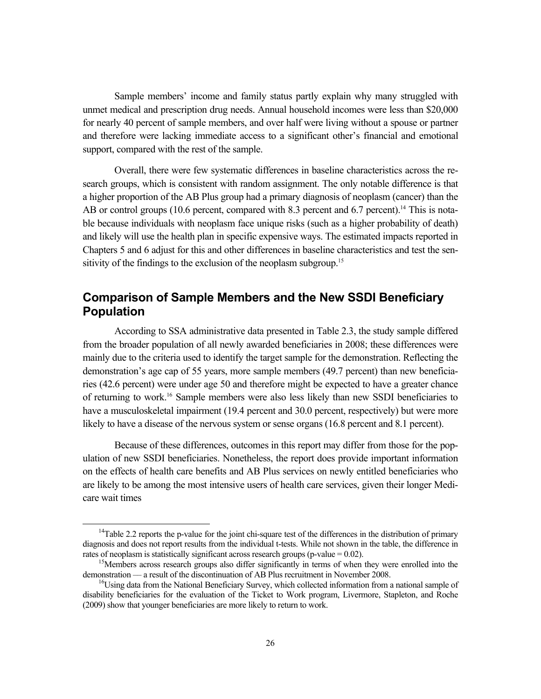Sample members' income and family status partly explain why many struggled with unmet medical and prescription drug needs. Annual household incomes were less than \$20,000 for nearly 40 percent of sample members, and over half were living without a spouse or partner and therefore were lacking immediate access to a significant other's financial and emotional support, compared with the rest of the sample.

Overall, there were few systematic differences in baseline characteristics across the research groups, which is consistent with random assignment. The only notable difference is that a higher proportion of the AB Plus group had a primary diagnosis of neoplasm (cancer) than the AB or control groups (10.6 percent, compared with 8.3 percent and 6.7 percent).<sup>14</sup> This is notable because individuals with neoplasm face unique risks (such as a higher probability of death) and likely will use the health plan in specific expensive ways. The estimated impacts reported in Chapters 5 and 6 adjust for this and other differences in baseline characteristics and test the sensitivity of the findings to the exclusion of the neoplasm subgroup.<sup>15</sup>

## **Comparison of Sample Members and the New SSDI Beneficiary Population**

According to SSA administrative data presented in Table 2.3, the study sample differed from the broader population of all newly awarded beneficiaries in 2008; these differences were mainly due to the criteria used to identify the target sample for the demonstration. Reflecting the demonstration's age cap of 55 years, more sample members (49.7 percent) than new beneficiaries (42.6 percent) were under age 50 and therefore might be expected to have a greater chance of returning to work.16 Sample members were also less likely than new SSDI beneficiaries to have a musculoskeletal impairment (19.4 percent and 30.0 percent, respectively) but were more likely to have a disease of the nervous system or sense organs (16.8 percent and 8.1 percent).

Because of these differences, outcomes in this report may differ from those for the population of new SSDI beneficiaries. Nonetheless, the report does provide important information on the effects of health care benefits and AB Plus services on newly entitled beneficiaries who are likely to be among the most intensive users of health care services, given their longer Medicare wait times

<sup>&</sup>lt;sup>14</sup>Table 2.2 reports the p-value for the joint chi-square test of the differences in the distribution of primary diagnosis and does not report results from the individual t-tests. While not shown in the table, the difference in rates of neoplasm is statistically significant across research groups (p-value =  $0.02$ ).

<sup>&</sup>lt;sup>15</sup>Members across research groups also differ significantly in terms of when they were enrolled into the demonstration — a result of the discontinuation of AB Plus recruitment in November 2008.

 $16$ Using data from the National Beneficiary Survey, which collected information from a national sample of disability beneficiaries for the evaluation of the Ticket to Work program, Livermore, Stapleton, and Roche (2009) show that younger beneficiaries are more likely to return to work.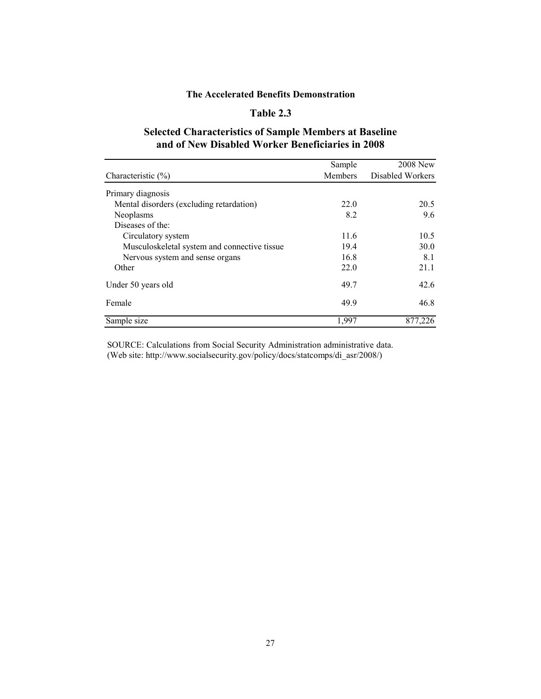## **Table 2.3**

## **Selected Characteristics of Sample Members at Baseline and of New Disabled Worker Beneficiaries in 2008**

|                                              | Sample         | <b>2008 New</b>  |
|----------------------------------------------|----------------|------------------|
| Characteristic $(\% )$                       | <b>Members</b> | Disabled Workers |
| Primary diagnosis                            |                |                  |
| Mental disorders (excluding retardation)     | 22.0           | 20.5             |
| Neoplasms                                    | 8.2            | 9.6              |
| Diseases of the:                             |                |                  |
| Circulatory system                           | 11.6           | 10.5             |
| Musculoskeletal system and connective tissue | 19.4           | 30.0             |
| Nervous system and sense organs              | 16.8           | 8.1              |
| Other                                        | 22.0           | 21.1             |
| Under 50 years old                           | 49.7           | 42.6             |
| Female                                       | 49.9           | 46.8             |
| Sample size                                  | 1,997          | 877,226          |

SOURCE: Calculations from Social Security Administration administrative data. (Web site: http://www.socialsecurity.gov/policy/docs/statcomps/di\_asr/2008/)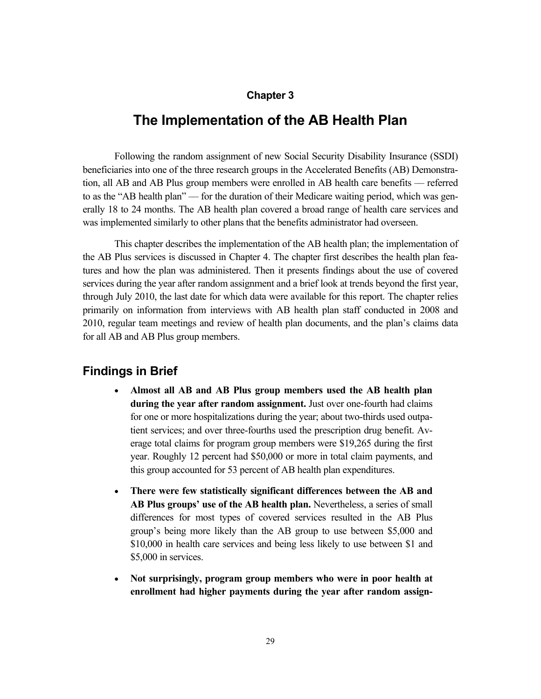### **Chapter 3**

# **The Implementation of the AB Health Plan**

Following the random assignment of new Social Security Disability Insurance (SSDI) beneficiaries into one of the three research groups in the Accelerated Benefits (AB) Demonstration, all AB and AB Plus group members were enrolled in AB health care benefits –– referred to as the "AB health plan" –– for the duration of their Medicare waiting period, which was generally 18 to 24 months. The AB health plan covered a broad range of health care services and was implemented similarly to other plans that the benefits administrator had overseen.

This chapter describes the implementation of the AB health plan; the implementation of the AB Plus services is discussed in Chapter 4. The chapter first describes the health plan features and how the plan was administered. Then it presents findings about the use of covered services during the year after random assignment and a brief look at trends beyond the first year, through July 2010, the last date for which data were available for this report. The chapter relies primarily on information from interviews with AB health plan staff conducted in 2008 and 2010, regular team meetings and review of health plan documents, and the plan's claims data for all AB and AB Plus group members.

## **Findings in Brief**

- **Almost all AB and AB Plus group members used the AB health plan during the year after random assignment.** Just over one-fourth had claims for one or more hospitalizations during the year; about two-thirds used outpatient services; and over three-fourths used the prescription drug benefit. Average total claims for program group members were \$19,265 during the first year. Roughly 12 percent had \$50,000 or more in total claim payments, and this group accounted for 53 percent of AB health plan expenditures.
- **There were few statistically significant differences between the AB and AB Plus groups' use of the AB health plan.** Nevertheless, a series of small differences for most types of covered services resulted in the AB Plus group's being more likely than the AB group to use between \$5,000 and \$10,000 in health care services and being less likely to use between \$1 and \$5,000 in services.
- **Not surprisingly, program group members who were in poor health at enrollment had higher payments during the year after random assign-**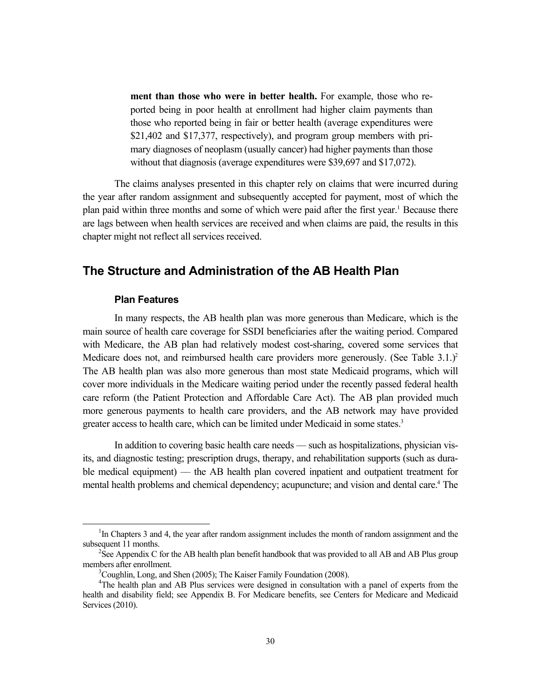**ment than those who were in better health.** For example, those who reported being in poor health at enrollment had higher claim payments than those who reported being in fair or better health (average expenditures were \$21,402 and \$17,377, respectively), and program group members with primary diagnoses of neoplasm (usually cancer) had higher payments than those without that diagnosis (average expenditures were \$39,697 and \$17,072).

The claims analyses presented in this chapter rely on claims that were incurred during the year after random assignment and subsequently accepted for payment, most of which the plan paid within three months and some of which were paid after the first year.<sup>1</sup> Because there are lags between when health services are received and when claims are paid, the results in this chapter might not reflect all services received.

## **The Structure and Administration of the AB Health Plan**

#### **Plan Features**

In many respects, the AB health plan was more generous than Medicare, which is the main source of health care coverage for SSDI beneficiaries after the waiting period. Compared with Medicare, the AB plan had relatively modest cost-sharing, covered some services that Medicare does not, and reimbursed health care providers more generously. (See Table  $3.1.$ )<sup>2</sup> The AB health plan was also more generous than most state Medicaid programs, which will cover more individuals in the Medicare waiting period under the recently passed federal health care reform (the Patient Protection and Affordable Care Act). The AB plan provided much more generous payments to health care providers, and the AB network may have provided greater access to health care, which can be limited under Medicaid in some states.<sup>3</sup>

In addition to covering basic health care needs –– such as hospitalizations, physician visits, and diagnostic testing; prescription drugs, therapy, and rehabilitation supports (such as durable medical equipment) –– the AB health plan covered inpatient and outpatient treatment for mental health problems and chemical dependency; acupuncture; and vision and dental care.<sup>4</sup> The

 $\overline{\phantom{0}1}$  $<sup>1</sup>$ In Chapters 3 and 4, the year after random assignment includes the month of random assignment and the</sup> subsequent 11 months.

<sup>&</sup>lt;sup>2</sup>See Appendix C for the AB health plan benefit handbook that was provided to all AB and AB Plus group members after enrollment. 3

 ${}^{3}$ Coughlin, Long, and Shen (2005); The Kaiser Family Foundation (2008).

<sup>&</sup>lt;sup>4</sup>The health plan and AB Plus services were designed in consultation with a panel of experts from the health and disability field; see Appendix B. For Medicare benefits, see Centers for Medicare and Medicaid Services (2010).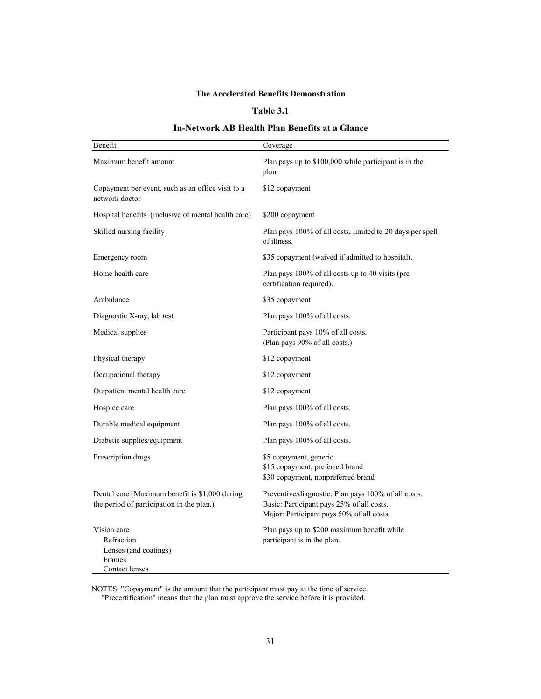### **Table 3.1**

### **In-Network AB Health Plan Benefits at a Glance**

| Benefit                                                                                     | Coverage                                                                                                                                      |
|---------------------------------------------------------------------------------------------|-----------------------------------------------------------------------------------------------------------------------------------------------|
| Maximum benefit amount                                                                      | Plan pays up to \$100,000 while participant is in the<br>plan.                                                                                |
| Copayment per event, such as an office visit to a<br>network doctor                         | \$12 copayment                                                                                                                                |
| Hospital benefits (inclusive of mental health care)                                         | \$200 copayment                                                                                                                               |
| Skilled nursing facility                                                                    | Plan pays 100% of all costs, limited to 20 days per spell<br>of illness.                                                                      |
| Emergency room                                                                              | \$35 copayment (waived if admitted to hospital).                                                                                              |
| Home health care                                                                            | Plan pays 100% of all costs up to 40 visits (pre-<br>certification required).                                                                 |
| Ambulance                                                                                   | \$35 copayment                                                                                                                                |
| Diagnostic X-ray, lab test                                                                  | Plan pays 100% of all costs.                                                                                                                  |
| Medical supplies                                                                            | Participant pays 10% of all costs.<br>(Plan pays 90% of all costs.)                                                                           |
| Physical therapy                                                                            | \$12 copayment                                                                                                                                |
| Occupational therapy                                                                        | \$12 copayment                                                                                                                                |
| Outpatient mental health care                                                               | \$12 copayment                                                                                                                                |
| Hospice care                                                                                | Plan pays 100% of all costs.                                                                                                                  |
| Durable medical equipment                                                                   | Plan pays 100% of all costs.                                                                                                                  |
| Diabetic supplies/equipment                                                                 | Plan pays 100% of all costs.                                                                                                                  |
| Prescription drugs                                                                          | \$5 copayment, generic<br>\$15 copayment, preferred brand<br>\$30 copayment, nonpreferred brand                                               |
| Dental care (Maximum benefit is \$1,000 during<br>the period of participation in the plan.) | Preventive/diagnostic: Plan pays 100% of all costs.<br>Basic: Participant pays 25% of all costs.<br>Major: Participant pays 50% of all costs. |
| Vision care<br>Refraction<br>Lenses (and coatings)<br>Frames<br>Contact lenses              | Plan pays up to \$200 maximum benefit while<br>participant is in the plan.                                                                    |

NOTES: "Copayment" is the amount that the participant must pay at the time of service. "Precertification" means that the plan must approve the service before it is provided.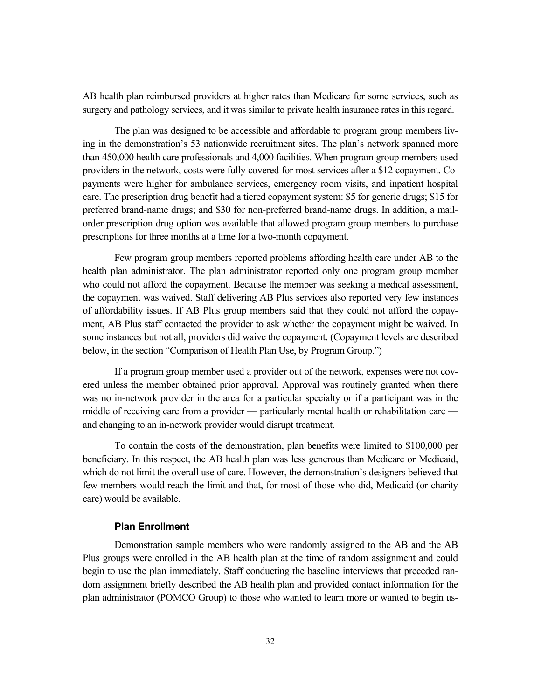AB health plan reimbursed providers at higher rates than Medicare for some services, such as surgery and pathology services, and it was similar to private health insurance rates in this regard.

The plan was designed to be accessible and affordable to program group members living in the demonstration's 53 nationwide recruitment sites. The plan's network spanned more than 450,000 health care professionals and 4,000 facilities. When program group members used providers in the network, costs were fully covered for most services after a \$12 copayment. Copayments were higher for ambulance services, emergency room visits, and inpatient hospital care. The prescription drug benefit had a tiered copayment system: \$5 for generic drugs; \$15 for preferred brand-name drugs; and \$30 for non-preferred brand-name drugs. In addition, a mailorder prescription drug option was available that allowed program group members to purchase prescriptions for three months at a time for a two-month copayment.

Few program group members reported problems affording health care under AB to the health plan administrator. The plan administrator reported only one program group member who could not afford the copayment. Because the member was seeking a medical assessment, the copayment was waived. Staff delivering AB Plus services also reported very few instances of affordability issues. If AB Plus group members said that they could not afford the copayment, AB Plus staff contacted the provider to ask whether the copayment might be waived. In some instances but not all, providers did waive the copayment. (Copayment levels are described below, in the section "Comparison of Health Plan Use, by Program Group.")

If a program group member used a provider out of the network, expenses were not covered unless the member obtained prior approval. Approval was routinely granted when there was no in-network provider in the area for a particular specialty or if a participant was in the middle of receiving care from a provider — particularly mental health or rehabilitation care and changing to an in-network provider would disrupt treatment.

To contain the costs of the demonstration, plan benefits were limited to \$100,000 per beneficiary. In this respect, the AB health plan was less generous than Medicare or Medicaid, which do not limit the overall use of care. However, the demonstration's designers believed that few members would reach the limit and that, for most of those who did, Medicaid (or charity care) would be available.

### **Plan Enrollment**

Demonstration sample members who were randomly assigned to the AB and the AB Plus groups were enrolled in the AB health plan at the time of random assignment and could begin to use the plan immediately. Staff conducting the baseline interviews that preceded random assignment briefly described the AB health plan and provided contact information for the plan administrator (POMCO Group) to those who wanted to learn more or wanted to begin us-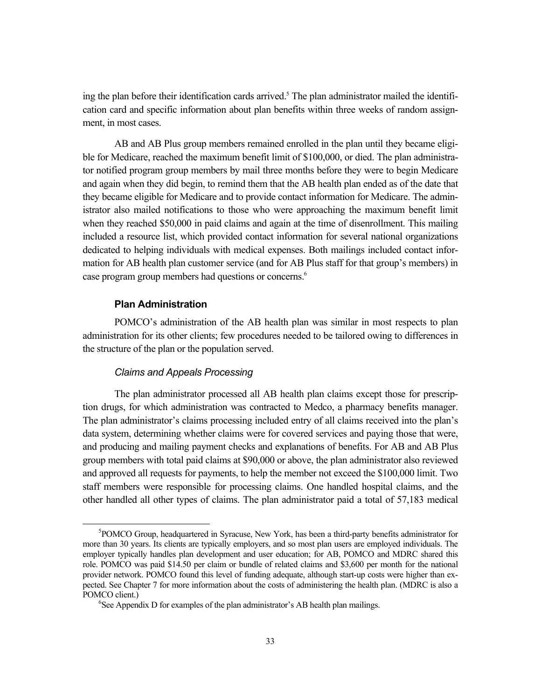ing the plan before their identification cards arrived.<sup>5</sup> The plan administrator mailed the identification card and specific information about plan benefits within three weeks of random assignment, in most cases.

AB and AB Plus group members remained enrolled in the plan until they became eligible for Medicare, reached the maximum benefit limit of \$100,000, or died. The plan administrator notified program group members by mail three months before they were to begin Medicare and again when they did begin, to remind them that the AB health plan ended as of the date that they became eligible for Medicare and to provide contact information for Medicare. The administrator also mailed notifications to those who were approaching the maximum benefit limit when they reached \$50,000 in paid claims and again at the time of disenrollment. This mailing included a resource list, which provided contact information for several national organizations dedicated to helping individuals with medical expenses. Both mailings included contact information for AB health plan customer service (and for AB Plus staff for that group's members) in case program group members had questions or concerns.<sup>6</sup>

### **Plan Administration**

POMCO's administration of the AB health plan was similar in most respects to plan administration for its other clients; few procedures needed to be tailored owing to differences in the structure of the plan or the population served.

#### *Claims and Appeals Processing*

The plan administrator processed all AB health plan claims except those for prescription drugs, for which administration was contracted to Medco, a pharmacy benefits manager. The plan administrator's claims processing included entry of all claims received into the plan's data system, determining whether claims were for covered services and paying those that were, and producing and mailing payment checks and explanations of benefits. For AB and AB Plus group members with total paid claims at \$90,000 or above, the plan administrator also reviewed and approved all requests for payments, to help the member not exceed the \$100,000 limit. Two staff members were responsible for processing claims. One handled hospital claims, and the other handled all other types of claims. The plan administrator paid a total of 57,183 medical

 $rac{1}{5}$  ${}^{5}$ POMCO Group, headquartered in Syracuse, New York, has been a third-party benefits administrator for more than 30 years. Its clients are typically employers, and so most plan users are employed individuals. The employer typically handles plan development and user education; for AB, POMCO and MDRC shared this role. POMCO was paid \$14.50 per claim or bundle of related claims and \$3,600 per month for the national provider network. POMCO found this level of funding adequate, although start-up costs were higher than expected. See Chapter 7 for more information about the costs of administering the health plan. (MDRC is also a POMCO client.)

 ${}^{6}$ See Appendix D for examples of the plan administrator's AB health plan mailings.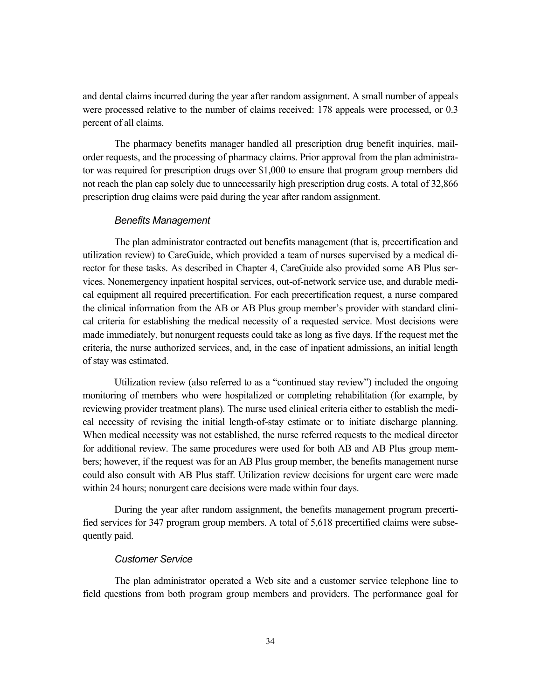and dental claims incurred during the year after random assignment. A small number of appeals were processed relative to the number of claims received: 178 appeals were processed, or 0.3 percent of all claims.

The pharmacy benefits manager handled all prescription drug benefit inquiries, mailorder requests, and the processing of pharmacy claims. Prior approval from the plan administrator was required for prescription drugs over \$1,000 to ensure that program group members did not reach the plan cap solely due to unnecessarily high prescription drug costs. A total of 32,866 prescription drug claims were paid during the year after random assignment.

### *Benefits Management*

The plan administrator contracted out benefits management (that is, precertification and utilization review) to CareGuide, which provided a team of nurses supervised by a medical director for these tasks. As described in Chapter 4, CareGuide also provided some AB Plus services. Nonemergency inpatient hospital services, out-of-network service use, and durable medical equipment all required precertification. For each precertification request, a nurse compared the clinical information from the AB or AB Plus group member's provider with standard clinical criteria for establishing the medical necessity of a requested service. Most decisions were made immediately, but nonurgent requests could take as long as five days. If the request met the criteria, the nurse authorized services, and, in the case of inpatient admissions, an initial length of stay was estimated.

Utilization review (also referred to as a "continued stay review") included the ongoing monitoring of members who were hospitalized or completing rehabilitation (for example, by reviewing provider treatment plans). The nurse used clinical criteria either to establish the medical necessity of revising the initial length-of-stay estimate or to initiate discharge planning. When medical necessity was not established, the nurse referred requests to the medical director for additional review. The same procedures were used for both AB and AB Plus group members; however, if the request was for an AB Plus group member, the benefits management nurse could also consult with AB Plus staff. Utilization review decisions for urgent care were made within 24 hours; nonurgent care decisions were made within four days.

During the year after random assignment, the benefits management program precertified services for 347 program group members. A total of 5,618 precertified claims were subsequently paid.

#### *Customer Service*

The plan administrator operated a Web site and a customer service telephone line to field questions from both program group members and providers. The performance goal for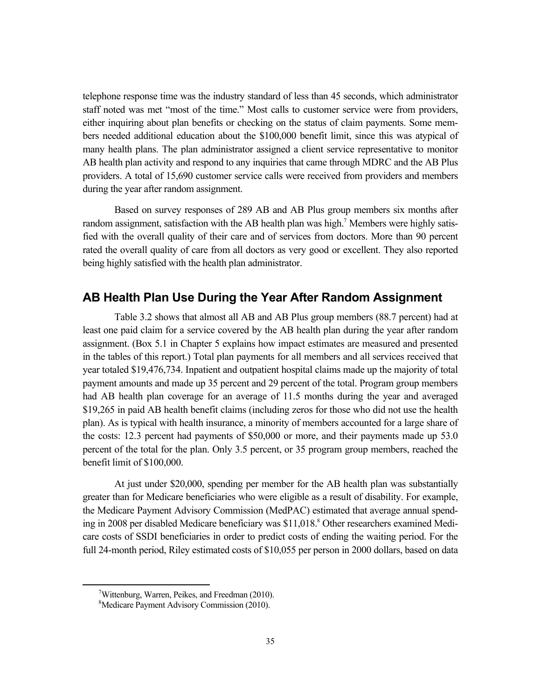telephone response time was the industry standard of less than 45 seconds, which administrator staff noted was met "most of the time." Most calls to customer service were from providers, either inquiring about plan benefits or checking on the status of claim payments. Some members needed additional education about the \$100,000 benefit limit, since this was atypical of many health plans. The plan administrator assigned a client service representative to monitor AB health plan activity and respond to any inquiries that came through MDRC and the AB Plus providers. A total of 15,690 customer service calls were received from providers and members during the year after random assignment.

Based on survey responses of 289 AB and AB Plus group members six months after random assignment, satisfaction with the AB health plan was high.<sup>7</sup> Members were highly satisfied with the overall quality of their care and of services from doctors. More than 90 percent rated the overall quality of care from all doctors as very good or excellent. They also reported being highly satisfied with the health plan administrator.

## **AB Health Plan Use During the Year After Random Assignment**

Table 3.2 shows that almost all AB and AB Plus group members (88.7 percent) had at least one paid claim for a service covered by the AB health plan during the year after random assignment. (Box 5.1 in Chapter 5 explains how impact estimates are measured and presented in the tables of this report.) Total plan payments for all members and all services received that year totaled \$19,476,734. Inpatient and outpatient hospital claims made up the majority of total payment amounts and made up 35 percent and 29 percent of the total. Program group members had AB health plan coverage for an average of 11.5 months during the year and averaged \$19,265 in paid AB health benefit claims (including zeros for those who did not use the health plan). As is typical with health insurance, a minority of members accounted for a large share of the costs: 12.3 percent had payments of \$50,000 or more, and their payments made up 53.0 percent of the total for the plan. Only 3.5 percent, or 35 program group members, reached the benefit limit of \$100,000.

At just under \$20,000, spending per member for the AB health plan was substantially greater than for Medicare beneficiaries who were eligible as a result of disability. For example, the Medicare Payment Advisory Commission (MedPAC) estimated that average annual spending in 2008 per disabled Medicare beneficiary was \$11,018.8 Other researchers examined Medicare costs of SSDI beneficiaries in order to predict costs of ending the waiting period. For the full 24-month period, Riley estimated costs of \$10,055 per person in 2000 dollars, based on data

 $\frac{1}{7}$ <sup>7</sup>Wittenburg, Warren, Peikes, and Freedman  $(2010)$ .

<sup>8</sup> Medicare Payment Advisory Commission (2010).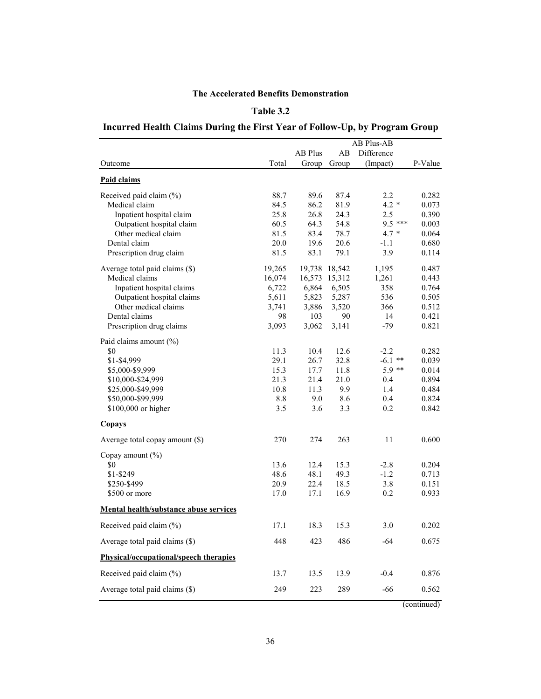### **Table 3.2**

## **Incurred Health Claims During the First Year of Follow-Up, by Program Group**

|                                        |        |                |        | <b>AB Plus-AB</b> |             |
|----------------------------------------|--------|----------------|--------|-------------------|-------------|
|                                        |        | <b>AB Plus</b> | AB     | Difference        |             |
| Outcome                                | Total  | Group          | Group  | (Impact)          | P-Value     |
| <b>Paid claims</b>                     |        |                |        |                   |             |
| Received paid claim (%)                | 88.7   | 89.6           | 87.4   | 2.2               | 0.282       |
| Medical claim                          | 84.5   | 86.2           | 81.9   | $4.2 *$           | 0.073       |
| Inpatient hospital claim               | 25.8   | 26.8           | 24.3   | 2.5               | 0.390       |
| Outpatient hospital claim              | 60.5   | 64.3           | 54.8   | $9.5***$          | 0.003       |
| Other medical claim                    | 81.5   | 83.4           | 78.7   | $4.7 *$           | 0.064       |
| Dental claim                           | 20.0   | 19.6           | 20.6   | $-1.1$            | 0.680       |
| Prescription drug claim                | 81.5   | 83.1           | 79.1   | 3.9               | 0.114       |
| Average total paid claims (\$)         | 19,265 | 19,738         | 18,542 | 1,195             | 0.487       |
| Medical claims                         | 16,074 | 16,573         | 15,312 | 1,261             | 0.443       |
| Inpatient hospital claims              | 6,722  | 6,864          | 6,505  | 358               | 0.764       |
| Outpatient hospital claims             | 5,611  | 5,823          | 5,287  | 536               | 0.505       |
| Other medical claims                   | 3,741  | 3,886          | 3,520  | 366               | 0.512       |
| Dental claims                          | 98     | 103            | 90     | 14                | 0.421       |
| Prescription drug claims               | 3,093  | 3,062          | 3,141  | $-79$             | 0.821       |
| Paid claims amount (%)                 |        |                |        |                   |             |
| \$0                                    | 11.3   | 10.4           | 12.6   | $-2.2$            | 0.282       |
| \$1-\$4,999                            | 29.1   | 26.7           | 32.8   | $-6.1$ **         | 0.039       |
| \$5,000-\$9,999                        | 15.3   | 17.7           | 11.8   | $5.9**$           | 0.014       |
| \$10,000-\$24,999                      | 21.3   | 21.4           | 21.0   | 0.4               | 0.894       |
| \$25,000-\$49,999                      | 10.8   | 11.3           | 9.9    | 1.4               | 0.484       |
| \$50,000-\$99,999                      | 8.8    | 9.0            | 8.6    | 0.4               | 0.824       |
| $$100,000$ or higher                   | 3.5    | 3.6            | 3.3    | 0.2               | 0.842       |
| <b>Copays</b>                          |        |                |        |                   |             |
| Average total copay amount (\$)        | 270    | 274            | 263    | 11                | 0.600       |
| Copay amount $(\%)$                    |        |                |        |                   |             |
| \$0                                    | 13.6   | 12.4           | 15.3   | $-2.8$            | 0.204       |
| \$1-\$249                              | 48.6   | 48.1           | 49.3   | $-1.2$            | 0.713       |
| \$250-\$499                            | 20.9   | 22.4           | 18.5   | 3.8               | 0.151       |
| \$500 or more                          | 17.0   | 17.1           | 16.9   | 0.2               | 0.933       |
| Mental health/substance abuse services |        |                |        |                   |             |
| Received paid claim (%)                | 17.1   | 18.3           | 15.3   | 3.0               | 0.202       |
| Average total paid claims (\$)         | 448    | 423            | 486    | $-64$             | 0.675       |
| Physical/occupational/speech therapies |        |                |        |                   |             |
| Received paid claim (%)                | 13.7   | 13.5           | 13.9   | $-0.4$            | 0.876       |
| Average total paid claims (\$)         | 249    | 223            | 289    | $-66$             | 0.562       |
|                                        |        |                |        |                   | (continued) |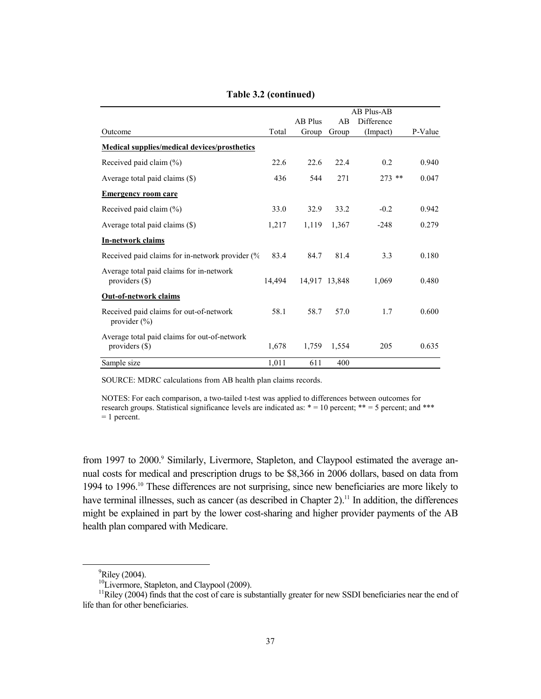|                                                                  | AB Plus-AB |                |               |            |         |
|------------------------------------------------------------------|------------|----------------|---------------|------------|---------|
|                                                                  |            | <b>AB Plus</b> | AB            | Difference |         |
| Outcome                                                          | Total      | Group          | Group         | (Impact)   | P-Value |
| <b>Medical supplies/medical devices/prosthetics</b>              |            |                |               |            |         |
| Received paid claim (%)                                          | 22.6       | 22.6           | 22.4          | 0.2        | 0.940   |
| Average total paid claims (\$)                                   | 436        | 544            | 271           | $273$ **   | 0.047   |
| <b>Emergency room care</b>                                       |            |                |               |            |         |
| Received paid claim (%)                                          | 33.0       | 32.9           | 33.2          | $-0.2$     | 0.942   |
| Average total paid claims (\$)                                   | 1,217      | 1,119          | 1,367         | $-248$     | 0.279   |
| <b>In-network claims</b>                                         |            |                |               |            |         |
| Received paid claims for in-network provider (%                  | 83.4       | 84.7           | 81.4          | 3.3        | 0.180   |
| Average total paid claims for in-network<br>providers $(\$)$     | 14.494     |                | 14,917 13,848 | 1,069      | 0.480   |
| <b>Out-of-network claims</b>                                     |            |                |               |            |         |
| Received paid claims for out-of-network<br>provider $(\% )$      | 58.1       | 58.7           | 57.0          | 1.7        | 0.600   |
| Average total paid claims for out-of-network<br>providers $(\$)$ | 1,678      | 1,759          | 1,554         | 205        | 0.635   |
| Sample size                                                      | 1,011      | 611            | 400           |            |         |

**Table 3.2 (continued)**

SOURCE: MDRC calculations from AB health plan claims records.

NOTES: For each comparison, a two-tailed t-test was applied to differences between outcomes for research groups. Statistical significance levels are indicated as:  $* = 10$  percent;  $** = 5$  percent; and \*\*\* = 1 percent.

from 1997 to 2000.<sup>9</sup> Similarly, Livermore, Stapleton, and Claypool estimated the average annual costs for medical and prescription drugs to be \$8,366 in 2006 dollars, based on data from 1994 to 1996.10 These differences are not surprising, since new beneficiaries are more likely to have terminal illnesses, such as cancer (as described in Chapter 2).<sup>11</sup> In addition, the differences might be explained in part by the lower cost-sharing and higher provider payments of the AB health plan compared with Medicare.

 <sup>9</sup>  $\mathrm{P}$ Riley (2004).

 $^{10}$ Livermore, Stapleton, and Claypool (2009).

<sup>&</sup>lt;sup>11</sup>Riley (2004) finds that the cost of care is substantially greater for new SSDI beneficiaries near the end of life than for other beneficiaries.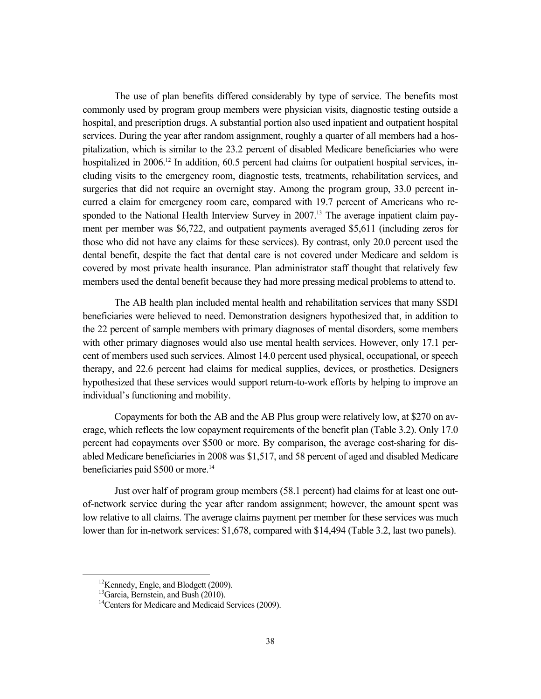The use of plan benefits differed considerably by type of service. The benefits most commonly used by program group members were physician visits, diagnostic testing outside a hospital, and prescription drugs. A substantial portion also used inpatient and outpatient hospital services. During the year after random assignment, roughly a quarter of all members had a hospitalization, which is similar to the 23.2 percent of disabled Medicare beneficiaries who were hospitalized in 2006.<sup>12</sup> In addition, 60.5 percent had claims for outpatient hospital services, including visits to the emergency room, diagnostic tests, treatments, rehabilitation services, and surgeries that did not require an overnight stay. Among the program group, 33.0 percent incurred a claim for emergency room care, compared with 19.7 percent of Americans who responded to the National Health Interview Survey in 2007.<sup>13</sup> The average inpatient claim payment per member was \$6,722, and outpatient payments averaged \$5,611 (including zeros for those who did not have any claims for these services). By contrast, only 20.0 percent used the dental benefit, despite the fact that dental care is not covered under Medicare and seldom is covered by most private health insurance. Plan administrator staff thought that relatively few members used the dental benefit because they had more pressing medical problems to attend to.

The AB health plan included mental health and rehabilitation services that many SSDI beneficiaries were believed to need. Demonstration designers hypothesized that, in addition to the 22 percent of sample members with primary diagnoses of mental disorders, some members with other primary diagnoses would also use mental health services. However, only 17.1 percent of members used such services. Almost 14.0 percent used physical, occupational, or speech therapy, and 22.6 percent had claims for medical supplies, devices, or prosthetics. Designers hypothesized that these services would support return-to-work efforts by helping to improve an individual's functioning and mobility.

Copayments for both the AB and the AB Plus group were relatively low, at \$270 on average, which reflects the low copayment requirements of the benefit plan (Table 3.2). Only 17.0 percent had copayments over \$500 or more. By comparison, the average cost-sharing for disabled Medicare beneficiaries in 2008 was \$1,517, and 58 percent of aged and disabled Medicare beneficiaries paid \$500 or more.<sup>14</sup>

Just over half of program group members (58.1 percent) had claims for at least one outof-network service during the year after random assignment; however, the amount spent was low relative to all claims. The average claims payment per member for these services was much lower than for in-network services: \$1,678, compared with \$14,494 (Table 3.2, last two panels).

 <sup>12</sup>Kennedy, Engle, and Blodgett (2009).

 $13$ Garcia, Bernstein, and Bush (2010).

<sup>&</sup>lt;sup>14</sup>Centers for Medicare and Medicaid Services (2009).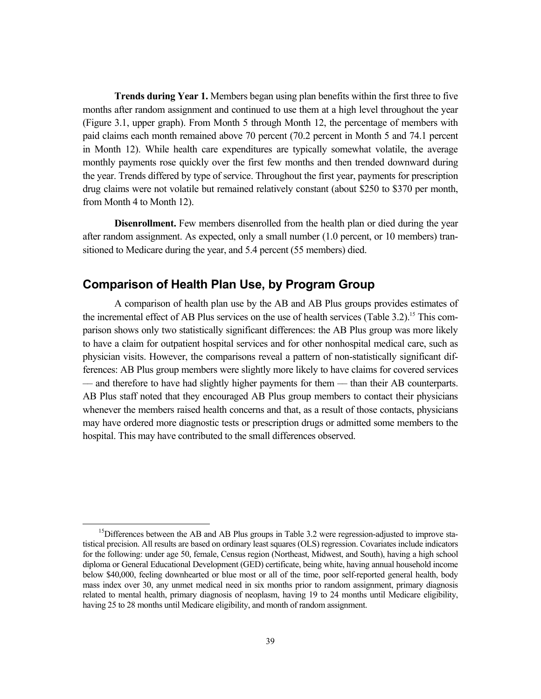**Trends during Year 1.** Members began using plan benefits within the first three to five months after random assignment and continued to use them at a high level throughout the year (Figure 3.1, upper graph). From Month 5 through Month 12, the percentage of members with paid claims each month remained above 70 percent (70.2 percent in Month 5 and 74.1 percent in Month 12). While health care expenditures are typically somewhat volatile, the average monthly payments rose quickly over the first few months and then trended downward during the year. Trends differed by type of service. Throughout the first year, payments for prescription drug claims were not volatile but remained relatively constant (about \$250 to \$370 per month, from Month 4 to Month 12).

**Disenrollment.** Few members disenrolled from the health plan or died during the year after random assignment. As expected, only a small number (1.0 percent, or 10 members) transitioned to Medicare during the year, and 5.4 percent (55 members) died.

## **Comparison of Health Plan Use, by Program Group**

A comparison of health plan use by the AB and AB Plus groups provides estimates of the incremental effect of AB Plus services on the use of health services (Table 3.2).<sup>15</sup> This comparison shows only two statistically significant differences: the AB Plus group was more likely to have a claim for outpatient hospital services and for other nonhospital medical care, such as physician visits. However, the comparisons reveal a pattern of non-statistically significant differences: AB Plus group members were slightly more likely to have claims for covered services –– and therefore to have had slightly higher payments for them –– than their AB counterparts. AB Plus staff noted that they encouraged AB Plus group members to contact their physicians whenever the members raised health concerns and that, as a result of those contacts, physicians may have ordered more diagnostic tests or prescription drugs or admitted some members to the hospital. This may have contributed to the small differences observed.

 $<sup>15</sup>$ Differences between the AB and AB Plus groups in Table 3.2 were regression-adjusted to improve sta-</sup> tistical precision. All results are based on ordinary least squares (OLS) regression. Covariates include indicators for the following: under age 50, female, Census region (Northeast, Midwest, and South), having a high school diploma or General Educational Development (GED) certificate, being white, having annual household income below \$40,000, feeling downhearted or blue most or all of the time, poor self-reported general health, body mass index over 30, any unmet medical need in six months prior to random assignment, primary diagnosis related to mental health, primary diagnosis of neoplasm, having 19 to 24 months until Medicare eligibility, having 25 to 28 months until Medicare eligibility, and month of random assignment.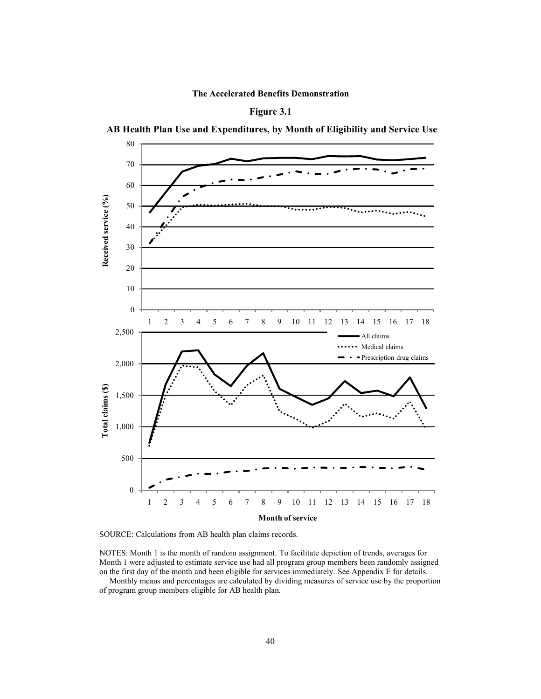





 **AB Health Plan Use and Expenditures, by Month of Eligibility and Service Use**



NOTES: Month 1 is the month of random assignment. To facilitate depiction of trends, averages for Month 1 were adjusted to estimate service use had all program group members been randomly assigned on the first day of the month and been eligible for services immediately. See Appendix E for details.

Monthly means and percentages are calculated by dividing measures of service use by the proportion of program group members eligible for AB health plan.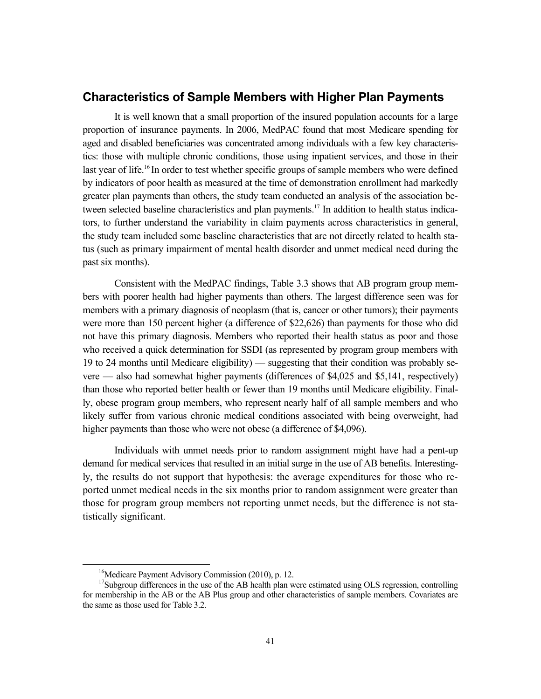### **Characteristics of Sample Members with Higher Plan Payments**

It is well known that a small proportion of the insured population accounts for a large proportion of insurance payments. In 2006, MedPAC found that most Medicare spending for aged and disabled beneficiaries was concentrated among individuals with a few key characteristics: those with multiple chronic conditions, those using inpatient services, and those in their last year of life.<sup>16</sup> In order to test whether specific groups of sample members who were defined by indicators of poor health as measured at the time of demonstration enrollment had markedly greater plan payments than others, the study team conducted an analysis of the association between selected baseline characteristics and plan payments.<sup>17</sup> In addition to health status indicators, to further understand the variability in claim payments across characteristics in general, the study team included some baseline characteristics that are not directly related to health status (such as primary impairment of mental health disorder and unmet medical need during the past six months).

Consistent with the MedPAC findings, Table 3.3 shows that AB program group members with poorer health had higher payments than others. The largest difference seen was for members with a primary diagnosis of neoplasm (that is, cancer or other tumors); their payments were more than 150 percent higher (a difference of \$22,626) than payments for those who did not have this primary diagnosis. Members who reported their health status as poor and those who received a quick determination for SSDI (as represented by program group members with 19 to 24 months until Medicare eligibility) –– suggesting that their condition was probably severe –– also had somewhat higher payments (differences of \$4,025 and \$5,141, respectively) than those who reported better health or fewer than 19 months until Medicare eligibility. Finally, obese program group members, who represent nearly half of all sample members and who likely suffer from various chronic medical conditions associated with being overweight, had higher payments than those who were not obese (a difference of \$4,096).

Individuals with unmet needs prior to random assignment might have had a pent-up demand for medical services that resulted in an initial surge in the use of AB benefits. Interestingly, the results do not support that hypothesis: the average expenditures for those who reported unmet medical needs in the six months prior to random assignment were greater than those for program group members not reporting unmet needs, but the difference is not statistically significant.

<sup>&</sup>lt;sup>16</sup>Medicare Payment Advisory Commission (2010), p. 12.

<sup>&</sup>lt;sup>17</sup>Subgroup differences in the use of the AB health plan were estimated using OLS regression, controlling for membership in the AB or the AB Plus group and other characteristics of sample members. Covariates are the same as those used for Table 3.2.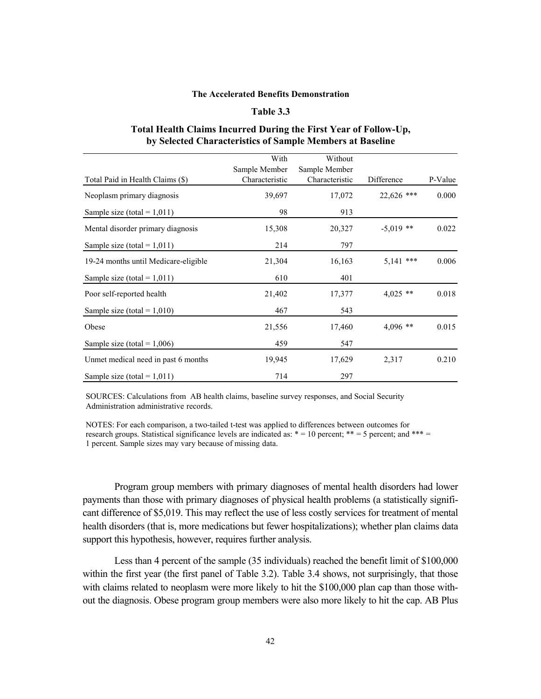### **Table 3.3**

### **Total Health Claims Incurred During the First Year of Follow-Up, by Selected Characteristics of Sample Members at Baseline**

|                                      | With           | Without        |              |         |
|--------------------------------------|----------------|----------------|--------------|---------|
|                                      | Sample Member  | Sample Member  |              |         |
| Total Paid in Health Claims (\$)     | Characteristic | Characteristic | Difference   | P-Value |
| Neoplasm primary diagnosis           | 39,697         | 17,072         | $22,626$ *** | 0.000   |
| Sample size (total = $1,011$ )       | 98             | 913            |              |         |
| Mental disorder primary diagnosis    | 15,308         | 20,327         | $-5.019$ **  | 0.022   |
| Sample size (total = $1,011$ )       | 214            | 797            |              |         |
| 19-24 months until Medicare-eligible | 21,304         | 16,163         | $5,141$ ***  | 0.006   |
| Sample size (total = $1,011$ )       | 610            | 401            |              |         |
| Poor self-reported health            | 21,402         | 17,377         | $4,025$ **   | 0.018   |
| Sample size (total = $1,010$ )       | 467            | 543            |              |         |
| Obese                                | 21,556         | 17,460         | $4,096$ **   | 0.015   |
| Sample size (total = $1,006$ )       | 459            | 547            |              |         |
| Unmet medical need in past 6 months  | 19,945         | 17,629         | 2,317        | 0.210   |
| Sample size (total = $1,011$ )       | 714            | 297            |              |         |

SOURCES: Calculations from AB health claims, baseline survey responses, and Social Security Administration administrative records.

NOTES: For each comparison, a two-tailed t-test was applied to differences between outcomes for research groups. Statistical significance levels are indicated as:  $* = 10$  percent;  $** = 5$  percent; and  $*** =$ 1 percent. Sample sizes may vary because of missing data.

Program group members with primary diagnoses of mental health disorders had lower payments than those with primary diagnoses of physical health problems (a statistically significant difference of \$5,019. This may reflect the use of less costly services for treatment of mental health disorders (that is, more medications but fewer hospitalizations); whether plan claims data support this hypothesis, however, requires further analysis.

Less than 4 percent of the sample (35 individuals) reached the benefit limit of \$100,000 within the first year (the first panel of Table 3.2). Table 3.4 shows, not surprisingly, that those with claims related to neoplasm were more likely to hit the \$100,000 plan cap than those without the diagnosis. Obese program group members were also more likely to hit the cap. AB Plus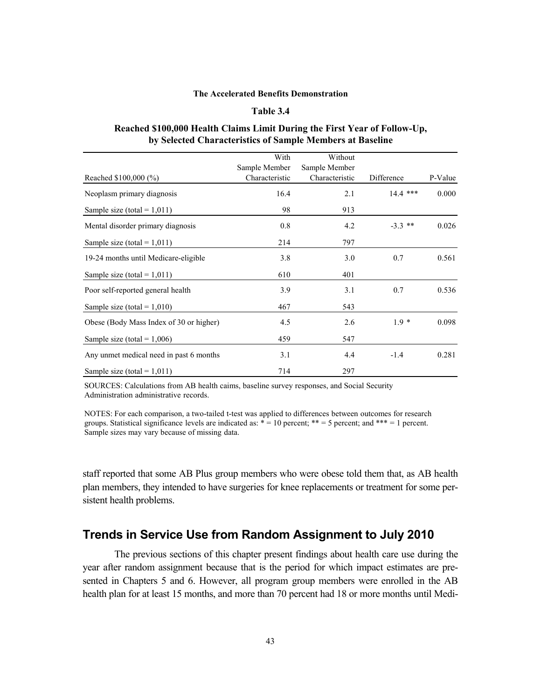### **Table 3.4**

#### **Reached \$100,000 Health Claims Limit During the First Year of Follow-Up, by Selected Characteristics of Sample Members at Baseline**

|                                         | With           | Without        |            |         |
|-----------------------------------------|----------------|----------------|------------|---------|
|                                         | Sample Member  | Sample Member  |            |         |
| Reached $$100,000 (\%)]$                | Characteristic | Characteristic | Difference | P-Value |
| Neoplasm primary diagnosis              | 16.4           | 2.1            | $14.4$ *** | 0.000   |
| Sample size (total = $1,011$ )          | 98             | 913            |            |         |
| Mental disorder primary diagnosis       | 0.8            | 4.2            | $-3.3$ **  | 0.026   |
| Sample size (total = $1,011$ )          | 214            | 797            |            |         |
| 19-24 months until Medicare-eligible    | 3.8            | 3.0            | 0.7        | 0.561   |
| Sample size (total = $1,011$ )          | 610            | 401            |            |         |
| Poor self-reported general health       | 3.9            | 3.1            | 0.7        | 0.536   |
| Sample size (total = $1,010$ )          | 467            | 543            |            |         |
| Obese (Body Mass Index of 30 or higher) | 4.5            | 2.6            | $1.9*$     | 0.098   |
| Sample size (total = $1,006$ )          | 459            | 547            |            |         |
| Any unmet medical need in past 6 months | 3.1            | 4.4            | $-1.4$     | 0.281   |
| Sample size (total = $1,011$ )          | 714            | 297            |            |         |

SOURCES: Calculations from AB health caims, baseline survey responses, and Social Security Administration administrative records.

NOTES: For each comparison, a two-tailed t-test was applied to differences between outcomes for research groups. Statistical significance levels are indicated as:  $* = 10$  percent;  $** = 5$  percent; and  $*** = 1$  percent. Sample sizes may vary because of missing data.

staff reported that some AB Plus group members who were obese told them that, as AB health plan members, they intended to have surgeries for knee replacements or treatment for some persistent health problems.

## **Trends in Service Use from Random Assignment to July 2010**

The previous sections of this chapter present findings about health care use during the year after random assignment because that is the period for which impact estimates are presented in Chapters 5 and 6. However, all program group members were enrolled in the AB health plan for at least 15 months, and more than 70 percent had 18 or more months until Medi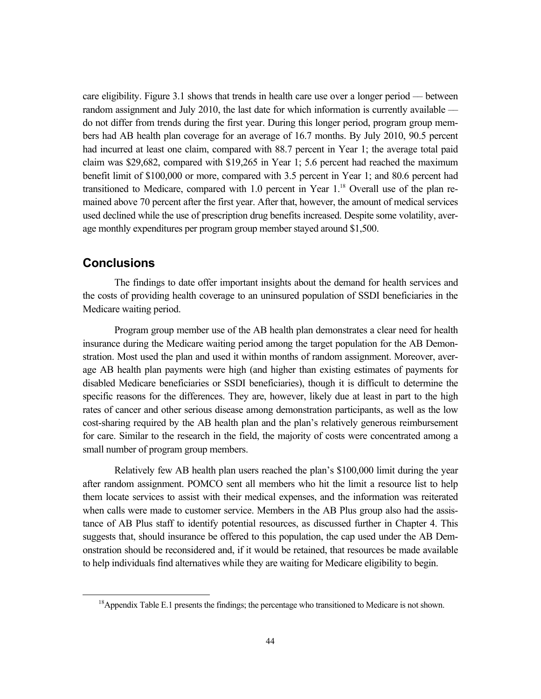care eligibility. Figure 3.1 shows that trends in health care use over a longer period –– between random assignment and July 2010, the last date for which information is currently available do not differ from trends during the first year. During this longer period, program group members had AB health plan coverage for an average of 16.7 months. By July 2010, 90.5 percent had incurred at least one claim, compared with 88.7 percent in Year 1; the average total paid claim was \$29,682, compared with \$19,265 in Year 1; 5.6 percent had reached the maximum benefit limit of \$100,000 or more, compared with 3.5 percent in Year 1; and 80.6 percent had transitioned to Medicare, compared with 1.0 percent in Year  $1<sup>18</sup>$  Overall use of the plan remained above 70 percent after the first year. After that, however, the amount of medical services used declined while the use of prescription drug benefits increased. Despite some volatility, average monthly expenditures per program group member stayed around \$1,500.

## **Conclusions**

The findings to date offer important insights about the demand for health services and the costs of providing health coverage to an uninsured population of SSDI beneficiaries in the Medicare waiting period.

Program group member use of the AB health plan demonstrates a clear need for health insurance during the Medicare waiting period among the target population for the AB Demonstration. Most used the plan and used it within months of random assignment. Moreover, average AB health plan payments were high (and higher than existing estimates of payments for disabled Medicare beneficiaries or SSDI beneficiaries), though it is difficult to determine the specific reasons for the differences. They are, however, likely due at least in part to the high rates of cancer and other serious disease among demonstration participants, as well as the low cost-sharing required by the AB health plan and the plan's relatively generous reimbursement for care. Similar to the research in the field, the majority of costs were concentrated among a small number of program group members.

Relatively few AB health plan users reached the plan's \$100,000 limit during the year after random assignment. POMCO sent all members who hit the limit a resource list to help them locate services to assist with their medical expenses, and the information was reiterated when calls were made to customer service. Members in the AB Plus group also had the assistance of AB Plus staff to identify potential resources, as discussed further in Chapter 4. This suggests that, should insurance be offered to this population, the cap used under the AB Demonstration should be reconsidered and, if it would be retained, that resources be made available to help individuals find alternatives while they are waiting for Medicare eligibility to begin.

<sup>&</sup>lt;sup>18</sup>Appendix Table E.1 presents the findings; the percentage who transitioned to Medicare is not shown.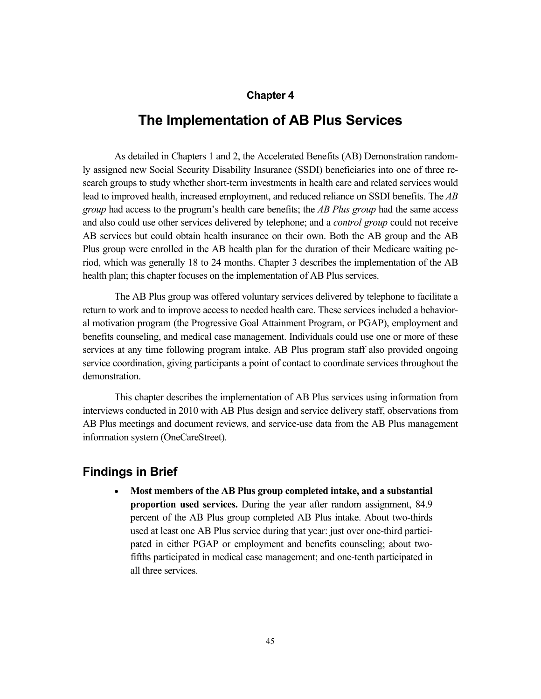### **Chapter 4**

# **The Implementation of AB Plus Services**

As detailed in Chapters 1 and 2, the Accelerated Benefits (AB) Demonstration randomly assigned new Social Security Disability Insurance (SSDI) beneficiaries into one of three research groups to study whether short-term investments in health care and related services would lead to improved health, increased employment, and reduced reliance on SSDI benefits. The *AB group* had access to the program's health care benefits; the *AB Plus group* had the same access and also could use other services delivered by telephone; and a *control group* could not receive AB services but could obtain health insurance on their own. Both the AB group and the AB Plus group were enrolled in the AB health plan for the duration of their Medicare waiting period, which was generally 18 to 24 months. Chapter 3 describes the implementation of the AB health plan; this chapter focuses on the implementation of AB Plus services.

The AB Plus group was offered voluntary services delivered by telephone to facilitate a return to work and to improve access to needed health care. These services included a behavioral motivation program (the Progressive Goal Attainment Program, or PGAP), employment and benefits counseling, and medical case management. Individuals could use one or more of these services at any time following program intake. AB Plus program staff also provided ongoing service coordination, giving participants a point of contact to coordinate services throughout the demonstration.

This chapter describes the implementation of AB Plus services using information from interviews conducted in 2010 with AB Plus design and service delivery staff, observations from AB Plus meetings and document reviews, and service-use data from the AB Plus management information system (OneCareStreet).

## **Findings in Brief**

 **Most members of the AB Plus group completed intake, and a substantial proportion used services.** During the year after random assignment, 84.9 percent of the AB Plus group completed AB Plus intake. About two-thirds used at least one AB Plus service during that year: just over one-third participated in either PGAP or employment and benefits counseling; about twofifths participated in medical case management; and one-tenth participated in all three services.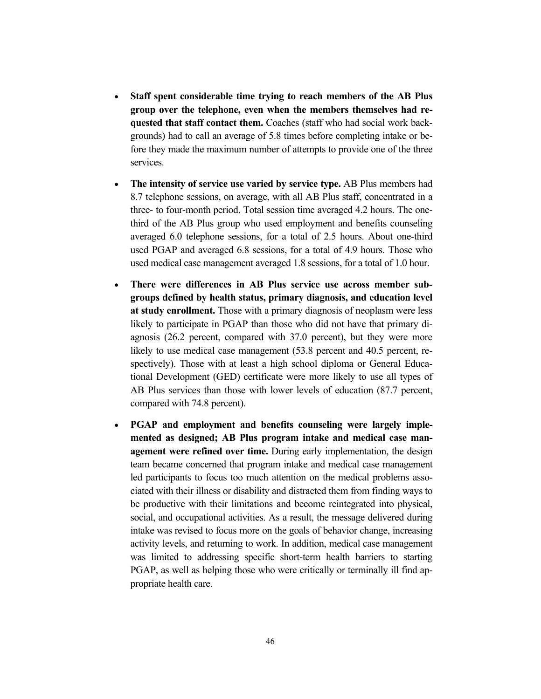- **Staff spent considerable time trying to reach members of the AB Plus group over the telephone, even when the members themselves had requested that staff contact them.** Coaches (staff who had social work backgrounds) had to call an average of 5.8 times before completing intake or before they made the maximum number of attempts to provide one of the three services.
- **The intensity of service use varied by service type.** AB Plus members had 8.7 telephone sessions, on average, with all AB Plus staff, concentrated in a three- to four-month period. Total session time averaged 4.2 hours. The onethird of the AB Plus group who used employment and benefits counseling averaged 6.0 telephone sessions, for a total of 2.5 hours. About one-third used PGAP and averaged 6.8 sessions, for a total of 4.9 hours. Those who used medical case management averaged 1.8 sessions, for a total of 1.0 hour.
- **There were differences in AB Plus service use across member subgroups defined by health status, primary diagnosis, and education level at study enrollment.** Those with a primary diagnosis of neoplasm were less likely to participate in PGAP than those who did not have that primary diagnosis (26.2 percent, compared with 37.0 percent), but they were more likely to use medical case management (53.8 percent and 40.5 percent, respectively). Those with at least a high school diploma or General Educational Development (GED) certificate were more likely to use all types of AB Plus services than those with lower levels of education (87.7 percent, compared with 74.8 percent).
- **PGAP and employment and benefits counseling were largely implemented as designed; AB Plus program intake and medical case management were refined over time.** During early implementation, the design team became concerned that program intake and medical case management led participants to focus too much attention on the medical problems associated with their illness or disability and distracted them from finding ways to be productive with their limitations and become reintegrated into physical, social, and occupational activities. As a result, the message delivered during intake was revised to focus more on the goals of behavior change, increasing activity levels, and returning to work. In addition, medical case management was limited to addressing specific short-term health barriers to starting PGAP, as well as helping those who were critically or terminally ill find appropriate health care.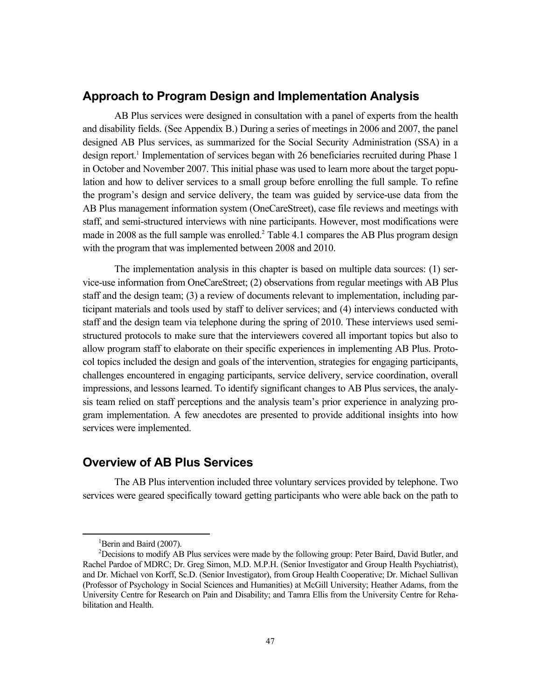## **Approach to Program Design and Implementation Analysis**

AB Plus services were designed in consultation with a panel of experts from the health and disability fields. (See Appendix B.) During a series of meetings in 2006 and 2007, the panel designed AB Plus services, as summarized for the Social Security Administration (SSA) in a design report.<sup>1</sup> Implementation of services began with 26 beneficiaries recruited during Phase 1 in October and November 2007. This initial phase was used to learn more about the target population and how to deliver services to a small group before enrolling the full sample. To refine the program's design and service delivery, the team was guided by service-use data from the AB Plus management information system (OneCareStreet), case file reviews and meetings with staff, and semi-structured interviews with nine participants. However, most modifications were made in 2008 as the full sample was enrolled.<sup>2</sup> Table 4.1 compares the AB Plus program design with the program that was implemented between 2008 and 2010.

The implementation analysis in this chapter is based on multiple data sources: (1) service-use information from OneCareStreet; (2) observations from regular meetings with AB Plus staff and the design team; (3) a review of documents relevant to implementation, including participant materials and tools used by staff to deliver services; and (4) interviews conducted with staff and the design team via telephone during the spring of 2010. These interviews used semistructured protocols to make sure that the interviewers covered all important topics but also to allow program staff to elaborate on their specific experiences in implementing AB Plus. Protocol topics included the design and goals of the intervention, strategies for engaging participants, challenges encountered in engaging participants, service delivery, service coordination, overall impressions, and lessons learned. To identify significant changes to AB Plus services, the analysis team relied on staff perceptions and the analysis team's prior experience in analyzing program implementation. A few anecdotes are presented to provide additional insights into how services were implemented.

## **Overview of AB Plus Services**

The AB Plus intervention included three voluntary services provided by telephone. Two services were geared specifically toward getting participants who were able back on the path to

 $\overline{\phantom{0}1}$  ${}^{1}$ Berin and Baird (2007).

<sup>&</sup>lt;sup>2</sup>Decisions to modify AB Plus services were made by the following group: Peter Baird, David Butler, and Rachel Pardoe of MDRC; Dr. Greg Simon, M.D. M.P.H. (Senior Investigator and Group Health Psychiatrist), and Dr. Michael von Korff, Sc.D. (Senior Investigator), from Group Health Cooperative; Dr. Michael Sullivan (Professor of Psychology in Social Sciences and Humanities) at McGill University; Heather Adams, from the University Centre for Research on Pain and Disability; and Tamra Ellis from the University Centre for Rehabilitation and Health.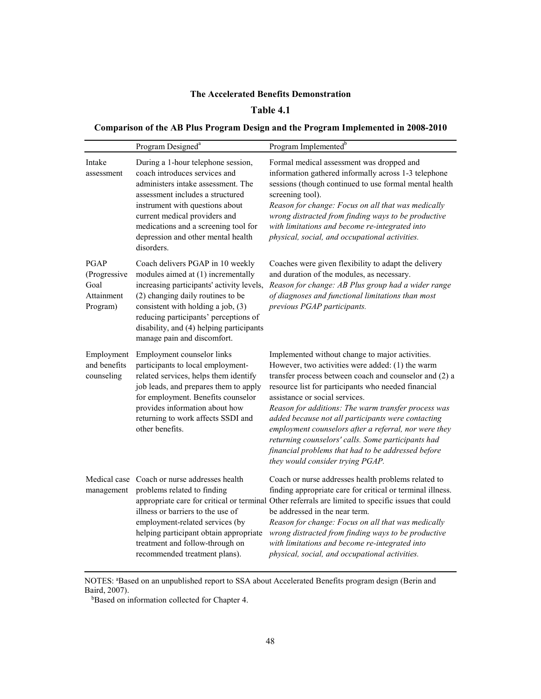### **Table 4.1**

## **Comparison of the AB Plus Program Design and the Program Implemented in 2008-2010**

|                                                        | Program Designed <sup>a</sup>                                                                                                                                                                                                                                                                                      | Program Implemented <sup>b</sup>                                                                                                                                                                                                                                                                                                                                                                                                                                                                                                                                             |
|--------------------------------------------------------|--------------------------------------------------------------------------------------------------------------------------------------------------------------------------------------------------------------------------------------------------------------------------------------------------------------------|------------------------------------------------------------------------------------------------------------------------------------------------------------------------------------------------------------------------------------------------------------------------------------------------------------------------------------------------------------------------------------------------------------------------------------------------------------------------------------------------------------------------------------------------------------------------------|
| Intake<br>assessment                                   | During a 1-hour telephone session,<br>coach introduces services and<br>administers intake assessment. The<br>assessment includes a structured<br>instrument with questions about<br>current medical providers and<br>medications and a screening tool for<br>depression and other mental health<br>disorders.      | Formal medical assessment was dropped and<br>information gathered informally across 1-3 telephone<br>sessions (though continued to use formal mental health<br>screening tool).<br>Reason for change: Focus on all that was medically<br>wrong distracted from finding ways to be productive<br>with limitations and become re-integrated into<br>physical, social, and occupational activities.                                                                                                                                                                             |
| PGAP<br>(Progressive<br>Goal<br>Attainment<br>Program) | Coach delivers PGAP in 10 weekly<br>modules aimed at (1) incrementally<br>increasing participants' activity levels,<br>(2) changing daily routines to be<br>consistent with holding a job, (3)<br>reducing participants' perceptions of<br>disability, and (4) helping participants<br>manage pain and discomfort. | Coaches were given flexibility to adapt the delivery<br>and duration of the modules, as necessary.<br>Reason for change: AB Plus group had a wider range<br>of diagnoses and functional limitations than most<br>previous PGAP participants.                                                                                                                                                                                                                                                                                                                                 |
| Employment<br>and benefits<br>counseling               | Employment counselor links<br>participants to local employment-<br>related services, helps them identify<br>job leads, and prepares them to apply<br>for employment. Benefits counselor<br>provides information about how<br>returning to work affects SSDI and<br>other benefits.                                 | Implemented without change to major activities.<br>However, two activities were added: (1) the warm<br>transfer process between coach and counselor and (2) a<br>resource list for participants who needed financial<br>assistance or social services.<br>Reason for additions: The warm transfer process was<br>added because not all participants were contacting<br>employment counselors after a referral, nor were they<br>returning counselors' calls. Some participants had<br>financial problems that had to be addressed before<br>they would consider trying PGAP. |
| Medical case<br>management                             | Coach or nurse addresses health<br>problems related to finding<br>illness or barriers to the use of<br>employment-related services (by<br>helping participant obtain appropriate<br>treatment and follow-through on<br>recommended treatment plans).                                                               | Coach or nurse addresses health problems related to<br>finding appropriate care for critical or terminal illness.<br>appropriate care for critical or terminal Other referrals are limited to specific issues that could<br>be addressed in the near term.<br>Reason for change: Focus on all that was medically<br>wrong distracted from finding ways to be productive<br>with limitations and become re-integrated into<br>physical, social, and occupational activities.                                                                                                  |

NOTES: <sup>a</sup>Based on an unpublished report to SSA about Accelerated Benefits program design (Berin and Baird, 2007).

bBased on information collected for Chapter 4.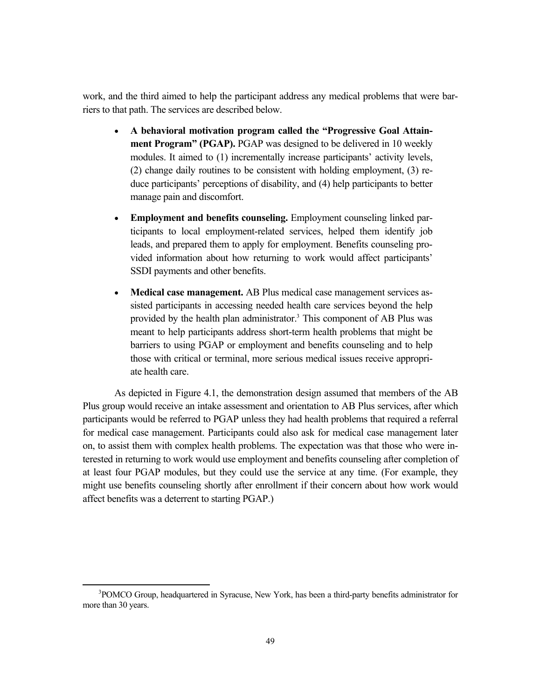work, and the third aimed to help the participant address any medical problems that were barriers to that path. The services are described below.

- **A behavioral motivation program called the "Progressive Goal Attainment Program" (PGAP).** PGAP was designed to be delivered in 10 weekly modules. It aimed to (1) incrementally increase participants' activity levels, (2) change daily routines to be consistent with holding employment, (3) reduce participants' perceptions of disability, and (4) help participants to better manage pain and discomfort.
- **Employment and benefits counseling.** Employment counseling linked participants to local employment-related services, helped them identify job leads, and prepared them to apply for employment. Benefits counseling provided information about how returning to work would affect participants' SSDI payments and other benefits.
- **Medical case management.** AB Plus medical case management services assisted participants in accessing needed health care services beyond the help provided by the health plan administrator.<sup>3</sup> This component of AB Plus was meant to help participants address short-term health problems that might be barriers to using PGAP or employment and benefits counseling and to help those with critical or terminal, more serious medical issues receive appropriate health care.

As depicted in Figure 4.1, the demonstration design assumed that members of the AB Plus group would receive an intake assessment and orientation to AB Plus services, after which participants would be referred to PGAP unless they had health problems that required a referral for medical case management. Participants could also ask for medical case management later on, to assist them with complex health problems. The expectation was that those who were interested in returning to work would use employment and benefits counseling after completion of at least four PGAP modules, but they could use the service at any time. (For example, they might use benefits counseling shortly after enrollment if their concern about how work would affect benefits was a deterrent to starting PGAP.)

 <sup>3</sup>  ${}^{3}$ POMCO Group, headquartered in Syracuse, New York, has been a third-party benefits administrator for more than 30 years.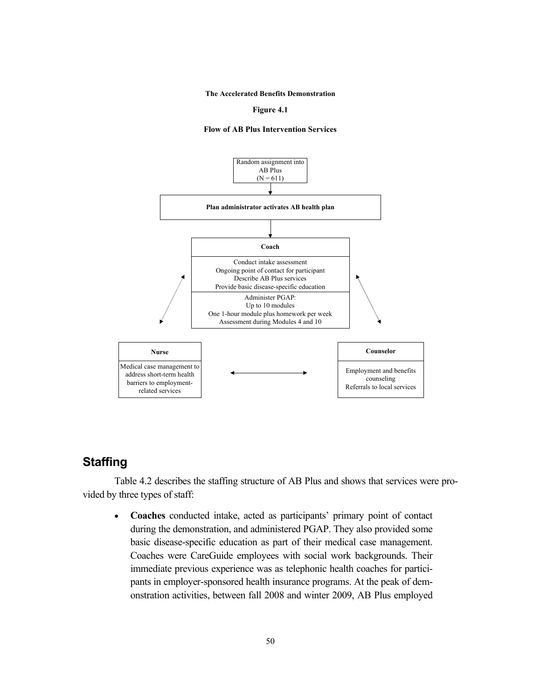**Figure 4.1**





## **Staffing**

Table 4.2 describes the staffing structure of AB Plus and shows that services were provided by three types of staff:

 **Coaches** conducted intake, acted as participants' primary point of contact during the demonstration, and administered PGAP. They also provided some basic disease-specific education as part of their medical case management. Coaches were CareGuide employees with social work backgrounds. Their immediate previous experience was as telephonic health coaches for participants in employer-sponsored health insurance programs. At the peak of demonstration activities, between fall 2008 and winter 2009, AB Plus employed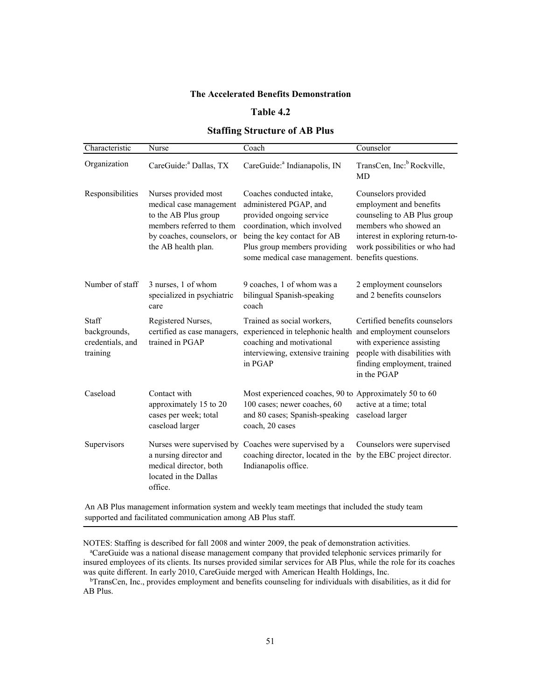#### **Table 4.2**

### **Staffing Structure of AB Plus**

| Characteristic                                        | Nurse                                                                                                                                                    | Coach                                                                                                                                                                                                            | Counselor                                                                                                                                                                                          |
|-------------------------------------------------------|----------------------------------------------------------------------------------------------------------------------------------------------------------|------------------------------------------------------------------------------------------------------------------------------------------------------------------------------------------------------------------|----------------------------------------------------------------------------------------------------------------------------------------------------------------------------------------------------|
| Organization                                          | CareGuide: <sup>a</sup> Dallas, TX                                                                                                                       | CareGuide: <sup>a</sup> Indianapolis, IN                                                                                                                                                                         | TransCen, Inc: <sup>b</sup> Rockville,<br><b>MD</b>                                                                                                                                                |
| Responsibilities                                      | Nurses provided most<br>medical case management<br>to the AB Plus group<br>members referred to them<br>by coaches, counselors, or<br>the AB health plan. | Coaches conducted intake,<br>administered PGAP, and<br>provided ongoing service<br>coordination, which involved<br>being the key contact for AB<br>Plus group members providing<br>some medical case management. | Counselors provided<br>employment and benefits<br>counseling to AB Plus group<br>members who showed an<br>interest in exploring return-to-<br>work possibilities or who had<br>benefits questions. |
| Number of staff                                       | 3 nurses, 1 of whom<br>specialized in psychiatric<br>care                                                                                                | 9 coaches, 1 of whom was a<br>bilingual Spanish-speaking<br>coach                                                                                                                                                | 2 employment counselors<br>and 2 benefits counselors                                                                                                                                               |
| Staff<br>backgrounds,<br>credentials, and<br>training | Registered Nurses,<br>certified as case managers,<br>trained in PGAP                                                                                     | Trained as social workers,<br>experienced in telephonic health<br>coaching and motivational<br>interviewing, extensive training<br>in PGAP                                                                       | Certified benefits counselors<br>and employment counselors<br>with experience assisting<br>people with disabilities with<br>finding employment, trained<br>in the PGAP                             |
| Caseload                                              | Contact with<br>approximately 15 to 20<br>cases per week; total<br>caseload larger                                                                       | Most experienced coaches, 90 to Approximately 50 to 60<br>100 cases; newer coaches, 60<br>and 80 cases; Spanish-speaking<br>coach, 20 cases                                                                      | active at a time; total<br>caseload larger                                                                                                                                                         |
| Supervisors                                           | Nurses were supervised by<br>a nursing director and<br>medical director, both<br>located in the Dallas<br>office.                                        | Coaches were supervised by a<br>coaching director, located in the by the EBC project director.<br>Indianapolis office.                                                                                           | Counselors were supervised                                                                                                                                                                         |

An AB Plus management information system and weekly team meetings that included the study team supported and facilitated communication among AB Plus staff.

NOTES: Staffing is described for fall 2008 and winter 2009, the peak of demonstration activities.

a CareGuide was a national disease management company that provided telephonic services primarily for insured employees of its clients. Its nurses provided similar services for AB Plus, while the role for its coaches was quite different. In early 2010, CareGuide merged with American Health Holdings, Inc.

bTransCen, Inc., provides employment and benefits counseling for individuals with disabilities, as it did for AB Plus.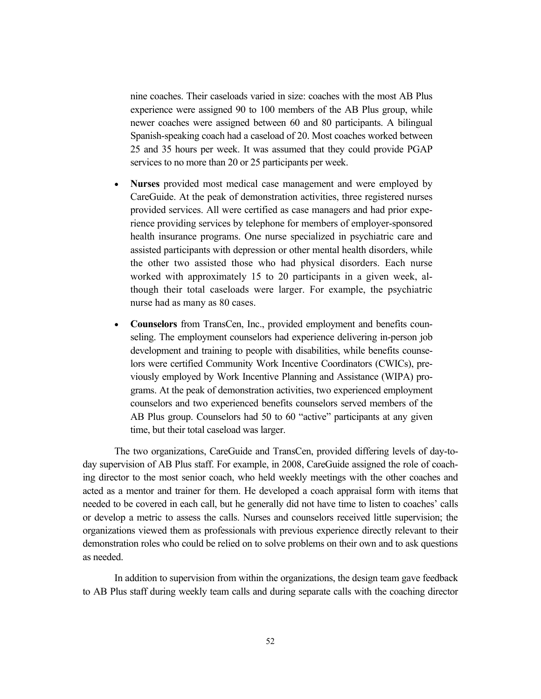nine coaches. Their caseloads varied in size: coaches with the most AB Plus experience were assigned 90 to 100 members of the AB Plus group, while newer coaches were assigned between 60 and 80 participants. A bilingual Spanish-speaking coach had a caseload of 20. Most coaches worked between 25 and 35 hours per week. It was assumed that they could provide PGAP services to no more than 20 or 25 participants per week.

- **Nurses** provided most medical case management and were employed by CareGuide. At the peak of demonstration activities, three registered nurses provided services. All were certified as case managers and had prior experience providing services by telephone for members of employer-sponsored health insurance programs. One nurse specialized in psychiatric care and assisted participants with depression or other mental health disorders, while the other two assisted those who had physical disorders. Each nurse worked with approximately 15 to 20 participants in a given week, although their total caseloads were larger. For example, the psychiatric nurse had as many as 80 cases.
- **Counselors** from TransCen, Inc., provided employment and benefits counseling. The employment counselors had experience delivering in-person job development and training to people with disabilities, while benefits counselors were certified Community Work Incentive Coordinators (CWICs), previously employed by Work Incentive Planning and Assistance (WIPA) programs. At the peak of demonstration activities, two experienced employment counselors and two experienced benefits counselors served members of the AB Plus group. Counselors had 50 to 60 "active" participants at any given time, but their total caseload was larger.

The two organizations, CareGuide and TransCen, provided differing levels of day-today supervision of AB Plus staff. For example, in 2008, CareGuide assigned the role of coaching director to the most senior coach, who held weekly meetings with the other coaches and acted as a mentor and trainer for them. He developed a coach appraisal form with items that needed to be covered in each call, but he generally did not have time to listen to coaches' calls or develop a metric to assess the calls. Nurses and counselors received little supervision; the organizations viewed them as professionals with previous experience directly relevant to their demonstration roles who could be relied on to solve problems on their own and to ask questions as needed.

In addition to supervision from within the organizations, the design team gave feedback to AB Plus staff during weekly team calls and during separate calls with the coaching director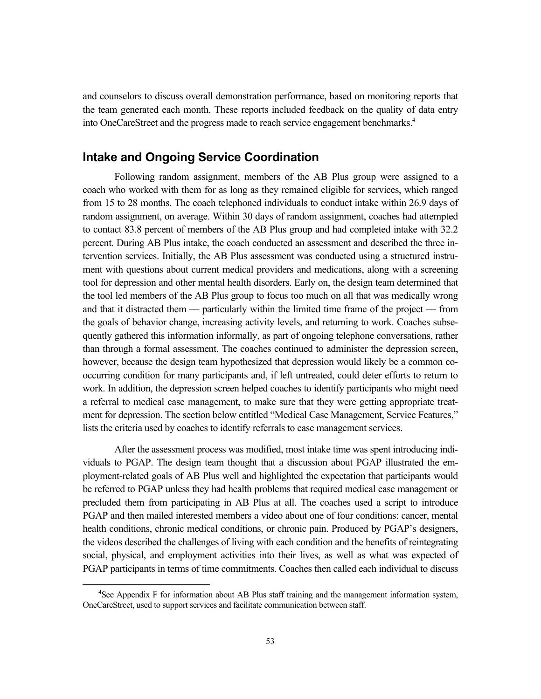and counselors to discuss overall demonstration performance, based on monitoring reports that the team generated each month. These reports included feedback on the quality of data entry into OneCareStreet and the progress made to reach service engagement benchmarks.4

# **Intake and Ongoing Service Coordination**

Following random assignment, members of the AB Plus group were assigned to a coach who worked with them for as long as they remained eligible for services, which ranged from 15 to 28 months. The coach telephoned individuals to conduct intake within 26.9 days of random assignment, on average. Within 30 days of random assignment, coaches had attempted to contact 83.8 percent of members of the AB Plus group and had completed intake with 32.2 percent. During AB Plus intake, the coach conducted an assessment and described the three intervention services. Initially, the AB Plus assessment was conducted using a structured instrument with questions about current medical providers and medications, along with a screening tool for depression and other mental health disorders. Early on, the design team determined that the tool led members of the AB Plus group to focus too much on all that was medically wrong and that it distracted them –– particularly within the limited time frame of the project –– from the goals of behavior change, increasing activity levels, and returning to work. Coaches subsequently gathered this information informally, as part of ongoing telephone conversations, rather than through a formal assessment. The coaches continued to administer the depression screen, however, because the design team hypothesized that depression would likely be a common cooccurring condition for many participants and, if left untreated, could deter efforts to return to work. In addition, the depression screen helped coaches to identify participants who might need a referral to medical case management, to make sure that they were getting appropriate treatment for depression. The section below entitled "Medical Case Management, Service Features," lists the criteria used by coaches to identify referrals to case management services.

After the assessment process was modified, most intake time was spent introducing individuals to PGAP. The design team thought that a discussion about PGAP illustrated the employment-related goals of AB Plus well and highlighted the expectation that participants would be referred to PGAP unless they had health problems that required medical case management or precluded them from participating in AB Plus at all. The coaches used a script to introduce PGAP and then mailed interested members a video about one of four conditions: cancer, mental health conditions, chronic medical conditions, or chronic pain. Produced by PGAP's designers, the videos described the challenges of living with each condition and the benefits of reintegrating social, physical, and employment activities into their lives, as well as what was expected of PGAP participants in terms of time commitments. Coaches then called each individual to discuss

 $\overline{4}$  ${}^{4}$ See Appendix F for information about AB Plus staff training and the management information system, OneCareStreet, used to support services and facilitate communication between staff.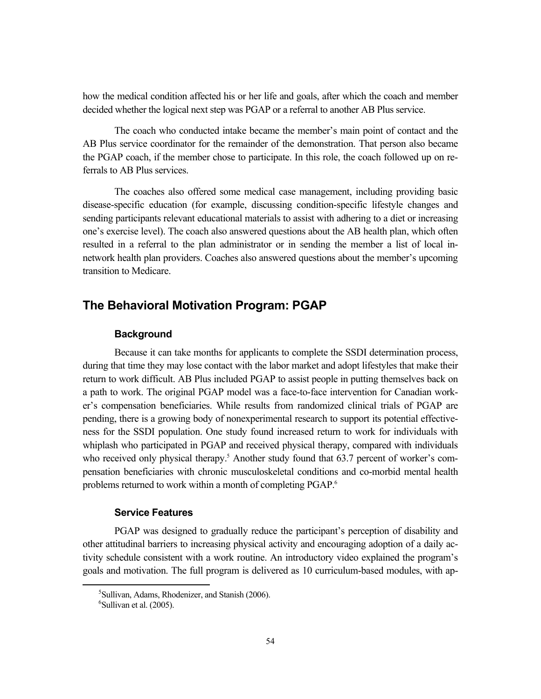how the medical condition affected his or her life and goals, after which the coach and member decided whether the logical next step was PGAP or a referral to another AB Plus service.

The coach who conducted intake became the member's main point of contact and the AB Plus service coordinator for the remainder of the demonstration. That person also became the PGAP coach, if the member chose to participate. In this role, the coach followed up on referrals to AB Plus services.

The coaches also offered some medical case management, including providing basic disease-specific education (for example, discussing condition-specific lifestyle changes and sending participants relevant educational materials to assist with adhering to a diet or increasing one's exercise level). The coach also answered questions about the AB health plan, which often resulted in a referral to the plan administrator or in sending the member a list of local innetwork health plan providers. Coaches also answered questions about the member's upcoming transition to Medicare.

# **The Behavioral Motivation Program: PGAP**

# **Background**

Because it can take months for applicants to complete the SSDI determination process, during that time they may lose contact with the labor market and adopt lifestyles that make their return to work difficult. AB Plus included PGAP to assist people in putting themselves back on a path to work. The original PGAP model was a face-to-face intervention for Canadian worker's compensation beneficiaries. While results from randomized clinical trials of PGAP are pending, there is a growing body of nonexperimental research to support its potential effectiveness for the SSDI population. One study found increased return to work for individuals with whiplash who participated in PGAP and received physical therapy, compared with individuals who received only physical therapy.<sup>5</sup> Another study found that 63.7 percent of worker's compensation beneficiaries with chronic musculoskeletal conditions and co-morbid mental health problems returned to work within a month of completing PGAP.<sup>6</sup>

#### **Service Features**

PGAP was designed to gradually reduce the participant's perception of disability and other attitudinal barriers to increasing physical activity and encouraging adoption of a daily activity schedule consistent with a work routine. An introductory video explained the program's goals and motivation. The full program is delivered as 10 curriculum-based modules, with ap-

 $rac{1}{5}$  ${}^{5}$ Sullivan, Adams, Rhodenizer, and Stanish (2006).  $<sup>6</sup>$ Sullivan et al. (2005).</sup>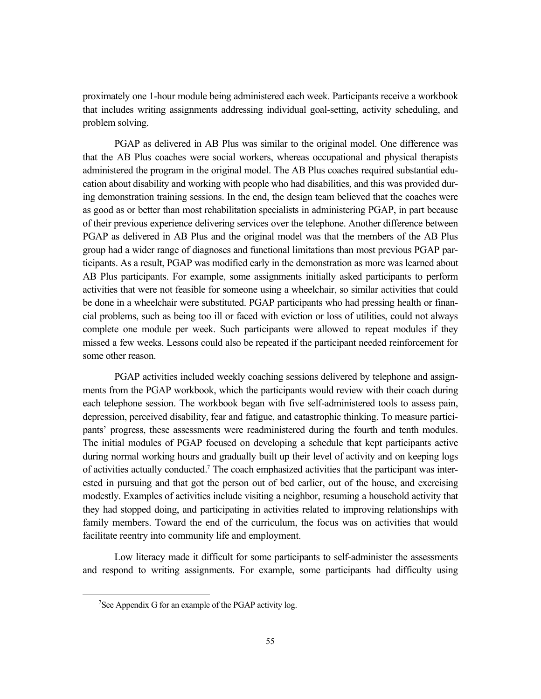proximately one 1-hour module being administered each week. Participants receive a workbook that includes writing assignments addressing individual goal-setting, activity scheduling, and problem solving.

PGAP as delivered in AB Plus was similar to the original model. One difference was that the AB Plus coaches were social workers, whereas occupational and physical therapists administered the program in the original model. The AB Plus coaches required substantial education about disability and working with people who had disabilities, and this was provided during demonstration training sessions. In the end, the design team believed that the coaches were as good as or better than most rehabilitation specialists in administering PGAP, in part because of their previous experience delivering services over the telephone. Another difference between PGAP as delivered in AB Plus and the original model was that the members of the AB Plus group had a wider range of diagnoses and functional limitations than most previous PGAP participants. As a result, PGAP was modified early in the demonstration as more was learned about AB Plus participants. For example, some assignments initially asked participants to perform activities that were not feasible for someone using a wheelchair, so similar activities that could be done in a wheelchair were substituted. PGAP participants who had pressing health or financial problems, such as being too ill or faced with eviction or loss of utilities, could not always complete one module per week. Such participants were allowed to repeat modules if they missed a few weeks. Lessons could also be repeated if the participant needed reinforcement for some other reason.

PGAP activities included weekly coaching sessions delivered by telephone and assignments from the PGAP workbook, which the participants would review with their coach during each telephone session. The workbook began with five self-administered tools to assess pain, depression, perceived disability, fear and fatigue, and catastrophic thinking. To measure participants' progress, these assessments were readministered during the fourth and tenth modules. The initial modules of PGAP focused on developing a schedule that kept participants active during normal working hours and gradually built up their level of activity and on keeping logs of activities actually conducted.<sup>7</sup> The coach emphasized activities that the participant was interested in pursuing and that got the person out of bed earlier, out of the house, and exercising modestly. Examples of activities include visiting a neighbor, resuming a household activity that they had stopped doing, and participating in activities related to improving relationships with family members. Toward the end of the curriculum, the focus was on activities that would facilitate reentry into community life and employment.

Low literacy made it difficult for some participants to self-administer the assessments and respond to writing assignments. For example, some participants had difficulty using

 $\frac{1}{7}$ <sup>7</sup>See Appendix G for an example of the PGAP activity log.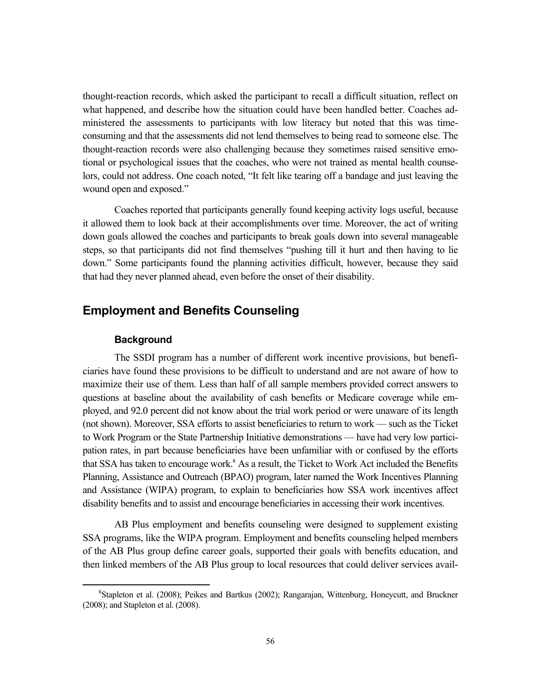thought-reaction records, which asked the participant to recall a difficult situation, reflect on what happened, and describe how the situation could have been handled better. Coaches administered the assessments to participants with low literacy but noted that this was timeconsuming and that the assessments did not lend themselves to being read to someone else. The thought-reaction records were also challenging because they sometimes raised sensitive emotional or psychological issues that the coaches, who were not trained as mental health counselors, could not address. One coach noted, "It felt like tearing off a bandage and just leaving the wound open and exposed."

Coaches reported that participants generally found keeping activity logs useful, because it allowed them to look back at their accomplishments over time. Moreover, the act of writing down goals allowed the coaches and participants to break goals down into several manageable steps, so that participants did not find themselves "pushing till it hurt and then having to lie down." Some participants found the planning activities difficult, however, because they said that had they never planned ahead, even before the onset of their disability.

# **Employment and Benefits Counseling**

### **Background**

The SSDI program has a number of different work incentive provisions, but beneficiaries have found these provisions to be difficult to understand and are not aware of how to maximize their use of them. Less than half of all sample members provided correct answers to questions at baseline about the availability of cash benefits or Medicare coverage while employed, and 92.0 percent did not know about the trial work period or were unaware of its length (not shown). Moreover, SSA efforts to assist beneficiaries to return to work –– such as the Ticket to Work Program or the State Partnership Initiative demonstrations –– have had very low participation rates, in part because beneficiaries have been unfamiliar with or confused by the efforts that SSA has taken to encourage work.<sup>8</sup> As a result, the Ticket to Work Act included the Benefits Planning, Assistance and Outreach (BPAO) program, later named the Work Incentives Planning and Assistance (WIPA) program, to explain to beneficiaries how SSA work incentives affect disability benefits and to assist and encourage beneficiaries in accessing their work incentives.

AB Plus employment and benefits counseling were designed to supplement existing SSA programs, like the WIPA program. Employment and benefits counseling helped members of the AB Plus group define career goals, supported their goals with benefits education, and then linked members of the AB Plus group to local resources that could deliver services avail-

 <sup>8</sup> <sup>8</sup> Stapleton et al. (2008); Peikes and Bartkus (2002); Rangarajan, Wittenburg, Honeycutt, and Bruckner (2008); and Stapleton et al. (2008).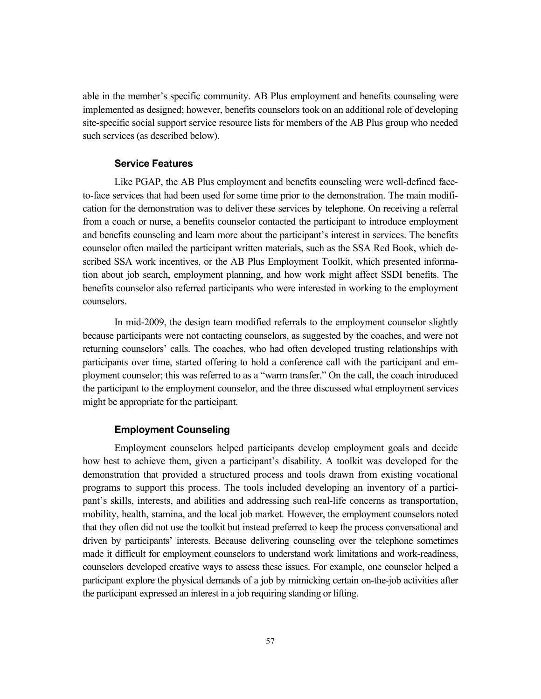able in the member's specific community. AB Plus employment and benefits counseling were implemented as designed; however, benefits counselors took on an additional role of developing site-specific social support service resource lists for members of the AB Plus group who needed such services (as described below).

#### **Service Features**

Like PGAP, the AB Plus employment and benefits counseling were well-defined faceto-face services that had been used for some time prior to the demonstration. The main modification for the demonstration was to deliver these services by telephone. On receiving a referral from a coach or nurse, a benefits counselor contacted the participant to introduce employment and benefits counseling and learn more about the participant's interest in services. The benefits counselor often mailed the participant written materials, such as the SSA Red Book, which described SSA work incentives, or the AB Plus Employment Toolkit, which presented information about job search, employment planning, and how work might affect SSDI benefits. The benefits counselor also referred participants who were interested in working to the employment counselors.

In mid-2009, the design team modified referrals to the employment counselor slightly because participants were not contacting counselors, as suggested by the coaches, and were not returning counselors' calls. The coaches, who had often developed trusting relationships with participants over time, started offering to hold a conference call with the participant and employment counselor; this was referred to as a "warm transfer." On the call, the coach introduced the participant to the employment counselor, and the three discussed what employment services might be appropriate for the participant.

#### **Employment Counseling**

Employment counselors helped participants develop employment goals and decide how best to achieve them, given a participant's disability. A toolkit was developed for the demonstration that provided a structured process and tools drawn from existing vocational programs to support this process. The tools included developing an inventory of a participant's skills, interests, and abilities and addressing such real-life concerns as transportation, mobility, health, stamina, and the local job market. However, the employment counselors noted that they often did not use the toolkit but instead preferred to keep the process conversational and driven by participants' interests. Because delivering counseling over the telephone sometimes made it difficult for employment counselors to understand work limitations and work-readiness, counselors developed creative ways to assess these issues. For example, one counselor helped a participant explore the physical demands of a job by mimicking certain on-the-job activities after the participant expressed an interest in a job requiring standing or lifting.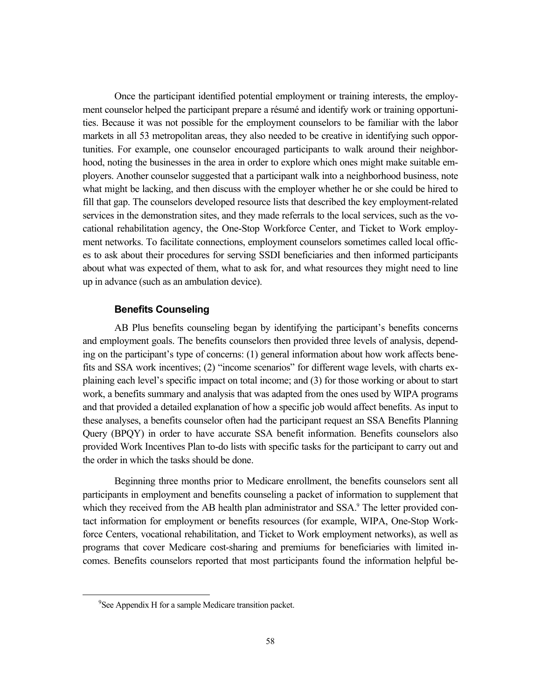Once the participant identified potential employment or training interests, the employment counselor helped the participant prepare a résumé and identify work or training opportunities. Because it was not possible for the employment counselors to be familiar with the labor markets in all 53 metropolitan areas, they also needed to be creative in identifying such opportunities. For example, one counselor encouraged participants to walk around their neighborhood, noting the businesses in the area in order to explore which ones might make suitable employers. Another counselor suggested that a participant walk into a neighborhood business, note what might be lacking, and then discuss with the employer whether he or she could be hired to fill that gap. The counselors developed resource lists that described the key employment-related services in the demonstration sites, and they made referrals to the local services, such as the vocational rehabilitation agency, the One-Stop Workforce Center, and Ticket to Work employment networks. To facilitate connections, employment counselors sometimes called local offices to ask about their procedures for serving SSDI beneficiaries and then informed participants about what was expected of them, what to ask for, and what resources they might need to line up in advance (such as an ambulation device).

# **Benefits Counseling**

AB Plus benefits counseling began by identifying the participant's benefits concerns and employment goals. The benefits counselors then provided three levels of analysis, depending on the participant's type of concerns: (1) general information about how work affects benefits and SSA work incentives; (2) "income scenarios" for different wage levels, with charts explaining each level's specific impact on total income; and (3) for those working or about to start work, a benefits summary and analysis that was adapted from the ones used by WIPA programs and that provided a detailed explanation of how a specific job would affect benefits. As input to these analyses, a benefits counselor often had the participant request an SSA Benefits Planning Query (BPQY) in order to have accurate SSA benefit information. Benefits counselors also provided Work Incentives Plan to-do lists with specific tasks for the participant to carry out and the order in which the tasks should be done.

Beginning three months prior to Medicare enrollment, the benefits counselors sent all participants in employment and benefits counseling a packet of information to supplement that which they received from the AB health plan administrator and SSA.<sup>9</sup> The letter provided contact information for employment or benefits resources (for example, WIPA, One-Stop Workforce Centers, vocational rehabilitation, and Ticket to Work employment networks), as well as programs that cover Medicare cost-sharing and premiums for beneficiaries with limited incomes. Benefits counselors reported that most participants found the information helpful be-

 <sup>9</sup> <sup>9</sup>See Appendix H for a sample Medicare transition packet.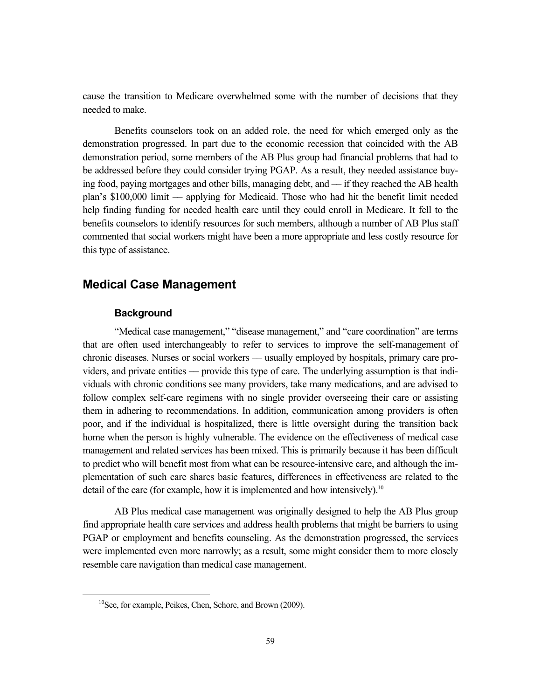cause the transition to Medicare overwhelmed some with the number of decisions that they needed to make.

Benefits counselors took on an added role, the need for which emerged only as the demonstration progressed. In part due to the economic recession that coincided with the AB demonstration period, some members of the AB Plus group had financial problems that had to be addressed before they could consider trying PGAP. As a result, they needed assistance buying food, paying mortgages and other bills, managing debt, and –– if they reached the AB health plan's \$100,000 limit –– applying for Medicaid. Those who had hit the benefit limit needed help finding funding for needed health care until they could enroll in Medicare. It fell to the benefits counselors to identify resources for such members, although a number of AB Plus staff commented that social workers might have been a more appropriate and less costly resource for this type of assistance.

# **Medical Case Management**

#### **Background**

"Medical case management," "disease management," and "care coordination" are terms that are often used interchangeably to refer to services to improve the self-management of chronic diseases. Nurses or social workers –– usually employed by hospitals, primary care providers, and private entities –– provide this type of care. The underlying assumption is that individuals with chronic conditions see many providers, take many medications, and are advised to follow complex self-care regimens with no single provider overseeing their care or assisting them in adhering to recommendations. In addition, communication among providers is often poor, and if the individual is hospitalized, there is little oversight during the transition back home when the person is highly vulnerable. The evidence on the effectiveness of medical case management and related services has been mixed. This is primarily because it has been difficult to predict who will benefit most from what can be resource-intensive care, and although the implementation of such care shares basic features, differences in effectiveness are related to the detail of the care (for example, how it is implemented and how intensively).<sup>10</sup>

AB Plus medical case management was originally designed to help the AB Plus group find appropriate health care services and address health problems that might be barriers to using PGAP or employment and benefits counseling. As the demonstration progressed, the services were implemented even more narrowly; as a result, some might consider them to more closely resemble care navigation than medical case management.

<sup>&</sup>lt;sup>10</sup>See, for example, Peikes, Chen, Schore, and Brown (2009).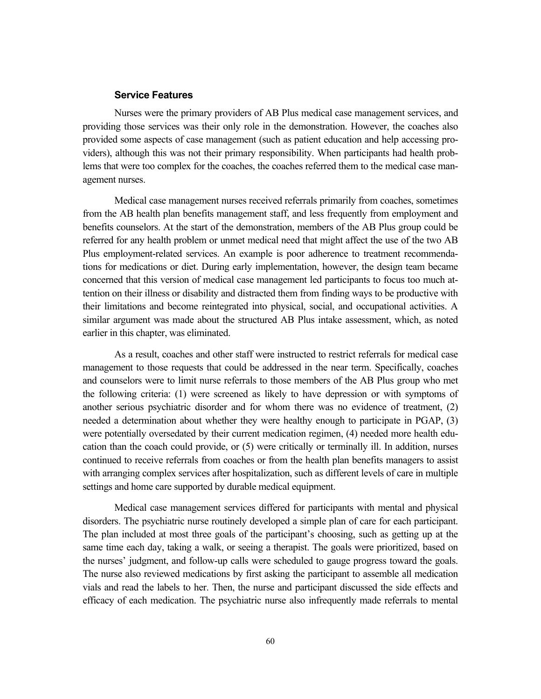#### **Service Features**

Nurses were the primary providers of AB Plus medical case management services, and providing those services was their only role in the demonstration. However, the coaches also provided some aspects of case management (such as patient education and help accessing providers), although this was not their primary responsibility. When participants had health problems that were too complex for the coaches, the coaches referred them to the medical case management nurses.

Medical case management nurses received referrals primarily from coaches, sometimes from the AB health plan benefits management staff, and less frequently from employment and benefits counselors. At the start of the demonstration, members of the AB Plus group could be referred for any health problem or unmet medical need that might affect the use of the two AB Plus employment-related services. An example is poor adherence to treatment recommendations for medications or diet. During early implementation, however, the design team became concerned that this version of medical case management led participants to focus too much attention on their illness or disability and distracted them from finding ways to be productive with their limitations and become reintegrated into physical, social, and occupational activities. A similar argument was made about the structured AB Plus intake assessment, which, as noted earlier in this chapter, was eliminated.

As a result, coaches and other staff were instructed to restrict referrals for medical case management to those requests that could be addressed in the near term. Specifically, coaches and counselors were to limit nurse referrals to those members of the AB Plus group who met the following criteria: (1) were screened as likely to have depression or with symptoms of another serious psychiatric disorder and for whom there was no evidence of treatment, (2) needed a determination about whether they were healthy enough to participate in PGAP, (3) were potentially oversedated by their current medication regimen, (4) needed more health education than the coach could provide, or (5) were critically or terminally ill. In addition, nurses continued to receive referrals from coaches or from the health plan benefits managers to assist with arranging complex services after hospitalization, such as different levels of care in multiple settings and home care supported by durable medical equipment.

Medical case management services differed for participants with mental and physical disorders. The psychiatric nurse routinely developed a simple plan of care for each participant. The plan included at most three goals of the participant's choosing, such as getting up at the same time each day, taking a walk, or seeing a therapist. The goals were prioritized, based on the nurses' judgment, and follow-up calls were scheduled to gauge progress toward the goals. The nurse also reviewed medications by first asking the participant to assemble all medication vials and read the labels to her. Then, the nurse and participant discussed the side effects and efficacy of each medication. The psychiatric nurse also infrequently made referrals to mental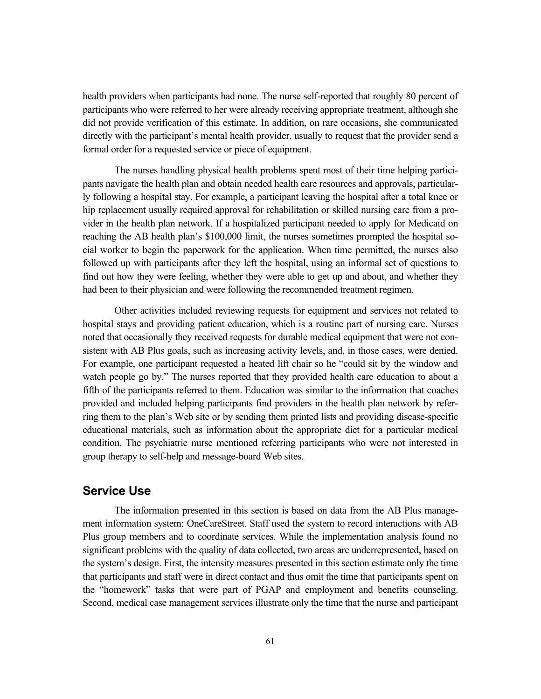health providers when participants had none. The nurse self-reported that roughly 80 percent of participants who were referred to her were already receiving appropriate treatment, although she did not provide verification of this estimate. In addition, on rare occasions, she communicated directly with the participant's mental health provider, usually to request that the provider send a formal order for a requested service or piece of equipment.

The nurses handling physical health problems spent most of their time helping participants navigate the health plan and obtain needed health care resources and approvals, particularly following a hospital stay. For example, a participant leaving the hospital after a total knee or hip replacement usually required approval for rehabilitation or skilled nursing care from a provider in the health plan network. If a hospitalized participant needed to apply for Medicaid on reaching the AB health plan's \$100,000 limit, the nurses sometimes prompted the hospital social worker to begin the paperwork for the application. When time permitted, the nurses also followed up with participants after they left the hospital, using an informal set of questions to find out how they were feeling, whether they were able to get up and about, and whether they had been to their physician and were following the recommended treatment regimen.

Other activities included reviewing requests for equipment and services not related to hospital stays and providing patient education, which is a routine part of nursing care. Nurses noted that occasionally they received requests for durable medical equipment that were not consistent with AB Plus goals, such as increasing activity levels, and, in those cases, were denied. For example, one participant requested a heated lift chair so he "could sit by the window and watch people go by." The nurses reported that they provided health care education to about a fifth of the participants referred to them. Education was similar to the information that coaches provided and included helping participants find providers in the health plan network by referring them to the plan's Web site or by sending them printed lists and providing disease-specific educational materials, such as information about the appropriate diet for a particular medical condition. The psychiatric nurse mentioned referring participants who were not interested in group therapy to self-help and message-board Web sites.

# **Service Use**

The information presented in this section is based on data from the AB Plus management information system: OneCareStreet. Staff used the system to record interactions with AB Plus group members and to coordinate services. While the implementation analysis found no significant problems with the quality of data collected, two areas are underrepresented, based on the system's design. First, the intensity measures presented in this section estimate only the time that participants and staff were in direct contact and thus omit the time that participants spent on the "homework" tasks that were part of PGAP and employment and benefits counseling. Second, medical case management services illustrate only the time that the nurse and participant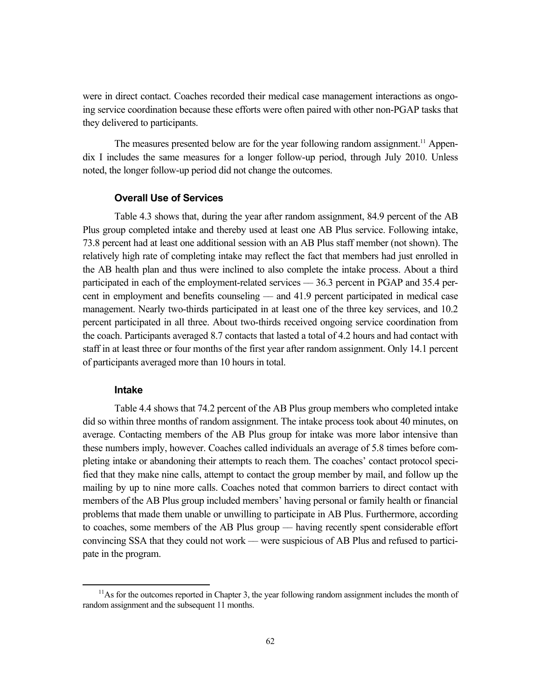were in direct contact. Coaches recorded their medical case management interactions as ongoing service coordination because these efforts were often paired with other non-PGAP tasks that they delivered to participants.

The measures presented below are for the year following random assignment.<sup>11</sup> Appendix I includes the same measures for a longer follow-up period, through July 2010. Unless noted, the longer follow-up period did not change the outcomes.

#### **Overall Use of Services**

Table 4.3 shows that, during the year after random assignment, 84.9 percent of the AB Plus group completed intake and thereby used at least one AB Plus service. Following intake, 73.8 percent had at least one additional session with an AB Plus staff member (not shown). The relatively high rate of completing intake may reflect the fact that members had just enrolled in the AB health plan and thus were inclined to also complete the intake process. About a third participated in each of the employment-related services –– 36.3 percent in PGAP and 35.4 percent in employment and benefits counseling –– and 41.9 percent participated in medical case management. Nearly two-thirds participated in at least one of the three key services, and 10.2 percent participated in all three. About two-thirds received ongoing service coordination from the coach. Participants averaged 8.7 contacts that lasted a total of 4.2 hours and had contact with staff in at least three or four months of the first year after random assignment. Only 14.1 percent of participants averaged more than 10 hours in total.

## **Intake**

Table 4.4 shows that 74.2 percent of the AB Plus group members who completed intake did so within three months of random assignment. The intake process took about 40 minutes, on average. Contacting members of the AB Plus group for intake was more labor intensive than these numbers imply, however. Coaches called individuals an average of 5.8 times before completing intake or abandoning their attempts to reach them. The coaches' contact protocol specified that they make nine calls, attempt to contact the group member by mail, and follow up the mailing by up to nine more calls. Coaches noted that common barriers to direct contact with members of the AB Plus group included members' having personal or family health or financial problems that made them unable or unwilling to participate in AB Plus. Furthermore, according to coaches, some members of the AB Plus group –– having recently spent considerable effort convincing SSA that they could not work –– were suspicious of AB Plus and refused to participate in the program.

 $11$ As for the outcomes reported in Chapter 3, the year following random assignment includes the month of random assignment and the subsequent 11 months.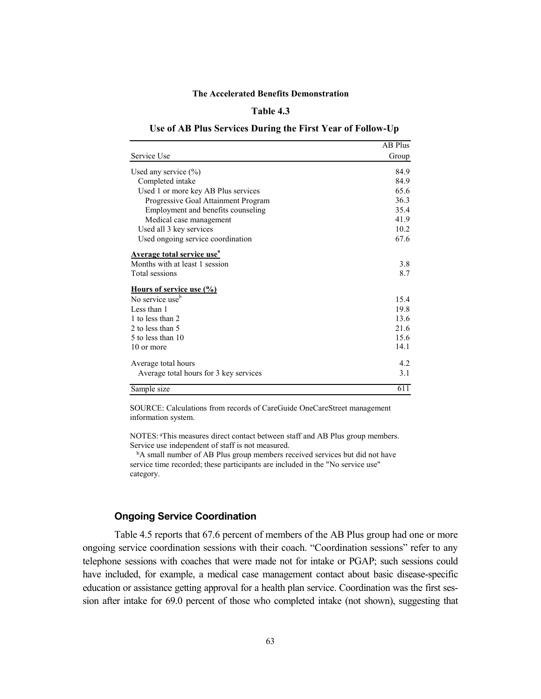#### **Table 4.3**

#### **Use of AB Plus Services During the First Year of Follow-Up**

|                                              | <b>AB Plus</b> |
|----------------------------------------------|----------------|
| Service Use                                  | Group          |
| Used any service $(\% )$                     | 84.9           |
| Completed intake                             | 84.9           |
| Used 1 or more key AB Plus services          | 65.6           |
| Progressive Goal Attainment Program          | 36.3           |
| Employment and benefits counseling           | 35.4           |
| Medical case management                      | 41.9           |
| Used all 3 key services                      | 10.2           |
| Used ongoing service coordination            | 67.6           |
| <b>Average total service use<sup>a</sup></b> |                |
| Months with at least 1 session               | 3.8            |
| Total sessions                               | 8.7            |
| <u>Hours of service use (%)</u>              |                |
| No service use <sup>b</sup>                  | 15.4           |
| Less than 1                                  | 19.8           |
| 1 to less than 2                             | 13.6           |
| 2 to less than 5                             | 21.6           |
| 5 to less than 10                            | 15.6           |
| 10 or more                                   | 14.1           |
| Average total hours                          | 4.2            |
| Average total hours for 3 key services       | 3.1            |
| Sample size                                  | 611            |

SOURCE: Calculations from records of CareGuide OneCareStreet management information system.

NOTES: <sup>a</sup> This measures direct contact between staff and AB Plus group members. Service use independent of staff is not measured.

<sup>b</sup>A small number of AB Plus group members received services but did not have service time recorded; these participants are included in the "No service use" category.

# **Ongoing Service Coordination**

Table 4.5 reports that 67.6 percent of members of the AB Plus group had one or more ongoing service coordination sessions with their coach. "Coordination sessions" refer to any telephone sessions with coaches that were made not for intake or PGAP; such sessions could have included, for example, a medical case management contact about basic disease-specific education or assistance getting approval for a health plan service. Coordination was the first session after intake for 69.0 percent of those who completed intake (not shown), suggesting that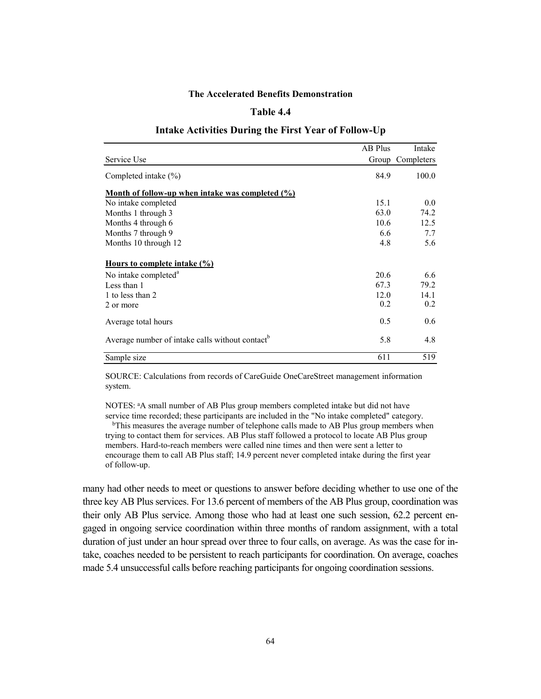# **Table 4.4**

|                                                                                           | AB Plus | Intake           |
|-------------------------------------------------------------------------------------------|---------|------------------|
| Service Use                                                                               |         | Group Completers |
| Completed intake $(\% )$                                                                  | 84.9    | 100.0            |
| <u>Month of follow-up when intake was completed <math>\left(\frac{0}{0}\right)</math></u> |         |                  |
| No intake completed                                                                       | 15.1    | 0.0              |
| Months 1 through 3                                                                        | 63.0    | 74.2             |
| Months 4 through 6                                                                        | 10.6    | 12.5             |
| Months 7 through 9                                                                        | 6.6     | 7.7              |
| Months 10 through 12                                                                      | 4.8     | 5.6              |
| Hours to complete intake (%)                                                              |         |                  |
| No intake completed <sup>a</sup>                                                          | 20.6    | 6.6              |
| Less than 1                                                                               | 67.3    | 79.2             |
| 1 to less than 2                                                                          | 12.0    | 14.1             |
| 2 or more                                                                                 | 0.2     | 0.2              |
| Average total hours                                                                       | 0.5     | 0.6              |
| Average number of intake calls without contact <sup>b</sup>                               | 5.8     | 4.8              |
| Sample size                                                                               | 611     | 519              |

#### **Intake Activities During the First Year of Follow-Up**

SOURCE: Calculations from records of CareGuide OneCareStreet management information system.

NOTES: <sup>a</sup> A small number of AB Plus group members completed intake but did not have service time recorded; these participants are included in the "No intake completed" category.

bThis measures the average number of telephone calls made to AB Plus group members when trying to contact them for services. AB Plus staff followed a protocol to locate AB Plus group members. Hard-to-reach members were called nine times and then were sent a letter to encourage them to call AB Plus staff; 14.9 percent never completed intake during the first year of follow-up.

many had other needs to meet or questions to answer before deciding whether to use one of the three key AB Plus services. For 13.6 percent of members of the AB Plus group, coordination was their only AB Plus service. Among those who had at least one such session, 62.2 percent engaged in ongoing service coordination within three months of random assignment, with a total duration of just under an hour spread over three to four calls, on average. As was the case for intake, coaches needed to be persistent to reach participants for coordination. On average, coaches made 5.4 unsuccessful calls before reaching participants for ongoing coordination sessions.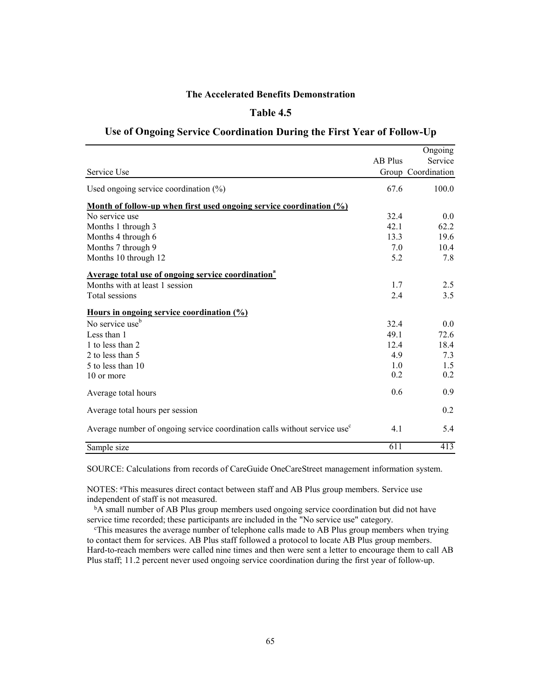# **Table 4.5**

# **Use of Ongoing Service Coordination During the First Year of Follow-Up**

|                                                                                          |                | Ongoing            |
|------------------------------------------------------------------------------------------|----------------|--------------------|
|                                                                                          | <b>AB Plus</b> | Service            |
| Service Use                                                                              |                | Group Coordination |
| Used ongoing service coordination $(\%)$                                                 | 67.6           | 100.0              |
| <u>Month of follow-up when first used ongoing service coordination <math>(\%)</math></u> |                |                    |
| No service use                                                                           | 32.4           | 0.0                |
| Months 1 through 3                                                                       | 42.1           | 62.2               |
| Months 4 through 6                                                                       | 13.3           | 19.6               |
| Months 7 through 9                                                                       | 7.0            | 10.4               |
| Months 10 through 12                                                                     | 5.2            | 7.8                |
| <b>Average total use of ongoing service coordination</b> <sup>ª</sup>                    |                |                    |
| Months with at least 1 session                                                           | 1.7            | 2.5                |
| Total sessions                                                                           | 2.4            | 3.5                |
| Hours in ongoing service coordination (%)                                                |                |                    |
| No service use <sup>b</sup>                                                              | 32.4           | 0.0                |
| Less than 1                                                                              | 49.1           | 72.6               |
| 1 to less than 2                                                                         | 12.4           | 18.4               |
| 2 to less than 5                                                                         | 4.9            | 7.3                |
| 5 to less than 10                                                                        | 1.0            | 1.5                |
| 10 or more                                                                               | 0.2            | 0.2                |
| Average total hours                                                                      | 0.6            | 0.9                |
| Average total hours per session                                                          |                | 0.2                |
| Average number of ongoing service coordination calls without service use <sup>c</sup>    | 4.1            | 5.4                |
| Sample size                                                                              | 611            | 413                |

SOURCE: Calculations from records of CareGuide OneCareStreet management information system.

NOTES: <sup>a</sup> This measures direct contact between staff and AB Plus group members. Service use independent of staff is not measured.

<sup>b</sup>A small number of AB Plus group members used ongoing service coordination but did not have service time recorded; these participants are included in the "No service use" category.

c This measures the average number of telephone calls made to AB Plus group members when trying to contact them for services. AB Plus staff followed a protocol to locate AB Plus group members. Hard-to-reach members were called nine times and then were sent a letter to encourage them to call AB Plus staff; 11.2 percent never used ongoing service coordination during the first year of follow-up.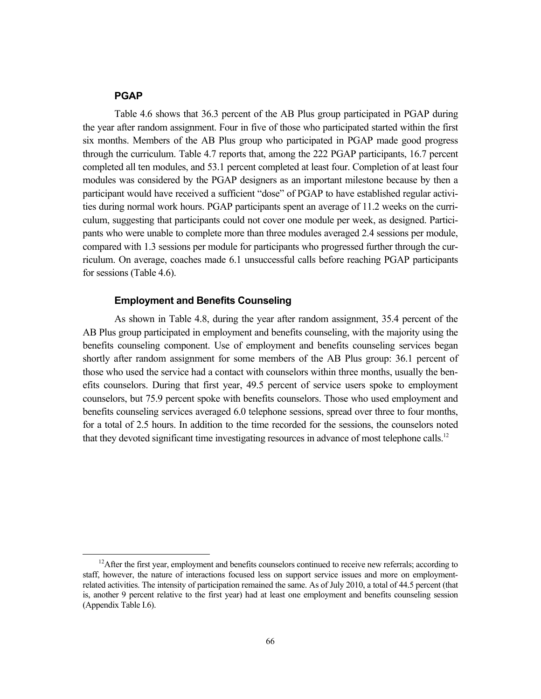#### **PGAP**

Table 4.6 shows that 36.3 percent of the AB Plus group participated in PGAP during the year after random assignment. Four in five of those who participated started within the first six months. Members of the AB Plus group who participated in PGAP made good progress through the curriculum. Table 4.7 reports that, among the 222 PGAP participants, 16.7 percent completed all ten modules, and 53.1 percent completed at least four. Completion of at least four modules was considered by the PGAP designers as an important milestone because by then a participant would have received a sufficient "dose" of PGAP to have established regular activities during normal work hours. PGAP participants spent an average of 11.2 weeks on the curriculum, suggesting that participants could not cover one module per week, as designed. Participants who were unable to complete more than three modules averaged 2.4 sessions per module, compared with 1.3 sessions per module for participants who progressed further through the curriculum. On average, coaches made 6.1 unsuccessful calls before reaching PGAP participants for sessions (Table 4.6).

# **Employment and Benefits Counseling**

As shown in Table 4.8, during the year after random assignment, 35.4 percent of the AB Plus group participated in employment and benefits counseling, with the majority using the benefits counseling component. Use of employment and benefits counseling services began shortly after random assignment for some members of the AB Plus group: 36.1 percent of those who used the service had a contact with counselors within three months, usually the benefits counselors. During that first year, 49.5 percent of service users spoke to employment counselors, but 75.9 percent spoke with benefits counselors. Those who used employment and benefits counseling services averaged 6.0 telephone sessions, spread over three to four months, for a total of 2.5 hours. In addition to the time recorded for the sessions, the counselors noted that they devoted significant time investigating resources in advance of most telephone calls.<sup>12</sup>

 $12$ After the first year, employment and benefits counselors continued to receive new referrals; according to staff, however, the nature of interactions focused less on support service issues and more on employmentrelated activities. The intensity of participation remained the same. As of July 2010, a total of 44.5 percent (that is, another 9 percent relative to the first year) had at least one employment and benefits counseling session (Appendix Table I.6).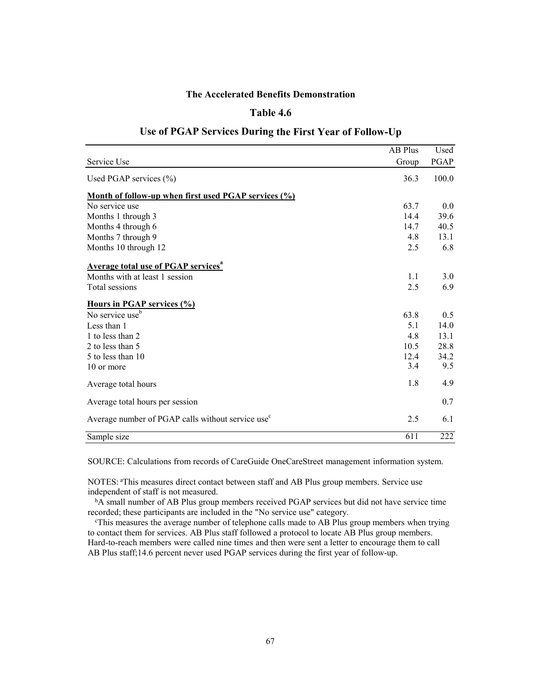# **Table 4.6**

|                                                               | AB Plus | Used             |
|---------------------------------------------------------------|---------|------------------|
| Service Use                                                   | Group   | PGAP             |
| Used PGAP services $(\% )$                                    | 36.3    | 100.0            |
| Month of follow-up when first used PGAP services (%)          |         |                  |
| No service use                                                | 63.7    | 0.0              |
| Months 1 through 3                                            | 14.4    | 39.6             |
| Months 4 through 6                                            | 14.7    | 40.5             |
| Months 7 through 9                                            | 4.8     | 13.1             |
| Months 10 through 12                                          | 2.5     | 6.8              |
| <b>Average total use of PGAP services</b> <sup>a</sup>        |         |                  |
| Months with at least 1 session                                | 1.1     | 3.0              |
| Total sessions                                                | 2.5     | 6.9              |
| Hours in PGAP services (%)                                    |         |                  |
| No service use <sup>b</sup>                                   | 63.8    | 0.5              |
| Less than 1                                                   | 5.1     | 14.0             |
| 1 to less than 2                                              | 4.8     | 13.1             |
| 2 to less than 5                                              | 10.5    | 28.8             |
| 5 to less than 10                                             | 12.4    | 34.2             |
| 10 or more                                                    | 3.4     | 9.5              |
| Average total hours                                           | 1.8     | 4.9              |
| Average total hours per session                               |         | 0.7              |
| Average number of PGAP calls without service use <sup>c</sup> | 2.5     | 6.1              |
| Sample size                                                   | 611     | $\overline{222}$ |

# **Use of PGAP Services During the First Year of Follow-Up**

SOURCE: Calculations from records of CareGuide OneCareStreet management information system.

NOTES: <sup>a</sup> This measures direct contact between staff and AB Plus group members. Service use independent of staff is not measured.

b<sub>A</sub> small number of AB Plus group members received PGAP services but did not have service time recorded; these participants are included in the "No service use" category.

c This measures the average number of telephone calls made to AB Plus group members when trying to contact them for services. AB Plus staff followed a protocol to locate AB Plus group members. Hard-to-reach members were called nine times and then were sent a letter to encourage them to call AB Plus staff;14.6 percent never used PGAP services during the first year of follow-up.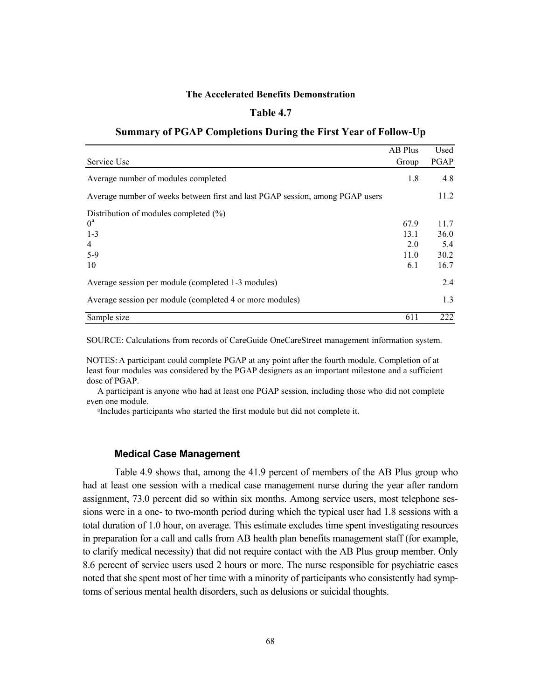# **Table 4.7**

# **Summary of PGAP Completions During the First Year of Follow-Up**

|                                                                               | AB Plus | Used |
|-------------------------------------------------------------------------------|---------|------|
| Service Use                                                                   | Group   | PGAP |
| Average number of modules completed                                           | 1.8     | 4.8  |
| Average number of weeks between first and last PGAP session, among PGAP users |         | 11.2 |
| Distribution of modules completed $(\% )$                                     |         |      |
| $0^a$                                                                         | 67.9    | 11.7 |
| $1 - 3$                                                                       | 13.1    | 36.0 |
| $\overline{4}$                                                                | 2.0     | 5.4  |
| $5-9$                                                                         | 11.0    | 30.2 |
| 10                                                                            | 6.1     | 16.7 |
| Average session per module (completed 1-3 modules)                            |         | 2.4  |
| Average session per module (completed 4 or more modules)                      |         | 1.3  |
| Sample size                                                                   | 611     | 222  |

SOURCE: Calculations from records of CareGuide OneCareStreet management information system.

NOTES: A participant could complete PGAP at any point after the fourth module. Completion of at least four modules was considered by the PGAP designers as an important milestone and a sufficient dose of PGAP.

A participant is anyone who had at least one PGAP session, including those who did not complete even one module.

a Includes participants who started the first module but did not complete it.

#### **Medical Case Management**

Table 4.9 shows that, among the 41.9 percent of members of the AB Plus group who had at least one session with a medical case management nurse during the year after random assignment, 73.0 percent did so within six months. Among service users, most telephone sessions were in a one- to two-month period during which the typical user had 1.8 sessions with a total duration of 1.0 hour, on average. This estimate excludes time spent investigating resources in preparation for a call and calls from AB health plan benefits management staff (for example, to clarify medical necessity) that did not require contact with the AB Plus group member. Only 8.6 percent of service users used 2 hours or more. The nurse responsible for psychiatric cases noted that she spent most of her time with a minority of participants who consistently had symptoms of serious mental health disorders, such as delusions or suicidal thoughts.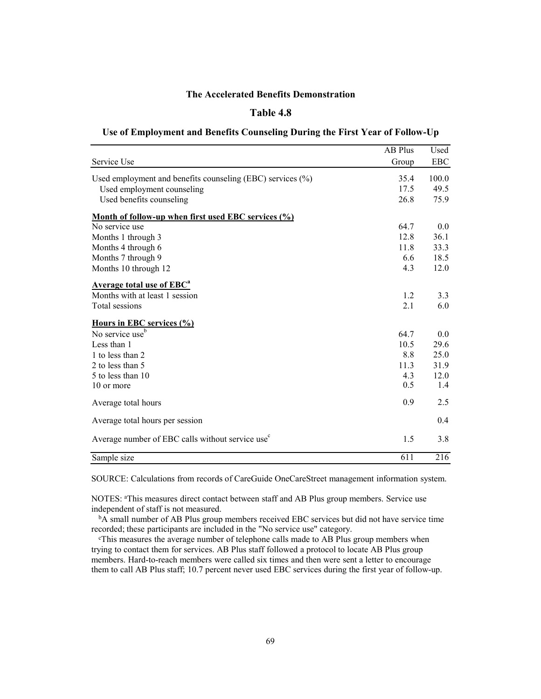# **Table 4.8**

#### **Use of Employment and Benefits Counseling During the First Year of Follow-Up**

|                                                              | AB Plus | Used       |
|--------------------------------------------------------------|---------|------------|
| Service Use                                                  | Group   | <b>EBC</b> |
| Used employment and benefits counseling (EBC) services (%)   | 35.4    | 100.0      |
| Used employment counseling                                   | 17.5    | 49.5       |
| Used benefits counseling                                     | 26.8    | 75.9       |
| Month of follow-up when first used EBC services (%)          |         |            |
| No service use                                               | 64.7    | 0.0        |
| Months 1 through 3                                           | 12.8    | 36.1       |
| Months 4 through 6                                           | 11.8    | 33.3       |
| Months 7 through 9                                           | 6.6     | 18.5       |
| Months 10 through 12                                         | 4.3     | 12.0       |
| <b>Average total use of EBC<sup>a</sup></b>                  |         |            |
| Months with at least 1 session                               | 1.2     | 3.3        |
| Total sessions                                               | 2.1     | 6.0        |
| Hours in EBC services (%)                                    |         |            |
| No service use <sup>b</sup>                                  | 64.7    | 0.0        |
| Less than 1                                                  | 10.5    | 29.6       |
| 1 to less than 2                                             | 8.8     | 25.0       |
| 2 to less than 5                                             | 11.3    | 31.9       |
| 5 to less than 10                                            | 4.3     | 12.0       |
| 10 or more                                                   | 0.5     | 1.4        |
| Average total hours                                          | 0.9     | 2.5        |
| Average total hours per session                              |         | 0.4        |
| Average number of EBC calls without service use <sup>c</sup> | 1.5     | 3.8        |
| Sample size                                                  | 611     | 216        |

SOURCE: Calculations from records of CareGuide OneCareStreet management information system.

NOTES: a This measures direct contact between staff and AB Plus group members. Service use independent of staff is not measured.

bA small number of AB Plus group members received EBC services but did not have service time recorded; these participants are included in the "No service use" category.

c This measures the average number of telephone calls made to AB Plus group members when trying to contact them for services. AB Plus staff followed a protocol to locate AB Plus group members. Hard-to-reach members were called six times and then were sent a letter to encourage them to call AB Plus staff; 10.7 percent never used EBC services during the first year of follow-up.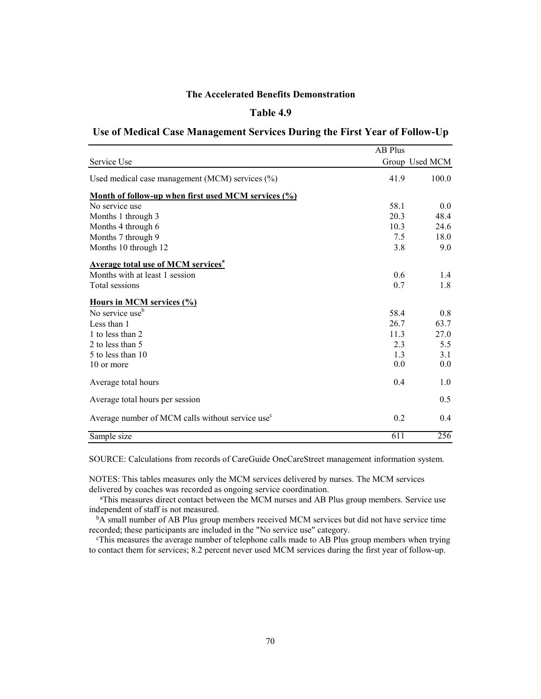# **Table 4.9**

#### **Use of Medical Case Management Services During the First Year of Follow-Up**

|                                                                            | <b>AB Plus</b> |                |
|----------------------------------------------------------------------------|----------------|----------------|
| Service Use                                                                |                | Group Used MCM |
| Used medical case management (MCM) services (%)                            | 41.9           | 100.0          |
| Month of follow-up when first used MCM services $\left(\frac{0}{0}\right)$ |                |                |
| No service use                                                             | 58.1           | 0.0            |
| Months 1 through 3                                                         | 20.3           | 48.4           |
| Months 4 through 6                                                         | 10.3           | 24.6           |
| Months 7 through 9                                                         | 7.5            | 18.0           |
| Months 10 through 12                                                       | 3.8            | 9.0            |
| <b>Average total use of MCM services</b> <sup>a</sup>                      |                |                |
| Months with at least 1 session                                             | 0.6            | 1.4            |
| Total sessions                                                             | 0.7            | 1.8            |
| Hours in MCM services (%)                                                  |                |                |
| No service use <sup>t</sup>                                                | 58.4           | 0.8            |
| Less than 1                                                                | 26.7           | 63.7           |
| 1 to less than 2                                                           | 11.3           | 27.0           |
| 2 to less than 5                                                           | 2.3            | 5.5            |
| 5 to less than 10                                                          | 1.3            | 3.1            |
| 10 or more                                                                 | 0.0            | 0.0            |
| Average total hours                                                        | 0.4            | 1.0            |
| Average total hours per session                                            |                | 0.5            |
| Average number of MCM calls without service use <sup>c</sup>               | 0.2            | 0.4            |
| Sample size                                                                | 611            | 256            |

SOURCE: Calculations from records of CareGuide OneCareStreet management information system.

NOTES: This tables measures only the MCM services delivered by nurses. The MCM services delivered by coaches was recorded as ongoing service coordination.

a This measures direct contact between the MCM nurses and AB Plus group members. Service use independent of staff is not measured.

bA small number of AB Plus group members received MCM services but did not have service time recorded; these participants are included in the "No service use" category.

c This measures the average number of telephone calls made to AB Plus group members when trying to contact them for services; 8.2 percent never used MCM services during the first year of follow-up.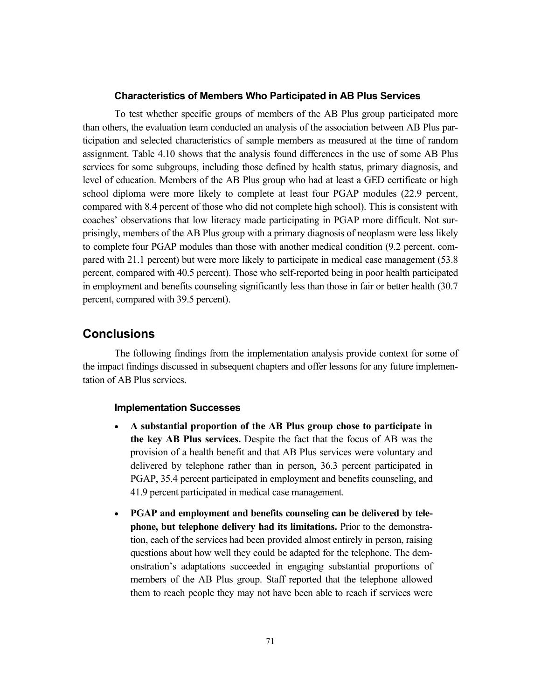#### **Characteristics of Members Who Participated in AB Plus Services**

To test whether specific groups of members of the AB Plus group participated more than others, the evaluation team conducted an analysis of the association between AB Plus participation and selected characteristics of sample members as measured at the time of random assignment. Table 4.10 shows that the analysis found differences in the use of some AB Plus services for some subgroups, including those defined by health status, primary diagnosis, and level of education. Members of the AB Plus group who had at least a GED certificate or high school diploma were more likely to complete at least four PGAP modules (22.9 percent, compared with 8.4 percent of those who did not complete high school). This is consistent with coaches' observations that low literacy made participating in PGAP more difficult. Not surprisingly, members of the AB Plus group with a primary diagnosis of neoplasm were less likely to complete four PGAP modules than those with another medical condition (9.2 percent, compared with 21.1 percent) but were more likely to participate in medical case management (53.8 percent, compared with 40.5 percent). Those who self-reported being in poor health participated in employment and benefits counseling significantly less than those in fair or better health (30.7 percent, compared with 39.5 percent).

# **Conclusions**

The following findings from the implementation analysis provide context for some of the impact findings discussed in subsequent chapters and offer lessons for any future implementation of AB Plus services.

#### **Implementation Successes**

- **A substantial proportion of the AB Plus group chose to participate in the key AB Plus services.** Despite the fact that the focus of AB was the provision of a health benefit and that AB Plus services were voluntary and delivered by telephone rather than in person, 36.3 percent participated in PGAP, 35.4 percent participated in employment and benefits counseling, and 41.9 percent participated in medical case management.
- **PGAP and employment and benefits counseling can be delivered by telephone, but telephone delivery had its limitations.** Prior to the demonstration, each of the services had been provided almost entirely in person, raising questions about how well they could be adapted for the telephone. The demonstration's adaptations succeeded in engaging substantial proportions of members of the AB Plus group. Staff reported that the telephone allowed them to reach people they may not have been able to reach if services were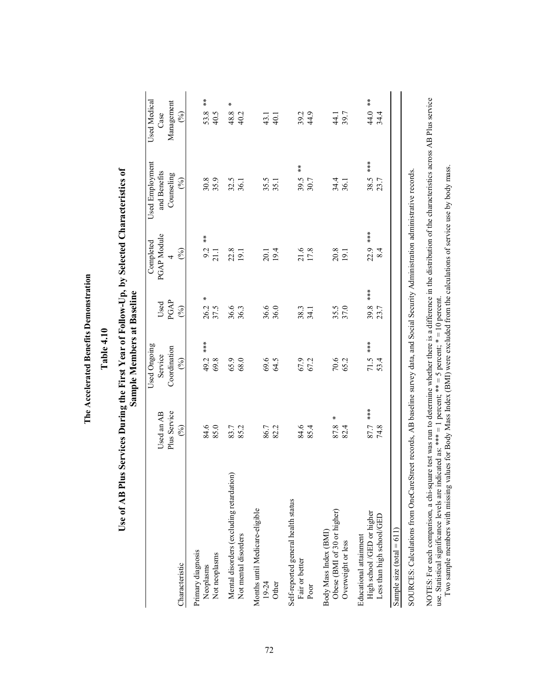| ļ<br>i<br>i         |
|---------------------|
| l                   |
| i<br>ı<br>֚֚֚֡<br>I |
|                     |
|                     |
| j                   |

# Table 4.10 **Table 4.10**

# Use of AB Plus Services During the First Year of Follow-Up, by Selected Characteristics of **Use of AB Plus Services During the First Year of Follow-Up, by Selected Characteristics of**  Sample Members at Baseline **Sample Members at Baseline**

|                                                                                                                                       |                            | Used Ongoing            |              | Completed            | Used Employment             | Used Medical          |
|---------------------------------------------------------------------------------------------------------------------------------------|----------------------------|-------------------------|--------------|----------------------|-----------------------------|-----------------------|
|                                                                                                                                       | Plus Service<br>Used an AB | Coordination<br>Service | PGAP<br>Used | PGAP Module          | and Benefits<br>Counseling  | Management<br>Case    |
| Characteristic                                                                                                                        | $($ % $)$                  | $(\%)$                  | (%)          | $($ % $)$            | $(\%)$                      | $(\%)$                |
| Primary diagnosis<br>Neoplasms                                                                                                        | 84.6                       | 49.2 ***                | ×            | $\frac{*}{*}$<br>9.2 | 30.8                        | $\frac{1}{N}$<br>53.8 |
| Not neoplasms                                                                                                                         | 85.0                       | 69.8                    | 26.2<br>37.5 | 21.1                 | 35.9                        | 40.5                  |
| Mental disorders (excluding retardation)                                                                                              | 83.7                       | 65.9                    | 36.6         | 22.8                 | 32.5                        | $\pmb{\ast}$<br>48.8  |
| Not mental disorders                                                                                                                  | 85.2                       | 68.0                    | 36.3         | 19.1                 | 36.1                        | 40.2                  |
| Months until Medicare-eligible                                                                                                        |                            |                         |              |                      |                             |                       |
| 19-24                                                                                                                                 | 86.7                       | 69.6                    | 36.6         | 20.1                 | 35.5                        | 43.1                  |
| Other                                                                                                                                 | 82.2                       | 64.5                    | 36.0         | 19.4                 | 35.1                        | 40.1                  |
| Self-reported general health status                                                                                                   |                            |                         |              |                      |                             |                       |
| Fair or better                                                                                                                        | 84.6                       | 67.9                    | 38.3         | 21.6                 | $\frac{1}{\lambda}$<br>39.5 | $39.2$<br>44.9        |
| Poor                                                                                                                                  | 85.4                       | 67.2                    | 34.1         | 17.8                 | 30.7                        |                       |
| Body Mass Index (BMI)                                                                                                                 |                            |                         |              |                      |                             |                       |
| Obese (BMI of 30 or higher)                                                                                                           | Χ<br>87.8                  | 70.6                    | 35.5         | 20.8                 | 34.4                        | 44.1<br>39.7          |
| Overweight or less                                                                                                                    | 82.4                       | 65.2                    | 37.0         | 19.1                 | 36.1                        |                       |
| Educational attainment                                                                                                                |                            |                         |              |                      |                             |                       |
| High school /GED or higher                                                                                                            | *** 7.7                    | 71.5 ***                | ***<br>39.8  | 22.9 ***             | ***<br>38.5                 | $\frac{*}{*}$<br>44.0 |
| Less than high school/GED                                                                                                             | 74.8                       | 53.4                    | 23.7         | 8.4                  | 23.7                        | 34.4                  |
| Sample size $(total = 611)$                                                                                                           |                            |                         |              |                      |                             |                       |
| SOURCES: Calculations from OneCareStreet records. AB baseline survey data, and Social Security Administration administrative records. |                            |                         |              |                      |                             |                       |

SOURCES: Calculations from OneCareStreet records, AB baseline survey data, and Social Security Administration administrative records.

NOTES: For each comparison, a chi-square test was run to determine whether there is a difference in the distribution of the characteristics across AB Plus service<br>use. Statistical significance levels are indicated as: \*\*\* NOTES: For each comparison, a chi-square test was run to determine whether there is a difference in the distribution of the characteristics across AB Plus service use. Statistical significance levels are indicated as: \*\*\* = 1 percent; \*\* = 5 percent; \* = 10 percent.

Two sample members with missing values for Body Mass Index (BMI) were excluded from the calculations of service use by body mass.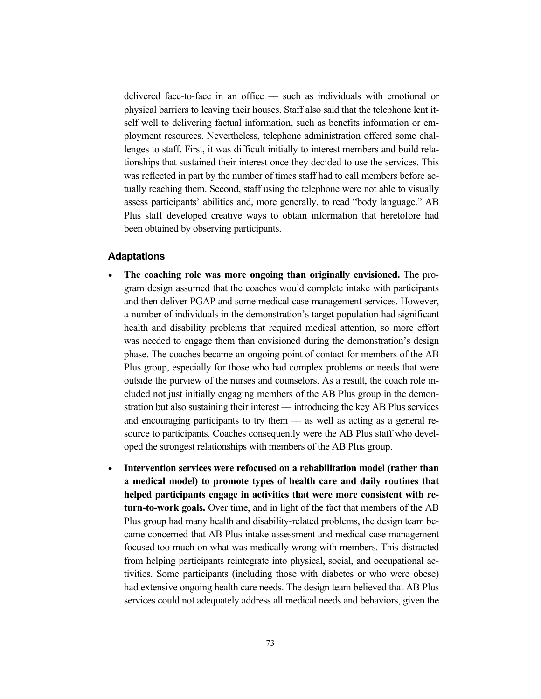delivered face-to-face in an office –– such as individuals with emotional or physical barriers to leaving their houses. Staff also said that the telephone lent itself well to delivering factual information, such as benefits information or employment resources. Nevertheless, telephone administration offered some challenges to staff. First, it was difficult initially to interest members and build relationships that sustained their interest once they decided to use the services. This was reflected in part by the number of times staff had to call members before actually reaching them. Second, staff using the telephone were not able to visually assess participants' abilities and, more generally, to read "body language." AB Plus staff developed creative ways to obtain information that heretofore had been obtained by observing participants.

# **Adaptations**

- **The coaching role was more ongoing than originally envisioned.** The program design assumed that the coaches would complete intake with participants and then deliver PGAP and some medical case management services. However, a number of individuals in the demonstration's target population had significant health and disability problems that required medical attention, so more effort was needed to engage them than envisioned during the demonstration's design phase. The coaches became an ongoing point of contact for members of the AB Plus group, especially for those who had complex problems or needs that were outside the purview of the nurses and counselors. As a result, the coach role included not just initially engaging members of the AB Plus group in the demonstration but also sustaining their interest — introducing the key AB Plus services and encouraging participants to try them — as well as acting as a general resource to participants. Coaches consequently were the AB Plus staff who developed the strongest relationships with members of the AB Plus group.
- **Intervention services were refocused on a rehabilitation model (rather than a medical model) to promote types of health care and daily routines that helped participants engage in activities that were more consistent with return-to-work goals.** Over time, and in light of the fact that members of the AB Plus group had many health and disability-related problems, the design team became concerned that AB Plus intake assessment and medical case management focused too much on what was medically wrong with members. This distracted from helping participants reintegrate into physical, social, and occupational activities. Some participants (including those with diabetes or who were obese) had extensive ongoing health care needs. The design team believed that AB Plus services could not adequately address all medical needs and behaviors, given the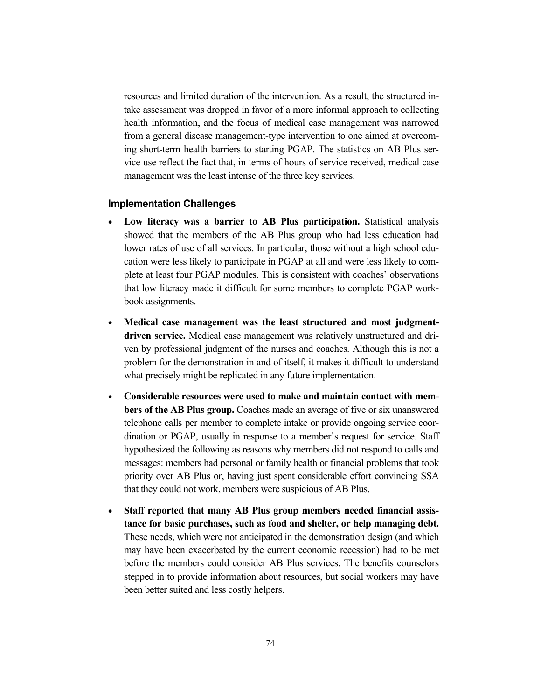resources and limited duration of the intervention. As a result, the structured intake assessment was dropped in favor of a more informal approach to collecting health information, and the focus of medical case management was narrowed from a general disease management-type intervention to one aimed at overcoming short-term health barriers to starting PGAP. The statistics on AB Plus service use reflect the fact that, in terms of hours of service received, medical case management was the least intense of the three key services.

#### **Implementation Challenges**

- **Low literacy was a barrier to AB Plus participation.** Statistical analysis showed that the members of the AB Plus group who had less education had lower rates of use of all services. In particular, those without a high school education were less likely to participate in PGAP at all and were less likely to complete at least four PGAP modules. This is consistent with coaches' observations that low literacy made it difficult for some members to complete PGAP workbook assignments.
- **Medical case management was the least structured and most judgmentdriven service.** Medical case management was relatively unstructured and driven by professional judgment of the nurses and coaches. Although this is not a problem for the demonstration in and of itself, it makes it difficult to understand what precisely might be replicated in any future implementation.
- **Considerable resources were used to make and maintain contact with members of the AB Plus group.** Coaches made an average of five or six unanswered telephone calls per member to complete intake or provide ongoing service coordination or PGAP, usually in response to a member's request for service. Staff hypothesized the following as reasons why members did not respond to calls and messages: members had personal or family health or financial problems that took priority over AB Plus or, having just spent considerable effort convincing SSA that they could not work, members were suspicious of AB Plus.
- **Staff reported that many AB Plus group members needed financial assistance for basic purchases, such as food and shelter, or help managing debt.** These needs, which were not anticipated in the demonstration design (and which may have been exacerbated by the current economic recession) had to be met before the members could consider AB Plus services. The benefits counselors stepped in to provide information about resources, but social workers may have been better suited and less costly helpers.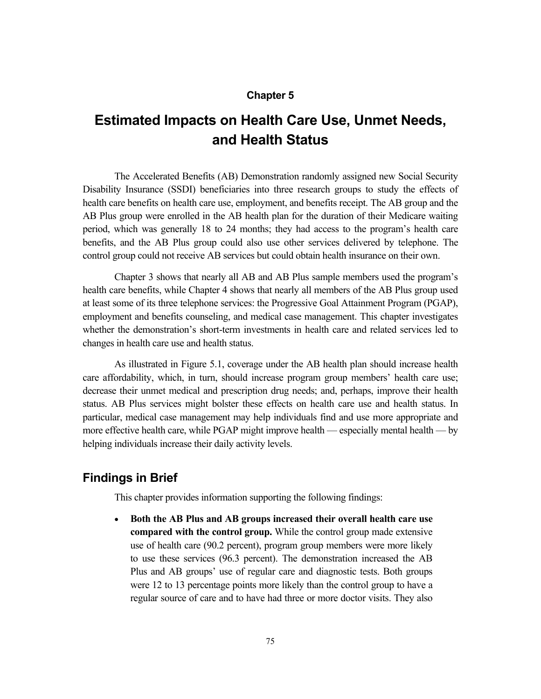# **Chapter 5**

# **Estimated Impacts on Health Care Use, Unmet Needs, and Health Status**

The Accelerated Benefits (AB) Demonstration randomly assigned new Social Security Disability Insurance (SSDI) beneficiaries into three research groups to study the effects of health care benefits on health care use, employment, and benefits receipt. The AB group and the AB Plus group were enrolled in the AB health plan for the duration of their Medicare waiting period, which was generally 18 to 24 months; they had access to the program's health care benefits, and the AB Plus group could also use other services delivered by telephone. The control group could not receive AB services but could obtain health insurance on their own.

Chapter 3 shows that nearly all AB and AB Plus sample members used the program's health care benefits, while Chapter 4 shows that nearly all members of the AB Plus group used at least some of its three telephone services: the Progressive Goal Attainment Program (PGAP), employment and benefits counseling, and medical case management. This chapter investigates whether the demonstration's short-term investments in health care and related services led to changes in health care use and health status.

As illustrated in Figure 5.1, coverage under the AB health plan should increase health care affordability, which, in turn, should increase program group members' health care use; decrease their unmet medical and prescription drug needs; and, perhaps, improve their health status. AB Plus services might bolster these effects on health care use and health status. In particular, medical case management may help individuals find and use more appropriate and more effective health care, while PGAP might improve health — especially mental health — by helping individuals increase their daily activity levels.

# **Findings in Brief**

This chapter provides information supporting the following findings:

 **Both the AB Plus and AB groups increased their overall health care use compared with the control group.** While the control group made extensive use of health care (90.2 percent), program group members were more likely to use these services (96.3 percent). The demonstration increased the AB Plus and AB groups' use of regular care and diagnostic tests. Both groups were 12 to 13 percentage points more likely than the control group to have a regular source of care and to have had three or more doctor visits. They also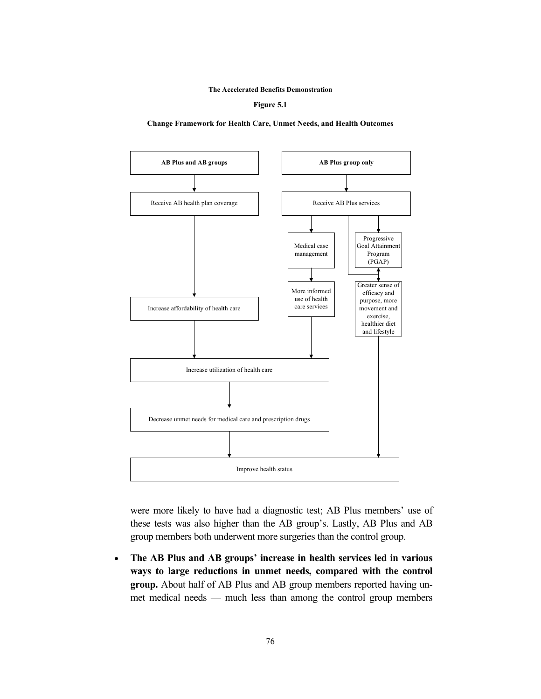**Figure 5.1**

**Change Framework for Health Care, Unmet Needs, and Health Outcomes**



were more likely to have had a diagnostic test; AB Plus members' use of these tests was also higher than the AB group's. Lastly, AB Plus and AB group members both underwent more surgeries than the control group.

 **The AB Plus and AB groups' increase in health services led in various ways to large reductions in unmet needs, compared with the control group.** About half of AB Plus and AB group members reported having unmet medical needs — much less than among the control group members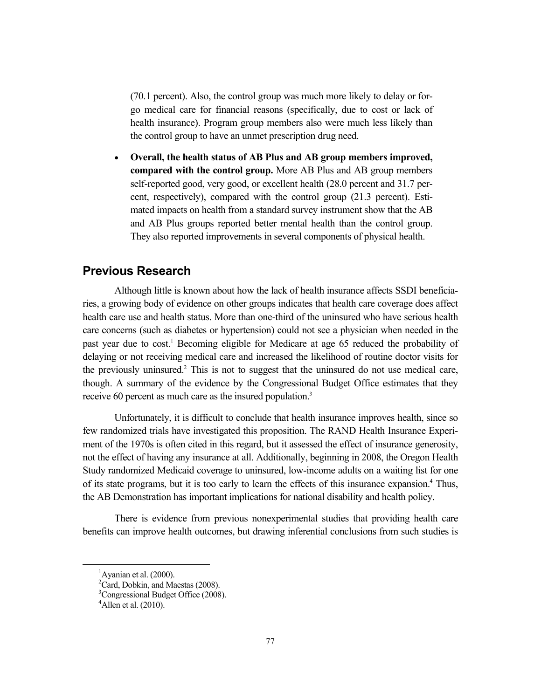(70.1 percent). Also, the control group was much more likely to delay or forgo medical care for financial reasons (specifically, due to cost or lack of health insurance). Program group members also were much less likely than the control group to have an unmet prescription drug need.

 **Overall, the health status of AB Plus and AB group members improved, compared with the control group.** More AB Plus and AB group members self-reported good, very good, or excellent health (28.0 percent and 31.7 percent, respectively), compared with the control group (21.3 percent). Estimated impacts on health from a standard survey instrument show that the AB and AB Plus groups reported better mental health than the control group. They also reported improvements in several components of physical health.

# **Previous Research**

Although little is known about how the lack of health insurance affects SSDI beneficiaries, a growing body of evidence on other groups indicates that health care coverage does affect health care use and health status. More than one-third of the uninsured who have serious health care concerns (such as diabetes or hypertension) could not see a physician when needed in the past year due to cost.<sup>1</sup> Becoming eligible for Medicare at age 65 reduced the probability of delaying or not receiving medical care and increased the likelihood of routine doctor visits for the previously uninsured.<sup>2</sup> This is not to suggest that the uninsured do not use medical care, though. A summary of the evidence by the Congressional Budget Office estimates that they receive 60 percent as much care as the insured population.<sup>3</sup>

Unfortunately, it is difficult to conclude that health insurance improves health, since so few randomized trials have investigated this proposition. The RAND Health Insurance Experiment of the 1970s is often cited in this regard, but it assessed the effect of insurance generosity, not the effect of having any insurance at all. Additionally, beginning in 2008, the Oregon Health Study randomized Medicaid coverage to uninsured, low-income adults on a waiting list for one of its state programs, but it is too early to learn the effects of this insurance expansion.<sup>4</sup> Thus, the AB Demonstration has important implications for national disability and health policy.

There is evidence from previous nonexperimental studies that providing health care benefits can improve health outcomes, but drawing inferential conclusions from such studies is

 $\overline{\phantom{0}1}$  $<sup>1</sup>$ Ayanian et al. (2000).</sup>

<sup>&</sup>lt;sup>2</sup>Card, Dobkin, and Maestas (2008).

<sup>&</sup>lt;sup>3</sup>Congressional Budget Office (2008).

 $^4$ Allen et al. (2010).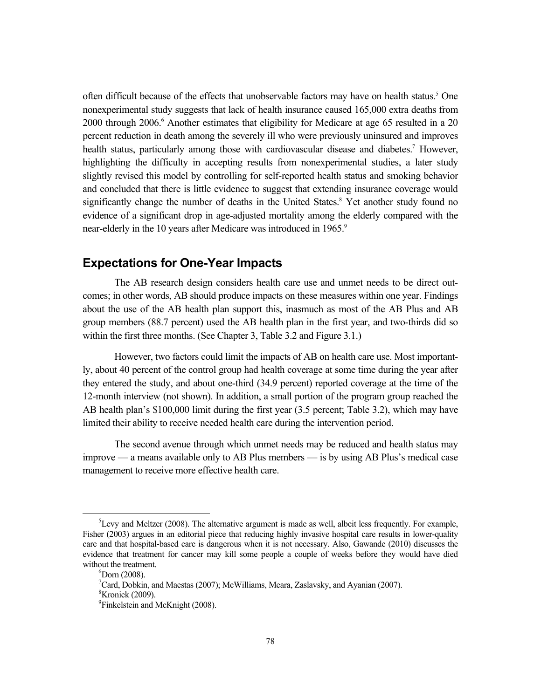often difficult because of the effects that unobservable factors may have on health status.<sup>5</sup> One nonexperimental study suggests that lack of health insurance caused 165,000 extra deaths from 2000 through 2006.<sup>6</sup> Another estimates that eligibility for Medicare at age 65 resulted in a 20 percent reduction in death among the severely ill who were previously uninsured and improves health status, particularly among those with cardiovascular disease and diabetes.<sup>7</sup> However, highlighting the difficulty in accepting results from nonexperimental studies, a later study slightly revised this model by controlling for self-reported health status and smoking behavior and concluded that there is little evidence to suggest that extending insurance coverage would significantly change the number of deaths in the United States.<sup>8</sup> Yet another study found no evidence of a significant drop in age-adjusted mortality among the elderly compared with the near-elderly in the 10 years after Medicare was introduced in 1965.<sup>9</sup>

# **Expectations for One-Year Impacts**

The AB research design considers health care use and unmet needs to be direct outcomes; in other words, AB should produce impacts on these measures within one year. Findings about the use of the AB health plan support this, inasmuch as most of the AB Plus and AB group members (88.7 percent) used the AB health plan in the first year, and two-thirds did so within the first three months. (See Chapter 3, Table 3.2 and Figure 3.1.)

However, two factors could limit the impacts of AB on health care use. Most importantly, about 40 percent of the control group had health coverage at some time during the year after they entered the study, and about one-third (34.9 percent) reported coverage at the time of the 12-month interview (not shown). In addition, a small portion of the program group reached the AB health plan's \$100,000 limit during the first year (3.5 percent; Table 3.2), which may have limited their ability to receive needed health care during the intervention period.

The second avenue through which unmet needs may be reduced and health status may improve — a means available only to AB Plus members — is by using AB Plus's medical case management to receive more effective health care.

 $rac{1}{5}$ <sup>5</sup> Levy and Meltzer (2008). The alternative argument is made as well, albeit less frequently. For example, Fisher (2003) argues in an editorial piece that reducing highly invasive hospital care results in lower-quality care and that hospital-based care is dangerous when it is not necessary. Also, Gawande (2010) discusses the evidence that treatment for cancer may kill some people a couple of weeks before they would have died without the treatment.

 ${}^{6}$ Dorn (2008).

<sup>&</sup>lt;sup>7</sup>Card, Dobkin, and Maestas (2007); McWilliams, Meara, Zaslavsky, and Ayanian (2007).

<sup>&</sup>lt;sup>8</sup>Kronick (2009).

<sup>&</sup>lt;sup>9</sup>Finkelstein and McKnight (2008).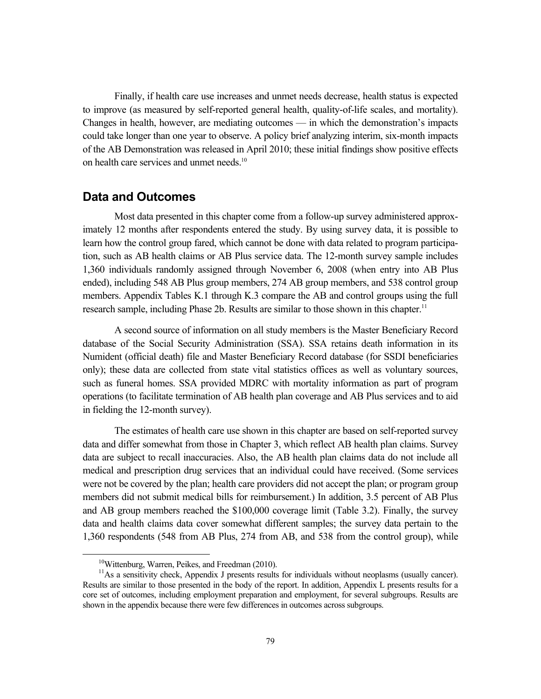Finally, if health care use increases and unmet needs decrease, health status is expected to improve (as measured by self-reported general health, quality-of-life scales, and mortality). Changes in health, however, are mediating outcomes — in which the demonstration's impacts could take longer than one year to observe. A policy brief analyzing interim, six-month impacts of the AB Demonstration was released in April 2010; these initial findings show positive effects on health care services and unmet needs.<sup>10</sup>

# **Data and Outcomes**

Most data presented in this chapter come from a follow-up survey administered approximately 12 months after respondents entered the study. By using survey data, it is possible to learn how the control group fared, which cannot be done with data related to program participation, such as AB health claims or AB Plus service data. The 12-month survey sample includes 1,360 individuals randomly assigned through November 6, 2008 (when entry into AB Plus ended), including 548 AB Plus group members, 274 AB group members, and 538 control group members. Appendix Tables K.1 through K.3 compare the AB and control groups using the full research sample, including Phase 2b. Results are similar to those shown in this chapter.<sup>11</sup>

A second source of information on all study members is the Master Beneficiary Record database of the Social Security Administration (SSA). SSA retains death information in its Numident (official death) file and Master Beneficiary Record database (for SSDI beneficiaries only); these data are collected from state vital statistics offices as well as voluntary sources, such as funeral homes. SSA provided MDRC with mortality information as part of program operations (to facilitate termination of AB health plan coverage and AB Plus services and to aid in fielding the 12-month survey).

The estimates of health care use shown in this chapter are based on self-reported survey data and differ somewhat from those in Chapter 3, which reflect AB health plan claims. Survey data are subject to recall inaccuracies. Also, the AB health plan claims data do not include all medical and prescription drug services that an individual could have received. (Some services were not be covered by the plan; health care providers did not accept the plan; or program group members did not submit medical bills for reimbursement.) In addition, 3.5 percent of AB Plus and AB group members reached the \$100,000 coverage limit (Table 3.2). Finally, the survey data and health claims data cover somewhat different samples; the survey data pertain to the 1,360 respondents (548 from AB Plus, 274 from AB, and 538 from the control group), while

<sup>&</sup>lt;sup>10</sup>Wittenburg, Warren, Peikes, and Freedman (2010).

<sup>&</sup>lt;sup>11</sup>As a sensitivity check, Appendix J presents results for individuals without neoplasms (usually cancer). Results are similar to those presented in the body of the report. In addition, Appendix L presents results for a core set of outcomes, including employment preparation and employment, for several subgroups. Results are shown in the appendix because there were few differences in outcomes across subgroups.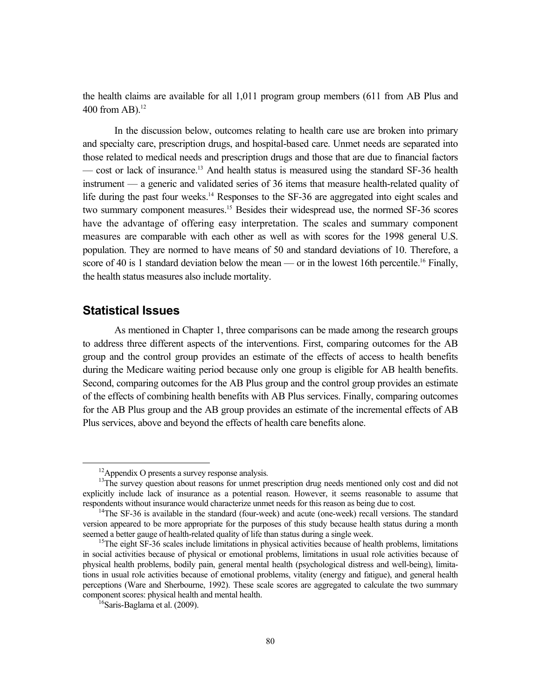the health claims are available for all 1,011 program group members (611 from AB Plus and 400 from AB). $^{12}$ 

In the discussion below, outcomes relating to health care use are broken into primary and specialty care, prescription drugs, and hospital-based care. Unmet needs are separated into those related to medical needs and prescription drugs and those that are due to financial factors — cost or lack of insurance.<sup>13</sup> And health status is measured using the standard SF-36 health instrument — a generic and validated series of 36 items that measure health-related quality of life during the past four weeks.<sup>14</sup> Responses to the SF-36 are aggregated into eight scales and two summary component measures.<sup>15</sup> Besides their widespread use, the normed SF-36 scores have the advantage of offering easy interpretation. The scales and summary component measures are comparable with each other as well as with scores for the 1998 general U.S. population. They are normed to have means of 50 and standard deviations of 10. Therefore, a score of 40 is 1 standard deviation below the mean — or in the lowest 16th percentile.<sup>16</sup> Finally, the health status measures also include mortality.

# **Statistical Issues**

As mentioned in Chapter 1, three comparisons can be made among the research groups to address three different aspects of the interventions. First, comparing outcomes for the AB group and the control group provides an estimate of the effects of access to health benefits during the Medicare waiting period because only one group is eligible for AB health benefits. Second, comparing outcomes for the AB Plus group and the control group provides an estimate of the effects of combining health benefits with AB Plus services. Finally, comparing outcomes for the AB Plus group and the AB group provides an estimate of the incremental effects of AB Plus services, above and beyond the effects of health care benefits alone.

<sup>&</sup>lt;sup>12</sup>Appendix O presents a survey response analysis.<br><sup>13</sup>The survey question about reasons for unmet prescription drug needs mentioned only cost and did not explicitly include lack of insurance as a potential reason. However, it seems reasonable to assume that respondents without insurance would characterize unmet needs for this reason as being due to cost.<br><sup>14</sup>The SF-36 is available in the standard (four-week) and acute (one-week) recall versions. The standard

version appeared to be more appropriate for the purposes of this study because health status during a month seemed a better gauge of health-related quality of life than status during a single week.<br><sup>15</sup>The eight SF-36 scales include limitations in physical activities because of health problems, limitations

in social activities because of physical or emotional problems, limitations in usual role activities because of physical health problems, bodily pain, general mental health (psychological distress and well-being), limitations in usual role activities because of emotional problems, vitality (energy and fatigue), and general health perceptions (Ware and Sherbourne, 1992). These scale scores are aggregated to calculate the two summary component scores: physical health and mental health. 16Saris-Baglama et al. (2009).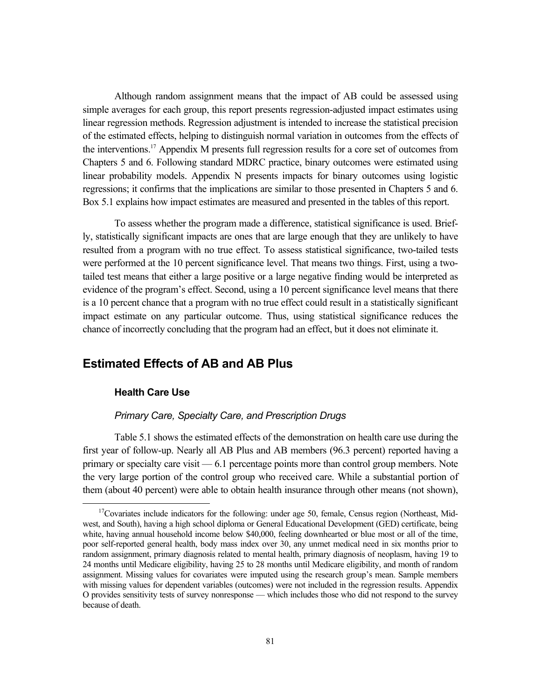Although random assignment means that the impact of AB could be assessed using simple averages for each group, this report presents regression-adjusted impact estimates using linear regression methods. Regression adjustment is intended to increase the statistical precision of the estimated effects, helping to distinguish normal variation in outcomes from the effects of the interventions.17 Appendix M presents full regression results for a core set of outcomes from Chapters 5 and 6. Following standard MDRC practice, binary outcomes were estimated using linear probability models. Appendix N presents impacts for binary outcomes using logistic regressions; it confirms that the implications are similar to those presented in Chapters 5 and 6. Box 5.1 explains how impact estimates are measured and presented in the tables of this report.

To assess whether the program made a difference, statistical significance is used. Briefly, statistically significant impacts are ones that are large enough that they are unlikely to have resulted from a program with no true effect. To assess statistical significance, two-tailed tests were performed at the 10 percent significance level. That means two things. First, using a twotailed test means that either a large positive or a large negative finding would be interpreted as evidence of the program's effect. Second, using a 10 percent significance level means that there is a 10 percent chance that a program with no true effect could result in a statistically significant impact estimate on any particular outcome. Thus, using statistical significance reduces the chance of incorrectly concluding that the program had an effect, but it does not eliminate it.

# **Estimated Effects of AB and AB Plus**

#### **Health Care Use**

#### *Primary Care, Specialty Care, and Prescription Drugs*

Table 5.1 shows the estimated effects of the demonstration on health care use during the first year of follow-up. Nearly all AB Plus and AB members (96.3 percent) reported having a primary or specialty care visit — 6.1 percentage points more than control group members. Note the very large portion of the control group who received care. While a substantial portion of them (about 40 percent) were able to obtain health insurance through other means (not shown),

 $17$ Covariates include indicators for the following: under age 50, female, Census region (Northeast, Midwest, and South), having a high school diploma or General Educational Development (GED) certificate, being white, having annual household income below \$40,000, feeling downhearted or blue most or all of the time, poor self-reported general health, body mass index over 30, any unmet medical need in six months prior to random assignment, primary diagnosis related to mental health, primary diagnosis of neoplasm, having 19 to 24 months until Medicare eligibility, having 25 to 28 months until Medicare eligibility, and month of random assignment. Missing values for covariates were imputed using the research group's mean. Sample members with missing values for dependent variables (outcomes) were not included in the regression results. Appendix O provides sensitivity tests of survey nonresponse — which includes those who did not respond to the survey because of death.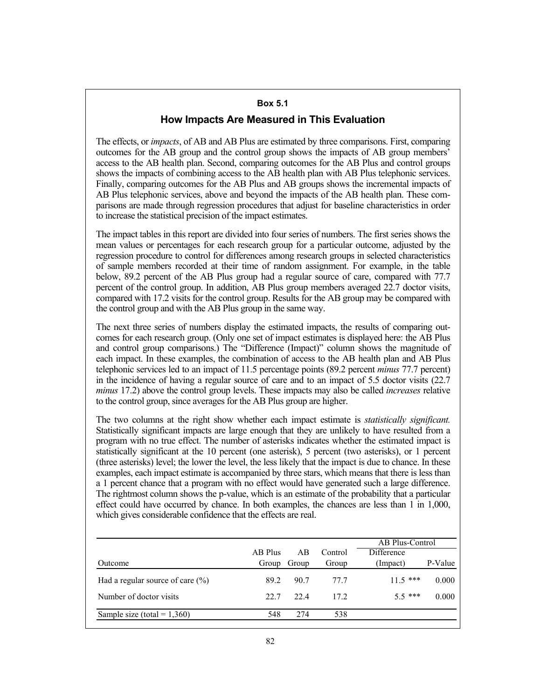# **Box 5.1**

# **How Impacts Are Measured in This Evaluation**

The effects, or *impacts*, of AB and AB Plus are estimated by three comparisons. First, comparing outcomes for the AB group and the control group shows the impacts of AB group members' access to the AB health plan. Second, comparing outcomes for the AB Plus and control groups shows the impacts of combining access to the AB health plan with AB Plus telephonic services. Finally, comparing outcomes for the AB Plus and AB groups shows the incremental impacts of AB Plus telephonic services, above and beyond the impacts of the AB health plan. These comparisons are made through regression procedures that adjust for baseline characteristics in order to increase the statistical precision of the impact estimates.

The impact tables in this report are divided into four series of numbers. The first series shows the mean values or percentages for each research group for a particular outcome, adjusted by the regression procedure to control for differences among research groups in selected characteristics of sample members recorded at their time of random assignment. For example, in the table below, 89.2 percent of the AB Plus group had a regular source of care, compared with 77.7 percent of the control group. In addition, AB Plus group members averaged 22.7 doctor visits, compared with 17.2 visits for the control group. Results for the AB group may be compared with the control group and with the AB Plus group in the same way.

The next three series of numbers display the estimated impacts, the results of comparing outcomes for each research group. (Only one set of impact estimates is displayed here: the AB Plus and control group comparisons.) The "Difference (Impact)" column shows the magnitude of each impact. In these examples, the combination of access to the AB health plan and AB Plus telephonic services led to an impact of 11.5 percentage points (89.2 percent *minus* 77.7 percent) in the incidence of having a regular source of care and to an impact of 5.5 doctor visits (22.7 *minus* 17.2) above the control group levels. These impacts may also be called *increases* relative to the control group, since averages for the AB Plus group are higher.

The two columns at the right show whether each impact estimate is *statistically significant.* Statistically significant impacts are large enough that they are unlikely to have resulted from a program with no true effect. The number of asterisks indicates whether the estimated impact is statistically significant at the 10 percent (one asterisk), 5 percent (two asterisks), or 1 percent (three asterisks) level; the lower the level, the less likely that the impact is due to chance. In these examples, each impact estimate is accompanied by three stars, which means that there is less than a 1 percent chance that a program with no effect would have generated such a large difference. The rightmost column shows the p-value, which is an estimate of the probability that a particular effect could have occurred by chance. In both examples, the chances are less than 1 in 1,000, which gives considerable confidence that the effects are real.

|                                     |         |       |         | AB Plus-Control |         |
|-------------------------------------|---------|-------|---------|-----------------|---------|
|                                     | AB Plus | AB    | Control | Difference      |         |
| Outcome                             | Group   | Group | Group   | (Impact)        | P-Value |
| Had a regular source of care $(\%)$ | 89 2    | 90.7  | 77 7    | $11.5$ ***      | 0.000   |
| Number of doctor visits             | 22.7    | 22.4  | 172     | $5.5***$        | 0.000   |
| Sample size (total = $1,360$ )      | 548     | 274   | 538     |                 |         |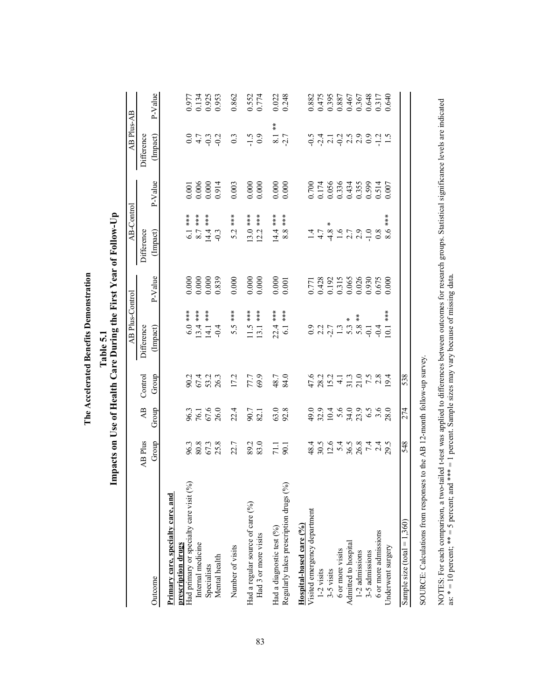|                                                               |                      |                        |                                                                                                   | mpacts on Use of Health Care During the First Year of Follow-Up |                                                                 |                        |                         |                        |                                                    |
|---------------------------------------------------------------|----------------------|------------------------|---------------------------------------------------------------------------------------------------|-----------------------------------------------------------------|-----------------------------------------------------------------|------------------------|-------------------------|------------------------|----------------------------------------------------|
|                                                               |                      |                        |                                                                                                   | <b>AB Plus-Control</b>                                          |                                                                 | AB-Control             |                         | AB Plus-AB             |                                                    |
| Outcome                                                       | AB Plus<br>Group     | $\mathbf{AB}$<br>Group | Group<br>Control                                                                                  | Difference<br>(Impact)                                          | $P-V$ alue                                                      | Difference<br>(Impact) | $P-V$ alue              | (Impact)<br>Difference | P-Value                                            |
| Primary care, specialty care, and                             |                      |                        |                                                                                                   |                                                                 |                                                                 |                        |                         |                        |                                                    |
| Had primary or specialty care visit (%)<br>prescription drugs |                      |                        |                                                                                                   | $6.0***$                                                        |                                                                 | 6.1 ***                |                         |                        |                                                    |
| Internal medicine                                             | 96.3<br>80.3<br>55.8 | 96.3<br>76.1<br>26.0   | 90.1<br>67.1<br>96.26.3                                                                           | $**$<br>13.4                                                    | $\begin{array}{c} 0.000 \\ 0.000 \\ 0.000 \\ 0.839 \end{array}$ | $**$<br>$8.7\,$        | 0.001<br>0.006<br>0.914 | 0 4 9 9<br>0 7 9 9     | 0.977<br>0.134<br>0.925<br>0.953                   |
| Specialists                                                   |                      |                        |                                                                                                   | $**$<br>14.1                                                    |                                                                 | $***$<br>14.4          |                         |                        |                                                    |
| Mental health                                                 |                      |                        |                                                                                                   |                                                                 |                                                                 |                        |                         |                        |                                                    |
| Number of visits                                              | 22.7                 | 22.4                   | 17.2                                                                                              | 5.5 ***                                                         | 0.000                                                           | $\frac{1}{1}$<br>5.2   | 0.003                   | $0.\overline{3}$       | 0.862                                              |
| Had a regular source of care (%)                              |                      |                        | 77.7<br>69.9                                                                                      |                                                                 |                                                                 |                        |                         |                        |                                                    |
| Had 3 or more visits                                          | 89.2<br>83.0         | 90.7                   |                                                                                                   | 11.5 ***<br>13.1 ***                                            | 0.0000                                                          | 13.0 ***<br>12.2 ***   | 0.0000                  | $\frac{6}{5}$          | 0.552<br>0.774                                     |
| Had a diagnostic test (%)                                     |                      |                        |                                                                                                   | $22.4***$                                                       |                                                                 | $14.4$ ***             |                         | $\frac{1}{2}$          |                                                    |
| Regularly takes prescription drugs (%)                        | $\frac{71.1}{90.1}$  | 63.0<br>92.8           | 48.7<br>84.0                                                                                      | $6.1***$                                                        | $0.000$<br>$0.001$                                              | 8.8                    | 0.000                   | $\frac{8.1}{2.7}$      | 0.022<br>0.248                                     |
| Hospital-based care $(%)$                                     |                      |                        |                                                                                                   |                                                                 |                                                                 |                        |                         |                        |                                                    |
| Visited emergency department                                  |                      |                        |                                                                                                   |                                                                 | 0.771<br>0.428<br>0.192<br>0.005<br>0.005<br>0.0075<br>0.000    |                        |                         |                        | 0.882                                              |
| $1-2$ visits<br>$3-5$ visits                                  |                      |                        |                                                                                                   |                                                                 |                                                                 |                        |                         |                        |                                                    |
|                                                               |                      |                        |                                                                                                   |                                                                 |                                                                 | ж                      |                         |                        |                                                    |
| 6 or more visits                                              | 4504584455455455588  |                        | $478.2$<br>$47.3$<br>$47.3$<br>$47.5$<br>$47.5$<br>$47.5$<br>$47.5$<br>$47.5$<br>$47.5$<br>$49.4$ | 0.277798774                                                     |                                                                 | $-44 - 99 - 99$        |                         | いょーこうののこと<br>つうこうこうりー  | 0.475<br>0.395<br>0.367<br>0.367<br>0.517<br>0.548 |
| Admitted to hospital<br>$1-2$ admissions<br>$3-5$ admissions  |                      |                        |                                                                                                   |                                                                 |                                                                 |                        |                         |                        |                                                    |
|                                                               |                      |                        |                                                                                                   | $\frac{*}{*}$                                                   |                                                                 |                        |                         |                        |                                                    |
|                                                               |                      |                        |                                                                                                   |                                                                 |                                                                 |                        |                         |                        |                                                    |
| 6 or more admissions                                          |                      |                        |                                                                                                   |                                                                 |                                                                 |                        |                         |                        |                                                    |
| Underwent surgery                                             |                      |                        |                                                                                                   | $\frac{x}{x}$<br>$\overline{0}$                                 |                                                                 | $*$<br>$*$<br>8.6      |                         |                        |                                                    |
| Sample size (total $= 1,360$ )                                | 548                  | 274                    | 538                                                                                               |                                                                 |                                                                 |                        |                         |                        |                                                    |
|                                                               |                      |                        |                                                                                                   |                                                                 |                                                                 |                        |                         |                        |                                                    |

The Accelerated Benefits Demonstration **The Accelerated Benefits Demonstration**

Table 5.1 **Table 5.1**

SOURCE: Calculations from responses to the AB 12-month follow-up survey. SOURCE: Calculations from responses to the AB 12-month follow-up survey.

NOTES: For each comparison, a two-tailed t-test was applied to differences between outcomes for research groups. Statistical significance levels are indicated as: \* = 10 percent; \*\* = 5 percent; and \*\*\* = 1 percent. Sample NOTES: For each comparison, a two-tailed t-test was applied to differences between outcomes for research groups. Statistical significance levels are indicated as:  $* = 10$  percent;  $* = 5$  percent; and  $** = 1$  percent. Sample sizes may vary because of missing data.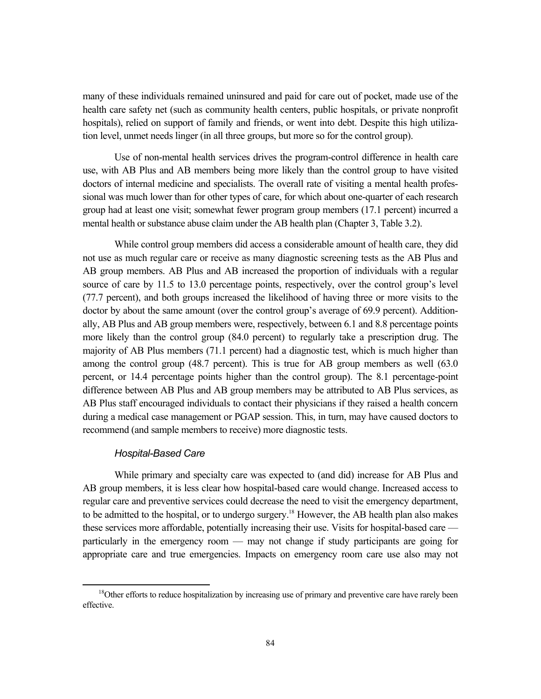many of these individuals remained uninsured and paid for care out of pocket, made use of the health care safety net (such as community health centers, public hospitals, or private nonprofit hospitals), relied on support of family and friends, or went into debt. Despite this high utilization level, unmet needs linger (in all three groups, but more so for the control group).

Use of non-mental health services drives the program-control difference in health care use, with AB Plus and AB members being more likely than the control group to have visited doctors of internal medicine and specialists. The overall rate of visiting a mental health professional was much lower than for other types of care, for which about one-quarter of each research group had at least one visit; somewhat fewer program group members (17.1 percent) incurred a mental health or substance abuse claim under the AB health plan (Chapter 3, Table 3.2).

While control group members did access a considerable amount of health care, they did not use as much regular care or receive as many diagnostic screening tests as the AB Plus and AB group members. AB Plus and AB increased the proportion of individuals with a regular source of care by 11.5 to 13.0 percentage points, respectively, over the control group's level (77.7 percent), and both groups increased the likelihood of having three or more visits to the doctor by about the same amount (over the control group's average of 69.9 percent). Additionally, AB Plus and AB group members were, respectively, between 6.1 and 8.8 percentage points more likely than the control group (84.0 percent) to regularly take a prescription drug. The majority of AB Plus members (71.1 percent) had a diagnostic test, which is much higher than among the control group (48.7 percent). This is true for AB group members as well (63.0 percent, or 14.4 percentage points higher than the control group). The 8.1 percentage-point difference between AB Plus and AB group members may be attributed to AB Plus services, as AB Plus staff encouraged individuals to contact their physicians if they raised a health concern during a medical case management or PGAP session. This, in turn, may have caused doctors to recommend (and sample members to receive) more diagnostic tests.

#### *Hospital-Based Care*

While primary and specialty care was expected to (and did) increase for AB Plus and AB group members, it is less clear how hospital-based care would change. Increased access to regular care and preventive services could decrease the need to visit the emergency department, to be admitted to the hospital, or to undergo surgery.<sup>18</sup> However, the AB health plan also makes these services more affordable, potentially increasing their use. Visits for hospital-based care particularly in the emergency room — may not change if study participants are going for appropriate care and true emergencies. Impacts on emergency room care use also may not

<sup>&</sup>lt;sup>18</sup>Other efforts to reduce hospitalization by increasing use of primary and preventive care have rarely been effective.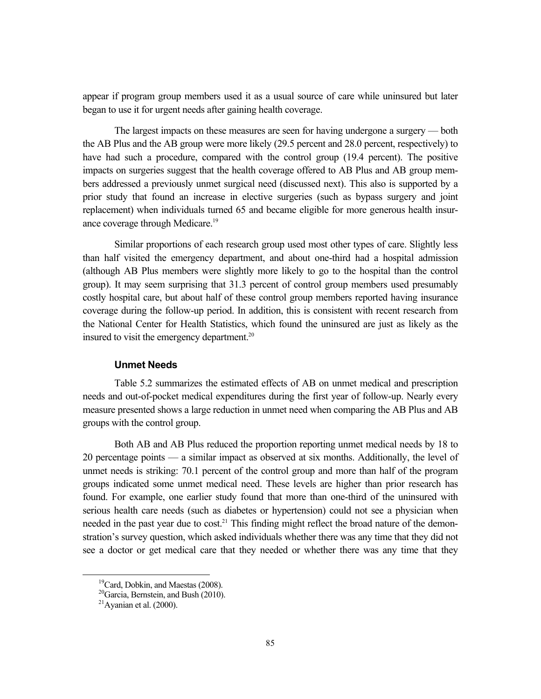appear if program group members used it as a usual source of care while uninsured but later began to use it for urgent needs after gaining health coverage.

The largest impacts on these measures are seen for having undergone a surgery — both the AB Plus and the AB group were more likely (29.5 percent and 28.0 percent, respectively) to have had such a procedure, compared with the control group (19.4 percent). The positive impacts on surgeries suggest that the health coverage offered to AB Plus and AB group members addressed a previously unmet surgical need (discussed next). This also is supported by a prior study that found an increase in elective surgeries (such as bypass surgery and joint replacement) when individuals turned 65 and became eligible for more generous health insurance coverage through Medicare.<sup>19</sup>

Similar proportions of each research group used most other types of care. Slightly less than half visited the emergency department, and about one-third had a hospital admission (although AB Plus members were slightly more likely to go to the hospital than the control group). It may seem surprising that 31.3 percent of control group members used presumably costly hospital care, but about half of these control group members reported having insurance coverage during the follow-up period. In addition, this is consistent with recent research from the National Center for Health Statistics, which found the uninsured are just as likely as the insured to visit the emergency department.<sup>20</sup>

#### **Unmet Needs**

Table 5.2 summarizes the estimated effects of AB on unmet medical and prescription needs and out-of-pocket medical expenditures during the first year of follow-up. Nearly every measure presented shows a large reduction in unmet need when comparing the AB Plus and AB groups with the control group.

Both AB and AB Plus reduced the proportion reporting unmet medical needs by 18 to 20 percentage points — a similar impact as observed at six months. Additionally, the level of unmet needs is striking: 70.1 percent of the control group and more than half of the program groups indicated some unmet medical need. These levels are higher than prior research has found. For example, one earlier study found that more than one-third of the uninsured with serious health care needs (such as diabetes or hypertension) could not see a physician when needed in the past year due to cost.<sup>21</sup> This finding might reflect the broad nature of the demonstration's survey question, which asked individuals whether there was any time that they did not see a doctor or get medical care that they needed or whether there was any time that they

<sup>&</sup>lt;sup>19</sup>Card, Dobkin, and Maestas (2008).

 $20$ Garcia, Bernstein, and Bush (2010).

 $21$ Avanian et al. (2000).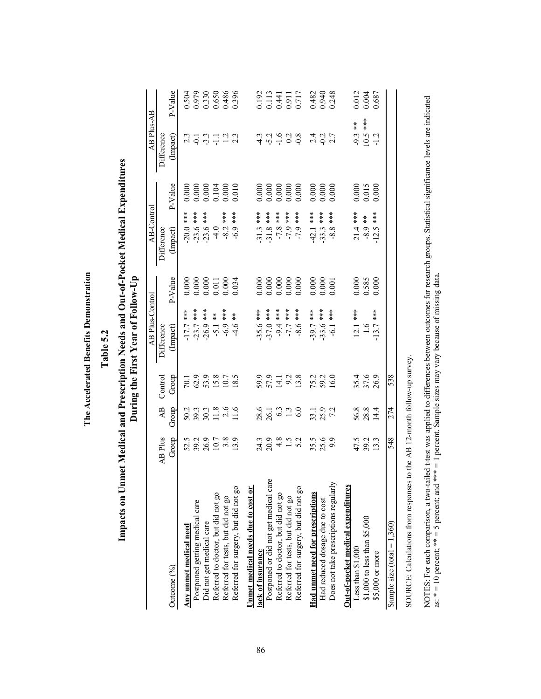| ļ |
|---|
|   |
| Ì |
|   |
|   |
|   |
| I |
|   |
| ſ |
|   |
|   |
| ٤ |
|   |
|   |
|   |
|   |
| ľ |
|   |
|   |
|   |
|   |
| I |
|   |
|   |
| I |
|   |
|   |
|   |
|   |
|   |
| j |
| j |
|   |

Table 5.2 **Table 5.2**

# Impacts on Unmet Medical and Prescription Needs and Out-of-Pocket Medical Expenditures **Impacts on Unmet Medical and Prescription Needs and Out-of-Pocket Medical Expenditures**  During the First Year of Follow-Up **During the First Year of Follow-Up**

|                                       |                         |                                                                                                                                                                                                                                |                                                | AB Plus-Control                         |                                                        | AB-Control                 |                               | AB Plus-AB                               |                                                        |
|---------------------------------------|-------------------------|--------------------------------------------------------------------------------------------------------------------------------------------------------------------------------------------------------------------------------|------------------------------------------------|-----------------------------------------|--------------------------------------------------------|----------------------------|-------------------------------|------------------------------------------|--------------------------------------------------------|
|                                       | AB Plus                 | $\overline{AB}$                                                                                                                                                                                                                | Control                                        | Difference                              |                                                        | Difference                 |                               | Difference                               |                                                        |
| Outcome (%)                           | Group                   | Group                                                                                                                                                                                                                          | Group                                          | (Impact)                                | P-Value                                                | (Impact)                   | P-Value                       | (Impact)                                 | $P-V$ alue                                             |
| Any unmet medical need                |                         |                                                                                                                                                                                                                                |                                                |                                         | 0.000                                                  |                            | 0.000                         |                                          |                                                        |
| Postponed getting medical care        |                         |                                                                                                                                                                                                                                |                                                |                                         |                                                        | $-20.0$ ***<br>$-23.6$ *** |                               |                                          |                                                        |
| Did not get medical care              | 5230789<br>5361789      | $50.3$<br>$3.03$<br>$3.03$<br>$1.6$<br>$1.1$<br>$1.6$                                                                                                                                                                          | $70.1$<br>$62.9$<br>$53.8$<br>$10.7$<br>$18.5$ | $-17.7$ ***<br>-23.7 ***<br>-26.9 ***   | 0.000<br>0.000<br>0.011<br>0.000<br>0.034              | $-23.6$ ***                | $0.000$<br>$0.000$<br>$0.104$ | $23 - 7 - 7$<br>$24 - 7 - 7$<br>$25 - 7$ | 0.504<br>0.979<br>0.530<br>0.486<br>0.486              |
| Referred to doctor, but did not go    |                         |                                                                                                                                                                                                                                |                                                | $-5.1$ **                               |                                                        | $-4.0$                     |                               |                                          |                                                        |
| Referred for tests, but did not go    |                         |                                                                                                                                                                                                                                |                                                | $-6.9$ ***                              |                                                        | $-8.2$ ***                 | 0.000                         |                                          |                                                        |
| Referred for surgery, but did not go  |                         |                                                                                                                                                                                                                                |                                                | $\frac{\varkappa}{\varkappa}$<br>$-4.6$ |                                                        | ***<br>$-6.9$              | 0.010                         |                                          |                                                        |
| Unmet medical needs due to cost or    |                         |                                                                                                                                                                                                                                |                                                |                                         |                                                        |                            |                               |                                          |                                                        |
| ack of insurance                      |                         |                                                                                                                                                                                                                                |                                                | $35.6***$                               | 0.000                                                  | $-31.3$ ***                | 0.000                         |                                          |                                                        |
| Postponed or did not get medical care | $739452$<br>$759452$    | $28.6$<br>$26.1$<br>$6.3$<br>$6.0$                                                                                                                                                                                             | 991128<br>551128<br>5911                       | $370$ ***                               |                                                        | $-31.8$ ***                |                               | a d d d si<br>u d d d si                 |                                                        |
| Referred to doctor, but did not go    |                         |                                                                                                                                                                                                                                |                                                | $-9.4***$                               |                                                        | $-7.8$ ***                 |                               |                                          |                                                        |
| Referred for tests, but did not go    |                         |                                                                                                                                                                                                                                |                                                | $-7.7$ ***                              |                                                        | $-7.9$ ***                 |                               |                                          |                                                        |
| Referred for surgery, but did not go  |                         |                                                                                                                                                                                                                                |                                                | ***<br>$-8.6$                           | $0.000$<br>$0.000$<br>$0.000$                          | ***<br>$-7.9$              |                               |                                          | 0.192<br>0.113<br>0.441<br>0.717                       |
| Had unmet need for prescriptions      |                         |                                                                                                                                                                                                                                |                                                | $39.7***$                               |                                                        | $-42.1$ ***                | 0.000                         |                                          | 0.482<br>0.940<br>0.248                                |
| Had reduced dosage due to cost        | $35.5$<br>$25.6$<br>9.9 | 33.1<br>25.9<br>72                                                                                                                                                                                                             | $75.2$<br>$59.2$<br>$16.0$                     | $33.6$ ***                              | $\begin{array}{c} 0.000 \\ 0.000 \\ 0.001 \end{array}$ | $-33.3$ ***                | 0.000                         |                                          |                                                        |
| Does not take prescriptions regularly |                         |                                                                                                                                                                                                                                |                                                | $-6.1$ ***                              |                                                        | ***<br>8.8                 | 0.000                         |                                          |                                                        |
| Out-of-pocket medical expenditures    |                         |                                                                                                                                                                                                                                |                                                |                                         |                                                        |                            |                               |                                          |                                                        |
| Less than $$1,000$                    |                         |                                                                                                                                                                                                                                |                                                |                                         |                                                        | $21.4***$                  |                               |                                          |                                                        |
| \$1,000 to less than \$5,000          | 47.5<br>39.3<br>13.3    | 56.8<br>28.8                                                                                                                                                                                                                   | 35.4<br>37.6<br>26.9                           | $\frac{12.1 \cdot \cdot \cdot}{1.6}$    | $\begin{array}{c} 0.000 \\ 0.585 \\ 0.000 \end{array}$ | $-8.9$ **                  | $0.000$<br>0.015              | $-9.3***$<br>10.5 ***                    | $\begin{array}{c} 0.012 \\ 0.004 \\ 0.687 \end{array}$ |
| \$5,000 or more                       |                         | 14.4                                                                                                                                                                                                                           |                                                | $13.7***$                               |                                                        | $-12.5$ ***                | 0.000                         | $-1.2$                                   |                                                        |
| Sample size (total = $1,360$ )        | 548                     | 274                                                                                                                                                                                                                            | 538                                            |                                         |                                                        |                            |                               |                                          |                                                        |
| こうこう こうこうしょう                          |                         | Februaries of the content of the content of the content of the content of the content of the content of the content of the content of the content of the content of the content of the content of the content of the content o |                                                |                                         |                                                        |                            |                               |                                          |                                                        |

SOURCE: Calculations from responses to the AB 12-month follow-up survey. SOURCE: Calculations from responses to the AB 12-month follow-up survey. NOTES: For each comparison, a two-tailed t-test was applied to differences between outcomes for research groups. Statistical significance levels are indicated<br>as: \* = 10 percent; \*\* = 5 percent; and \*\*\* = 1 percent. Sample NOTES: For each comparison, a two-tailed t-test was applied to differences between outcomes for research groups. Statistical significance levels are indicated as:  $* = 10$  percent;  $** = 5$  percent; and  $*** = 1$  percent. Sample sizes may vary because of missing data.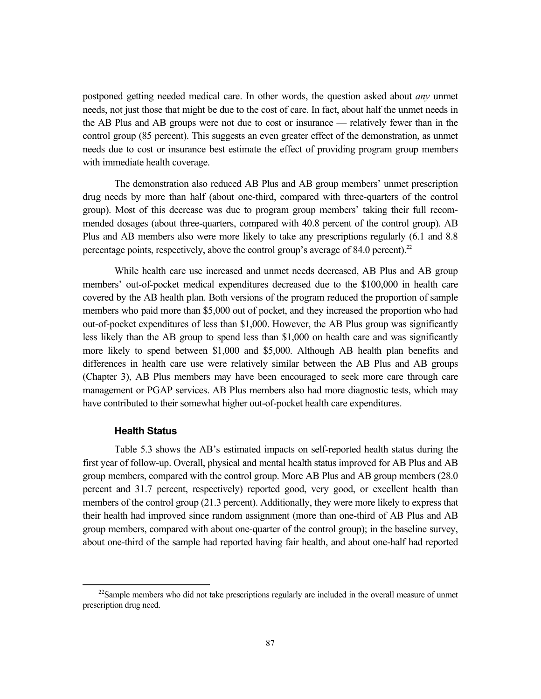postponed getting needed medical care. In other words, the question asked about *any* unmet needs, not just those that might be due to the cost of care. In fact, about half the unmet needs in the AB Plus and AB groups were not due to cost or insurance — relatively fewer than in the control group (85 percent). This suggests an even greater effect of the demonstration, as unmet needs due to cost or insurance best estimate the effect of providing program group members with immediate health coverage.

The demonstration also reduced AB Plus and AB group members' unmet prescription drug needs by more than half (about one-third, compared with three-quarters of the control group). Most of this decrease was due to program group members' taking their full recommended dosages (about three-quarters, compared with 40.8 percent of the control group). AB Plus and AB members also were more likely to take any prescriptions regularly (6.1 and 8.8 percentage points, respectively, above the control group's average of  $84.0$  percent).<sup>22</sup>

While health care use increased and unmet needs decreased, AB Plus and AB group members' out-of-pocket medical expenditures decreased due to the \$100,000 in health care covered by the AB health plan. Both versions of the program reduced the proportion of sample members who paid more than \$5,000 out of pocket, and they increased the proportion who had out-of-pocket expenditures of less than \$1,000. However, the AB Plus group was significantly less likely than the AB group to spend less than \$1,000 on health care and was significantly more likely to spend between \$1,000 and \$5,000. Although AB health plan benefits and differences in health care use were relatively similar between the AB Plus and AB groups (Chapter 3), AB Plus members may have been encouraged to seek more care through care management or PGAP services. AB Plus members also had more diagnostic tests, which may have contributed to their somewhat higher out-of-pocket health care expenditures.

#### **Health Status**

Table 5.3 shows the AB's estimated impacts on self-reported health status during the first year of follow-up. Overall, physical and mental health status improved for AB Plus and AB group members, compared with the control group. More AB Plus and AB group members (28.0 percent and 31.7 percent, respectively) reported good, very good, or excellent health than members of the control group (21.3 percent). Additionally, they were more likely to express that their health had improved since random assignment (more than one-third of AB Plus and AB group members, compared with about one-quarter of the control group); in the baseline survey, about one-third of the sample had reported having fair health, and about one-half had reported

 $22$ Sample members who did not take prescriptions regularly are included in the overall measure of unmet prescription drug need.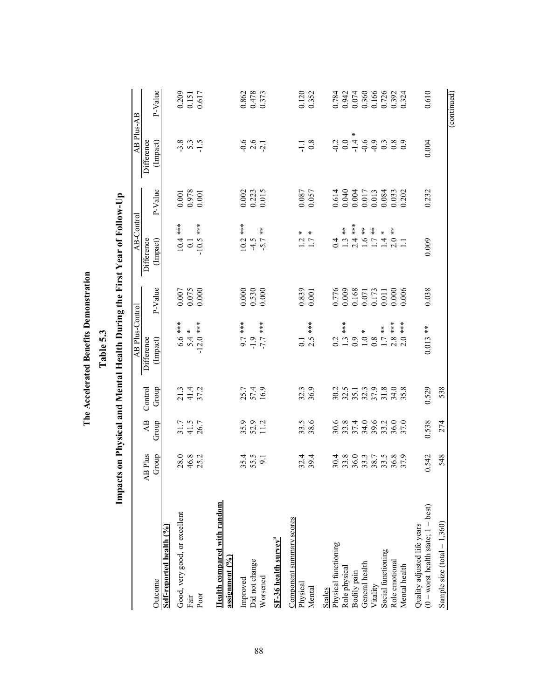|                                                                       | Impa                 |                            |                      | abie pr                                                                   |                                                        | cts on Physical and Mental Health During the First Year of Follow-Up |                                                                                   |                           |                                                        |
|-----------------------------------------------------------------------|----------------------|----------------------------|----------------------|---------------------------------------------------------------------------|--------------------------------------------------------|----------------------------------------------------------------------|-----------------------------------------------------------------------------------|---------------------------|--------------------------------------------------------|
|                                                                       |                      |                            |                      | AB Plus-Control                                                           |                                                        | AB-Control                                                           |                                                                                   | AB Plus-AB                |                                                        |
|                                                                       | AB Plus              | $\overline{AB}$            | Control              | Difference                                                                | P-Value                                                | Difference                                                           | P-Value                                                                           | Difference                | P-Value                                                |
| Self-reported health (%)<br>Outcome                                   | Group                | Group                      | Group                | (Impact)                                                                  |                                                        | (Impact)                                                             |                                                                                   | (Impact)                  |                                                        |
| Good, very good, or excellent                                         |                      |                            |                      |                                                                           |                                                        | $10.4***$                                                            | $0.001\,$                                                                         |                           |                                                        |
| Fair                                                                  | 28.0<br>46.3<br>25.2 | $31.7$<br>$41.5$<br>$26.7$ | 21 4<br>21 4<br>37 2 | $6.6***$<br>5.4 *                                                         | $\begin{array}{c} 0.007 \\ 0.075 \\ 0.000 \end{array}$ | 0.1                                                                  | 0.978                                                                             | $3.8$<br>$-1.5$<br>$-1.5$ | $\begin{array}{c} 0.209 \\ 0.151 \\ 0.617 \end{array}$ |
| Poor                                                                  |                      |                            |                      | $-12.0$ ***                                                               |                                                        | $-10.5$ ***                                                          | $0.001\,$                                                                         |                           |                                                        |
| Health compared with random<br>assignment $(°6)$                      |                      |                            |                      |                                                                           |                                                        |                                                                      |                                                                                   |                           |                                                        |
| Improved                                                              |                      |                            |                      |                                                                           |                                                        | $***$<br>10.2                                                        | 0.002                                                                             |                           |                                                        |
| Did not change                                                        | $35.4$<br>$55.5$     | $35.9$<br>$52.9$<br>$11.2$ | 25.7<br>57.4<br>16.9 | ***<br>1.9<br>***<br>9.7<br>1.7                                           | $\begin{array}{c} 0.000 \\ 0.530 \\ 0.000 \end{array}$ | $-5.7$                                                               | 0.223                                                                             | $0.6$<br>$0.6$<br>$0.7$   | 0.862<br>0.478<br>0.373                                |
| Worsened                                                              |                      |                            |                      |                                                                           |                                                        | $\frac{\varkappa}{\varkappa}$                                        |                                                                                   |                           |                                                        |
| ${\rm SF\text{-}36}$ health survey $^{\rm a}$                         |                      |                            |                      |                                                                           |                                                        |                                                                      |                                                                                   |                           |                                                        |
| Component summary scores<br>Physical                                  |                      |                            |                      | $\overline{C}$                                                            |                                                        |                                                                      |                                                                                   | Ę                         |                                                        |
| Mental                                                                | $32.4$<br>$39.4$     | 33.5<br>38.6               | 32.3<br>36.9         | ***<br>2.5                                                                | $0.839$<br>0.001                                       | $\frac{1}{2}$ $\frac{7}{7}$                                          | 0.087<br>0.057                                                                    | 0.8                       | 0.120<br>0.352                                         |
| Scales                                                                |                      |                            |                      |                                                                           |                                                        |                                                                      |                                                                                   |                           |                                                        |
| Physical functioning<br>Role physical                                 |                      |                            |                      |                                                                           |                                                        |                                                                      | 0.614                                                                             | $-0.2$                    |                                                        |
| Bodily pain                                                           |                      | 984092300<br>985498865     |                      | $0.2$<br>$1.3$ ***<br>$0.9$ *<br>$1.7$ ***<br>$1.7$<br>$1.8$ ***<br>$2.8$ | 0.776<br>0.009<br>0.001<br>0.0173<br>0.000<br>0.000    |                                                                      | $\begin{array}{c} 0.040 \\ 0.004 \\ 0.017 \\ 0.013 \\ 0.013 \\ 0.084 \end{array}$ | $\ast$                    |                                                        |
| General health                                                        |                      |                            |                      |                                                                           |                                                        |                                                                      |                                                                                   |                           |                                                        |
| Vitality                                                              |                      |                            |                      |                                                                           |                                                        |                                                                      |                                                                                   |                           |                                                        |
| Social functioning                                                    |                      |                            |                      |                                                                           |                                                        |                                                                      |                                                                                   |                           |                                                        |
| Role emotional                                                        |                      |                            |                      |                                                                           |                                                        |                                                                      | 0.033<br>0.202                                                                    |                           |                                                        |
| Mental health                                                         |                      |                            |                      | $**\n***\n$<br>2.0                                                        | 0.006                                                  |                                                                      |                                                                                   |                           |                                                        |
| $(0 =$ worst health state; $1 =$ best)<br>Quality adjusted life years | 0.542                | 0.538                      | 0.529                | $0.013$ **                                                                | 0.038                                                  | 0.009                                                                | 0.232                                                                             | 0.004                     | 0.610                                                  |
| Sample size $(total = 1,360)$                                         | 548                  | 274                        | 538                  |                                                                           |                                                        |                                                                      |                                                                                   |                           |                                                        |
|                                                                       |                      |                            |                      |                                                                           |                                                        |                                                                      |                                                                                   |                           | (continued)                                            |

The Accelerated Benefits Demonstration **The Accelerated Benefits Demonstration**

Table 53 **Table 5.3**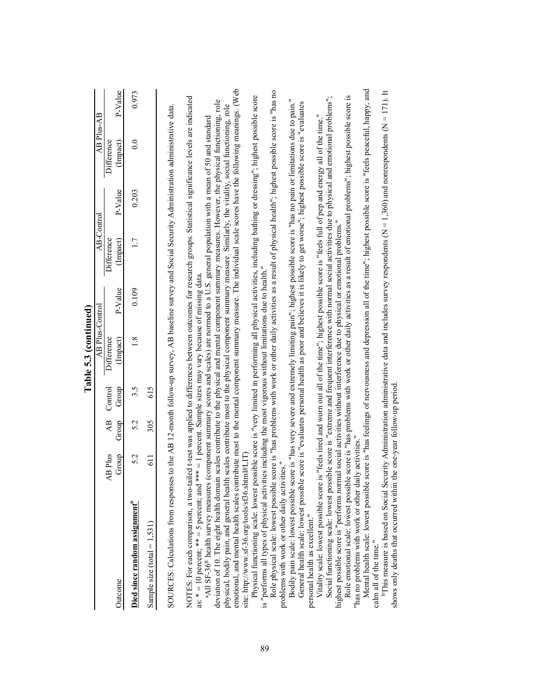|                                                                                                                                                                                                                                                                                                                             |                  |                          |                  | Table 5.3 (continued)  |         |                                                                                                                               |         |                        |         |
|-----------------------------------------------------------------------------------------------------------------------------------------------------------------------------------------------------------------------------------------------------------------------------------------------------------------------------|------------------|--------------------------|------------------|------------------------|---------|-------------------------------------------------------------------------------------------------------------------------------|---------|------------------------|---------|
|                                                                                                                                                                                                                                                                                                                             |                  |                          |                  | AB Plus-Control        |         | AB-Control                                                                                                                    |         | AB Plus-AB             |         |
| Outcome                                                                                                                                                                                                                                                                                                                     | Group<br>AB Plus | $\overline{AB}$<br>Group | Control<br>Group | Difference<br>(Impact) | P-Value | Difference<br>(Impact)                                                                                                        | P-Value | Difference<br>(Impact) | P-Value |
| Died since random assignment <sup>®</sup>                                                                                                                                                                                                                                                                                   | 5.2              | 5.2                      | 3.5              | 1.8                    | 0.109   | 1.7                                                                                                                           | 0.203   | $\overline{0.0}$       | 0.973   |
| Sample size (total = $1,531$ )                                                                                                                                                                                                                                                                                              | 611              | 305                      | 615              |                        |         |                                                                                                                               |         |                        |         |
| SOURCES: Calculations from responses to the AB 12-month follow-up survey, AB baseline survey and Social Security Administration administrative data.                                                                                                                                                                        |                  |                          |                  |                        |         |                                                                                                                               |         |                        |         |
| NOTES: For each comparison, a two-tailed t-test was applied to differences between outcomes for research groups. Statistical significance levels are indicated<br>as: $* = 10$ percent; $** = 5$ percent; and $*** = 1$ percent. Sample sizes may vary because of missing data.                                             |                  |                          |                  |                        |         |                                                                                                                               |         |                        |         |
| deviation of 10. The eight health domain scales contribute to the physical and mental component summary measures. However, the physical functioning, role<br>a All SF-36 <sup>®</sup> health survey measures (component summary scores and scales) are normed to a U.S. general population with a mean of 50 and standard   |                  |                          |                  |                        |         |                                                                                                                               |         |                        |         |
| emotional, and mental health scales contribute most to the mental component summary measure. The individual scale scores have the following meanings. (Web<br>physical, bodily pain, and general health scales contribute most to the physical component summary measure. Similarly, the vitality, social functioning, role |                  |                          |                  |                        |         |                                                                                                                               |         |                        |         |
| site: http://www.sf-36.org/tools/sf36.shtml#LIT)                                                                                                                                                                                                                                                                            |                  |                          |                  |                        |         |                                                                                                                               |         |                        |         |
| Physical functioning scale: lowest possible score is "very limited in performing all physical activities, including bathing or dressing"; highest possible score<br>is "performs all types of physical activities including the most vigorous without limitations due to health                                             |                  |                          |                  |                        |         |                                                                                                                               |         |                        |         |
| problems with work or other daily activities."<br>Role physical scale: lowest possible                                                                                                                                                                                                                                      |                  |                          |                  |                        |         | score is "has problems with work or other daily activities as a result of physical health"; highest possible score is "has no |         |                        |         |
| Bodily pain scale: lowest possible score is "has very severe and extremely limiting pain"; highest possible score is "has no pain or limitations due to pain."                                                                                                                                                              |                  |                          |                  |                        |         |                                                                                                                               |         |                        |         |
| General health scale: lowest possible score is "evaluates personal health as poor and believes it is likely to get worse"; highest possible score is "evaluates<br>personal health as excellent."                                                                                                                           |                  |                          |                  |                        |         |                                                                                                                               |         |                        |         |
| Vitality scale: lowest possible score                                                                                                                                                                                                                                                                                       |                  |                          |                  |                        |         | is "feels tired and worn out all of the time"; highest possible score is "feels full of pep and energy all of the time."      |         |                        |         |
| Social functioning scale: lowest possible score is "extreme and frequent interference with normal social activities due to physical and emotional problems";                                                                                                                                                                |                  |                          |                  |                        |         |                                                                                                                               |         |                        |         |
| Role emotional scale: lowest possible score is "has problems with work or other daily activities as a result of emotional problems"; highest possible score is<br>highest possible score is "performs normal social activities without interference due to physical or emotional problems."                                 |                  |                          |                  |                        |         |                                                                                                                               |         |                        |         |
| "has no problems with work or other daily activities."<br>Mental health scale: lowest possible                                                                                                                                                                                                                              |                  |                          |                  |                        |         | score is "has feelings of nervousness and depression all of the time"; highest possible score is "feels peaceful, happy, and  |         |                        |         |

Mental health scale: lowest possible score is "has feelings of nervousness and depression all of the time"; highest possible score is "feels peaceful, happy, and calm all of the time."<br>"This measure is based on Social Security Administration administrative data and includes survey respondents (N = 1,360) and nonrespondents (N = 171). It

calm all of the time."<br>
<sup>b</sup>This measure is based on Social Security Administration administrative data and includes survey respondents (N = 1,360) and nonrespondents (N = 171). It shows only deaths that occurred within th

shows only deaths that occurred within the one-year follow-up period.

89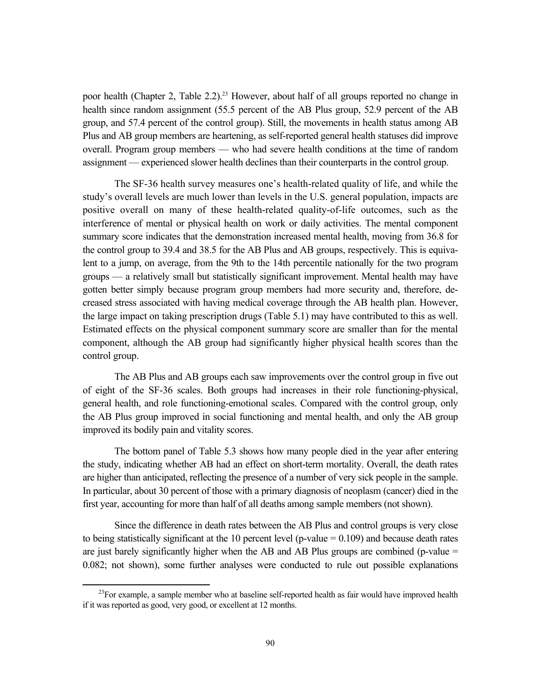poor health (Chapter 2, Table 2.2).<sup>23</sup> However, about half of all groups reported no change in health since random assignment (55.5 percent of the AB Plus group, 52.9 percent of the AB group, and 57.4 percent of the control group). Still, the movements in health status among AB Plus and AB group members are heartening, as self-reported general health statuses did improve overall. Program group members — who had severe health conditions at the time of random assignment — experienced slower health declines than their counterparts in the control group.

The SF-36 health survey measures one's health-related quality of life, and while the study's overall levels are much lower than levels in the U.S. general population, impacts are positive overall on many of these health-related quality-of-life outcomes, such as the interference of mental or physical health on work or daily activities. The mental component summary score indicates that the demonstration increased mental health, moving from 36.8 for the control group to 39.4 and 38.5 for the AB Plus and AB groups, respectively. This is equivalent to a jump, on average, from the 9th to the 14th percentile nationally for the two program groups — a relatively small but statistically significant improvement. Mental health may have gotten better simply because program group members had more security and, therefore, decreased stress associated with having medical coverage through the AB health plan. However, the large impact on taking prescription drugs (Table 5.1) may have contributed to this as well. Estimated effects on the physical component summary score are smaller than for the mental component, although the AB group had significantly higher physical health scores than the control group.

The AB Plus and AB groups each saw improvements over the control group in five out of eight of the SF-36 scales. Both groups had increases in their role functioning-physical, general health, and role functioning-emotional scales. Compared with the control group, only the AB Plus group improved in social functioning and mental health, and only the AB group improved its bodily pain and vitality scores.

The bottom panel of Table 5.3 shows how many people died in the year after entering the study, indicating whether AB had an effect on short-term mortality. Overall, the death rates are higher than anticipated, reflecting the presence of a number of very sick people in the sample. In particular, about 30 percent of those with a primary diagnosis of neoplasm (cancer) died in the first year, accounting for more than half of all deaths among sample members (not shown).

Since the difference in death rates between the AB Plus and control groups is very close to being statistically significant at the 10 percent level (p-value  $= 0.109$ ) and because death rates are just barely significantly higher when the AB and AB Plus groups are combined (p-value = 0.082; not shown), some further analyses were conducted to rule out possible explanations

 $23$ For example, a sample member who at baseline self-reported health as fair would have improved health if it was reported as good, very good, or excellent at 12 months.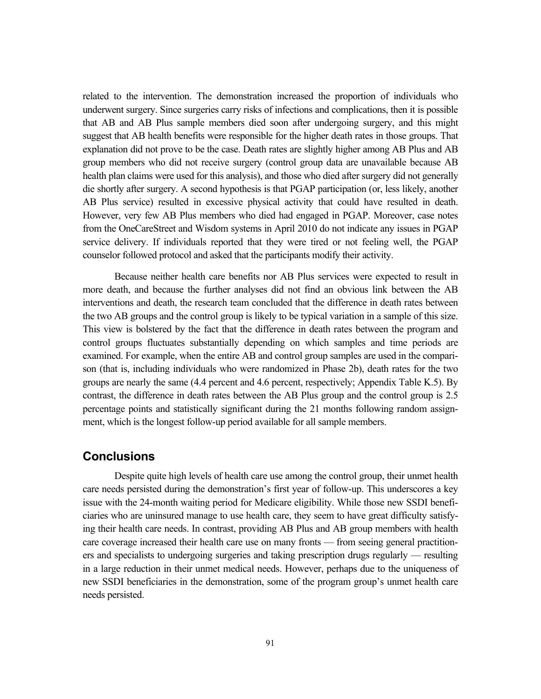related to the intervention. The demonstration increased the proportion of individuals who underwent surgery. Since surgeries carry risks of infections and complications, then it is possible that AB and AB Plus sample members died soon after undergoing surgery, and this might suggest that AB health benefits were responsible for the higher death rates in those groups. That explanation did not prove to be the case. Death rates are slightly higher among AB Plus and AB group members who did not receive surgery (control group data are unavailable because AB health plan claims were used for this analysis), and those who died after surgery did not generally die shortly after surgery. A second hypothesis is that PGAP participation (or, less likely, another AB Plus service) resulted in excessive physical activity that could have resulted in death. However, very few AB Plus members who died had engaged in PGAP. Moreover, case notes from the OneCareStreet and Wisdom systems in April 2010 do not indicate any issues in PGAP service delivery. If individuals reported that they were tired or not feeling well, the PGAP counselor followed protocol and asked that the participants modify their activity.

Because neither health care benefits nor AB Plus services were expected to result in more death, and because the further analyses did not find an obvious link between the AB interventions and death, the research team concluded that the difference in death rates between the two AB groups and the control group is likely to be typical variation in a sample of this size. This view is bolstered by the fact that the difference in death rates between the program and control groups fluctuates substantially depending on which samples and time periods are examined. For example, when the entire AB and control group samples are used in the comparison (that is, including individuals who were randomized in Phase 2b), death rates for the two groups are nearly the same (4.4 percent and 4.6 percent, respectively; Appendix Table K.5). By contrast, the difference in death rates between the AB Plus group and the control group is 2.5 percentage points and statistically significant during the 21 months following random assignment, which is the longest follow-up period available for all sample members.

# **Conclusions**

Despite quite high levels of health care use among the control group, their unmet health care needs persisted during the demonstration's first year of follow-up. This underscores a key issue with the 24-month waiting period for Medicare eligibility. While those new SSDI beneficiaries who are uninsured manage to use health care, they seem to have great difficulty satisfying their health care needs. In contrast, providing AB Plus and AB group members with health care coverage increased their health care use on many fronts — from seeing general practitioners and specialists to undergoing surgeries and taking prescription drugs regularly — resulting in a large reduction in their unmet medical needs. However, perhaps due to the uniqueness of new SSDI beneficiaries in the demonstration, some of the program group's unmet health care needs persisted.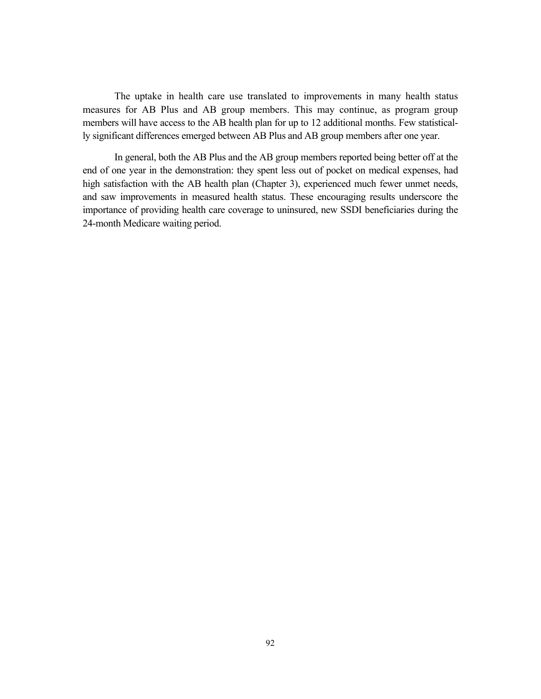The uptake in health care use translated to improvements in many health status measures for AB Plus and AB group members. This may continue, as program group members will have access to the AB health plan for up to 12 additional months. Few statistically significant differences emerged between AB Plus and AB group members after one year.

In general, both the AB Plus and the AB group members reported being better off at the end of one year in the demonstration: they spent less out of pocket on medical expenses, had high satisfaction with the AB health plan (Chapter 3), experienced much fewer unmet needs, and saw improvements in measured health status. These encouraging results underscore the importance of providing health care coverage to uninsured, new SSDI beneficiaries during the 24-month Medicare waiting period.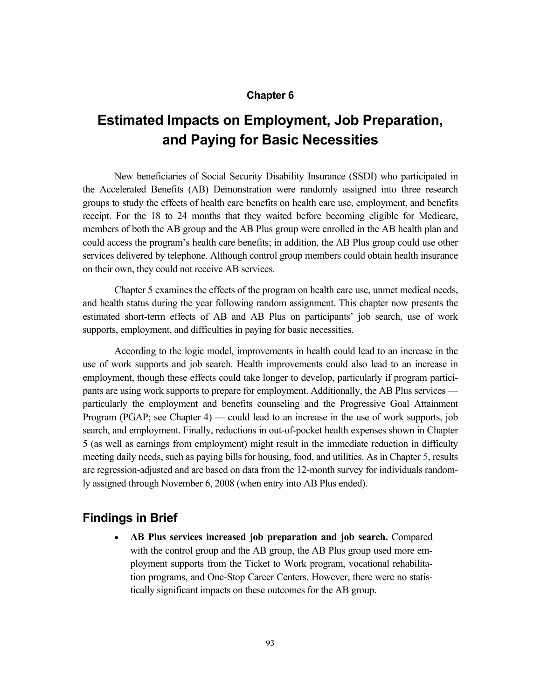### **Chapter 6**

# **Estimated Impacts on Employment, Job Preparation, and Paying for Basic Necessities**

New beneficiaries of Social Security Disability Insurance (SSDI) who participated in the Accelerated Benefits (AB) Demonstration were randomly assigned into three research groups to study the effects of health care benefits on health care use, employment, and benefits receipt. For the 18 to 24 months that they waited before becoming eligible for Medicare, members of both the AB group and the AB Plus group were enrolled in the AB health plan and could access the program's health care benefits; in addition, the AB Plus group could use other services delivered by telephone. Although control group members could obtain health insurance on their own, they could not receive AB services.

Chapter 5 examines the effects of the program on health care use, unmet medical needs, and health status during the year following random assignment. This chapter now presents the estimated short-term effects of AB and AB Plus on participants' job search, use of work supports, employment, and difficulties in paying for basic necessities.

According to the logic model, improvements in health could lead to an increase in the use of work supports and job search. Health improvements could also lead to an increase in employment, though these effects could take longer to develop, particularly if program participants are using work supports to prepare for employment. Additionally, the AB Plus services –– particularly the employment and benefits counseling and the Progressive Goal Attainment Program (PGAP; see Chapter 4) — could lead to an increase in the use of work supports, job search, and employment. Finally, reductions in out-of-pocket health expenses shown in Chapter 5 (as well as earnings from employment) might result in the immediate reduction in difficulty meeting daily needs, such as paying bills for housing, food, and utilities. As in Chapter 5, results are regression-adjusted and are based on data from the 12-month survey for individuals randomly assigned through November 6, 2008 (when entry into AB Plus ended).

# **Findings in Brief**

 **AB Plus services increased job preparation and job search.** Compared with the control group and the AB group, the AB Plus group used more employment supports from the Ticket to Work program, vocational rehabilitation programs, and One-Stop Career Centers. However, there were no statistically significant impacts on these outcomes for the AB group.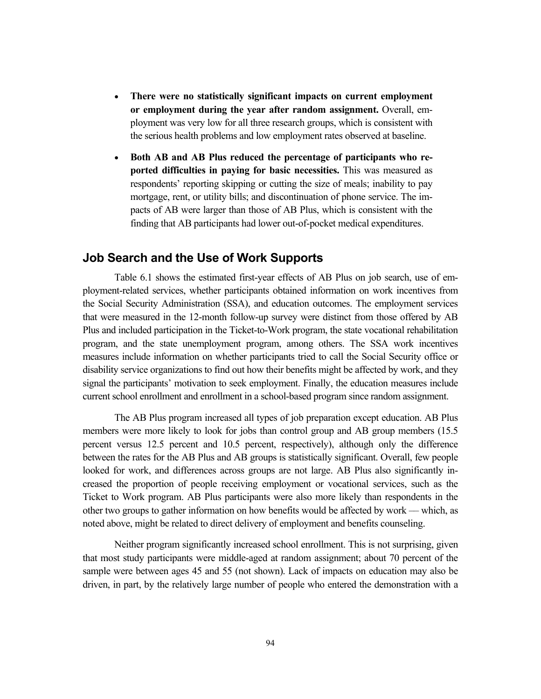- **There were no statistically significant impacts on current employment or employment during the year after random assignment.** Overall, employment was very low for all three research groups, which is consistent with the serious health problems and low employment rates observed at baseline.
- **Both AB and AB Plus reduced the percentage of participants who reported difficulties in paying for basic necessities.** This was measured as respondents' reporting skipping or cutting the size of meals; inability to pay mortgage, rent, or utility bills; and discontinuation of phone service. The impacts of AB were larger than those of AB Plus, which is consistent with the finding that AB participants had lower out-of-pocket medical expenditures.

# **Job Search and the Use of Work Supports**

Table 6.1 shows the estimated first-year effects of AB Plus on job search, use of employment-related services, whether participants obtained information on work incentives from the Social Security Administration (SSA), and education outcomes. The employment services that were measured in the 12-month follow-up survey were distinct from those offered by AB Plus and included participation in the Ticket-to-Work program, the state vocational rehabilitation program, and the state unemployment program, among others. The SSA work incentives measures include information on whether participants tried to call the Social Security office or disability service organizations to find out how their benefits might be affected by work, and they signal the participants' motivation to seek employment. Finally, the education measures include current school enrollment and enrollment in a school-based program since random assignment.

The AB Plus program increased all types of job preparation except education. AB Plus members were more likely to look for jobs than control group and AB group members (15.5 percent versus 12.5 percent and 10.5 percent, respectively), although only the difference between the rates for the AB Plus and AB groups is statistically significant. Overall, few people looked for work, and differences across groups are not large. AB Plus also significantly increased the proportion of people receiving employment or vocational services, such as the Ticket to Work program. AB Plus participants were also more likely than respondents in the other two groups to gather information on how benefits would be affected by work –– which, as noted above, might be related to direct delivery of employment and benefits counseling.

Neither program significantly increased school enrollment. This is not surprising, given that most study participants were middle-aged at random assignment; about 70 percent of the sample were between ages 45 and 55 (not shown). Lack of impacts on education may also be driven, in part, by the relatively large number of people who entered the demonstration with a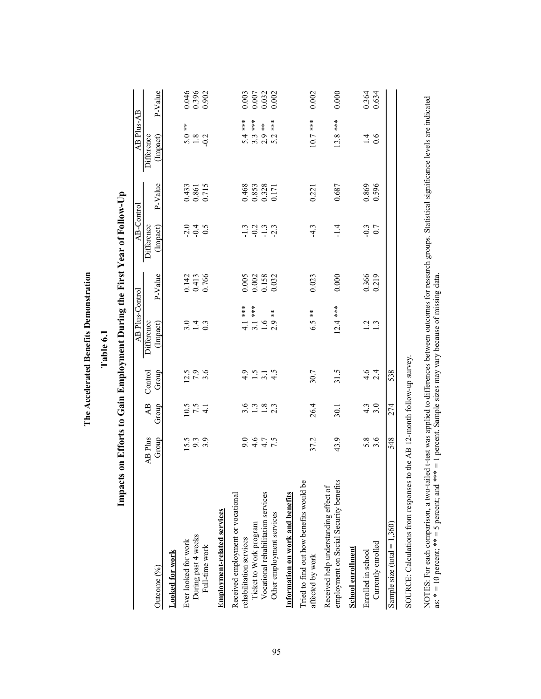| emonstration<br><b>Accelerated Benefits D.</b> | Table 6. |
|------------------------------------------------|----------|
| $\ln e$ A                                      |          |

| l                                                                                                              |
|----------------------------------------------------------------------------------------------------------------|
| $\overline{a}$                                                                                                 |
| and the state of the state of the state of the state of the state of the state of the state of the state of th |
|                                                                                                                |
| i                                                                                                              |
| $\overline{\phantom{a}}$<br>֕                                                                                  |
| l                                                                                                              |
|                                                                                                                |
| ו<br>ו                                                                                                         |
| י<br>ו<br>l                                                                                                    |
|                                                                                                                |
| ֖֖֖֖֧֧֚֚֚֚֚֚֚֚֚֚֚֚֚֚֚֚֚֚֚֚֚֚֚֚֚֚֚֬֝֓֞֡֡֓֬֓֞֓֡֡֬֓֞֝֬֓֞֓֡֬֓֓֞֬֝֬                                                 |
| İ<br>ׇ֚֓                                                                                                       |
|                                                                                                                |
| i                                                                                                              |
| Ì                                                                                                              |
|                                                                                                                |
|                                                                                                                |
|                                                                                                                |
|                                                                                                                |
| ׇ֚֬֡                                                                                                           |
|                                                                                                                |
|                                                                                                                |
| ׇ֚֘֡                                                                                                           |
| ֖֖֖֧ׅ֧ׅ֧ׅ֧ׅ֧ׅ֧֧֧֪֧֪֪֧֪֪֧֪ׅ֧֪֧֪ׅ֧֚֚֚֚֚֚֚֚֚֚֚֚֚֚֚֚֚֚֚֚֚֚֚֚֚֚֚֚֚֡֝֝֬֓֝֬֓֝֬֓֬֓֬֝֓֬֝֬֝֬֓֝֬֝֬֝֬                      |
|                                                                                                                |
|                                                                                                                |
| $\frac{1}{2}$<br>֖֖֖֧ׅ֧֧ׅ֧ׅ֖֧֚֚֚֚֚֚֚֚֚֚֚֚֚֚֚֚֚֚֚֚֚֚֚֚֚֚֚֚֚֚֚֚֡֝֝֝֓֞֝֬֓֞֝֬֓֝֬                                   |
| l                                                                                                              |
|                                                                                                                |
|                                                                                                                |
| I                                                                                                              |
| Į<br>$\vdots$                                                                                                  |
| I                                                                                                              |
| $\mathbf{I}$                                                                                                   |
| $\overline{\mathbf{r}}$                                                                                        |
|                                                                                                                |
|                                                                                                                |
|                                                                                                                |
|                                                                                                                |
| ֠                                                                                                              |

|                                                                                                                      |                                       |                          |                           | AB Plus-Control                           |                                  | AB-Control             |                                  | AB Plus-AB                                        |                                                        |
|----------------------------------------------------------------------------------------------------------------------|---------------------------------------|--------------------------|---------------------------|-------------------------------------------|----------------------------------|------------------------|----------------------------------|---------------------------------------------------|--------------------------------------------------------|
| Outcome (%)                                                                                                          | AB Plus<br>Group                      | $\overline{AB}$<br>Group | Control<br>Group          | Difference<br>(Impact)                    | P-Value                          | Difference<br>(Impact) | P-Value                          | Difference<br>(Impact)                            | P-Value                                                |
| Looked for work                                                                                                      |                                       |                          |                           |                                           |                                  |                        |                                  |                                                   |                                                        |
| Ever looked for work                                                                                                 |                                       |                          |                           |                                           |                                  |                        |                                  |                                                   |                                                        |
| During past 4 weeks                                                                                                  | 5<br>1939<br>193                      | $\frac{1}{2}7.5$<br>4.1  | $12.5$<br>7.9<br>3.6      | $3.49$<br>$-1.3$                          | 0.142<br>0.413<br>0.766          | 0 4 5<br>0 4 9         | 0.433<br>0.861<br>0.715          | $\begin{array}{c} 5.0 \\ 1.8 \\ -0.2 \end{array}$ | 0.046<br>0.396<br>0.902                                |
| Full-time work                                                                                                       |                                       |                          |                           |                                           |                                  |                        |                                  |                                                   |                                                        |
| <b>Employment-related services</b>                                                                                   |                                       |                          |                           |                                           |                                  |                        |                                  |                                                   |                                                        |
| Received employment or vocational                                                                                    |                                       |                          |                           |                                           |                                  |                        |                                  |                                                   |                                                        |
| rehabilitation services                                                                                              |                                       |                          |                           | $\frac{1}{4}$                             |                                  |                        |                                  |                                                   | 0.003                                                  |
| Ticket to Work program                                                                                               | 0. 4 4 7.<br>0. 4 7. 9.<br>0. 4 7. 9. | $3.183$<br>$-1.83$       | $9.54$<br>$4.74$<br>$4.4$ | $**$<br>$3.\overline{1}$ .6               | 0.005<br>0.002<br>0.158<br>0.032 | 12113<br>13113         | 0.468<br>0.853<br>0.328<br>0.171 | 5.4 ***<br>5.3 .                                  |                                                        |
| Vocational rehabilitation services                                                                                   |                                       |                          |                           |                                           |                                  |                        |                                  | $\frac{1}{2}$<br>2.9                              | $\begin{array}{c} 0.007 \\ 0.032 \\ 0.002 \end{array}$ |
| Other employment services                                                                                            |                                       |                          |                           | $\frac{\varkappa}{\varkappa}$<br>2.9      |                                  |                        |                                  | 5.2                                               |                                                        |
| <b>Information on work and benefits</b>                                                                              |                                       |                          |                           |                                           |                                  |                        |                                  |                                                   |                                                        |
| Tried to find out how benefits would be<br>affected by work                                                          | 37.2                                  | 26.4                     | 30.7                      | $\stackrel{\text{\tiny{*}}}{\ast}$<br>6.5 | 0.023                            | $-4.3$                 | 0.221                            | $10.7***$                                         | 0.002                                                  |
|                                                                                                                      |                                       |                          |                           |                                           |                                  |                        |                                  |                                                   |                                                        |
| employment on Social Security benefits<br>Received help understanding effect of                                      | 43.9                                  | 30.1                     | 31.5                      | $12.4$ ***                                | 0.000                            | $-1.4$                 | 0.687                            | $13.8***$                                         | 0.000                                                  |
| <b>School enrollment</b>                                                                                             |                                       |                          |                           |                                           |                                  |                        |                                  |                                                   |                                                        |
| Enrolled in school                                                                                                   |                                       |                          |                           |                                           |                                  | $-0.3$                 |                                  |                                                   |                                                        |
| Currently enrolled                                                                                                   | 5.8<br>3.6                            | $\frac{4}{3}$ .0         | $4.6$<br>2.4              | $\frac{1}{1}$ $\frac{3}{1}$               | 0.366<br>0.219                   | 0.7                    | 0.869<br>0.596                   | $\frac{4}{6}$                                     | 0.364<br>0.634                                         |
| Sample size (total $= 1,360$ )                                                                                       | 548                                   | 274                      | 538                       |                                           |                                  |                        |                                  |                                                   |                                                        |
| COUPCE: $C_0$ and $C_1$ and $C_2$ are recovered to $A \cap A$ D 10 and $C_2$ and $C_3$ and $C_4$ and $C_5$ and $C_6$ |                                       |                          |                           |                                           |                                  |                        |                                  |                                                   |                                                        |

SOURCE: Calculations from responses to the AB 12-month follow-up survey. SOURCE: Calculations from responses to the AB 12-month follow-up survey.

NOTES: For each comparison, a two-tailed t-test was applied to differences between outcomes for research groups. Statistical significance levels are indicated<br>as: \* = 10 percent; \*\* = 5 percent; and \*\*\* = 1 percent. Sample NOTES: For each comparison, a two-tailed t-test was applied to differences between outcomes for research groups. Statistical significance levels are indicated as: \* = 10 percent; \*\* = 5 percent; and \*\*\* = 1 percent. Sample sizes may vary because of missing data.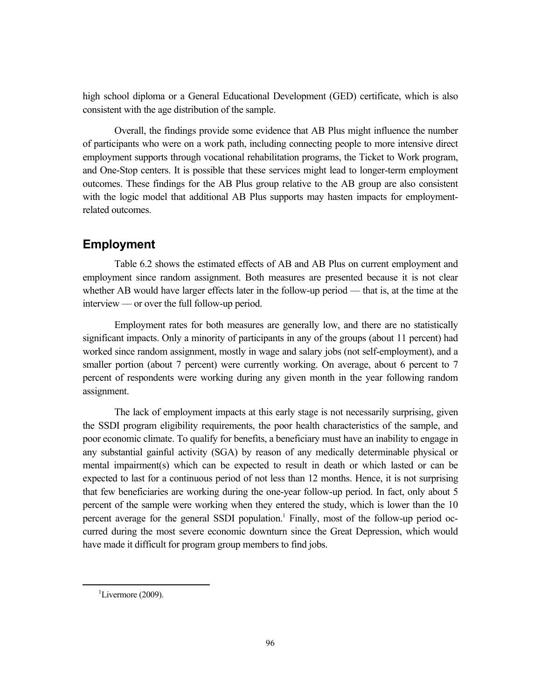high school diploma or a General Educational Development (GED) certificate, which is also consistent with the age distribution of the sample.

Overall, the findings provide some evidence that AB Plus might influence the number of participants who were on a work path, including connecting people to more intensive direct employment supports through vocational rehabilitation programs, the Ticket to Work program, and One-Stop centers. It is possible that these services might lead to longer-term employment outcomes. These findings for the AB Plus group relative to the AB group are also consistent with the logic model that additional AB Plus supports may hasten impacts for employmentrelated outcomes.

# **Employment**

Table 6.2 shows the estimated effects of AB and AB Plus on current employment and employment since random assignment. Both measures are presented because it is not clear whether AB would have larger effects later in the follow-up period — that is, at the time at the interview –– or over the full follow-up period.

Employment rates for both measures are generally low, and there are no statistically significant impacts. Only a minority of participants in any of the groups (about 11 percent) had worked since random assignment, mostly in wage and salary jobs (not self-employment), and a smaller portion (about 7 percent) were currently working. On average, about 6 percent to 7 percent of respondents were working during any given month in the year following random assignment.

The lack of employment impacts at this early stage is not necessarily surprising, given the SSDI program eligibility requirements, the poor health characteristics of the sample, and poor economic climate. To qualify for benefits, a beneficiary must have an inability to engage in any substantial gainful activity (SGA) by reason of any medically determinable physical or mental impairment(s) which can be expected to result in death or which lasted or can be expected to last for a continuous period of not less than 12 months. Hence, it is not surprising that few beneficiaries are working during the one-year follow-up period. In fact, only about 5 percent of the sample were working when they entered the study, which is lower than the 10 percent average for the general SSDI population.<sup>1</sup> Finally, most of the follow-up period occurred during the most severe economic downturn since the Great Depression, which would have made it difficult for program group members to find jobs.

 $\overline{\phantom{0}1}$  $\mathrm{L}$ ivermore (2009).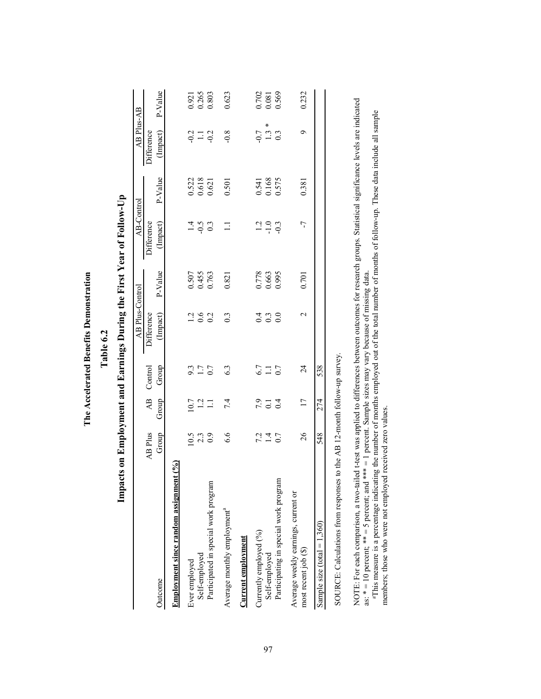| י<br>י                  |
|-------------------------|
|                         |
| l                       |
| $\frac{1}{2}$<br>י<br>ו |
| j                       |

Table 6.2 **Table 6.2**

| l                                                            |
|--------------------------------------------------------------|
| ו<br>ו                                                       |
|                                                              |
|                                                              |
|                                                              |
|                                                              |
| ;<br>;                                                       |
|                                                              |
|                                                              |
|                                                              |
|                                                              |
|                                                              |
| $\frac{1}{2}$ Year of Form<br>ו<br>ו                         |
|                                                              |
|                                                              |
| İ                                                            |
| $\frac{1}{2}$                                                |
|                                                              |
|                                                              |
| $\frac{1}{2}$<br>くらし                                         |
|                                                              |
| ֖֖֖֖֖֖֖֖֧֖֖֖֧֖֖֖֧֚֚֚֚֚֚֚֚֚֚֚֚֚֚֚֚֚֚֚֚֚֚֚֚֚֚֚֚֚֚֚֚֚֚֡֬֝֓֞֝֬֞֝ |
|                                                              |
|                                                              |
|                                                              |
| D                                                            |
|                                                              |
|                                                              |
|                                                              |
|                                                              |
|                                                              |
|                                                              |
|                                                              |
| くりし                                                          |
|                                                              |
|                                                              |
|                                                              |
|                                                              |
|                                                              |
|                                                              |
| ı                                                            |
|                                                              |
|                                                              |
|                                                              |
| $\frac{1}{2}$                                                |
|                                                              |
|                                                              |
|                                                              |
| Í.                                                           |
|                                                              |
|                                                              |
|                                                              |

|                                                             |                                                   |                      |                         | <b>AB Plus-Control</b>                    |                         | AB-Control                                |                                                        | AB Plus-AB             |                         |
|-------------------------------------------------------------|---------------------------------------------------|----------------------|-------------------------|-------------------------------------------|-------------------------|-------------------------------------------|--------------------------------------------------------|------------------------|-------------------------|
|                                                             | AB Plus                                           | $\overline{AB}$      | Control                 | Difference                                |                         | Difference                                |                                                        | Difference             |                         |
| Outcome                                                     | Group                                             | Group                | Group                   | (Impact)                                  | P-Value                 | (Impact)                                  | P-Value                                                | (Impact)               | P-Value                 |
| ent $(\%)$<br>Employment since random assignment            |                                                   |                      |                         |                                           |                         |                                           |                                                        |                        |                         |
| Ever employed                                               |                                                   |                      |                         |                                           |                         |                                           |                                                        |                        |                         |
| Self-employed                                               | $\begin{array}{c} 10.5 \\ 2.3 \\ 0.9 \end{array}$ | $\frac{10.7}{1.2}$   | $9.3$<br>$1.7$<br>$0.7$ | $\frac{1360}{100}$                        |                         | $\frac{4}{9}$ 9.3                         |                                                        | $-0.2$<br>$-1.1$       |                         |
| Participated in special work program                        |                                                   |                      |                         |                                           | 0.507<br>0.455<br>0.763 |                                           | $\begin{array}{c} 0.522 \\ 0.618 \\ 0.621 \end{array}$ |                        | 0.921<br>0.265<br>0.803 |
| Average monthly employment <sup>a</sup>                     | 6.6                                               | 7.4                  | 6.3                     | $0.\overline{3}$                          | 0.821                   | $\Box$                                    | 0.501                                                  | $-0.8$                 | 0.623                   |
| <b>Current employment</b>                                   |                                                   |                      |                         |                                           |                         |                                           |                                                        |                        |                         |
| Currently employed (%)                                      |                                                   | 7.9                  |                         |                                           |                         |                                           |                                                        |                        |                         |
| Self-employed                                               | $7.4$<br>$0.7$                                    | $\overline{0}$ .     | $6.7$<br>1.1 $0.7$      | $\begin{array}{c} 0.9 \\ 0.0 \end{array}$ | 0.778<br>0.663<br>0.995 | $\frac{1}{1}$ $\frac{0}{9}$ $\frac{0}{1}$ | 0.541<br>0.168<br>0.575                                | ×<br>$\frac{0.7}{1.3}$ | 0.702<br>0.081<br>0.569 |
| Participating in special work program                       |                                                   | $\overline{0.4}$     |                         |                                           |                         |                                           |                                                        |                        |                         |
| Average weekly earnings, current or<br>most recent job (\$) | 26                                                | $\overline{17}$      | 24                      | 2                                         | 0.701                   | 7                                         | 0.381                                                  | Ò                      | 0.232                   |
|                                                             |                                                   |                      |                         |                                           |                         |                                           |                                                        |                        |                         |
| Sample size (total = $1,360$ )                              | 548                                               | 274                  | 538                     |                                           |                         |                                           |                                                        |                        |                         |
| ;<br>;                                                      | $\ddot{}}$                                        | $\ddot{\phantom{a}}$ |                         |                                           |                         |                                           |                                                        |                        |                         |

SOURCE: Calculations from responses to the AB 12-month follow-up survey. SOURCE: Calculations from responses to the AB 12-month follow-up survey. NOTE: For each comparison, a two-tailed t-test was applied to differences between outcomes for research groups. Statistical significance levels are indicated<br>as: \* = 10 percent; \*\* = 5 percent; and \*\*\* = 1 percent. Sample NOTE: For each comparison, a two-tailed t-test was applied to differences between outcomes for research groups. Statistical significance levels are indicated as: \* = 10 percent; \*\* = 5 percent; and \*\*\* = 1 percent. Sample sizes may vary because of missing data.

aThis measure is a percentage indicating the number of months employed out of the total number of months of follow-up. These data include all sample members; those who were not employed received zero values.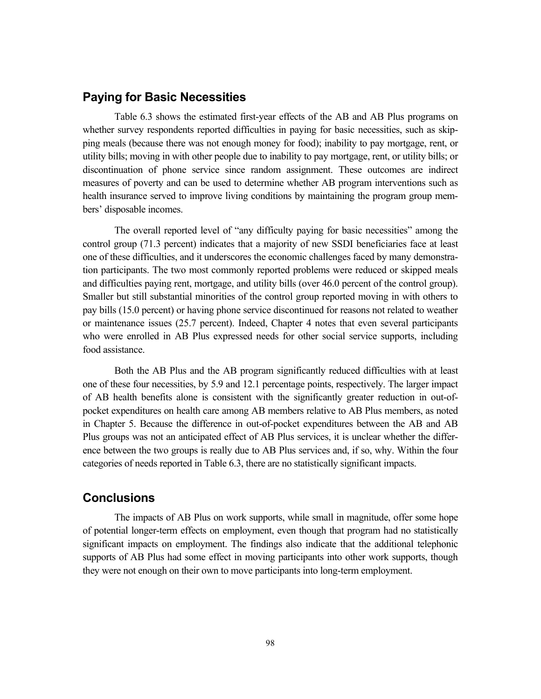# **Paying for Basic Necessities**

Table 6.3 shows the estimated first-year effects of the AB and AB Plus programs on whether survey respondents reported difficulties in paying for basic necessities, such as skipping meals (because there was not enough money for food); inability to pay mortgage, rent, or utility bills; moving in with other people due to inability to pay mortgage, rent, or utility bills; or discontinuation of phone service since random assignment. These outcomes are indirect measures of poverty and can be used to determine whether AB program interventions such as health insurance served to improve living conditions by maintaining the program group members' disposable incomes.

The overall reported level of "any difficulty paying for basic necessities" among the control group (71.3 percent) indicates that a majority of new SSDI beneficiaries face at least one of these difficulties, and it underscores the economic challenges faced by many demonstration participants. The two most commonly reported problems were reduced or skipped meals and difficulties paying rent, mortgage, and utility bills (over 46.0 percent of the control group). Smaller but still substantial minorities of the control group reported moving in with others to pay bills (15.0 percent) or having phone service discontinued for reasons not related to weather or maintenance issues (25.7 percent). Indeed, Chapter 4 notes that even several participants who were enrolled in AB Plus expressed needs for other social service supports, including food assistance.

Both the AB Plus and the AB program significantly reduced difficulties with at least one of these four necessities, by 5.9 and 12.1 percentage points, respectively. The larger impact of AB health benefits alone is consistent with the significantly greater reduction in out-ofpocket expenditures on health care among AB members relative to AB Plus members, as noted in Chapter 5. Because the difference in out-of-pocket expenditures between the AB and AB Plus groups was not an anticipated effect of AB Plus services, it is unclear whether the difference between the two groups is really due to AB Plus services and, if so, why. Within the four categories of needs reported in Table 6.3, there are no statistically significant impacts.

# **Conclusions**

The impacts of AB Plus on work supports, while small in magnitude, offer some hope of potential longer-term effects on employment, even though that program had no statistically significant impacts on employment. The findings also indicate that the additional telephonic supports of AB Plus had some effect in moving participants into other work supports, though they were not enough on their own to move participants into long-term employment.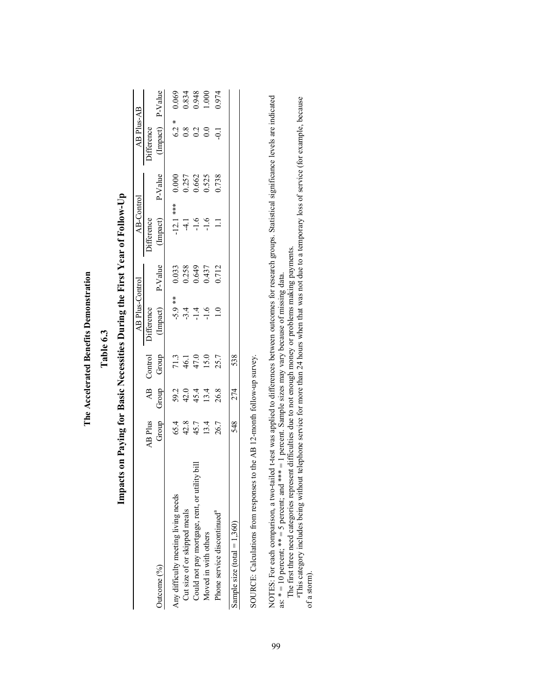| $\sim$ and $\sim$ $\sim$ $\sim$ $\sim$<br>$\frac{1}{2}$<br>ĺ<br>ĉ |
|-------------------------------------------------------------------|
|                                                                   |
|                                                                   |
|                                                                   |
|                                                                   |
|                                                                   |
|                                                                   |
|                                                                   |
|                                                                   |
|                                                                   |
|                                                                   |
|                                                                   |
|                                                                   |
| is and to                                                         |
|                                                                   |
|                                                                   |
|                                                                   |
| $\frac{1}{2}$                                                     |
|                                                                   |
|                                                                   |
|                                                                   |
|                                                                   |
|                                                                   |
| ç                                                                 |
|                                                                   |
| ì                                                                 |

Table 6.3 **Table 6.3**

| l              |
|----------------|
| $\overline{1}$ |
|                |
| i<br>י         |
| ı              |
|                |
|                |
| $\frac{1}{2}$  |
| י<br>ו<br>ţ    |
| 2              |
| ĺ<br>ĺ         |
|                |
|                |
| D              |
| ֕              |
|                |
| I              |
|                |
|                |
|                |
|                |
| ו<br>ו         |
| I              |
|                |
|                |
| ;              |
| さくりし<br>J      |
| ֠              |
|                |
|                |
|                |
| $\frac{1}{2}$  |
|                |
| ı              |
|                |
| l              |
|                |

|                                               |                |                |         | AB Plus-Control     |         | AB-Control        |         | AB Plus-AB        |                         |
|-----------------------------------------------|----------------|----------------|---------|---------------------|---------|-------------------|---------|-------------------|-------------------------|
|                                               | <b>AB</b> Plus | $\overline{4}$ | Control | <b>Difference</b>   |         | <b>Jifference</b> |         | <b>Difference</b> |                         |
| Outcome $(96)$                                | Group          | Group          | Group   | (Impact)            | P-Value | Impact)           | P-Value | (Impact) P-Value  |                         |
| Any difficulty meeting living needs           | 65.4           |                | 71.3    |                     | 0.033   | $-12.1$ ***       | 0.000   | $6.2 *$           | 0.069                   |
| Cut size of or skipped meals                  | 42.8           | 59.2<br>42.0   | 46.1    | $-5.9$ **<br>$-3.4$ |         | $\frac{1}{4}$     | 0.257   | $\frac{8}{2}$     |                         |
| Could not pay mortgage, rent, or utility bill | 45.7           | 45.4           | 47.0    | $\overline{14}$     | 0.258   | $-1.6$            | 0.662   | 0.2               | 0.834<br>0.948<br>1.000 |
| Moved in with others                          | 13.4           | 13.4           | 15.0    | $\frac{6}{1}$       | 0.437   |                   | 0.525   | $\overline{0.0}$  |                         |
| Phone service discontinued <sup>a</sup>       | 26.7           | 26.8           | 25.7    |                     | 0.712   |                   | 0.738   | $\overline{0}$    | 0.974                   |
| Sample size (total = $1,360$ )                | 548            | 274            | 538     |                     |         |                   |         |                   |                         |

SOURCE: Calculations from responses to the AB 12-month follow-up survey. SOURCE: Calculations from responses to the AB 12-month follow-up survey. NOTES: For each comparison, a two-tailed t-test was applied to differences between outcomes for research groups. Statistical significance levels are indicated<br>as: \* = 10 percent; \*\* = 5 percent; and \*\*\* = 1 percent. Sample NOTES: For each comparison, a two-tailed t-test was applied to differences between outcomes for research groups. Statistical significance levels are indicated as:  $* = 10$  percent;  $** = 5$  percent; and  $*** = 1$  percent. Sample sizes may vary because of missing data.

The first three need categories represent difficulties due to not enough money or problems making payments.

aThis category includes being without telephone service for more than 24 hours when that was not due to a temporary loss of service (for example, because of a storm). of a storm).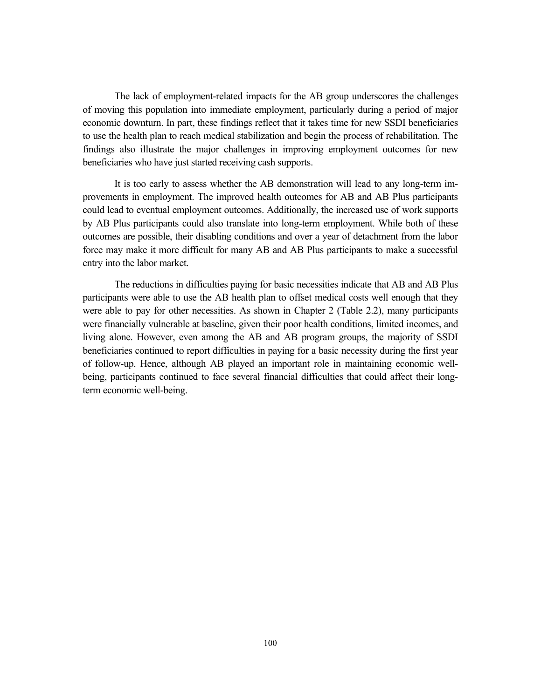The lack of employment-related impacts for the AB group underscores the challenges of moving this population into immediate employment, particularly during a period of major economic downturn. In part, these findings reflect that it takes time for new SSDI beneficiaries to use the health plan to reach medical stabilization and begin the process of rehabilitation. The findings also illustrate the major challenges in improving employment outcomes for new beneficiaries who have just started receiving cash supports.

It is too early to assess whether the AB demonstration will lead to any long-term improvements in employment. The improved health outcomes for AB and AB Plus participants could lead to eventual employment outcomes. Additionally, the increased use of work supports by AB Plus participants could also translate into long-term employment. While both of these outcomes are possible, their disabling conditions and over a year of detachment from the labor force may make it more difficult for many AB and AB Plus participants to make a successful entry into the labor market.

The reductions in difficulties paying for basic necessities indicate that AB and AB Plus participants were able to use the AB health plan to offset medical costs well enough that they were able to pay for other necessities. As shown in Chapter 2 (Table 2.2), many participants were financially vulnerable at baseline, given their poor health conditions, limited incomes, and living alone. However, even among the AB and AB program groups, the majority of SSDI beneficiaries continued to report difficulties in paying for a basic necessity during the first year of follow-up. Hence, although AB played an important role in maintaining economic wellbeing, participants continued to face several financial difficulties that could affect their longterm economic well-being.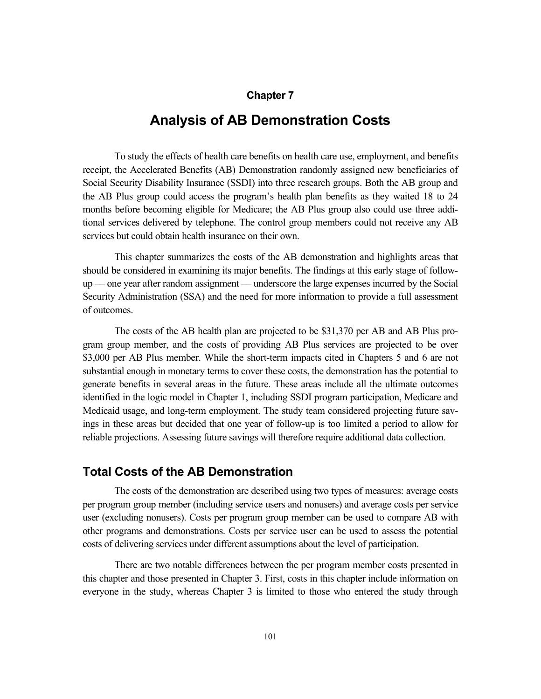## **Chapter 7**

# **Analysis of AB Demonstration Costs**

To study the effects of health care benefits on health care use, employment, and benefits receipt, the Accelerated Benefits (AB) Demonstration randomly assigned new beneficiaries of Social Security Disability Insurance (SSDI) into three research groups. Both the AB group and the AB Plus group could access the program's health plan benefits as they waited 18 to 24 months before becoming eligible for Medicare; the AB Plus group also could use three additional services delivered by telephone. The control group members could not receive any AB services but could obtain health insurance on their own.

This chapter summarizes the costs of the AB demonstration and highlights areas that should be considered in examining its major benefits. The findings at this early stage of followup –– one year after random assignment –– underscore the large expenses incurred by the Social Security Administration (SSA) and the need for more information to provide a full assessment of outcomes.

The costs of the AB health plan are projected to be \$31,370 per AB and AB Plus program group member, and the costs of providing AB Plus services are projected to be over \$3,000 per AB Plus member. While the short-term impacts cited in Chapters 5 and 6 are not substantial enough in monetary terms to cover these costs, the demonstration has the potential to generate benefits in several areas in the future. These areas include all the ultimate outcomes identified in the logic model in Chapter 1, including SSDI program participation, Medicare and Medicaid usage, and long-term employment. The study team considered projecting future savings in these areas but decided that one year of follow-up is too limited a period to allow for reliable projections. Assessing future savings will therefore require additional data collection.

# **Total Costs of the AB Demonstration**

The costs of the demonstration are described using two types of measures: average costs per program group member (including service users and nonusers) and average costs per service user (excluding nonusers). Costs per program group member can be used to compare AB with other programs and demonstrations. Costs per service user can be used to assess the potential costs of delivering services under different assumptions about the level of participation.

There are two notable differences between the per program member costs presented in this chapter and those presented in Chapter 3. First, costs in this chapter include information on everyone in the study, whereas Chapter 3 is limited to those who entered the study through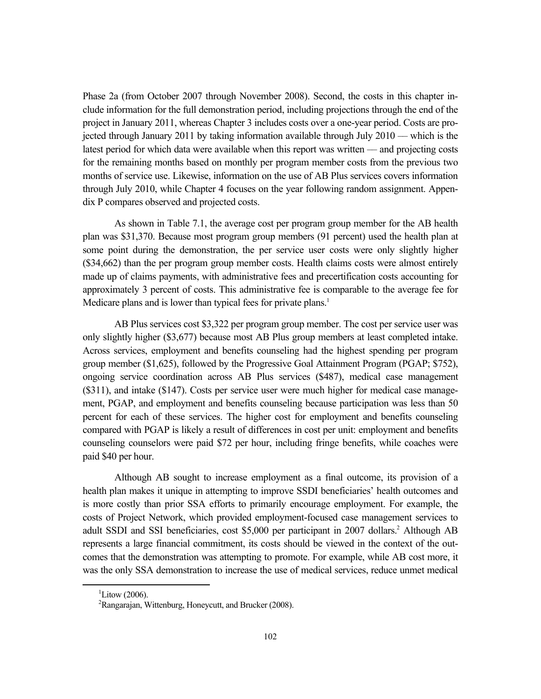Phase 2a (from October 2007 through November 2008). Second, the costs in this chapter include information for the full demonstration period, including projections through the end of the project in January 2011, whereas Chapter 3 includes costs over a one-year period. Costs are projected through January 2011 by taking information available through July 2010 –– which is the latest period for which data were available when this report was written –– and projecting costs for the remaining months based on monthly per program member costs from the previous two months of service use. Likewise, information on the use of AB Plus services covers information through July 2010, while Chapter 4 focuses on the year following random assignment. Appendix P compares observed and projected costs.

As shown in Table 7.1, the average cost per program group member for the AB health plan was \$31,370. Because most program group members (91 percent) used the health plan at some point during the demonstration, the per service user costs were only slightly higher (\$34,662) than the per program group member costs. Health claims costs were almost entirely made up of claims payments, with administrative fees and precertification costs accounting for approximately 3 percent of costs. This administrative fee is comparable to the average fee for Medicare plans and is lower than typical fees for private plans.<sup>1</sup>

AB Plus services cost \$3,322 per program group member. The cost per service user was only slightly higher (\$3,677) because most AB Plus group members at least completed intake. Across services, employment and benefits counseling had the highest spending per program group member (\$1,625), followed by the Progressive Goal Attainment Program (PGAP; \$752), ongoing service coordination across AB Plus services (\$487), medical case management (\$311), and intake (\$147). Costs per service user were much higher for medical case management, PGAP, and employment and benefits counseling because participation was less than 50 percent for each of these services. The higher cost for employment and benefits counseling compared with PGAP is likely a result of differences in cost per unit: employment and benefits counseling counselors were paid \$72 per hour, including fringe benefits, while coaches were paid \$40 per hour.

Although AB sought to increase employment as a final outcome, its provision of a health plan makes it unique in attempting to improve SSDI beneficiaries' health outcomes and is more costly than prior SSA efforts to primarily encourage employment. For example, the costs of Project Network, which provided employment-focused case management services to adult SSDI and SSI beneficiaries, cost \$5,000 per participant in 2007 dollars.<sup>2</sup> Although AB represents a large financial commitment, its costs should be viewed in the context of the outcomes that the demonstration was attempting to promote. For example, while AB cost more, it was the only SSA demonstration to increase the use of medical services, reduce unmet medical

 $\overline{\phantom{0}1}$ <sup>1</sup>Litow (2006).

 $2^2$ Rangarajan, Wittenburg, Honeycutt, and Brucker (2008).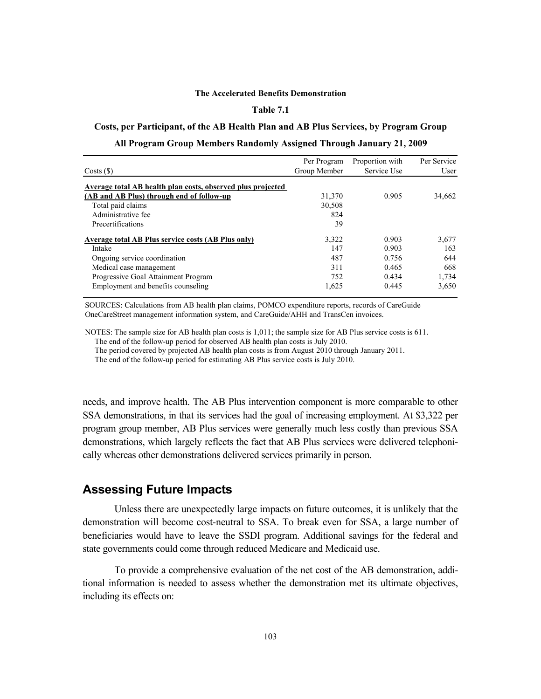#### **The Accelerated Benefits Demonstration**

### **Table 7.1**

### **Costs, per Participant, of the AB Health Plan and AB Plus Services, by Program Group**

#### **All Program Group Members Randomly Assigned Through January 21, 2009**

|                                                             | Per Program  | Proportion with | Per Service |
|-------------------------------------------------------------|--------------|-----------------|-------------|
| Costs(S)                                                    | Group Member | Service Use     | User        |
| Average total AB health plan costs, observed plus projected |              |                 |             |
| (AB and AB Plus) through end of follow-up                   | 31,370       | 0.905           | 34,662      |
| Total paid claims                                           | 30,508       |                 |             |
| Administrative fee                                          | 824          |                 |             |
| Precertifications                                           | 39           |                 |             |
| Average total AB Plus service costs (AB Plus only)          | 3,322        | 0.903           | 3,677       |
| Intake                                                      | 147          | 0.903           | 163         |
| Ongoing service coordination                                | 487          | 0.756           | 644         |
| Medical case management                                     | 311          | 0.465           | 668         |
| Progressive Goal Attainment Program                         | 752          | 0.434           | 1,734       |
| Employment and benefits counseling                          | 1,625        | 0.445           | 3,650       |

SOURCES: Calculations from AB health plan claims, POMCO expenditure reports, records of CareGuide OneCareStreet management information system, and CareGuide/AHH and TransCen invoices.

NOTES: The sample size for AB health plan costs is 1,011; the sample size for AB Plus service costs is 611. The end of the follow-up period for observed AB health plan costs is July 2010. The period covered by projected AB health plan costs is from August 2010 through January 2011. The end of the follow-up period for estimating AB Plus service costs is July 2010.

needs, and improve health. The AB Plus intervention component is more comparable to other SSA demonstrations, in that its services had the goal of increasing employment. At \$3,322 per program group member, AB Plus services were generally much less costly than previous SSA demonstrations, which largely reflects the fact that AB Plus services were delivered telephonically whereas other demonstrations delivered services primarily in person.

### **Assessing Future Impacts**

Unless there are unexpectedly large impacts on future outcomes, it is unlikely that the demonstration will become cost-neutral to SSA. To break even for SSA, a large number of beneficiaries would have to leave the SSDI program. Additional savings for the federal and state governments could come through reduced Medicare and Medicaid use.

To provide a comprehensive evaluation of the net cost of the AB demonstration, additional information is needed to assess whether the demonstration met its ultimate objectives, including its effects on: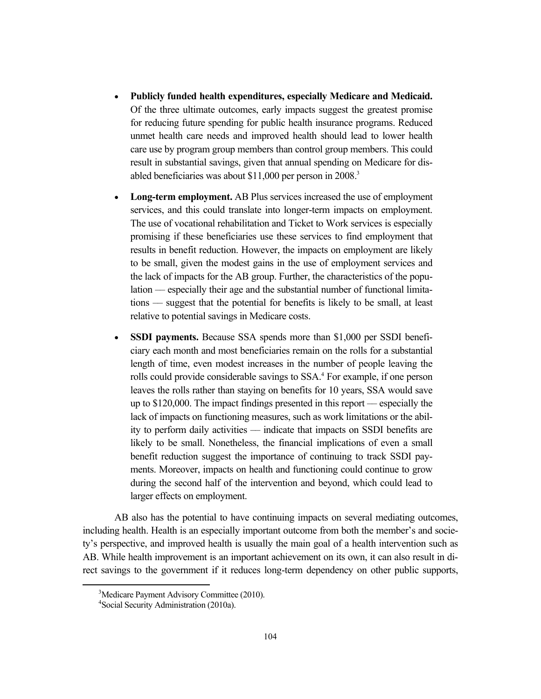- **Publicly funded health expenditures, especially Medicare and Medicaid.**  Of the three ultimate outcomes, early impacts suggest the greatest promise for reducing future spending for public health insurance programs. Reduced unmet health care needs and improved health should lead to lower health care use by program group members than control group members. This could result in substantial savings, given that annual spending on Medicare for disabled beneficiaries was about \$11,000 per person in 2008.<sup>3</sup>
- **Long-term employment.** AB Plus services increased the use of employment services, and this could translate into longer-term impacts on employment. The use of vocational rehabilitation and Ticket to Work services is especially promising if these beneficiaries use these services to find employment that results in benefit reduction. However, the impacts on employment are likely to be small, given the modest gains in the use of employment services and the lack of impacts for the AB group. Further, the characteristics of the population –– especially their age and the substantial number of functional limitations –– suggest that the potential for benefits is likely to be small, at least relative to potential savings in Medicare costs.
- **SSDI payments.** Because SSA spends more than \$1,000 per SSDI beneficiary each month and most beneficiaries remain on the rolls for a substantial length of time, even modest increases in the number of people leaving the rolls could provide considerable savings to SSA.<sup>4</sup> For example, if one person leaves the rolls rather than staying on benefits for 10 years, SSA would save up to \$120,000. The impact findings presented in this report –– especially the lack of impacts on functioning measures, such as work limitations or the ability to perform daily activities –– indicate that impacts on SSDI benefits are likely to be small. Nonetheless, the financial implications of even a small benefit reduction suggest the importance of continuing to track SSDI payments. Moreover, impacts on health and functioning could continue to grow during the second half of the intervention and beyond, which could lead to larger effects on employment.

AB also has the potential to have continuing impacts on several mediating outcomes, including health. Health is an especially important outcome from both the member's and society's perspective, and improved health is usually the main goal of a health intervention such as AB. While health improvement is an important achievement on its own, it can also result in direct savings to the government if it reduces long-term dependency on other public supports,

 <sup>3</sup> <sup>3</sup>Medicare Payment Advisory Committee (2010).

<sup>4</sup> Social Security Administration (2010a).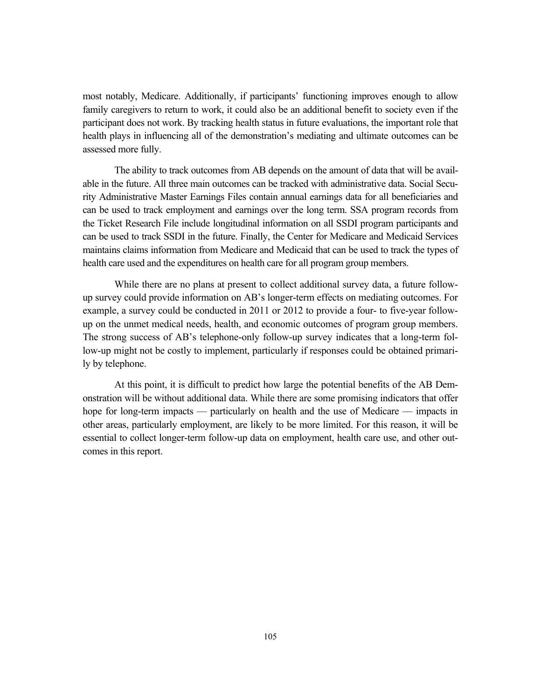most notably, Medicare. Additionally, if participants' functioning improves enough to allow family caregivers to return to work, it could also be an additional benefit to society even if the participant does not work. By tracking health status in future evaluations, the important role that health plays in influencing all of the demonstration's mediating and ultimate outcomes can be assessed more fully.

The ability to track outcomes from AB depends on the amount of data that will be available in the future. All three main outcomes can be tracked with administrative data. Social Security Administrative Master Earnings Files contain annual earnings data for all beneficiaries and can be used to track employment and earnings over the long term. SSA program records from the Ticket Research File include longitudinal information on all SSDI program participants and can be used to track SSDI in the future. Finally, the Center for Medicare and Medicaid Services maintains claims information from Medicare and Medicaid that can be used to track the types of health care used and the expenditures on health care for all program group members.

While there are no plans at present to collect additional survey data, a future followup survey could provide information on AB's longer-term effects on mediating outcomes. For example, a survey could be conducted in 2011 or 2012 to provide a four- to five-year followup on the unmet medical needs, health, and economic outcomes of program group members. The strong success of AB's telephone-only follow-up survey indicates that a long-term follow-up might not be costly to implement, particularly if responses could be obtained primarily by telephone.

At this point, it is difficult to predict how large the potential benefits of the AB Demonstration will be without additional data. While there are some promising indicators that offer hope for long-term impacts — particularly on health and the use of Medicare — impacts in other areas, particularly employment, are likely to be more limited. For this reason, it will be essential to collect longer-term follow-up data on employment, health care use, and other outcomes in this report.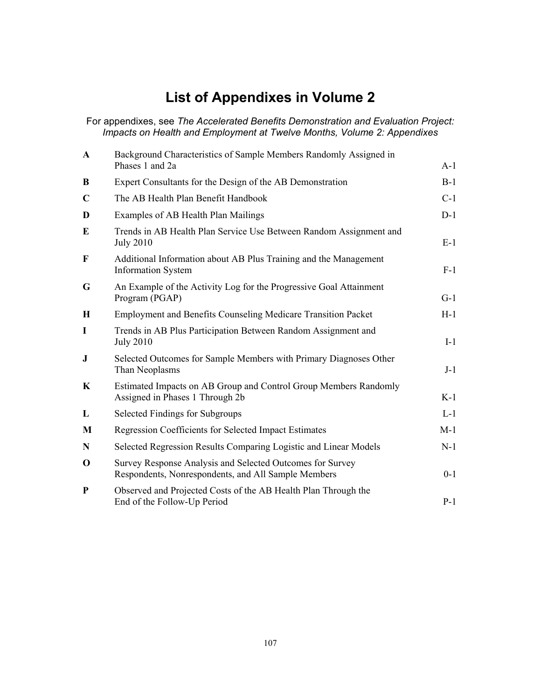# **List of Appendixes in Volume 2**

For appendixes, see *The Accelerated Benefits Demonstration and Evaluation Project: Impacts on Health and Employment at Twelve Months, Volume 2: Appendixes* 

| $\mathbf{A}$ | Background Characteristics of Sample Members Randomly Assigned in<br>Phases 1 and 2a                             | $A-1$   |
|--------------|------------------------------------------------------------------------------------------------------------------|---------|
| B            | Expert Consultants for the Design of the AB Demonstration                                                        | $B-1$   |
| $\mathbf C$  | The AB Health Plan Benefit Handbook                                                                              | $C-1$   |
| D            | Examples of AB Health Plan Mailings                                                                              | $D-1$   |
| E            | Trends in AB Health Plan Service Use Between Random Assignment and<br><b>July 2010</b>                           | $E-1$   |
| $\mathbf{F}$ | Additional Information about AB Plus Training and the Management<br><b>Information System</b>                    | $F-1$   |
| G            | An Example of the Activity Log for the Progressive Goal Attainment<br>Program (PGAP)                             | $G-1$   |
| H            | <b>Employment and Benefits Counseling Medicare Transition Packet</b>                                             | $H-1$   |
| I            | Trends in AB Plus Participation Between Random Assignment and<br><b>July 2010</b>                                | $I-1$   |
| $\mathbf J$  | Selected Outcomes for Sample Members with Primary Diagnoses Other<br>Than Neoplasms                              | $J-1$   |
| K            | Estimated Impacts on AB Group and Control Group Members Randomly<br>Assigned in Phases 1 Through 2b              | $K-1$   |
| L            | Selected Findings for Subgroups                                                                                  | $L-1$   |
| M            | <b>Regression Coefficients for Selected Impact Estimates</b>                                                     | $M-1$   |
| N            | Selected Regression Results Comparing Logistic and Linear Models                                                 | $N-1$   |
| $\bf{0}$     | Survey Response Analysis and Selected Outcomes for Survey<br>Respondents, Nonrespondents, and All Sample Members | $0 - 1$ |
| $\mathbf{P}$ | Observed and Projected Costs of the AB Health Plan Through the<br>End of the Follow-Up Period                    | $P-1$   |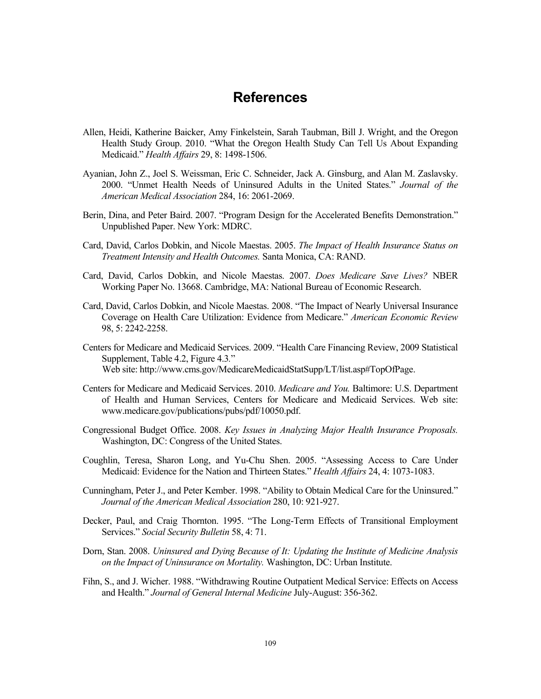# **References**

- Allen, Heidi, Katherine Baicker, Amy Finkelstein, Sarah Taubman, Bill J. Wright, and the Oregon Health Study Group. 2010. "What the Oregon Health Study Can Tell Us About Expanding Medicaid." *Health Affairs* 29, 8: 1498-1506.
- Ayanian, John Z., Joel S. Weissman, Eric C. Schneider, Jack A. Ginsburg, and Alan M. Zaslavsky. 2000. "Unmet Health Needs of Uninsured Adults in the United States." *Journal of the American Medical Association* 284, 16: 2061-2069.
- Berin, Dina, and Peter Baird. 2007. "Program Design for the Accelerated Benefits Demonstration." Unpublished Paper. New York: MDRC.
- Card, David, Carlos Dobkin, and Nicole Maestas. 2005. *The Impact of Health Insurance Status on Treatment Intensity and Health Outcomes.* Santa Monica, CA: RAND.
- Card, David, Carlos Dobkin, and Nicole Maestas. 2007. *Does Medicare Save Lives?* NBER Working Paper No. 13668. Cambridge, MA: National Bureau of Economic Research.
- Card, David, Carlos Dobkin, and Nicole Maestas. 2008. "The Impact of Nearly Universal Insurance Coverage on Health Care Utilization: Evidence from Medicare." *American Economic Review* 98, 5: 2242-2258.
- Centers for Medicare and Medicaid Services. 2009. "Health Care Financing Review, 2009 Statistical Supplement, Table 4.2, Figure 4.3*.*" Web site: http://www.cms.gov/MedicareMedicaidStatSupp/LT/list.asp#TopOfPage.
- Centers for Medicare and Medicaid Services. 2010. *Medicare and You.* Baltimore: U.S. Department of Health and Human Services, Centers for Medicare and Medicaid Services. Web site: www.medicare.gov/publications/pubs/pdf/10050.pdf.
- Congressional Budget Office. 2008. *Key Issues in Analyzing Major Health Insurance Proposals.* Washington, DC: Congress of the United States.
- Coughlin, Teresa, Sharon Long, and Yu-Chu Shen. 2005. "Assessing Access to Care Under Medicaid: Evidence for the Nation and Thirteen States." *Health Affairs* 24, 4: 1073-1083.
- Cunningham, Peter J., and Peter Kember. 1998. "Ability to Obtain Medical Care for the Uninsured." *Journal of the American Medical Association* 280, 10: 921-927.
- Decker, Paul, and Craig Thornton. 1995. "The Long-Term Effects of Transitional Employment Services." *Social Security Bulletin* 58, 4: 71.
- Dorn, Stan. 2008. *Uninsured and Dying Because of It: Updating the Institute of Medicine Analysis on the Impact of Uninsurance on Mortality.* Washington, DC: Urban Institute.
- Fihn, S., and J. Wicher. 1988. "Withdrawing Routine Outpatient Medical Service: Effects on Access and Health." *Journal of General Internal Medicine* July-August: 356-362.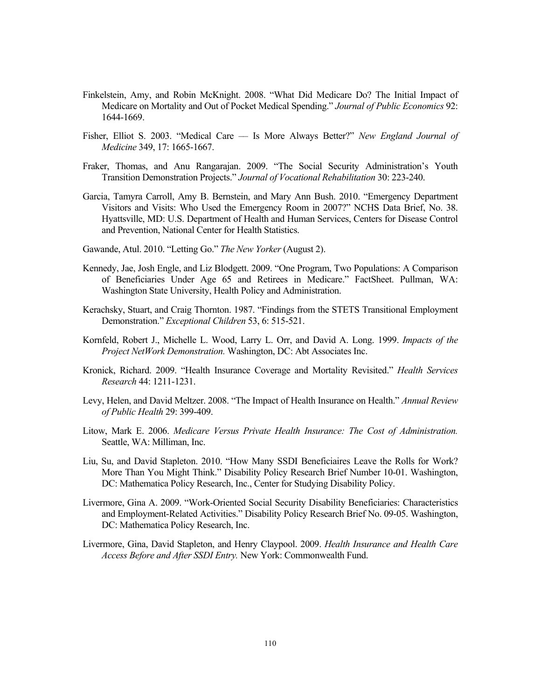- Finkelstein, Amy, and Robin McKnight. 2008. "What Did Medicare Do? The Initial Impact of Medicare on Mortality and Out of Pocket Medical Spending." *Journal of Public Economics* 92: 1644-1669.
- Fisher, Elliot S. 2003. "Medical Care –– Is More Always Better?" *New England Journal of Medicine* 349, 17: 1665-1667.
- Fraker, Thomas, and Anu Rangarajan. 2009. "The Social Security Administration's Youth Transition Demonstration Projects." *Journal of Vocational Rehabilitation* 30: 223-240.
- Garcia, Tamyra Carroll, Amy B. Bernstein, and Mary Ann Bush. 2010. "Emergency Department Visitors and Visits: Who Used the Emergency Room in 2007?" NCHS Data Brief, No. 38. Hyattsville, MD: U.S. Department of Health and Human Services, Centers for Disease Control and Prevention, National Center for Health Statistics.
- Gawande, Atul. 2010. "Letting Go." *The New Yorker* (August 2).
- Kennedy, Jae, Josh Engle, and Liz Blodgett. 2009. "One Program, Two Populations: A Comparison of Beneficiaries Under Age 65 and Retirees in Medicare." FactSheet. Pullman, WA: Washington State University, Health Policy and Administration.
- Kerachsky, Stuart, and Craig Thornton. 1987. "Findings from the STETS Transitional Employment Demonstration." *Exceptional Children* 53, 6: 515-521.
- Kornfeld, Robert J., Michelle L. Wood, Larry L. Orr, and David A. Long. 1999. *Impacts of the Project NetWork Demonstration.* Washington, DC: Abt Associates Inc.
- Kronick, Richard. 2009. "Health Insurance Coverage and Mortality Revisited." *Health Services Research* 44: 1211-1231.
- Levy, Helen, and David Meltzer. 2008. "The Impact of Health Insurance on Health." *Annual Review of Public Health* 29: 399-409.
- Litow, Mark E. 2006. *Medicare Versus Private Health Insurance: The Cost of Administration.* Seattle, WA: Milliman, Inc.
- Liu, Su, and David Stapleton. 2010. "How Many SSDI Beneficiaires Leave the Rolls for Work? More Than You Might Think." Disability Policy Research Brief Number 10-01. Washington, DC: Mathematica Policy Research, Inc., Center for Studying Disability Policy.
- Livermore, Gina A. 2009. "Work-Oriented Social Security Disability Beneficiaries: Characteristics and Employment-Related Activities." Disability Policy Research Brief No. 09-05. Washington, DC: Mathematica Policy Research, Inc.
- Livermore, Gina, David Stapleton, and Henry Claypool. 2009. *Health Insurance and Health Care Access Before and After SSDI Entry.* New York: Commonwealth Fund.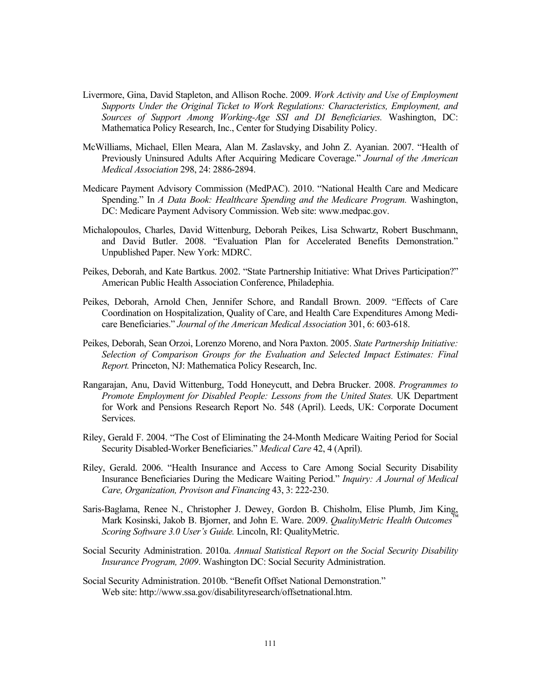- Livermore, Gina, David Stapleton, and Allison Roche. 2009. *Work Activity and Use of Employment Supports Under the Original Ticket to Work Regulations: Characteristics, Employment, and Sources of Support Among Working-Age SSI and DI Beneficiaries.* Washington, DC: Mathematica Policy Research, Inc., Center for Studying Disability Policy.
- McWilliams, Michael, Ellen Meara, Alan M. Zaslavsky, and John Z. Ayanian. 2007. "Health of Previously Uninsured Adults After Acquiring Medicare Coverage." *Journal of the American Medical Association* 298, 24: 2886-2894.
- Medicare Payment Advisory Commission (MedPAC). 2010. "National Health Care and Medicare Spending." In *A Data Book: Healthcare Spending and the Medicare Program.* Washington, DC: Medicare Payment Advisory Commission. Web site: www.medpac.gov.
- Michalopoulos, Charles, David Wittenburg, Deborah Peikes, Lisa Schwartz, Robert Buschmann, and David Butler. 2008. "Evaluation Plan for Accelerated Benefits Demonstration." Unpublished Paper. New York: MDRC.
- Peikes, Deborah, and Kate Bartkus. 2002. "State Partnership Initiative: What Drives Participation?" American Public Health Association Conference, Philadephia.
- Peikes, Deborah, Arnold Chen, Jennifer Schore, and Randall Brown. 2009. "Effects of Care Coordination on Hospitalization, Quality of Care, and Health Care Expenditures Among Medicare Beneficiaries." *Journal of the American Medical Association* 301, 6: 603-618.
- Peikes, Deborah, Sean Orzoi, Lorenzo Moreno, and Nora Paxton. 2005. *State Partnership Initiative: Selection of Comparison Groups for the Evaluation and Selected Impact Estimates: Final Report.* Princeton, NJ: Mathematica Policy Research, Inc.
- Rangarajan, Anu, David Wittenburg, Todd Honeycutt, and Debra Brucker. 2008. *Programmes to Promote Employment for Disabled People: Lessons from the United States.* UK Department for Work and Pensions Research Report No. 548 (April). Leeds, UK: Corporate Document Services.
- Riley, Gerald F. 2004. "The Cost of Eliminating the 24-Month Medicare Waiting Period for Social Security Disabled-Worker Beneficiaries." *Medical Care* 42, 4 (April).
- Riley, Gerald. 2006. "Health Insurance and Access to Care Among Social Security Disability Insurance Beneficiaries During the Medicare Waiting Period." *Inquiry: A Journal of Medical Care, Organization, Provison and Financing* 43, 3: 222-230.
- Saris-Baglama, Renee N., Christopher J. Dewey, Gordon B. Chisholm, Elise Plumb, Jim King, Mark Kosinski, Jakob B. Bjorner, and John E. Ware. 2009. *QualityMetric Health Outcomes Scoring Software 3.0 User's Guide.* Lincoln, RI: QualityMetric.
- Social Security Administration. 2010a. *Annual Statistical Report on the Social Security Disability Insurance Program, 2009*. Washington DC: Social Security Administration.
- Social Security Administration. 2010b. "Benefit Offset National Demonstration." Web site: http://www.ssa.gov/disabilityresearch/offsetnational.htm.